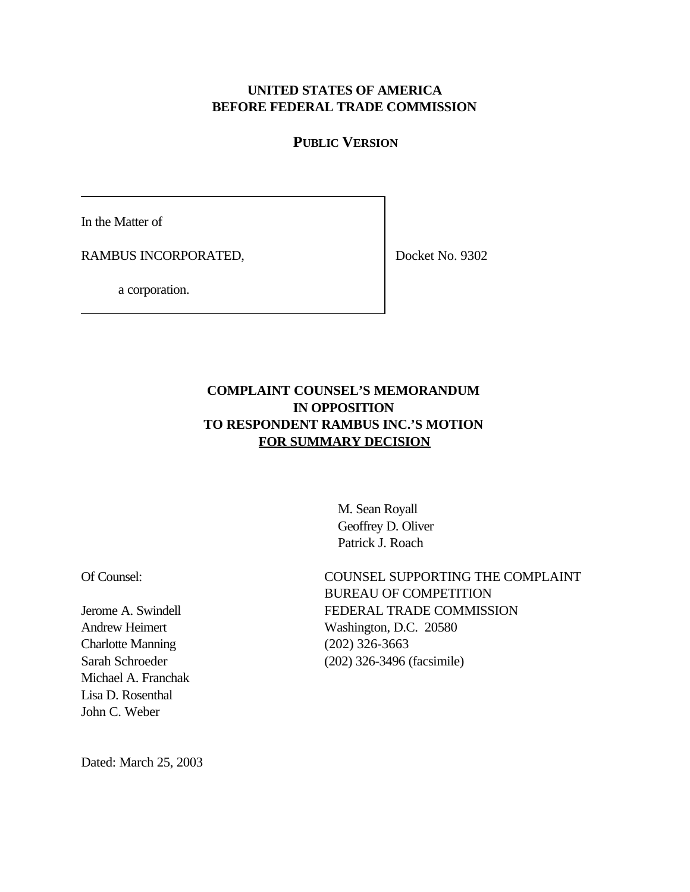### **UNITED STATES OF AMERICA BEFORE FEDERAL TRADE COMMISSION**

## **PUBLIC VERSION**

In the Matter of

RAMBUS INCORPORATED,

Docket No. 9302

a corporation.

# **COMPLAINT COUNSEL'S MEMORANDUM IN OPPOSITION TO RESPONDENT RAMBUS INC.'S MOTION FOR SUMMARY DECISION**

 M. Sean Royall Geoffrey D. Oliver Patrick J. Roach

Of Counsel:

Jerome A. Swindell Andrew Heimert Charlotte Manning Sarah Schroeder Michael A. Franchak Lisa D. Rosenthal John C. Weber

COUNSEL SUPPORTING THE COMPLAINT BUREAU OF COMPETITION FEDERAL TRADE COMMISSION Washington, D.C. 20580 (202) 326-3663 (202) 326-3496 (facsimile)

Dated: March 25, 2003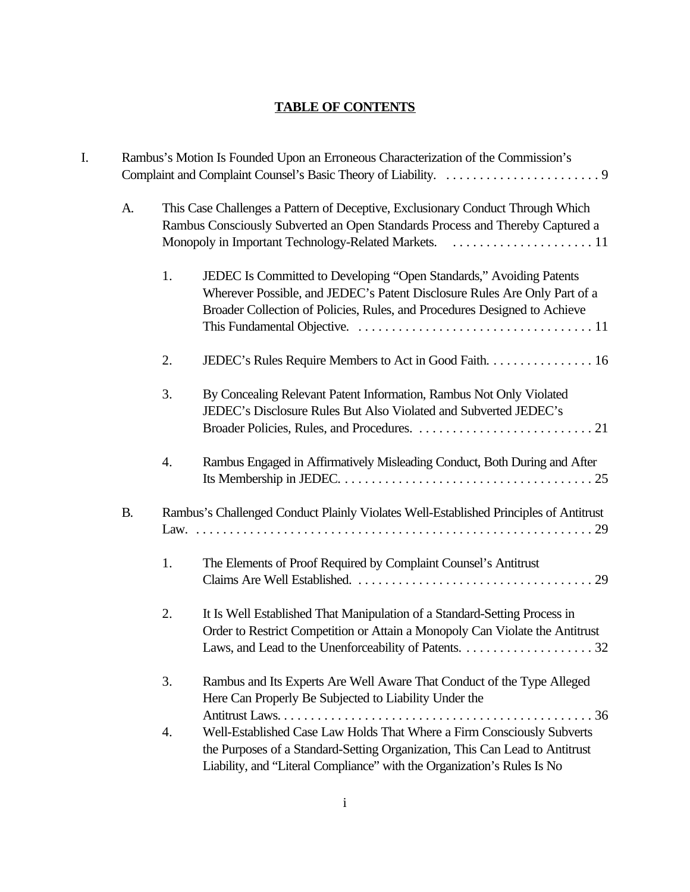# **TABLE OF CONTENTS**

| I. |           |    | Rambus's Motion Is Founded Upon an Erroneous Characterization of the Commission's                                                                                                                                                               |
|----|-----------|----|-------------------------------------------------------------------------------------------------------------------------------------------------------------------------------------------------------------------------------------------------|
|    | A.        |    | This Case Challenges a Pattern of Deceptive, Exclusionary Conduct Through Which<br>Rambus Consciously Subverted an Open Standards Process and Thereby Captured a                                                                                |
|    |           | 1. | JEDEC Is Committed to Developing "Open Standards," Avoiding Patents<br>Wherever Possible, and JEDEC's Patent Disclosure Rules Are Only Part of a<br>Broader Collection of Policies, Rules, and Procedures Designed to Achieve                   |
|    |           | 2. | JEDEC's Rules Require Members to Act in Good Faith. 16                                                                                                                                                                                          |
|    |           | 3. | By Concealing Relevant Patent Information, Rambus Not Only Violated<br>JEDEC's Disclosure Rules But Also Violated and Subverted JEDEC's                                                                                                         |
|    |           | 4. | Rambus Engaged in Affirmatively Misleading Conduct, Both During and After                                                                                                                                                                       |
|    | <b>B.</b> |    | Rambus's Challenged Conduct Plainly Violates Well-Established Principles of Antitrust                                                                                                                                                           |
|    |           | 1. | The Elements of Proof Required by Complaint Counsel's Antitrust                                                                                                                                                                                 |
|    |           | 2. | It Is Well Established That Manipulation of a Standard-Setting Process in<br>Order to Restrict Competition or Attain a Monopoly Can Violate the Antitrust                                                                                       |
|    |           | 3. | Rambus and Its Experts Are Well Aware That Conduct of the Type Alleged<br>Here Can Properly Be Subjected to Liability Under the                                                                                                                 |
|    |           | 4. | $\ldots$ 36<br>Well-Established Case Law Holds That Where a Firm Consciously Subverts<br>the Purposes of a Standard-Setting Organization, This Can Lead to Antitrust<br>Liability, and "Literal Compliance" with the Organization's Rules Is No |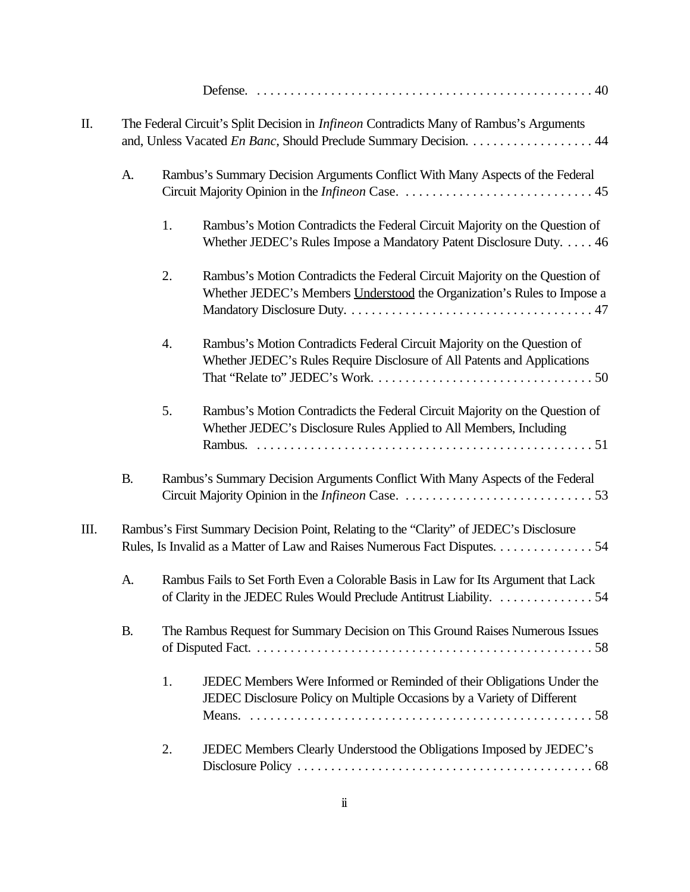| Π. | The Federal Circuit's Split Decision in <i>Infineon</i> Contradicts Many of Rambus's Arguments<br>and, Unless Vacated En Banc, Should Preclude Summary Decision. 44 |    |                                                                                                                                                                      |  |  |
|----|---------------------------------------------------------------------------------------------------------------------------------------------------------------------|----|----------------------------------------------------------------------------------------------------------------------------------------------------------------------|--|--|
|    | A.                                                                                                                                                                  |    | Rambus's Summary Decision Arguments Conflict With Many Aspects of the Federal                                                                                        |  |  |
|    |                                                                                                                                                                     | 1. | Rambus's Motion Contradicts the Federal Circuit Majority on the Question of<br>Whether JEDEC's Rules Impose a Mandatory Patent Disclosure Duty. 46                   |  |  |
|    |                                                                                                                                                                     | 2. | Rambus's Motion Contradicts the Federal Circuit Majority on the Question of<br>Whether JEDEC's Members Understood the Organization's Rules to Impose a               |  |  |
|    |                                                                                                                                                                     | 4. | Rambus's Motion Contradicts Federal Circuit Majority on the Question of<br>Whether JEDEC's Rules Require Disclosure of All Patents and Applications                  |  |  |
|    |                                                                                                                                                                     | 5. | Rambus's Motion Contradicts the Federal Circuit Majority on the Question of<br>Whether JEDEC's Disclosure Rules Applied to All Members, Including                    |  |  |
|    | <b>B.</b>                                                                                                                                                           |    | Rambus's Summary Decision Arguments Conflict With Many Aspects of the Federal                                                                                        |  |  |
| Ш. |                                                                                                                                                                     |    | Rambus's First Summary Decision Point, Relating to the "Clarity" of JEDEC's Disclosure<br>Rules, Is Invalid as a Matter of Law and Raises Numerous Fact Disputes. 54 |  |  |
|    | A.                                                                                                                                                                  |    | Rambus Fails to Set Forth Even a Colorable Basis in Law for Its Argument that Lack<br>of Clarity in the JEDEC Rules Would Preclude Antitrust Liability. 54           |  |  |
|    | <b>B.</b>                                                                                                                                                           |    | The Rambus Request for Summary Decision on This Ground Raises Numerous Issues                                                                                        |  |  |
|    |                                                                                                                                                                     | 1. | JEDEC Members Were Informed or Reminded of their Obligations Under the<br>JEDEC Disclosure Policy on Multiple Occasions by a Variety of Different                    |  |  |
|    |                                                                                                                                                                     | 2. | JEDEC Members Clearly Understood the Obligations Imposed by JEDEC's                                                                                                  |  |  |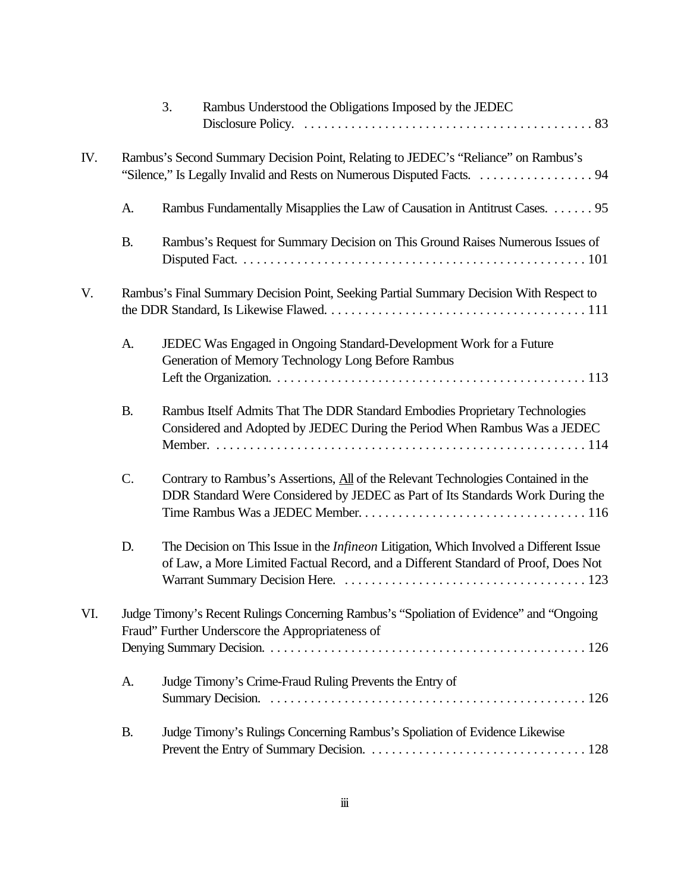|     |           | 3.<br>Rambus Understood the Obligations Imposed by the JEDEC                                                                                                                         |
|-----|-----------|--------------------------------------------------------------------------------------------------------------------------------------------------------------------------------------|
| IV. |           | Rambus's Second Summary Decision Point, Relating to JEDEC's "Reliance" on Rambus's                                                                                                   |
|     | A.        | Rambus Fundamentally Misapplies the Law of Causation in Antitrust Cases. 95                                                                                                          |
|     | <b>B.</b> | Rambus's Request for Summary Decision on This Ground Raises Numerous Issues of                                                                                                       |
| V.  |           | Rambus's Final Summary Decision Point, Seeking Partial Summary Decision With Respect to                                                                                              |
|     | A.        | JEDEC Was Engaged in Ongoing Standard-Development Work for a Future<br>Generation of Memory Technology Long Before Rambus                                                            |
|     | <b>B.</b> | Rambus Itself Admits That The DDR Standard Embodies Proprietary Technologies<br>Considered and Adopted by JEDEC During the Period When Rambus Was a JEDEC                            |
|     | C.        | Contrary to Rambus's Assertions, All of the Relevant Technologies Contained in the<br>DDR Standard Were Considered by JEDEC as Part of Its Standards Work During the                 |
|     | D.        | The Decision on This Issue in the <i>Infineon</i> Litigation, Which Involved a Different Issue<br>of Law, a More Limited Factual Record, and a Different Standard of Proof, Does Not |
| VI. |           | Judge Timony's Recent Rulings Concerning Rambus's "Spoliation of Evidence" and "Ongoing<br>Fraud" Further Underscore the Appropriateness of                                          |
|     |           |                                                                                                                                                                                      |
|     | A.        | Judge Timony's Crime-Fraud Ruling Prevents the Entry of                                                                                                                              |
|     | <b>B.</b> | Judge Timony's Rulings Concerning Rambus's Spoliation of Evidence Likewise                                                                                                           |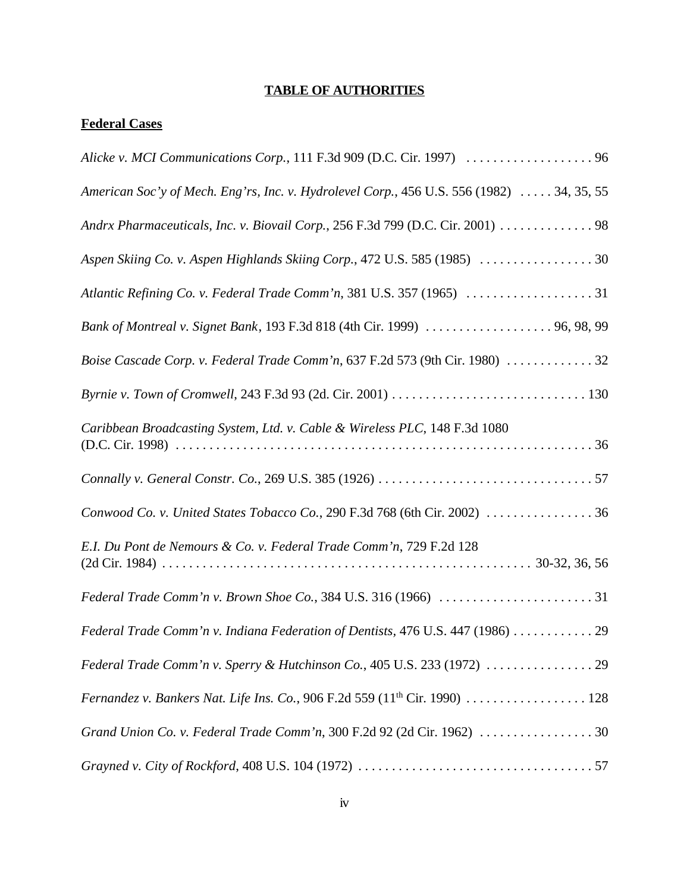# **TABLE OF AUTHORITIES**

## **Federal Cases**

| American Soc'y of Mech. Eng'rs, Inc. v. Hydrolevel Corp., 456 U.S. 556 (1982)  34, 35, 55 |
|-------------------------------------------------------------------------------------------|
| Andrx Pharmaceuticals, Inc. v. Biovail Corp., 256 F.3d 799 (D.C. Cir. 2001) 98            |
| Aspen Skiing Co. v. Aspen Highlands Skiing Corp., 472 U.S. 585 (1985) 30                  |
|                                                                                           |
| Bank of Montreal v. Signet Bank, 193 F.3d 818 (4th Cir. 1999)  96, 98, 99                 |
| Boise Cascade Corp. v. Federal Trade Comm'n, 637 F.2d 573 (9th Cir. 1980) 32              |
|                                                                                           |
| Caribbean Broadcasting System, Ltd. v. Cable & Wireless PLC, 148 F.3d 1080                |
|                                                                                           |
| Conwood Co. v. United States Tobacco Co., 290 F.3d 768 (6th Cir. 2002) 36                 |
| E.I. Du Pont de Nemours & Co. v. Federal Trade Comm'n, 729 F.2d 128                       |
|                                                                                           |
| Federal Trade Comm'n v. Indiana Federation of Dentists, 476 U.S. 447 (1986)  29           |
|                                                                                           |
| Fernandez v. Bankers Nat. Life Ins. Co., 906 F.2d 559 (11 <sup>th</sup> Cir. 1990) 128    |
| Grand Union Co. v. Federal Trade Comm'n, 300 F.2d 92 (2d Cir. 1962) 30                    |
|                                                                                           |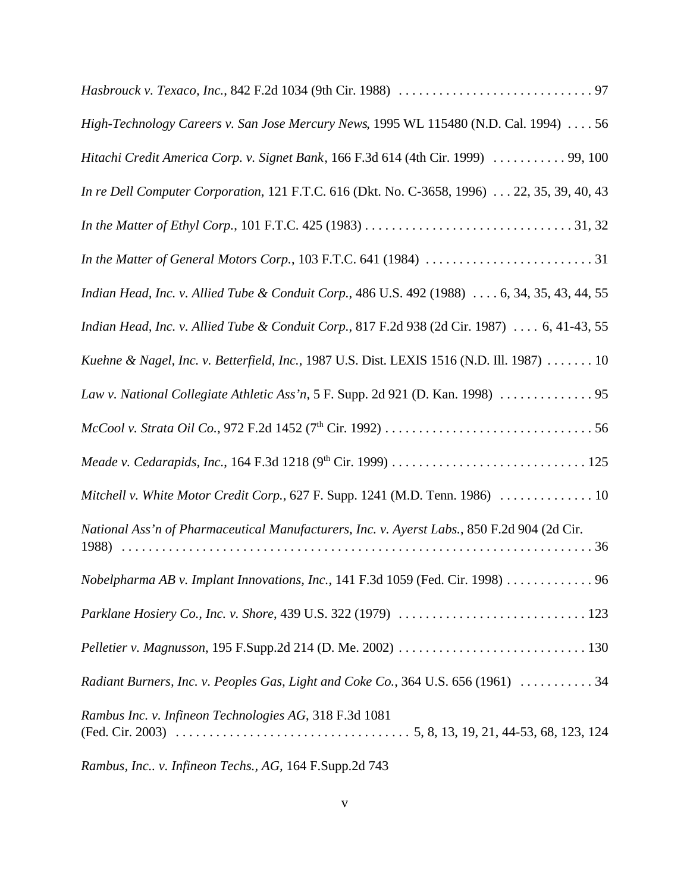| High-Technology Careers v. San Jose Mercury News, 1995 WL 115480 (N.D. Cal. 1994)  56        |
|----------------------------------------------------------------------------------------------|
| Hitachi Credit America Corp. v. Signet Bank, 166 F.3d 614 (4th Cir. 1999)  99, 100           |
| In re Dell Computer Corporation, 121 F.T.C. 616 (Dkt. No. C-3658, 1996)  22, 35, 39, 40, 43  |
|                                                                                              |
|                                                                                              |
| Indian Head, Inc. v. Allied Tube & Conduit Corp., 486 U.S. 492 (1988)  6, 34, 35, 43, 44, 55 |
| Indian Head, Inc. v. Allied Tube & Conduit Corp., 817 F.2d 938 (2d Cir. 1987)  6, 41-43, 55  |
| Kuehne & Nagel, Inc. v. Betterfield, Inc., 1987 U.S. Dist. LEXIS 1516 (N.D. Ill. 1987) 10    |
| Law v. National Collegiate Athletic Ass'n, 5 F. Supp. 2d 921 (D. Kan. 1998)  95              |
|                                                                                              |
|                                                                                              |
| Mitchell v. White Motor Credit Corp., 627 F. Supp. 1241 (M.D. Tenn. 1986)  10                |
| National Ass'n of Pharmaceutical Manufacturers, Inc. v. Ayerst Labs., 850 F.2d 904 (2d Cir.  |
| Nobelpharma AB v. Implant Innovations, Inc., 141 F.3d 1059 (Fed. Cir. 1998) 96               |
|                                                                                              |
|                                                                                              |
| Radiant Burners, Inc. v. Peoples Gas, Light and Coke Co., 364 U.S. 656 (1961)  34            |
| Rambus Inc. v. Infineon Technologies AG, 318 F.3d 1081                                       |

*Rambus, Inc.. v. Infineon Techs., AG,* 164 F.Supp.2d 743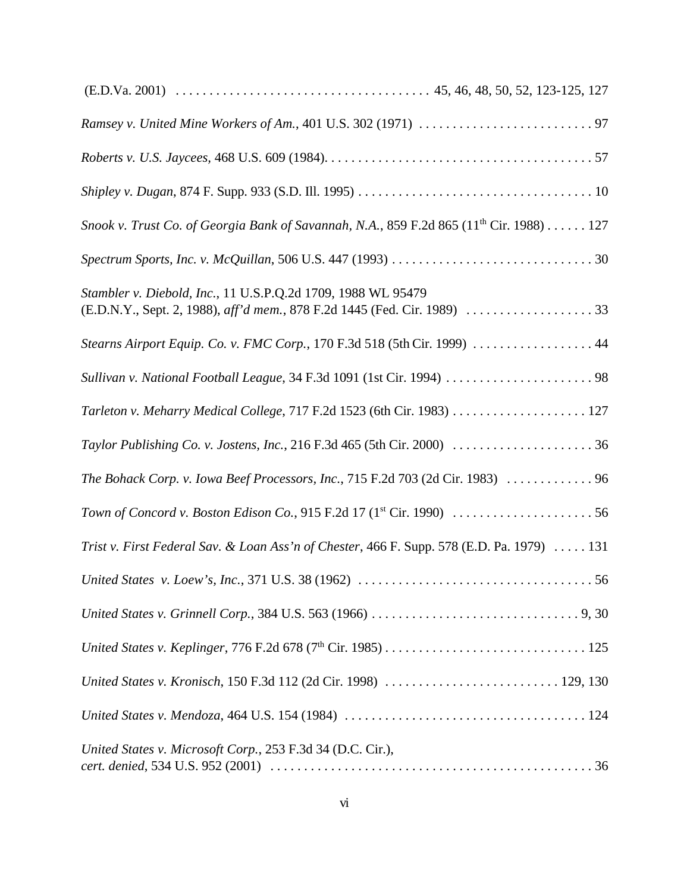| Snook v. Trust Co. of Georgia Bank of Savannah, N.A., 859 F.2d 865 (11 <sup>th</sup> Cir. 1988) 127                          |
|------------------------------------------------------------------------------------------------------------------------------|
|                                                                                                                              |
| Stambler v. Diebold, Inc., 11 U.S.P.Q.2d 1709, 1988 WL 95479                                                                 |
| Stearns Airport Equip. Co. v. FMC Corp., 170 F.3d 518 (5th Cir. 1999)  44                                                    |
|                                                                                                                              |
|                                                                                                                              |
|                                                                                                                              |
| The Bohack Corp. v. Iowa Beef Processors, Inc., 715 F.2d 703 (2d Cir. 1983)  96                                              |
| Town of Concord v. Boston Edison Co., 915 F.2d 17 (1 <sup>st</sup> Cir. 1990) $\ldots \ldots \ldots \ldots \ldots \ldots 56$ |
| Trist v. First Federal Sav. & Loan Ass'n of Chester, 466 F. Supp. 578 (E.D. Pa. 1979)  131                                   |
|                                                                                                                              |
|                                                                                                                              |
|                                                                                                                              |
|                                                                                                                              |
|                                                                                                                              |
| United States v. Microsoft Corp., 253 F.3d 34 (D.C. Cir.),                                                                   |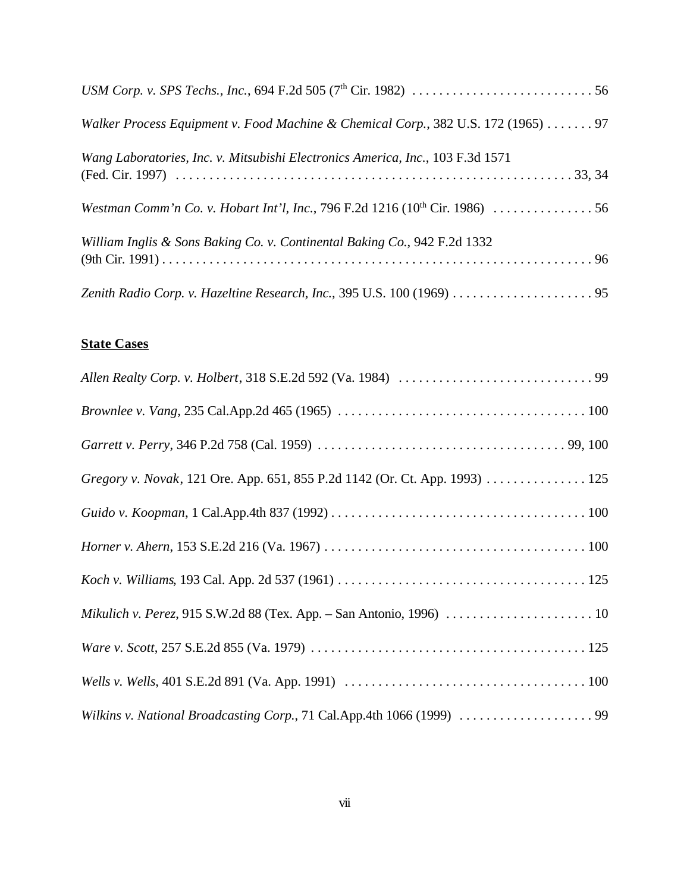| Walker Process Equipment v. Food Machine & Chemical Corp., 382 U.S. 172 (1965)  97      |
|-----------------------------------------------------------------------------------------|
| Wang Laboratories, Inc. v. Mitsubishi Electronics America, Inc., 103 F.3d 1571          |
| Westman Comm'n Co. v. Hobart Int'l, Inc., 796 F.2d 1216 (10 <sup>th</sup> Cir. 1986) 56 |
| William Inglis & Sons Baking Co. v. Continental Baking Co., 942 F.2d 1332               |
|                                                                                         |

# **State Cases**

| Gregory v. Novak, 121 Ore. App. 651, 855 P.2d 1142 (Or. Ct. App. 1993) 125 |
|----------------------------------------------------------------------------|
|                                                                            |
|                                                                            |
|                                                                            |
|                                                                            |
|                                                                            |
|                                                                            |
| Wilkins v. National Broadcasting Corp., 71 Cal.App.4th 1066 (1999)  99     |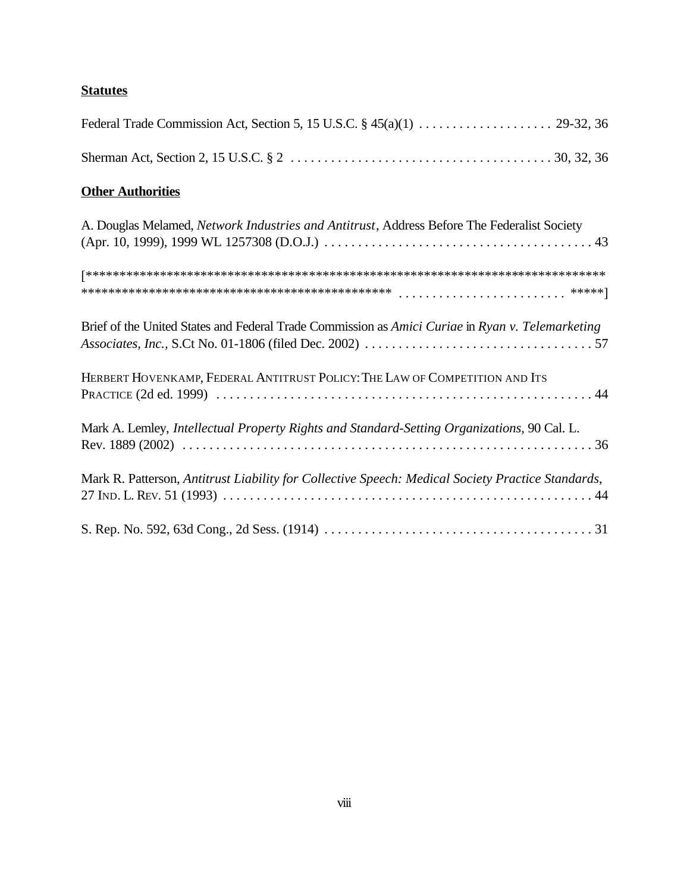# **Statutes**

# **Other Authorities**

| A. Douglas Melamed, Network Industries and Antitrust, Address Before The Federalist Society       |
|---------------------------------------------------------------------------------------------------|
|                                                                                                   |
|                                                                                                   |
| Brief of the United States and Federal Trade Commission as Amici Curiae in Ryan v. Telemarketing  |
| HERBERT HOVENKAMP, FEDERAL ANTITRUST POLICY: THE LAW OF COMPETITION AND ITS                       |
| Mark A. Lemley, Intellectual Property Rights and Standard-Setting Organizations, 90 Cal. L.       |
| Mark R. Patterson, Antitrust Liability for Collective Speech: Medical Society Practice Standards, |
|                                                                                                   |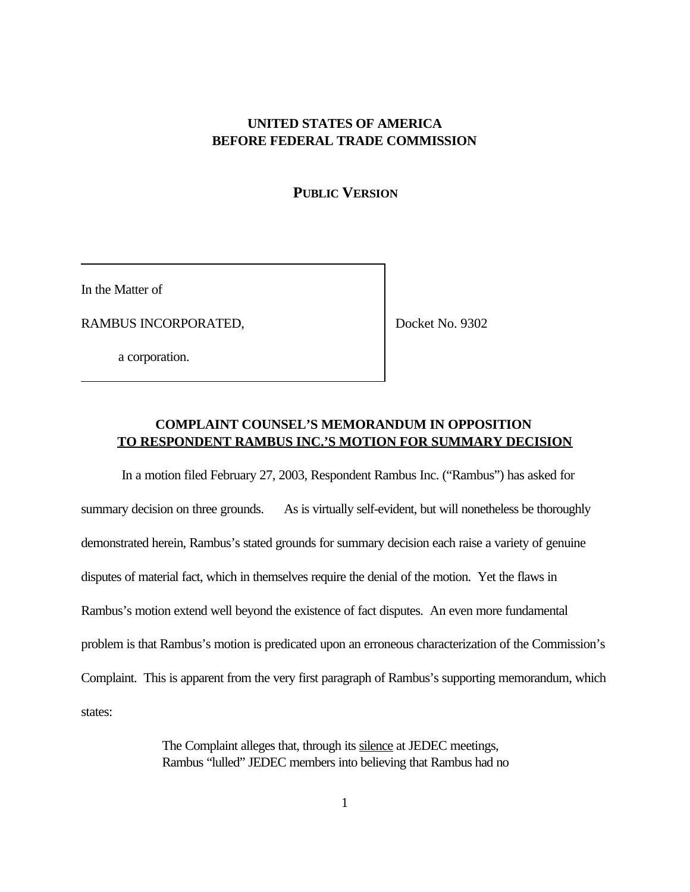### **UNITED STATES OF AMERICA BEFORE FEDERAL TRADE COMMISSION**

#### **PUBLIC VERSION**

In the Matter of

RAMBUS INCORPORATED,

Docket No. 9302

a corporation.

## **COMPLAINT COUNSEL'S MEMORANDUM IN OPPOSITION TO RESPONDENT RAMBUS INC.'S MOTION FOR SUMMARY DECISION**

In a motion filed February 27, 2003, Respondent Rambus Inc. ("Rambus") has asked for summary decision on three grounds. As is virtually self-evident, but will nonetheless be thoroughly demonstrated herein, Rambus's stated grounds for summary decision each raise a variety of genuine disputes of material fact, which in themselves require the denial of the motion. Yet the flaws in Rambus's motion extend well beyond the existence of fact disputes. An even more fundamental problem is that Rambus's motion is predicated upon an erroneous characterization of the Commission's Complaint. This is apparent from the very first paragraph of Rambus's supporting memorandum, which states:

> The Complaint alleges that, through its silence at JEDEC meetings, Rambus "lulled" JEDEC members into believing that Rambus had no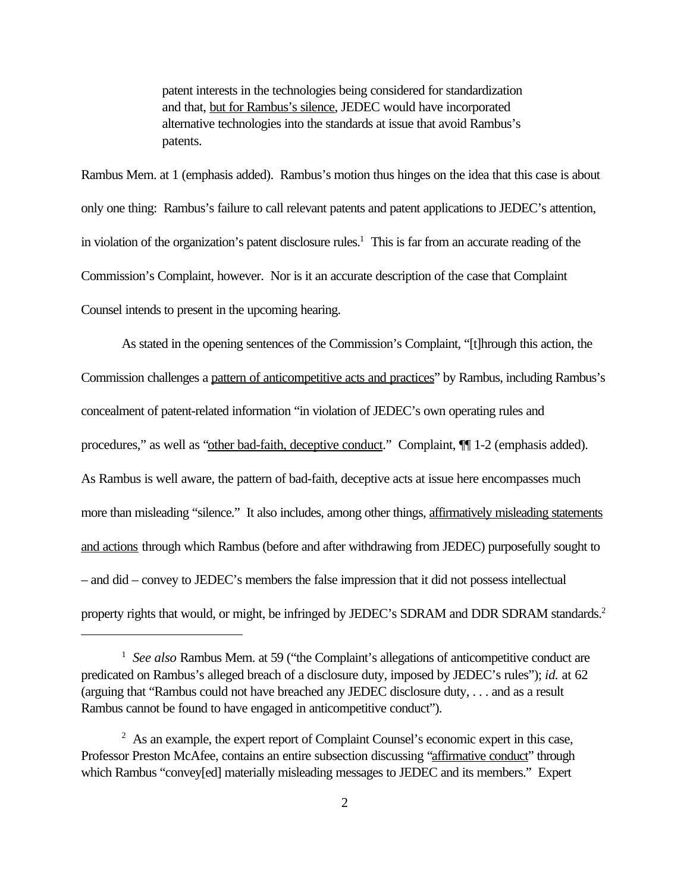patent interests in the technologies being considered for standardization and that, but for Rambus's silence, JEDEC would have incorporated alternative technologies into the standards at issue that avoid Rambus's patents.

Rambus Mem. at 1 (emphasis added). Rambus's motion thus hinges on the idea that this case is about only one thing: Rambus's failure to call relevant patents and patent applications to JEDEC's attention, in violation of the organization's patent disclosure rules.<sup>1</sup> This is far from an accurate reading of the Commission's Complaint, however. Nor is it an accurate description of the case that Complaint Counsel intends to present in the upcoming hearing.

As stated in the opening sentences of the Commission's Complaint, "[t]hrough this action, the Commission challenges a pattern of anticompetitive acts and practices" by Rambus, including Rambus's concealment of patent-related information "in violation of JEDEC's own operating rules and procedures," as well as "other bad-faith, deceptive conduct." Complaint,  $\P$ [1-2 (emphasis added). As Rambus is well aware, the pattern of bad-faith, deceptive acts at issue here encompasses much more than misleading "silence." It also includes, among other things, affirmatively misleading statements and actions through which Rambus (before and after withdrawing from JEDEC) purposefully sought to – and did – convey to JEDEC's members the false impression that it did not possess intellectual property rights that would, or might, be infringed by JEDEC's SDRAM and DDR SDRAM standards.<sup>2</sup>

<sup>&</sup>lt;sup>1</sup> See also Rambus Mem. at 59 ("the Complaint's allegations of anticompetitive conduct are predicated on Rambus's alleged breach of a disclosure duty, imposed by JEDEC's rules"); *id.* at 62 (arguing that "Rambus could not have breached any JEDEC disclosure duty, . . . and as a result Rambus cannot be found to have engaged in anticompetitive conduct").

 $2$  As an example, the expert report of Complaint Counsel's economic expert in this case, Professor Preston McAfee, contains an entire subsection discussing "affirmative conduct" through which Rambus "convey[ed] materially misleading messages to JEDEC and its members." Expert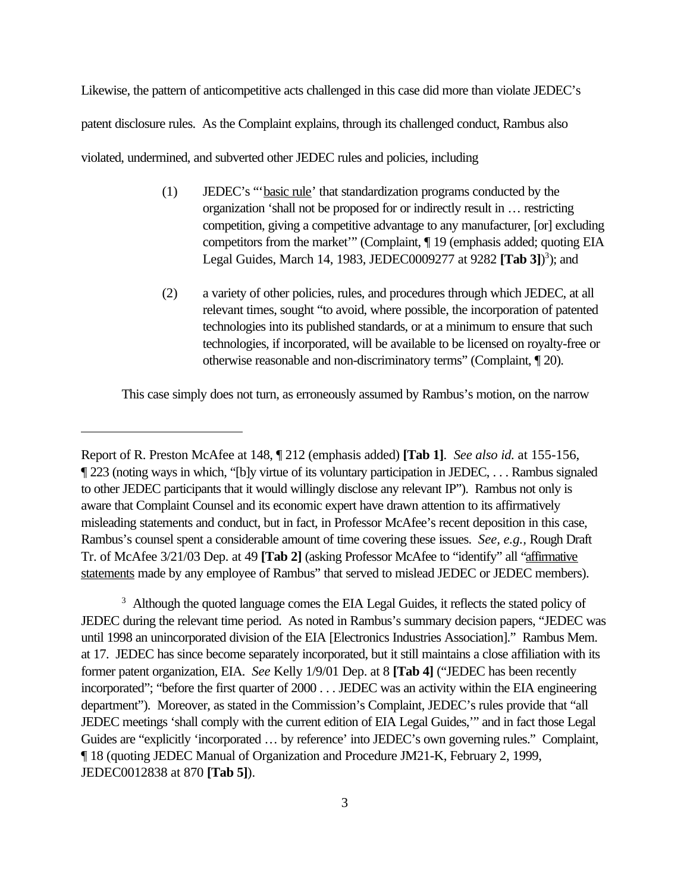Likewise, the pattern of anticompetitive acts challenged in this case did more than violate JEDEC's patent disclosure rules. As the Complaint explains, through its challenged conduct, Rambus also violated, undermined, and subverted other JEDEC rules and policies, including

- (1) JEDEC's "'basic rule' that standardization programs conducted by the organization 'shall not be proposed for or indirectly result in … restricting competition, giving a competitive advantage to any manufacturer, [or] excluding competitors from the market'" (Complaint, ¶ 19 (emphasis added; quoting EIA Legal Guides, March 14, 1983, JEDEC0009277 at 9282 **[Tab 3]**) 3 ); and
- (2) a variety of other policies, rules, and procedures through which JEDEC, at all relevant times, sought "to avoid, where possible, the incorporation of patented technologies into its published standards, or at a minimum to ensure that such technologies, if incorporated, will be available to be licensed on royalty-free or otherwise reasonable and non-discriminatory terms" (Complaint, ¶ 20).

This case simply does not turn, as erroneously assumed by Rambus's motion, on the narrow

<sup>3</sup> Although the quoted language comes the EIA Legal Guides, it reflects the stated policy of JEDEC during the relevant time period. As noted in Rambus's summary decision papers, "JEDEC was until 1998 an unincorporated division of the EIA [Electronics Industries Association]." Rambus Mem. at 17. JEDEC has since become separately incorporated, but it still maintains a close affiliation with its former patent organization, EIA. *See* Kelly 1/9/01 Dep. at 8 **[Tab 4]** ("JEDEC has been recently incorporated"; "before the first quarter of 2000 . . . JEDEC was an activity within the EIA engineering department"). Moreover, as stated in the Commission's Complaint, JEDEC's rules provide that "all JEDEC meetings 'shall comply with the current edition of EIA Legal Guides,'" and in fact those Legal Guides are "explicitly 'incorporated … by reference' into JEDEC's own governing rules." Complaint, ¶ 18 (quoting JEDEC Manual of Organization and Procedure JM21-K, February 2, 1999, JEDEC0012838 at 870 **[Tab 5]**).

Report of R. Preston McAfee at 148, ¶ 212 (emphasis added) **[Tab 1]**. *See also id.* at 155-156, ¶ 223 (noting ways in which, "[b]y virtue of its voluntary participation in JEDEC, . . . Rambus signaled to other JEDEC participants that it would willingly disclose any relevant IP"). Rambus not only is aware that Complaint Counsel and its economic expert have drawn attention to its affirmatively misleading statements and conduct, but in fact, in Professor McAfee's recent deposition in this case, Rambus's counsel spent a considerable amount of time covering these issues. *See, e.g.,* Rough Draft Tr. of McAfee 3/21/03 Dep. at 49 **[Tab 2]** (asking Professor McAfee to "identify" all "affirmative statements made by any employee of Rambus" that served to mislead JEDEC or JEDEC members).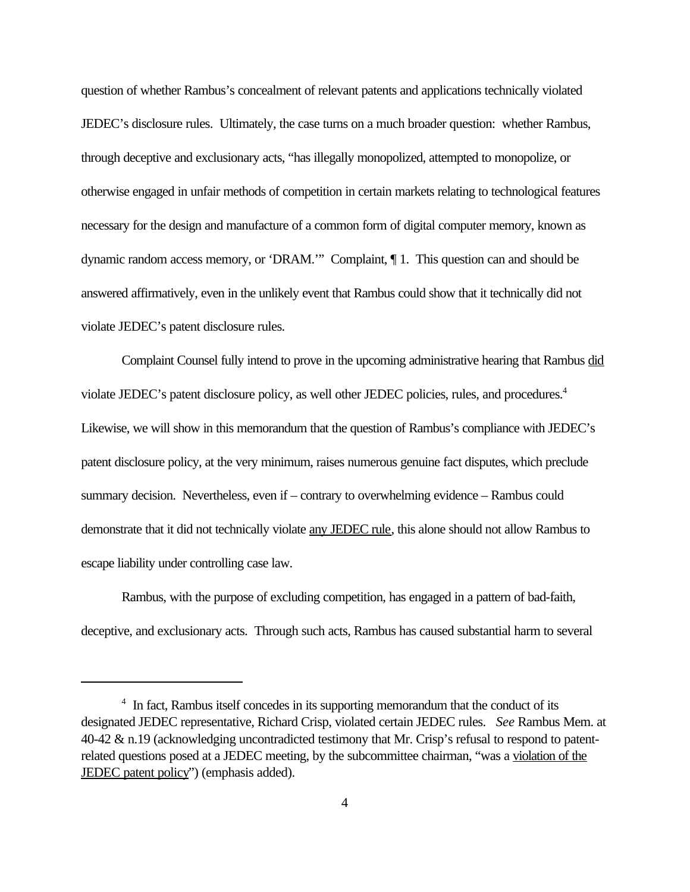question of whether Rambus's concealment of relevant patents and applications technically violated JEDEC's disclosure rules. Ultimately, the case turns on a much broader question: whether Rambus, through deceptive and exclusionary acts, "has illegally monopolized, attempted to monopolize, or otherwise engaged in unfair methods of competition in certain markets relating to technological features necessary for the design and manufacture of a common form of digital computer memory, known as dynamic random access memory, or 'DRAM.'" Complaint, ¶ 1. This question can and should be answered affirmatively, even in the unlikely event that Rambus could show that it technically did not violate JEDEC's patent disclosure rules.

Complaint Counsel fully intend to prove in the upcoming administrative hearing that Rambus did violate JEDEC's patent disclosure policy, as well other JEDEC policies, rules, and procedures.<sup>4</sup> Likewise, we will show in this memorandum that the question of Rambus's compliance with JEDEC's patent disclosure policy, at the very minimum, raises numerous genuine fact disputes, which preclude summary decision. Nevertheless, even if – contrary to overwhelming evidence – Rambus could demonstrate that it did not technically violate any JEDEC rule, this alone should not allow Rambus to escape liability under controlling case law.

Rambus, with the purpose of excluding competition, has engaged in a pattern of bad-faith, deceptive, and exclusionary acts. Through such acts, Rambus has caused substantial harm to several

<sup>&</sup>lt;sup>4</sup> In fact, Rambus itself concedes in its supporting memorandum that the conduct of its designated JEDEC representative, Richard Crisp, violated certain JEDEC rules. *See* Rambus Mem. at 40-42 & n.19 (acknowledging uncontradicted testimony that Mr. Crisp's refusal to respond to patentrelated questions posed at a JEDEC meeting, by the subcommittee chairman, "was a violation of the JEDEC patent policy") (emphasis added).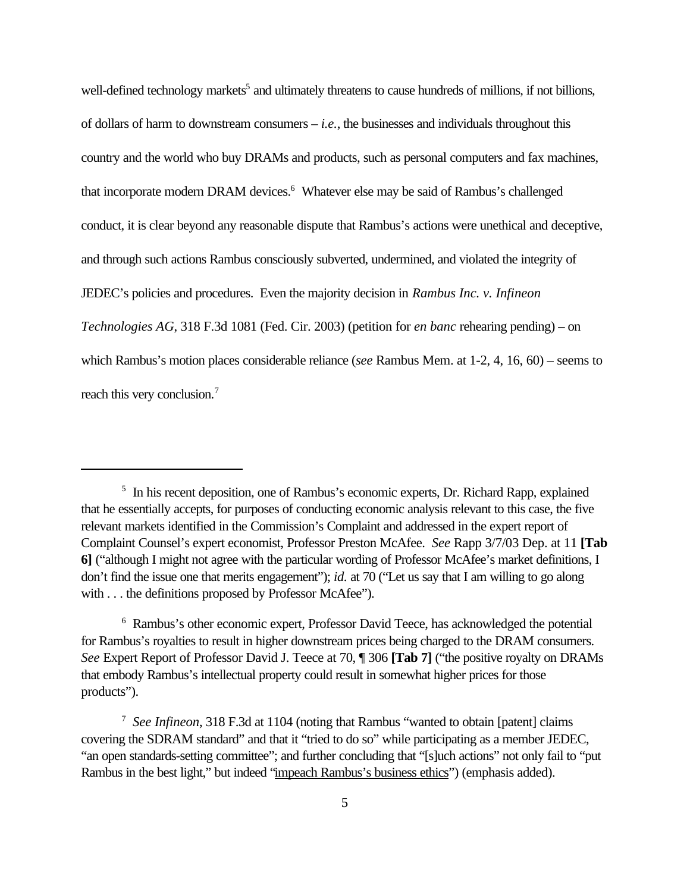well-defined technology markets<sup>5</sup> and ultimately threatens to cause hundreds of millions, if not billions, of dollars of harm to downstream consumers – *i.e.*, the businesses and individuals throughout this country and the world who buy DRAMs and products, such as personal computers and fax machines, that incorporate modern DRAM devices.<sup>6</sup> Whatever else may be said of Rambus's challenged conduct, it is clear beyond any reasonable dispute that Rambus's actions were unethical and deceptive, and through such actions Rambus consciously subverted, undermined, and violated the integrity of JEDEC's policies and procedures. Even the majority decision in *Rambus Inc. v. Infineon Technologies AG*, 318 F.3d 1081 (Fed. Cir. 2003) (petition for *en banc* rehearing pending) – on which Rambus's motion places considerable reliance (*see* Rambus Mem. at 1-2, 4, 16, 60) – seems to reach this very conclusion.<sup>7</sup>

<sup>&</sup>lt;sup>5</sup> In his recent deposition, one of Rambus's economic experts, Dr. Richard Rapp, explained that he essentially accepts, for purposes of conducting economic analysis relevant to this case, the five relevant markets identified in the Commission's Complaint and addressed in the expert report of Complaint Counsel's expert economist, Professor Preston McAfee. *See* Rapp 3/7/03 Dep. at 11 **[Tab 6]** ("although I might not agree with the particular wording of Professor McAfee's market definitions, I don't find the issue one that merits engagement"); *id.* at 70 ("Let us say that I am willing to go along with . . . the definitions proposed by Professor McAfee").

<sup>&</sup>lt;sup>6</sup> Rambus's other economic expert, Professor David Teece, has acknowledged the potential for Rambus's royalties to result in higher downstream prices being charged to the DRAM consumers. *See* Expert Report of Professor David J. Teece at 70, ¶ 306 **[Tab 7]** ("the positive royalty on DRAMs that embody Rambus's intellectual property could result in somewhat higher prices for those products").

<sup>7</sup> *See Infineon*, 318 F.3d at 1104 (noting that Rambus "wanted to obtain [patent] claims covering the SDRAM standard" and that it "tried to do so" while participating as a member JEDEC, "an open standards-setting committee"; and further concluding that "[s]uch actions" not only fail to "put Rambus in the best light," but indeed "impeach Rambus's business ethics") (emphasis added).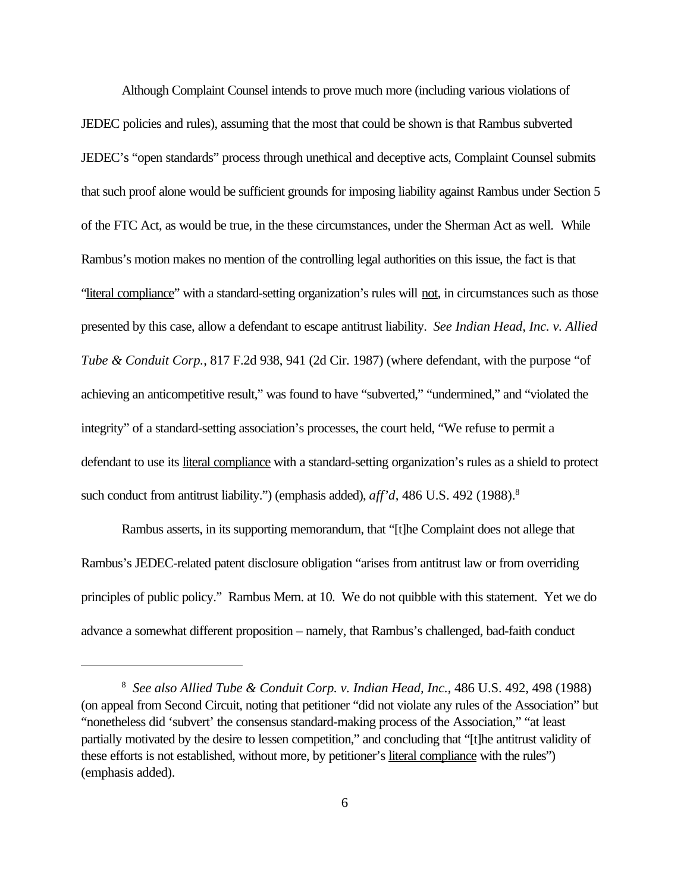Although Complaint Counsel intends to prove much more (including various violations of JEDEC policies and rules), assuming that the most that could be shown is that Rambus subverted JEDEC's "open standards" process through unethical and deceptive acts, Complaint Counsel submits that such proof alone would be sufficient grounds for imposing liability against Rambus under Section 5 of the FTC Act, as would be true, in the these circumstances, under the Sherman Act as well.While Rambus's motion makes no mention of the controlling legal authorities on this issue, the fact is that "literal compliance" with a standard-setting organization's rules will not, in circumstances such as those presented by this case, allow a defendant to escape antitrust liability. *See Indian Head, Inc. v. Allied Tube & Conduit Corp.*, 817 F.2d 938, 941 (2d Cir. 1987) (where defendant, with the purpose "of achieving an anticompetitive result," was found to have "subverted," "undermined," and "violated the integrity" of a standard-setting association's processes, the court held, "We refuse to permit a defendant to use its literal compliance with a standard-setting organization's rules as a shield to protect such conduct from antitrust liability.") (emphasis added), *aff'd*, 486 U.S. 492 (1988).<sup>8</sup>

Rambus asserts, in its supporting memorandum, that "[t]he Complaint does not allege that Rambus's JEDEC-related patent disclosure obligation "arises from antitrust law or from overriding principles of public policy." Rambus Mem. at 10. We do not quibble with this statement. Yet we do advance a somewhat different proposition – namely, that Rambus's challenged, bad-faith conduct

<sup>8</sup> *See also Allied Tube & Conduit Corp. v. Indian Head, Inc.*, 486 U.S. 492, 498 (1988) (on appeal from Second Circuit, noting that petitioner "did not violate any rules of the Association" but "nonetheless did 'subvert' the consensus standard-making process of the Association," "at least partially motivated by the desire to lessen competition," and concluding that "[t]he antitrust validity of these efforts is not established, without more, by petitioner's literal compliance with the rules") (emphasis added).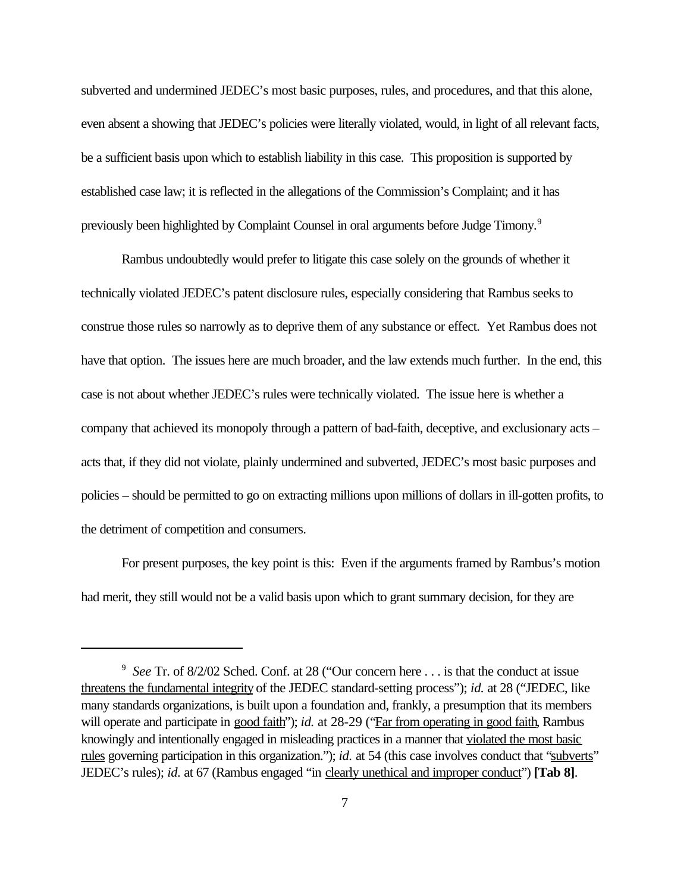subverted and undermined JEDEC's most basic purposes, rules, and procedures, and that this alone, even absent a showing that JEDEC's policies were literally violated, would, in light of all relevant facts, be a sufficient basis upon which to establish liability in this case. This proposition is supported by established case law; it is reflected in the allegations of the Commission's Complaint; and it has previously been highlighted by Complaint Counsel in oral arguments before Judge Timony.<sup>9</sup>

Rambus undoubtedly would prefer to litigate this case solely on the grounds of whether it technically violated JEDEC's patent disclosure rules, especially considering that Rambus seeks to construe those rules so narrowly as to deprive them of any substance or effect. Yet Rambus does not have that option. The issues here are much broader, and the law extends much further. In the end, this case is not about whether JEDEC's rules were technically violated. The issue here is whether a company that achieved its monopoly through a pattern of bad-faith, deceptive, and exclusionary acts – acts that, if they did not violate, plainly undermined and subverted, JEDEC's most basic purposes and policies – should be permitted to go on extracting millions upon millions of dollars in ill-gotten profits, to the detriment of competition and consumers.

 For present purposes, the key point is this: Even if the arguments framed by Rambus's motion had merit, they still would not be a valid basis upon which to grant summary decision, for they are

<sup>&</sup>lt;sup>9</sup> See Tr. of 8/2/02 Sched. Conf. at 28 ("Our concern here . . . is that the conduct at issue threatens the fundamental integrity of the JEDEC standard-setting process"); *id.* at 28 ("JEDEC, like many standards organizations, is built upon a foundation and, frankly, a presumption that its members will operate and participate in good faith"); *id.* at 28-29 ("Far from operating in good faith, Rambus knowingly and intentionally engaged in misleading practices in a manner that violated the most basic rules governing participation in this organization."); *id.* at 54 (this case involves conduct that "subverts" JEDEC's rules); *id.* at 67 (Rambus engaged "in clearly unethical and improper conduct") **[Tab 8]**.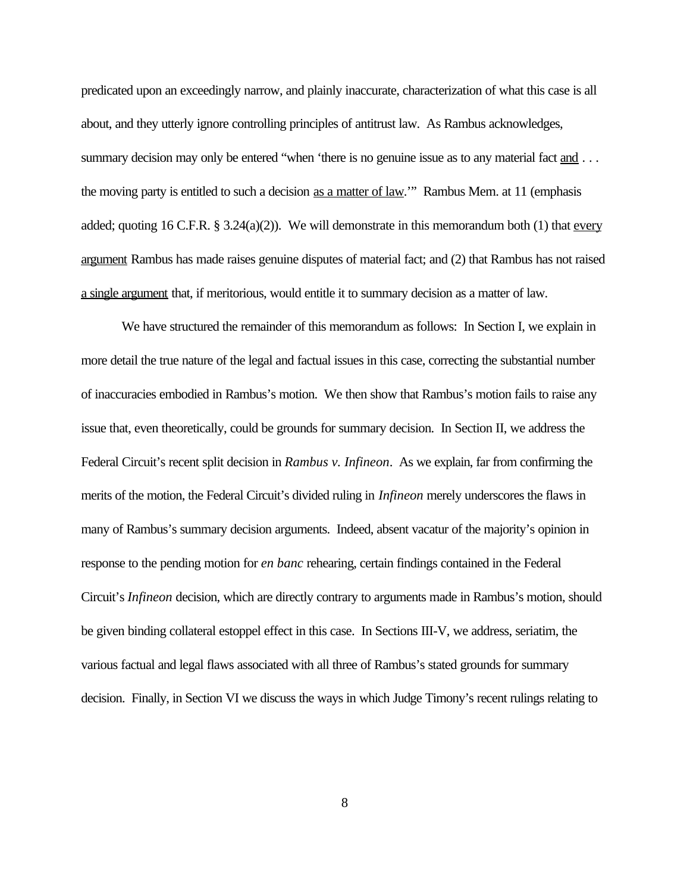predicated upon an exceedingly narrow, and plainly inaccurate, characterization of what this case is all about, and they utterly ignore controlling principles of antitrust law. As Rambus acknowledges, summary decision may only be entered "when 'there is no genuine issue as to any material fact and ... the moving party is entitled to such a decision as a matter of law.'" Rambus Mem. at 11 (emphasis added; quoting 16 C.F.R.  $\S 3.24(a)(2)$ ). We will demonstrate in this memorandum both (1) that every argument Rambus has made raises genuine disputes of material fact; and (2) that Rambus has not raised a single argument that, if meritorious, would entitle it to summary decision as a matter of law.

We have structured the remainder of this memorandum as follows: In Section I, we explain in more detail the true nature of the legal and factual issues in this case, correcting the substantial number of inaccuracies embodied in Rambus's motion. We then show that Rambus's motion fails to raise any issue that, even theoretically, could be grounds for summary decision. In Section II, we address the Federal Circuit's recent split decision in *Rambus v. Infineon*. As we explain, far from confirming the merits of the motion, the Federal Circuit's divided ruling in *Infineon* merely underscores the flaws in many of Rambus's summary decision arguments. Indeed, absent vacatur of the majority's opinion in response to the pending motion for *en banc* rehearing, certain findings contained in the Federal Circuit's *Infineon* decision, which are directly contrary to arguments made in Rambus's motion, should be given binding collateral estoppel effect in this case. In Sections III-V, we address, seriatim, the various factual and legal flaws associated with all three of Rambus's stated grounds for summary decision. Finally, in Section VI we discuss the ways in which Judge Timony's recent rulings relating to

8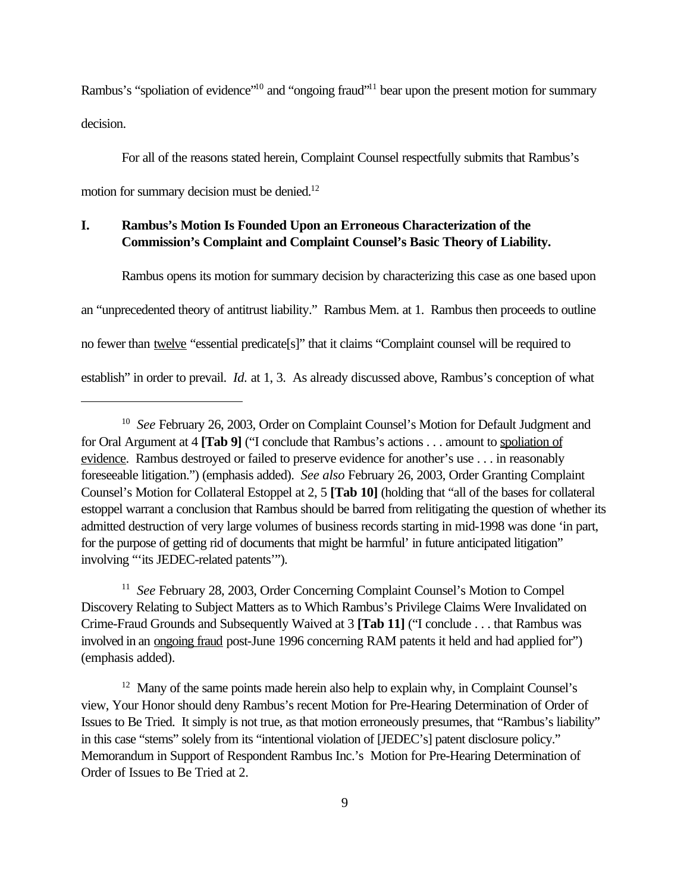Rambus's "spoliation of evidence"<sup>10</sup> and "ongoing fraud"<sup>11</sup> bear upon the present motion for summary decision.

For all of the reasons stated herein, Complaint Counsel respectfully submits that Rambus's motion for summary decision must be denied.<sup>12</sup>

## **I. Rambus's Motion Is Founded Upon an Erroneous Characterization of the Commission's Complaint and Complaint Counsel's Basic Theory of Liability.**

Rambus opens its motion for summary decision by characterizing this case as one based upon an "unprecedented theory of antitrust liability." Rambus Mem. at 1. Rambus then proceeds to outline no fewer than twelve "essential predicate[s]" that it claims "Complaint counsel will be required to establish" in order to prevail. *Id.* at 1, 3. As already discussed above, Rambus's conception of what

<sup>11</sup> See February 28, 2003, Order Concerning Complaint Counsel's Motion to Compel Discovery Relating to Subject Matters as to Which Rambus's Privilege Claims Were Invalidated on Crime-Fraud Grounds and Subsequently Waived at 3 **[Tab 11]** ("I conclude . . . that Rambus was involved in an <u>ongoing fraud</u> post-June 1996 concerning RAM patents it held and had applied for") (emphasis added).

<sup>12</sup> Many of the same points made herein also help to explain why, in Complaint Counsel's view, Your Honor should deny Rambus's recent Motion for Pre-Hearing Determination of Order of Issues to Be Tried. It simply is not true, as that motion erroneously presumes, that "Rambus's liability" in this case "stems" solely from its "intentional violation of [JEDEC's] patent disclosure policy." Memorandum in Support of Respondent Rambus Inc.'s Motion for Pre-Hearing Determination of Order of Issues to Be Tried at 2.

<sup>&</sup>lt;sup>10</sup> See February 26, 2003, Order on Complaint Counsel's Motion for Default Judgment and for Oral Argument at 4 **[Tab 9]** ("I conclude that Rambus's actions . . . amount to spoliation of evidence. Rambus destroyed or failed to preserve evidence for another's use . . . in reasonably foreseeable litigation.") (emphasis added). *See also* February 26, 2003, Order Granting Complaint Counsel's Motion for Collateral Estoppel at 2, 5 **[Tab 10]** (holding that "all of the bases for collateral estoppel warrant a conclusion that Rambus should be barred from relitigating the question of whether its admitted destruction of very large volumes of business records starting in mid-1998 was done 'in part, for the purpose of getting rid of documents that might be harmful' in future anticipated litigation" involving "'its JEDEC-related patents'").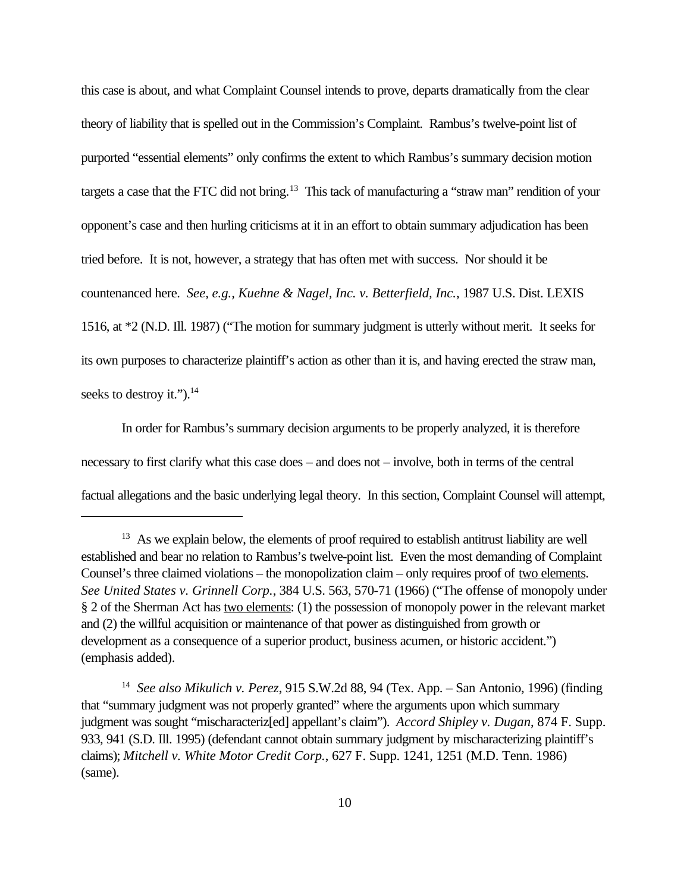this case is about, and what Complaint Counsel intends to prove, departs dramatically from the clear theory of liability that is spelled out in the Commission's Complaint. Rambus's twelve-point list of purported "essential elements" only confirms the extent to which Rambus's summary decision motion targets a case that the FTC did not bring.<sup>13</sup> This tack of manufacturing a "straw man" rendition of your opponent's case and then hurling criticisms at it in an effort to obtain summary adjudication has been tried before. It is not, however, a strategy that has often met with success. Nor should it be countenanced here. *See, e.g., Kuehne & Nagel, Inc. v. Betterfield, Inc.*, 1987 U.S. Dist. LEXIS 1516, at \*2 (N.D. Ill. 1987) ("The motion for summary judgment is utterly without merit. It seeks for its own purposes to characterize plaintiff's action as other than it is, and having erected the straw man, seeks to destroy it." $)^{14}$ 

In order for Rambus's summary decision arguments to be properly analyzed, it is therefore necessary to first clarify what this case does – and does not – involve, both in terms of the central factual allegations and the basic underlying legal theory. In this section, Complaint Counsel will attempt,

 $13$  As we explain below, the elements of proof required to establish antitrust liability are well established and bear no relation to Rambus's twelve-point list. Even the most demanding of Complaint Counsel's three claimed violations – the monopolization claim – only requires proof of two elements. *See United States v. Grinnell Corp.*, 384 U.S. 563, 570-71 (1966) ("The offense of monopoly under § 2 of the Sherman Act has two elements: (1) the possession of monopoly power in the relevant market and (2) the willful acquisition or maintenance of that power as distinguished from growth or development as a consequence of a superior product, business acumen, or historic accident.") (emphasis added).

<sup>14</sup> *See also Mikulich v. Perez*, 915 S.W.2d 88, 94 (Tex. App. – San Antonio, 1996) (finding that "summary judgment was not properly granted" where the arguments upon which summary judgment was sought "mischaracteriz[ed] appellant's claim"). *Accord Shipley v. Dugan*, 874 F. Supp. 933, 941 (S.D. Ill. 1995) (defendant cannot obtain summary judgment by mischaracterizing plaintiff's claims); *Mitchell v. White Motor Credit Corp.*, 627 F. Supp. 1241, 1251 (M.D. Tenn. 1986) (same).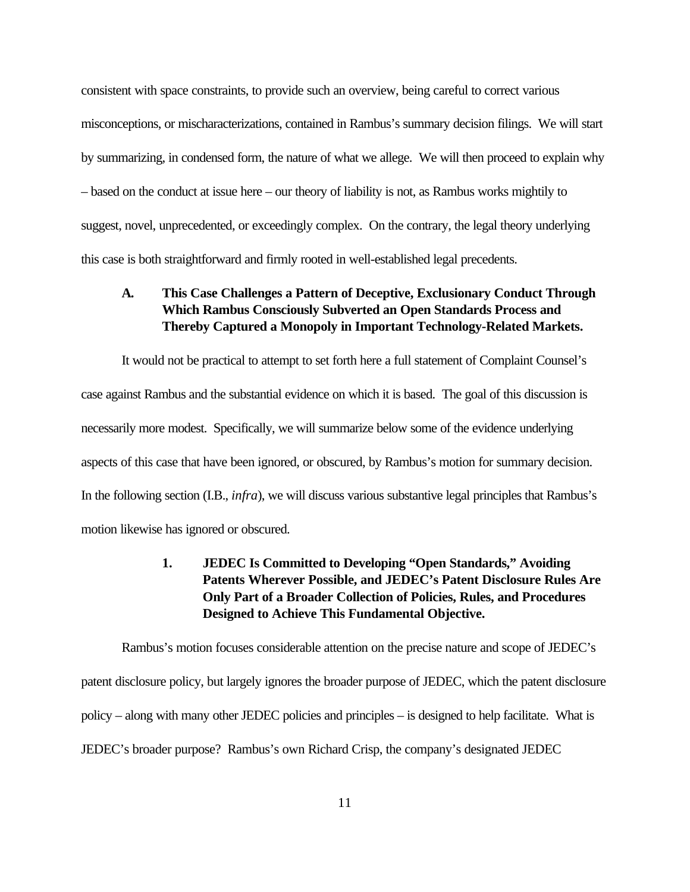consistent with space constraints, to provide such an overview, being careful to correct various misconceptions, or mischaracterizations, contained in Rambus's summary decision filings. We will start by summarizing, in condensed form, the nature of what we allege. We will then proceed to explain why – based on the conduct at issue here – our theory of liability is not, as Rambus works mightily to suggest, novel, unprecedented, or exceedingly complex. On the contrary, the legal theory underlying this case is both straightforward and firmly rooted in well-established legal precedents.

## **A. This Case Challenges a Pattern of Deceptive, Exclusionary Conduct Through Which Rambus Consciously Subverted an Open Standards Process and Thereby Captured a Monopoly in Important Technology-Related Markets.**

It would not be practical to attempt to set forth here a full statement of Complaint Counsel's case against Rambus and the substantial evidence on which it is based. The goal of this discussion is necessarily more modest. Specifically, we will summarize below some of the evidence underlying aspects of this case that have been ignored, or obscured, by Rambus's motion for summary decision. In the following section (I.B., *infra*), we will discuss various substantive legal principles that Rambus's motion likewise has ignored or obscured.

## **1. JEDEC Is Committed to Developing "Open Standards," Avoiding Patents Wherever Possible, and JEDEC's Patent Disclosure Rules Are Only Part of a Broader Collection of Policies, Rules, and Procedures Designed to Achieve This Fundamental Objective.**

Rambus's motion focuses considerable attention on the precise nature and scope of JEDEC's patent disclosure policy, but largely ignores the broader purpose of JEDEC, which the patent disclosure policy – along with many other JEDEC policies and principles – is designed to help facilitate. What is JEDEC's broader purpose? Rambus's own Richard Crisp, the company's designated JEDEC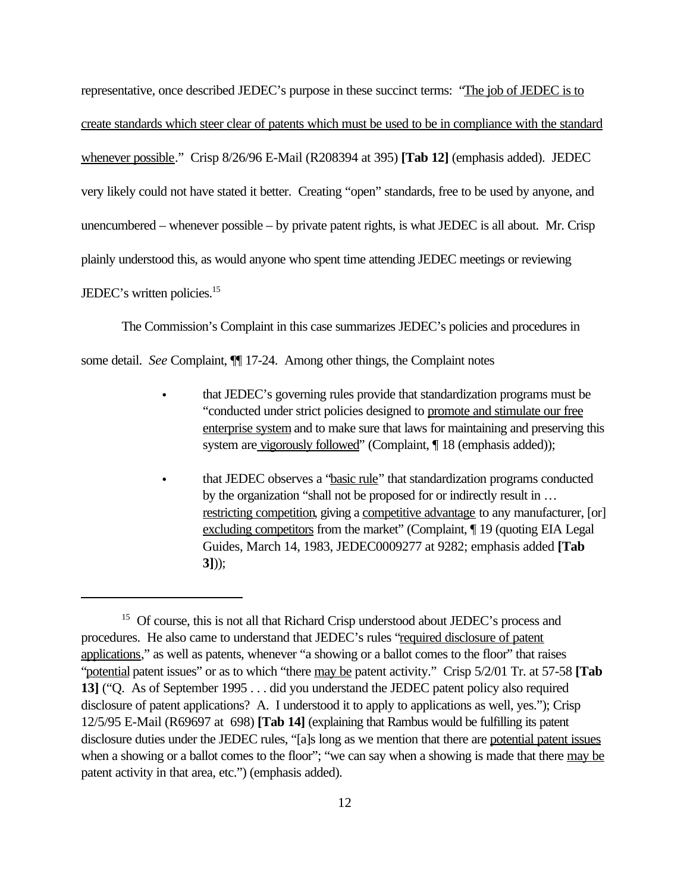representative, once described JEDEC's purpose in these succinct terms: "The job of JEDEC is to create standards which steer clear of patents which must be used to be in compliance with the standard whenever possible." Crisp 8/26/96 E-Mail (R208394 at 395) **[Tab 12]** (emphasis added). JEDEC very likely could not have stated it better. Creating "open" standards, free to be used by anyone, and unencumbered – whenever possible – by private patent rights, is what JEDEC is all about. Mr. Crisp plainly understood this, as would anyone who spent time attending JEDEC meetings or reviewing JEDEC's written policies.<sup>15</sup>

The Commission's Complaint in this case summarizes JEDEC's policies and procedures in

some detail. *See* Complaint, ¶¶ 17-24. Among other things, the Complaint notes

- C that JEDEC's governing rules provide that standardization programs must be "conducted under strict policies designed to promote and stimulate our free enterprise system and to make sure that laws for maintaining and preserving this system are vigorously followed" (Complaint, ¶ 18 (emphasis added));
- C that JEDEC observes a "basic rule" that standardization programs conducted by the organization "shall not be proposed for or indirectly result in … restricting competition, giving a competitive advantage to any manufacturer, [or] excluding competitors from the market" (Complaint, ¶ 19 (quoting EIA Legal Guides, March 14, 1983, JEDEC0009277 at 9282; emphasis added **[Tab 3]**));

<sup>&</sup>lt;sup>15</sup> Of course, this is not all that Richard Crisp understood about JEDEC's process and procedures. He also came to understand that JEDEC's rules "required disclosure of patent applications," as well as patents, whenever "a showing or a ballot comes to the floor" that raises "potential patent issues" or as to which "there may be patent activity." Crisp 5/2/01 Tr. at 57-58 **[Tab 13]** ("Q. As of September 1995 . . . did you understand the JEDEC patent policy also required disclosure of patent applications? A. I understood it to apply to applications as well, yes."); Crisp 12/5/95 E-Mail (R69697 at 698) **[Tab 14]** (explaining that Rambus would be fulfilling its patent disclosure duties under the JEDEC rules, "[a]s long as we mention that there are potential patent issues when a showing or a ballot comes to the floor"; "we can say when a showing is made that there may be patent activity in that area, etc.") (emphasis added).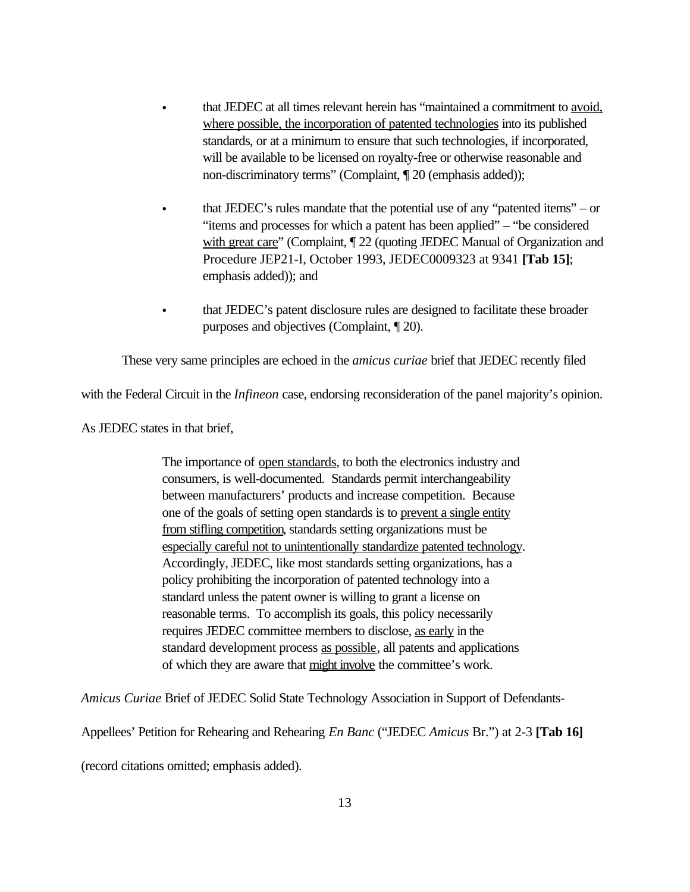- C that JEDEC at all times relevant herein has "maintained a commitment to avoid, where possible, the incorporation of patented technologies into its published standards, or at a minimum to ensure that such technologies, if incorporated, will be available to be licensed on royalty-free or otherwise reasonable and non-discriminatory terms" (Complaint, ¶ 20 (emphasis added));
- that JEDEC's rules mandate that the potential use of any "patented items"  $-$  or "items and processes for which a patent has been applied" – "be considered with great care" (Complaint,  $\P$  22 (quoting JEDEC Manual of Organization and Procedure JEP21-I, October 1993, JEDEC0009323 at 9341 **[Tab 15]**; emphasis added)); and
- that JEDEC's patent disclosure rules are designed to facilitate these broader purposes and objectives (Complaint, ¶ 20).

These very same principles are echoed in the *amicus curiae* brief that JEDEC recently filed

with the Federal Circuit in the *Infineon* case, endorsing reconsideration of the panel majority's opinion.

As JEDEC states in that brief,

The importance of <u>open standards</u>, to both the electronics industry and consumers, is well-documented. Standards permit interchangeability between manufacturers' products and increase competition. Because one of the goals of setting open standards is to prevent a single entity from stifling competition, standards setting organizations must be especially careful not to unintentionally standardize patented technology. Accordingly, JEDEC, like most standards setting organizations, has a policy prohibiting the incorporation of patented technology into a standard unless the patent owner is willing to grant a license on reasonable terms. To accomplish its goals, this policy necessarily requires JEDEC committee members to disclose, as early in the standard development process as possible, all patents and applications of which they are aware that might involve the committee's work.

*Amicus Curiae* Brief of JEDEC Solid State Technology Association in Support of Defendants-

Appellees' Petition for Rehearing and Rehearing *En Banc* ("JEDEC *Amicus* Br.") at 2-3 **[Tab 16]**

(record citations omitted; emphasis added).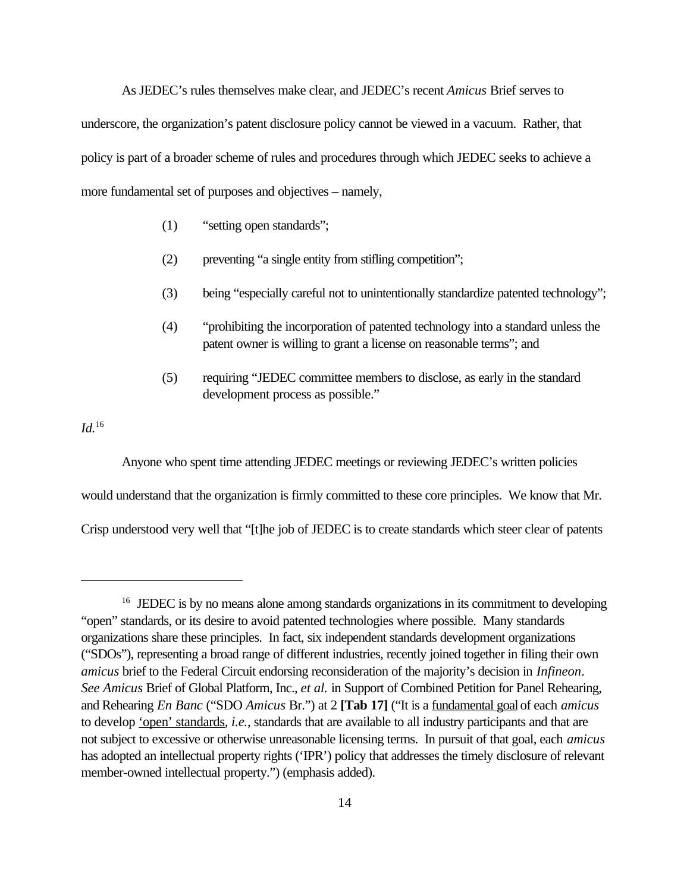As JEDEC's rules themselves make clear, and JEDEC's recent *Amicus* Brief serves to underscore, the organization's patent disclosure policy cannot be viewed in a vacuum. Rather, that policy is part of a broader scheme of rules and procedures through which JEDEC seeks to achieve a more fundamental set of purposes and objectives – namely,

- (1) "setting open standards";
- (2) preventing "a single entity from stifling competition";
- (3) being "especially careful not to unintentionally standardize patented technology";
- (4) "prohibiting the incorporation of patented technology into a standard unless the patent owner is willing to grant a license on reasonable terms"; and
- (5) requiring "JEDEC committee members to disclose, as early in the standard development process as possible."

*Id.*<sup>16</sup>

Anyone who spent time attending JEDEC meetings or reviewing JEDEC's written policies would understand that the organization is firmly committed to these core principles. We know that Mr. Crisp understood very well that "[t]he job of JEDEC is to create standards which steer clear of patents

<sup>&</sup>lt;sup>16</sup> JEDEC is by no means alone among standards organizations in its commitment to developing "open" standards, or its desire to avoid patented technologies where possible. Many standards organizations share these principles. In fact, six independent standards development organizations ("SDOs"), representing a broad range of different industries, recently joined together in filing their own *amicus* brief to the Federal Circuit endorsing reconsideration of the majority's decision in *Infineon*. *See Amicus* Brief of Global Platform, Inc., *et al.* in Support of Combined Petition for Panel Rehearing, and Rehearing *En Banc* ("SDO *Amicus* Br.") at 2 **[Tab 17]** ("It is a fundamental goal of each *amicus* to develop 'open' standards, *i.e.*, standards that are available to all industry participants and that are not subject to excessive or otherwise unreasonable licensing terms. In pursuit of that goal, each *amicus* has adopted an intellectual property rights ('IPR') policy that addresses the timely disclosure of relevant member-owned intellectual property.") (emphasis added).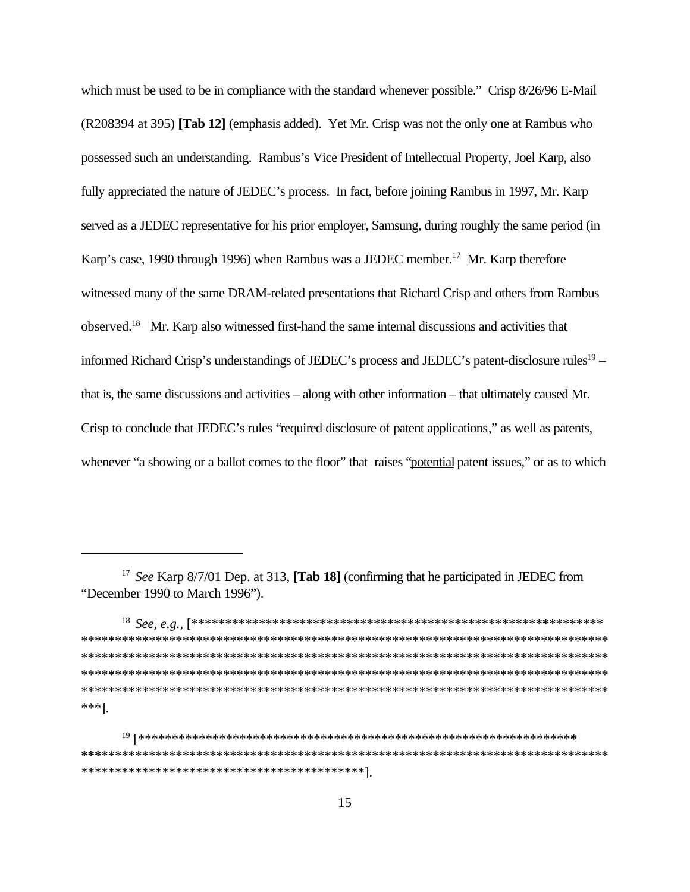which must be used to be in compliance with the standard whenever possible." Crisp 8/26/96 E-Mail (R208394 at 395) **[Tab 12]** (emphasis added). Yet Mr. Crisp was not the only one at Rambus who possessed such an understanding. Rambus's Vice President of Intellectual Property, Joel Karp, also fully appreciated the nature of JEDEC's process. In fact, before joining Rambus in 1997, Mr. Karp served as a JEDEC representative for his prior employer, Samsung, during roughly the same period (in Karp's case, 1990 through 1996) when Rambus was a JEDEC member.<sup>17</sup> Mr. Karp therefore witnessed many of the same DRAM-related presentations that Richard Crisp and others from Rambus observed.<sup>18</sup> Mr. Karp also witnessed first-hand the same internal discussions and activities that informed Richard Crisp's understandings of JEDEC's process and JEDEC's patent-disclosure rules<sup>19</sup> that is, the same discussions and activities – along with other information – that ultimately caused Mr. Crisp to conclude that JEDEC's rules "required disclosure of patent applications," as well as patents, whenever "a showing or a ballot comes to the floor" that raises "potential patent issues," or as to which

18 *See, e.g.,* [\*\*\*\*\*\*\*\*\*\*\*\*\*\*\*\*\*\*\*\*\*\*\*\*\*\*\*\*\*\*\*\*\*\*\*\*\*\*\*\*\*\*\*\*\*\*\*\*\*\*\*\***\***\*\*\*\*\*\*\*\* \*\*\*\*\*\*\*\*\*\*\*\*\*\*\*\*\*\*\*\*\*\*\*\*\*\*\*\*\*\*\*\*\*\*\*\*\*\*\*\*\*\*\*\*\*\*\*\*\*\*\*\*\*\*\*\*\*\*\*\*\*\*\*\*\*\*\*\*\*\*\*\*\*\*\*\*\*\* \*\*\*\*\*\*\*\*\*\*\*\*\*\*\*\*\*\*\*\*\*\*\*\*\*\*\*\*\*\*\*\*\*\*\*\*\*\*\*\*\*\*\*\*\*\*\*\*\*\*\*\*\*\*\*\*\*\*\*\*\*\*\*\*\*\*\*\*\*\*\*\*\*\*\*\*\*\* \*\*\*\*\*\*\*\*\*\*\*\*\*\*\*\*\*\*\*\*\*\*\*\*\*\*\*\*\*\*\*\*\*\*\*\*\*\*\*\*\*\*\*\*\*\*\*\*\*\*\*\*\*\*\*\*\*\*\*\*\*\*\*\*\*\*\*\*\*\*\*\*\*\*\*\*\*\* \*\*\*\*\*\*\*\*\*\*\*\*\*\*\*\*\*\*\*\*\*\*\*\*\*\*\*\*\*\*\*\*\*\*\*\*\*\*\*\*\*\*\*\*\*\*\*\*\*\*\*\*\*\*\*\*\*\*\*\*\*\*\*\*\*\*\*\*\*\*\*\*\*\*\*\*\*\* \*\*\*].

<sup>17</sup> *See* Karp 8/7/01 Dep. at 313, **[Tab 18]** (confirming that he participated in JEDEC from "December 1990 to March 1996").

<sup>19</sup> [\*\*\*\*\*\*\*\*\*\*\*\*\*\*\*\*\*\*\*\*\*\*\*\*\*\*\*\*\*\*\*\*\*\*\*\*\*\*\*\*\*\*\*\*\*\*\*\*\*\*\*\*\*\*\*\*\*\*\*\*\*\*\*\***\* \*\*\***\*\*\*\*\*\*\*\*\*\*\*\*\*\*\*\*\*\*\*\*\*\*\*\*\*\*\*\*\*\*\*\*\*\*\*\*\*\*\*\*\*\*\*\*\*\*\*\*\*\*\*\*\*\*\*\*\*\*\*\*\*\*\*\*\*\*\*\*\*\*\*\*\*\*\* \*\*\*\*\*\*\*\*\*\*\*\*\*\*\*\*\*\*\*\*\*\*\*\*\*\*\*\*\*\*\*\*\*\*\*\*\*\*\*\*\*\*].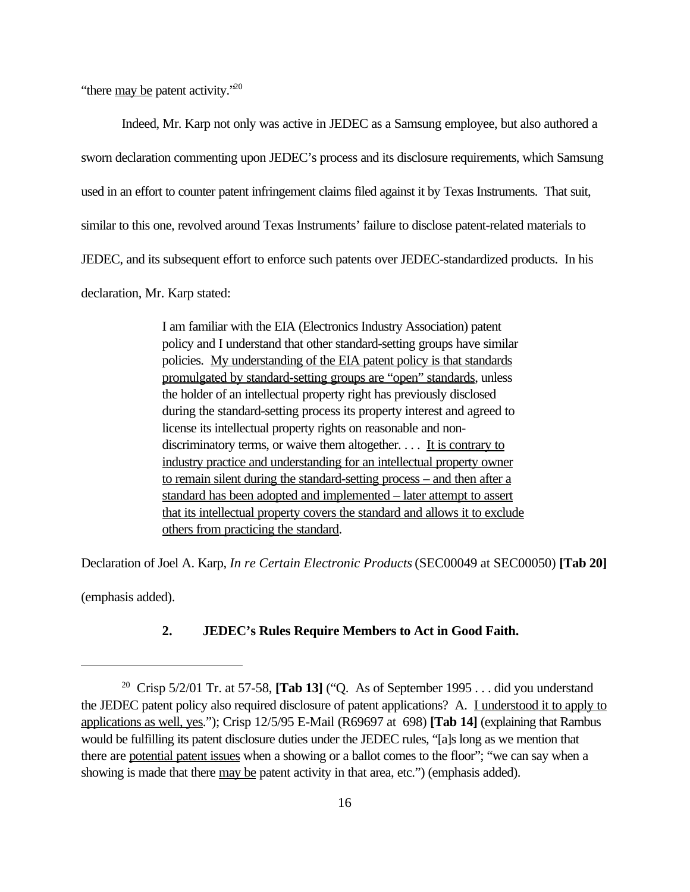"there  $\frac{\text{may}}{\text{be}}$  patent activity."<sup>20</sup>

Indeed, Mr. Karp not only was active in JEDEC as a Samsung employee, but also authored a sworn declaration commenting upon JEDEC's process and its disclosure requirements, which Samsung used in an effort to counter patent infringement claims filed against it by Texas Instruments. That suit, similar to this one, revolved around Texas Instruments' failure to disclose patent-related materials to JEDEC, and its subsequent effort to enforce such patents over JEDEC-standardized products. In his declaration, Mr. Karp stated:

> I am familiar with the EIA (Electronics Industry Association) patent policy and I understand that other standard-setting groups have similar policies. My understanding of the EIA patent policy is that standards promulgated by standard-setting groups are "open" standards, unless the holder of an intellectual property right has previously disclosed during the standard-setting process its property interest and agreed to license its intellectual property rights on reasonable and nondiscriminatory terms, or waive them altogether.  $\dots$  It is contrary to industry practice and understanding for an intellectual property owner to remain silent during the standard-setting process – and then after a standard has been adopted and implemented – later attempt to assert that its intellectual property covers the standard and allows it to exclude others from practicing the standard.

Declaration of Joel A. Karp, *In re Certain Electronic Products* (SEC00049 at SEC00050) **[Tab 20]**

(emphasis added).

#### **2. JEDEC's Rules Require Members to Act in Good Faith.**

<sup>&</sup>lt;sup>20</sup> Crisp 5/2/01 Tr. at 57-58, **[Tab 13]** ("Q. As of September 1995 . . . did you understand the JEDEC patent policy also required disclosure of patent applications? A. I understood it to apply to applications as well, yes."); Crisp 12/5/95 E-Mail (R69697 at 698) **[Tab 14]** (explaining that Rambus would be fulfilling its patent disclosure duties under the JEDEC rules, "[a]s long as we mention that there are potential patent issues when a showing or a ballot comes to the floor"; "we can say when a showing is made that there may be patent activity in that area, etc.") (emphasis added).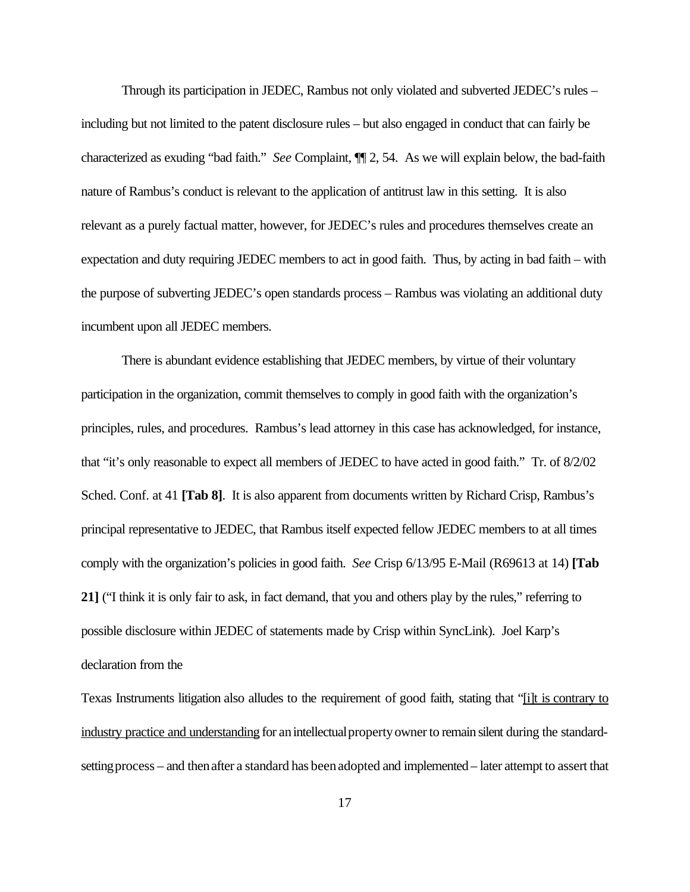Through its participation in JEDEC, Rambus not only violated and subverted JEDEC's rules – including but not limited to the patent disclosure rules – but also engaged in conduct that can fairly be characterized as exuding "bad faith." *See* Complaint, ¶¶ 2, 54. As we will explain below, the bad-faith nature of Rambus's conduct is relevant to the application of antitrust law in this setting. It is also relevant as a purely factual matter, however, for JEDEC's rules and procedures themselves create an expectation and duty requiring JEDEC members to act in good faith. Thus, by acting in bad faith – with the purpose of subverting JEDEC's open standards process – Rambus was violating an additional duty incumbent upon all JEDEC members.

There is abundant evidence establishing that JEDEC members, by virtue of their voluntary participation in the organization, commit themselves to comply in good faith with the organization's principles, rules, and procedures. Rambus's lead attorney in this case has acknowledged, for instance, that "it's only reasonable to expect all members of JEDEC to have acted in good faith." Tr. of 8/2/02 Sched. Conf. at 41 **[Tab 8]**. It is also apparent from documents written by Richard Crisp, Rambus's principal representative to JEDEC, that Rambus itself expected fellow JEDEC members to at all times comply with the organization's policies in good faith. *See* Crisp 6/13/95 E-Mail (R69613 at 14) **[Tab 21]** ("I think it is only fair to ask, in fact demand, that you and others play by the rules," referring to possible disclosure within JEDEC of statements made by Crisp within SyncLink). Joel Karp's declaration from the

Texas Instruments litigation also alludes to the requirement of good faith, stating that "[i]t is contrary to industry practice and understanding for an intellectual property owner to remain silent during the standardsetting process – and then after a standard has been adopted and implemented – later attempt to assert that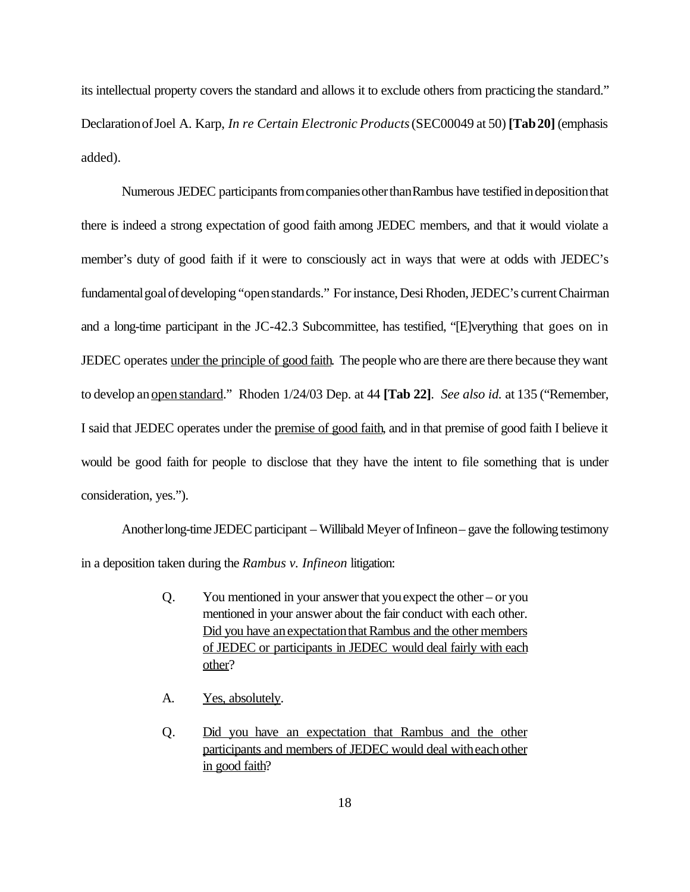its intellectual property covers the standard and allows it to exclude others from practicing the standard." DeclarationofJoel A. Karp, *In re Certain Electronic Products*(SEC00049 at 50) **[Tab20]** (emphasis added).

Numerous JEDEC participants from companies other than Rambus have testified in deposition that there is indeed a strong expectation of good faith among JEDEC members, and that it would violate a member's duty of good faith if it were to consciously act in ways that were at odds with JEDEC's fundamental goal of developing "open standards." For instance, Desi Rhoden, JEDEC's current Chairman and a long-time participant in the JC-42.3 Subcommittee, has testified, "[E]verything that goes on in JEDEC operates under the principle of good faith. The people who are there are there because they want to develop an <u>open standard</u>." Rhoden 1/24/03 Dep. at 44 **[Tab 22]**. *See also id.* at 135 ("Remember, I said that JEDEC operates under the premise of good faith, and in that premise of good faith I believe it would be good faith for people to disclose that they have the intent to file something that is under consideration, yes.").

Anotherlong-time JEDEC participant – Willibald Meyer of Infineon– gave the following testimony in a deposition taken during the *Rambus v. Infineon* litigation:

- Q. You mentioned in your answerthat youexpect the other or you mentioned in your answer about the fair conduct with each other. Did you have an expectation that Rambus and the other members of JEDEC or participants in JEDEC would deal fairly with each other?
- A. Yes, absolutely.
- Q. Did you have an expectation that Rambus and the other participants and members of JEDEC would deal with each other in good faith?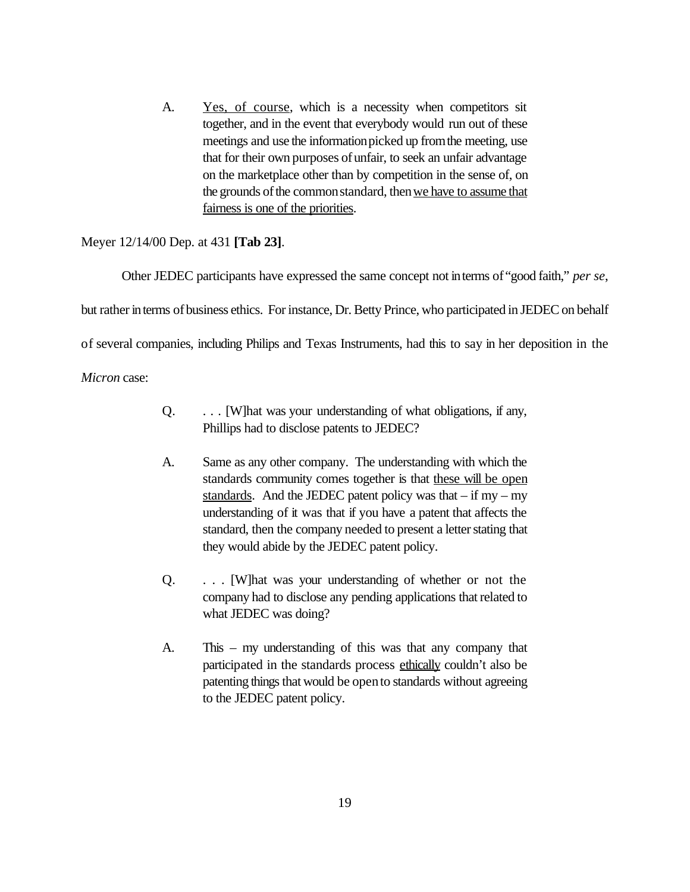A. Yes, of course, which is a necessity when competitors sit together, and in the event that everybody would run out of these meetings and use the informationpicked up fromthe meeting, use that for their own purposes of unfair, to seek an unfair advantage on the marketplace other than by competition in the sense of, on the grounds of the common standard, then we have to assume that fairness is one of the priorities.

### Meyer 12/14/00 Dep. at 431 **[Tab 23]**.

Other JEDEC participants have expressed the same concept not interms of "good faith," *per se*, but rather in terms of business ethics. For instance, Dr. Betty Prince, who participated in JEDEC on behalf of several companies, including Philips and Texas Instruments, had this to say in her deposition in the

*Micron* case:

- Q. . . . [W]hat was your understanding of what obligations, if any, Phillips had to disclose patents to JEDEC?
- A. Same as any other company. The understanding with which the standards community comes together is that these will be open standards. And the JEDEC patent policy was that  $-$  if my  $-$  my understanding of it was that if you have a patent that affects the standard, then the company needed to present a letter stating that they would abide by the JEDEC patent policy.
- Q. . . . [W]hat was your understanding of whether or not the company had to disclose any pending applications thatrelated to what JEDEC was doing?
- A. This my understanding of this was that any company that participated in the standards process ethically couldn't also be patenting things that would be open to standards without agreeing to the JEDEC patent policy.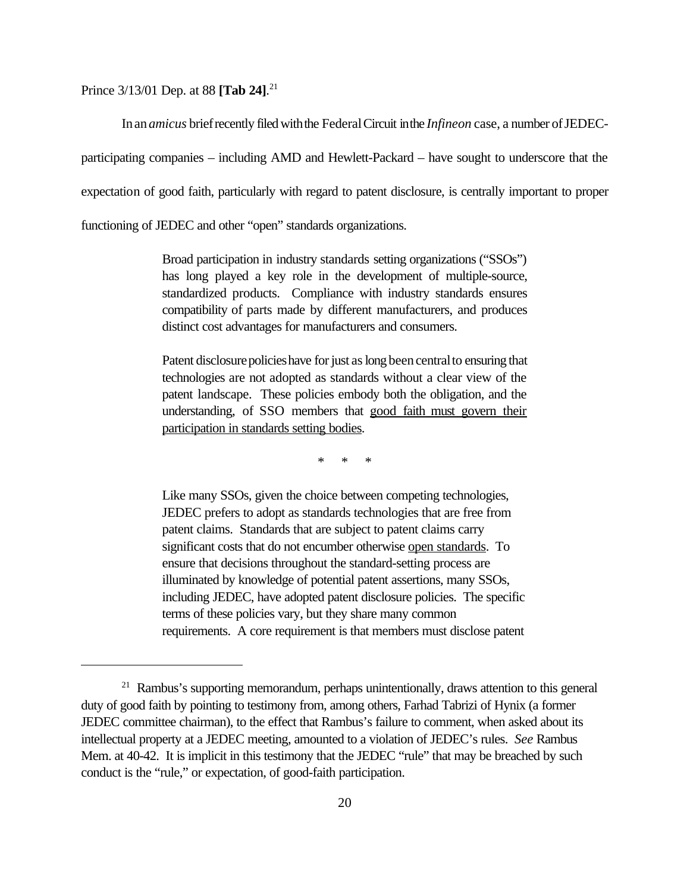Prince 3/13/01 Dep. at 88 **[Tab 24]**. 21

In an *amicus* brief recently filed with the Federal Circuit in the *Infineon* case, a number of JEDEC-

participating companies – including AMD and Hewlett-Packard – have sought to underscore that the

expectation of good faith, particularly with regard to patent disclosure, is centrally important to proper

functioning of JEDEC and other "open" standards organizations.

Broad participation in industry standards setting organizations ("SSOs") has long played a key role in the development of multiple-source, standardized products. Compliance with industry standards ensures compatibility of parts made by different manufacturers, and produces distinct cost advantages for manufacturers and consumers.

Patent disclosure policies have for just as long been central to ensuring that technologies are not adopted as standards without a clear view of the patent landscape. These policies embody both the obligation, and the understanding, of SSO members that good faith must govern their participation in standards setting bodies.

\* \* \*

Like many SSOs, given the choice between competing technologies, JEDEC prefers to adopt as standards technologies that are free from patent claims. Standards that are subject to patent claims carry significant costs that do not encumber otherwise open standards. To ensure that decisions throughout the standard-setting process are illuminated by knowledge of potential patent assertions, many SSOs, including JEDEC, have adopted patent disclosure policies. The specific terms of these policies vary, but they share many common requirements. A core requirement is that members must disclose patent

 $21$  Rambus's supporting memorandum, perhaps unintentionally, draws attention to this general duty of good faith by pointing to testimony from, among others, Farhad Tabrizi of Hynix (a former JEDEC committee chairman), to the effect that Rambus's failure to comment, when asked about its intellectual property at a JEDEC meeting, amounted to a violation of JEDEC's rules. *See* Rambus Mem. at 40-42. It is implicit in this testimony that the JEDEC "rule" that may be breached by such conduct is the "rule," or expectation, of good-faith participation.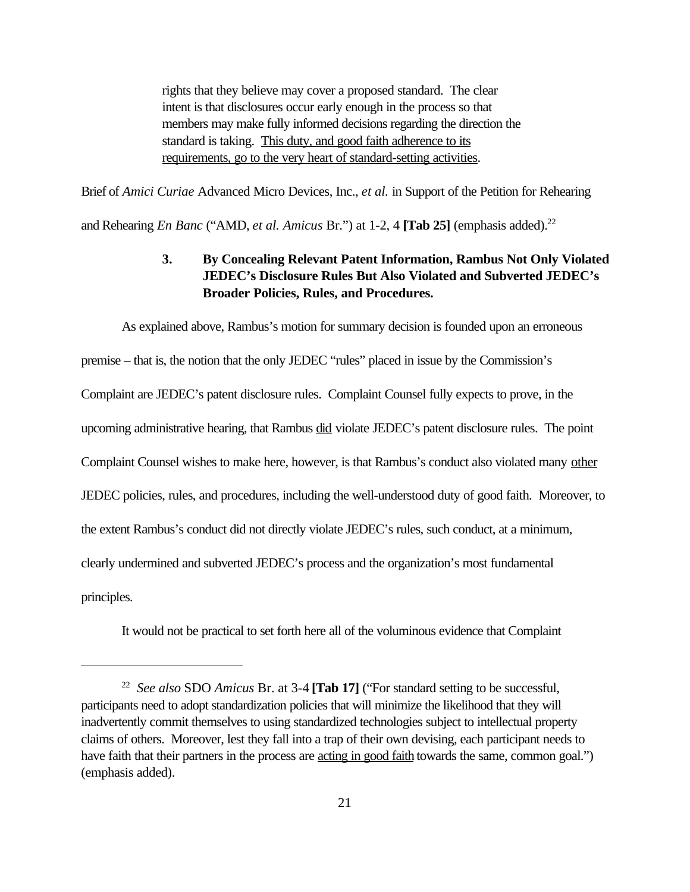rights that they believe may cover a proposed standard. The clear intent is that disclosures occur early enough in the process so that members may make fully informed decisions regarding the direction the standard is taking. This duty, and good faith adherence to its requirements, go to the very heart of standard-setting activities.

Brief of *Amici Curiae* Advanced Micro Devices, Inc., *et al.* in Support of the Petition for Rehearing and Rehearing *En Banc* ("AMD, *et al. Amicus* Br.") at 1-2, 4 **[Tab 25]** (emphasis added).<sup>22</sup>

## **3. By Concealing Relevant Patent Information, Rambus Not Only Violated JEDEC's Disclosure Rules But Also Violated and Subverted JEDEC's Broader Policies, Rules, and Procedures.**

As explained above, Rambus's motion for summary decision is founded upon an erroneous premise – that is, the notion that the only JEDEC "rules" placed in issue by the Commission's Complaint are JEDEC's patent disclosure rules. Complaint Counsel fully expects to prove, in the upcoming administrative hearing, that Rambus did violate JEDEC's patent disclosure rules. The point Complaint Counsel wishes to make here, however, is that Rambus's conduct also violated many other JEDEC policies, rules, and procedures, including the well-understood duty of good faith. Moreover, to the extent Rambus's conduct did not directly violate JEDEC's rules, such conduct, at a minimum, clearly undermined and subverted JEDEC's process and the organization's most fundamental principles.

It would not be practical to set forth here all of the voluminous evidence that Complaint

<sup>22</sup> *See also* SDO *Amicus* Br. at 3-4 **[Tab 17]** ("For standard setting to be successful, participants need to adopt standardization policies that will minimize the likelihood that they will inadvertently commit themselves to using standardized technologies subject to intellectual property claims of others. Moreover, lest they fall into a trap of their own devising, each participant needs to have faith that their partners in the process are <u>acting in good faith</u> towards the same, common goal.") (emphasis added).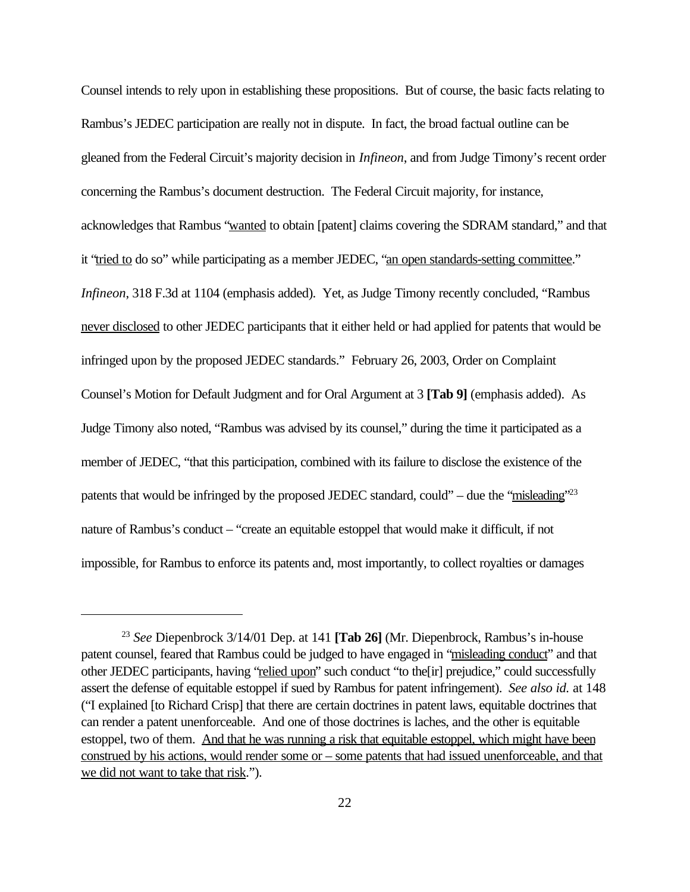Counsel intends to rely upon in establishing these propositions. But of course, the basic facts relating to Rambus's JEDEC participation are really not in dispute. In fact, the broad factual outline can be gleaned from the Federal Circuit's majority decision in *Infineon*, and from Judge Timony's recent order concerning the Rambus's document destruction. The Federal Circuit majority, for instance, acknowledges that Rambus "wanted to obtain [patent] claims covering the SDRAM standard," and that it "tried to do so" while participating as a member JEDEC, "an open standards-setting committee." *Infineon*, 318 F.3d at 1104 (emphasis added). Yet, as Judge Timony recently concluded, "Rambus never disclosed to other JEDEC participants that it either held or had applied for patents that would be infringed upon by the proposed JEDEC standards." February 26, 2003, Order on Complaint Counsel's Motion for Default Judgment and for Oral Argument at 3 **[Tab 9]** (emphasis added). As Judge Timony also noted, "Rambus was advised by its counsel," during the time it participated as a member of JEDEC, "that this participation, combined with its failure to disclose the existence of the patents that would be infringed by the proposed JEDEC standard, could" – due the "misleading"<sup>23</sup> nature of Rambus's conduct – "create an equitable estoppel that would make it difficult, if not impossible, for Rambus to enforce its patents and, most importantly, to collect royalties or damages

<sup>23</sup> *See* Diepenbrock 3/14/01 Dep. at 141 **[Tab 26]** (Mr. Diepenbrock, Rambus's in-house patent counsel, feared that Rambus could be judged to have engaged in "misleading conduct" and that other JEDEC participants, having "relied upon" such conduct "to the[ir] prejudice," could successfully assert the defense of equitable estoppel if sued by Rambus for patent infringement). *See also id.* at 148 ("I explained [to Richard Crisp] that there are certain doctrines in patent laws, equitable doctrines that can render a patent unenforceable. And one of those doctrines is laches, and the other is equitable estoppel, two of them. And that he was running a risk that equitable estoppel, which might have been construed by his actions, would render some or – some patents that had issued unenforceable, and that we did not want to take that risk.").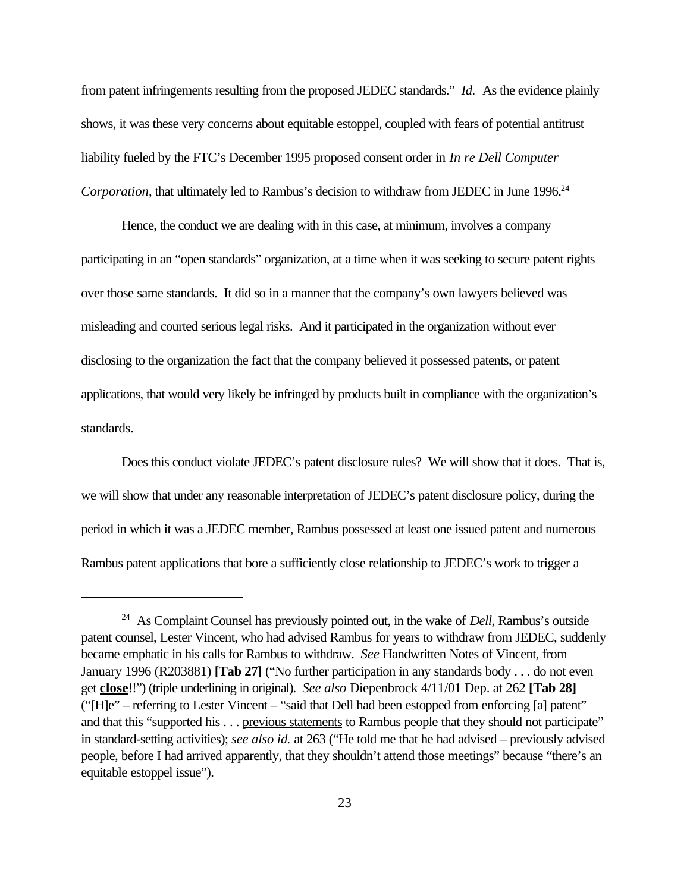from patent infringements resulting from the proposed JEDEC standards." *Id.* As the evidence plainly shows, it was these very concerns about equitable estoppel, coupled with fears of potential antitrust liability fueled by the FTC's December 1995 proposed consent order in *In re Dell Computer Corporation*, that ultimately led to Rambus's decision to withdraw from JEDEC in June 1996.<sup>24</sup>

Hence, the conduct we are dealing with in this case, at minimum, involves a company participating in an "open standards" organization, at a time when it was seeking to secure patent rights over those same standards. It did so in a manner that the company's own lawyers believed was misleading and courted serious legal risks. And it participated in the organization without ever disclosing to the organization the fact that the company believed it possessed patents, or patent applications, that would very likely be infringed by products built in compliance with the organization's standards.

Does this conduct violate JEDEC's patent disclosure rules? We will show that it does. That is, we will show that under any reasonable interpretation of JEDEC's patent disclosure policy, during the period in which it was a JEDEC member, Rambus possessed at least one issued patent and numerous Rambus patent applications that bore a sufficiently close relationship to JEDEC's work to trigger a

<sup>24</sup> As Complaint Counsel has previously pointed out, in the wake of *Dell*, Rambus's outside patent counsel, Lester Vincent, who had advised Rambus for years to withdraw from JEDEC, suddenly became emphatic in his calls for Rambus to withdraw. *See* Handwritten Notes of Vincent, from January 1996 (R203881) **[Tab 27]** ("No further participation in any standards body . . . do not even get **close**!!") (triple underlining in original). *See also* Diepenbrock 4/11/01 Dep. at 262 **[Tab 28]** ("[H]e" – referring to Lester Vincent – "said that Dell had been estopped from enforcing [a] patent" and that this "supported his . . . previous statements to Rambus people that they should not participate" in standard-setting activities); *see also id.* at 263 ("He told me that he had advised – previously advised people, before I had arrived apparently, that they shouldn't attend those meetings" because "there's an equitable estoppel issue").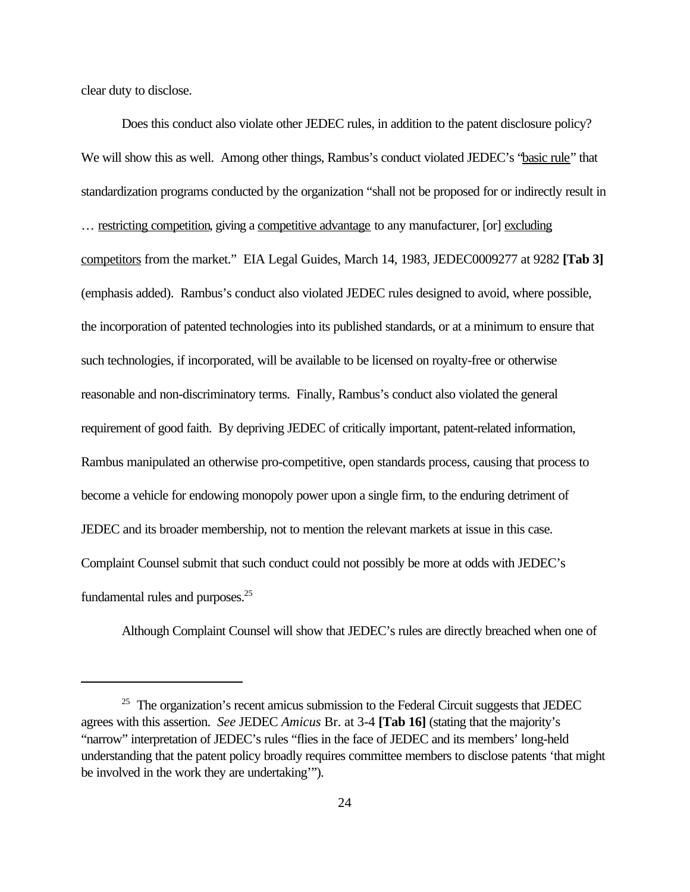clear duty to disclose.

Does this conduct also violate other JEDEC rules, in addition to the patent disclosure policy? We will show this as well. Among other things, Rambus's conduct violated JEDEC's "basic rule" that standardization programs conducted by the organization "shall not be proposed for or indirectly result in … restricting competition, giving a competitive advantage to any manufacturer, [or] excluding competitors from the market." EIA Legal Guides, March 14, 1983, JEDEC0009277 at 9282 **[Tab 3]** (emphasis added). Rambus's conduct also violated JEDEC rules designed to avoid, where possible, the incorporation of patented technologies into its published standards, or at a minimum to ensure that such technologies, if incorporated, will be available to be licensed on royalty-free or otherwise reasonable and non-discriminatory terms. Finally, Rambus's conduct also violated the general requirement of good faith. By depriving JEDEC of critically important, patent-related information, Rambus manipulated an otherwise pro-competitive, open standards process, causing that process to become a vehicle for endowing monopoly power upon a single firm, to the enduring detriment of JEDEC and its broader membership, not to mention the relevant markets at issue in this case. Complaint Counsel submit that such conduct could not possibly be more at odds with JEDEC's fundamental rules and purposes.<sup>25</sup>

Although Complaint Counsel will show that JEDEC's rules are directly breached when one of

 $25$  The organization's recent amicus submission to the Federal Circuit suggests that JEDEC agrees with this assertion. *See* JEDEC *Amicus* Br. at 3-4 **[Tab 16]** (stating that the majority's "narrow" interpretation of JEDEC's rules "flies in the face of JEDEC and its members' long-held understanding that the patent policy broadly requires committee members to disclose patents 'that might be involved in the work they are undertaking'").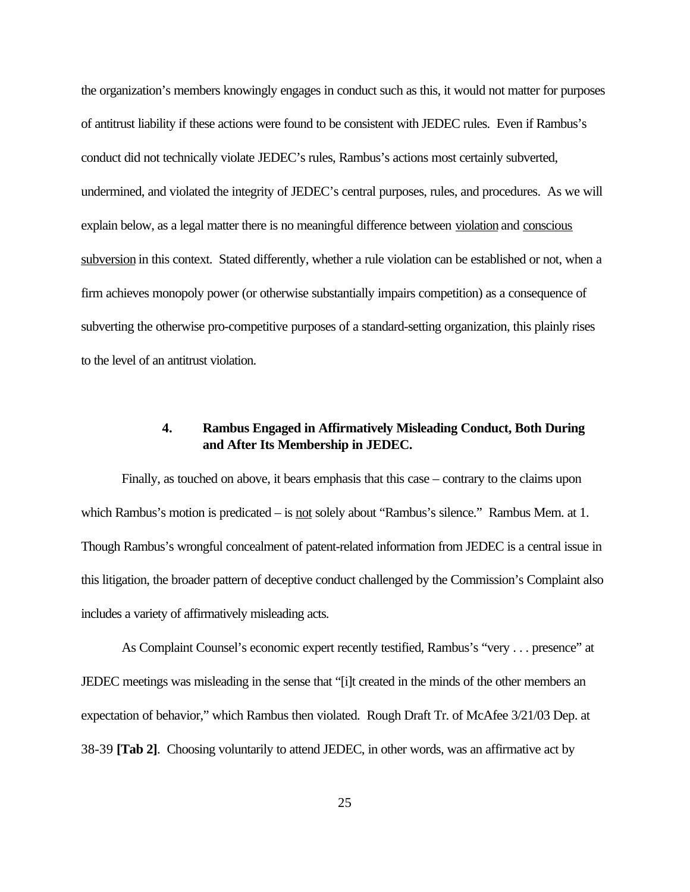the organization's members knowingly engages in conduct such as this, it would not matter for purposes of antitrust liability if these actions were found to be consistent with JEDEC rules. Even if Rambus's conduct did not technically violate JEDEC's rules, Rambus's actions most certainly subverted, undermined, and violated the integrity of JEDEC's central purposes, rules, and procedures. As we will explain below, as a legal matter there is no meaningful difference between violation and conscious subversion in this context. Stated differently, whether a rule violation can be established or not, when a firm achieves monopoly power (or otherwise substantially impairs competition) as a consequence of subverting the otherwise pro-competitive purposes of a standard-setting organization, this plainly rises to the level of an antitrust violation.

## **4. Rambus Engaged in Affirmatively Misleading Conduct, Both During and After Its Membership in JEDEC.**

Finally, as touched on above, it bears emphasis that this case – contrary to the claims upon which Rambus's motion is predicated – is <u>not</u> solely about "Rambus's silence." Rambus Mem. at 1. Though Rambus's wrongful concealment of patent-related information from JEDEC is a central issue in this litigation, the broader pattern of deceptive conduct challenged by the Commission's Complaint also includes a variety of affirmatively misleading acts.

As Complaint Counsel's economic expert recently testified, Rambus's "very . . . presence" at JEDEC meetings was misleading in the sense that "[i]t created in the minds of the other members an expectation of behavior," which Rambus then violated. Rough Draft Tr. of McAfee 3/21/03 Dep. at 38-39 **[Tab 2]**. Choosing voluntarily to attend JEDEC, in other words, was an affirmative act by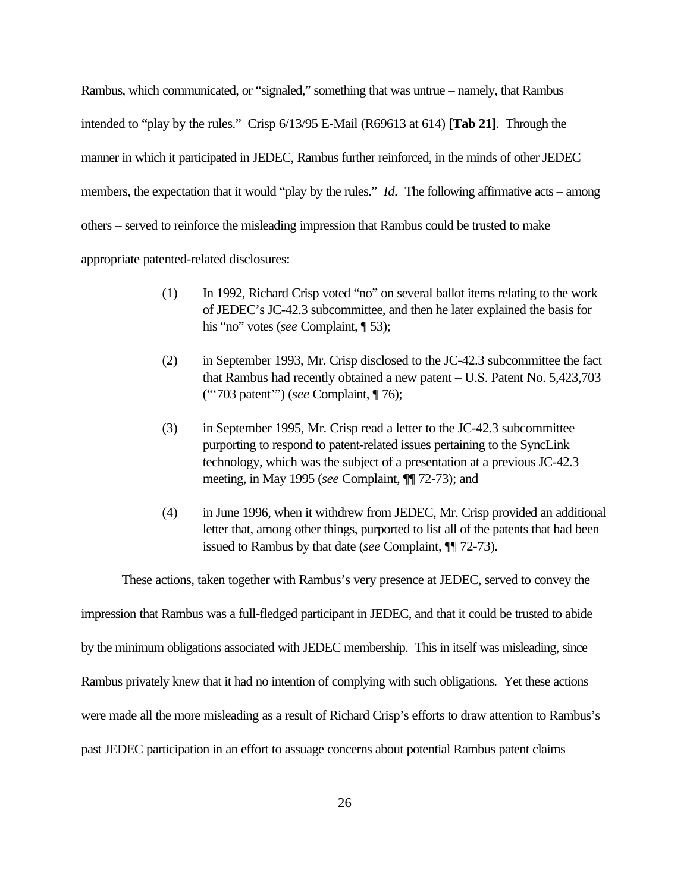Rambus, which communicated, or "signaled," something that was untrue – namely, that Rambus intended to "play by the rules." Crisp 6/13/95 E-Mail (R69613 at 614) **[Tab 21]**. Through the manner in which it participated in JEDEC, Rambus further reinforced, in the minds of other JEDEC members, the expectation that it would "play by the rules." *Id.* The following affirmative acts – among others – served to reinforce the misleading impression that Rambus could be trusted to make appropriate patented-related disclosures:

- (1) In 1992, Richard Crisp voted "no" on several ballot items relating to the work of JEDEC's JC-42.3 subcommittee, and then he later explained the basis for his "no" votes (*see* Complaint, ¶ 53);
- (2) in September 1993, Mr. Crisp disclosed to the JC-42.3 subcommittee the fact that Rambus had recently obtained a new patent – U.S. Patent No. 5,423,703 ("'703 patent'") (*see* Complaint, ¶ 76);
- (3) in September 1995, Mr. Crisp read a letter to the JC-42.3 subcommittee purporting to respond to patent-related issues pertaining to the SyncLink technology, which was the subject of a presentation at a previous JC-42.3 meeting, in May 1995 (*see* Complaint, ¶¶ 72-73); and
- (4) in June 1996, when it withdrew from JEDEC, Mr. Crisp provided an additional letter that, among other things, purported to list all of the patents that had been issued to Rambus by that date (*see* Complaint, ¶¶ 72-73).

These actions, taken together with Rambus's very presence at JEDEC, served to convey the

impression that Rambus was a full-fledged participant in JEDEC, and that it could be trusted to abide

by the minimum obligations associated with JEDEC membership. This in itself was misleading, since

Rambus privately knew that it had no intention of complying with such obligations. Yet these actions

were made all the more misleading as a result of Richard Crisp's efforts to draw attention to Rambus's

past JEDEC participation in an effort to assuage concerns about potential Rambus patent claims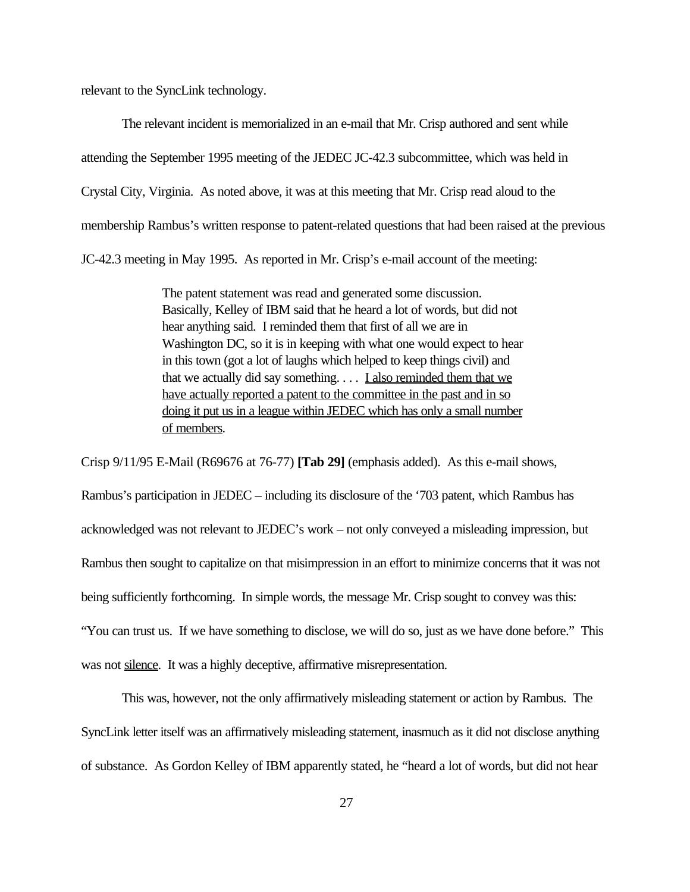relevant to the SyncLink technology.

The relevant incident is memorialized in an e-mail that Mr. Crisp authored and sent while attending the September 1995 meeting of the JEDEC JC-42.3 subcommittee, which was held in Crystal City, Virginia. As noted above, it was at this meeting that Mr. Crisp read aloud to the membership Rambus's written response to patent-related questions that had been raised at the previous JC-42.3 meeting in May 1995. As reported in Mr. Crisp's e-mail account of the meeting:

> The patent statement was read and generated some discussion. Basically, Kelley of IBM said that he heard a lot of words, but did not hear anything said. I reminded them that first of all we are in Washington DC, so it is in keeping with what one would expect to hear in this town (got a lot of laughs which helped to keep things civil) and that we actually did say something.  $\ldots$  I also reminded them that we have actually reported a patent to the committee in the past and in so doing it put us in a league within JEDEC which has only a small number of members.

Crisp 9/11/95 E-Mail (R69676 at 76-77) **[Tab 29]** (emphasis added). As this e-mail shows, Rambus's participation in JEDEC – including its disclosure of the '703 patent, which Rambus has acknowledged was not relevant to JEDEC's work – not only conveyed a misleading impression, but Rambus then sought to capitalize on that misimpression in an effort to minimize concerns that it was not being sufficiently forthcoming. In simple words, the message Mr. Crisp sought to convey was this: "You can trust us. If we have something to disclose, we will do so, just as we have done before." This was not silence. It was a highly deceptive, affirmative misrepresentation.

This was, however, not the only affirmatively misleading statement or action by Rambus. The SyncLink letter itself was an affirmatively misleading statement, inasmuch as it did not disclose anything of substance. As Gordon Kelley of IBM apparently stated, he "heard a lot of words, but did not hear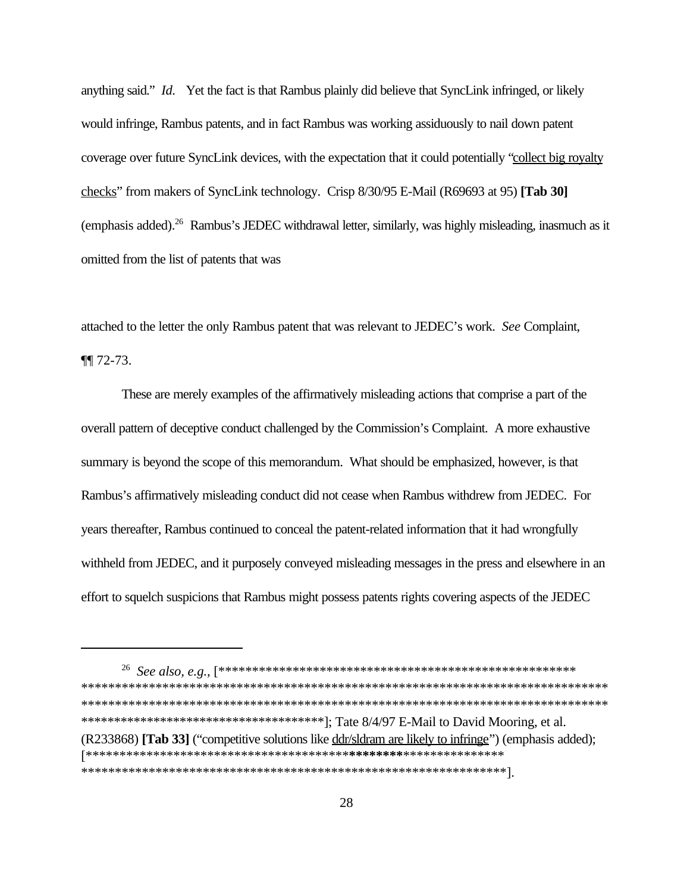anything said." *Id.* Yet the fact is that Rambus plainly did believe that SyncLink infringed, or likely would infringe, Rambus patents, and in fact Rambus was working assiduously to nail down patent coverage over future SyncLink devices, with the expectation that it could potentially "collect big royalty checks" from makers of SyncLink technology. Crisp 8/30/95 E-Mail (R69693 at 95) **[Tab 30]** (emphasis added).<sup>26</sup> Rambus's JEDEC withdrawal letter, similarly, was highly misleading, inasmuch as it omitted from the list of patents that was

attached to the letter the only Rambus patent that was relevant to JEDEC's work. *See* Complaint, ¶¶ 72-73.

These are merely examples of the affirmatively misleading actions that comprise a part of the overall pattern of deceptive conduct challenged by the Commission's Complaint. A more exhaustive summary is beyond the scope of this memorandum. What should be emphasized, however, is that Rambus's affirmatively misleading conduct did not cease when Rambus withdrew from JEDEC. For years thereafter, Rambus continued to conceal the patent-related information that it had wrongfully withheld from JEDEC, and it purposely conveyed misleading messages in the press and elsewhere in an effort to squelch suspicions that Rambus might possess patents rights covering aspects of the JEDEC

26 *See also, e.g.,* [\*\*\*\*\*\*\*\*\*\*\*\*\*\*\*\*\*\*\*\*\*\*\*\*\*\*\*\*\*\*\*\*\*\*\*\*\*\*\*\*\*\*\*\*\*\*\*\*\*\*\*\*\* \*\*\*\*\*\*\*\*\*\*\*\*\*\*\*\*\*\*\*\*\*\*\*\*\*\*\*\*\*\*\*\*\*\*\*\*\*\*\*\*\*\*\*\*\*\*\*\*\*\*\*\*\*\*\*\*\*\*\*\*\*\*\*\*\*\*\*\*\*\*\*\*\*\*\*\*\*\* \*\*\*\*\*\*\*\*\*\*\*\*\*\*\*\*\*\*\*\*\*\*\*\*\*\*\*\*\*\*\*\*\*\*\*\*\*\*\*\*\*\*\*\*\*\*\*\*\*\*\*\*\*\*\*\*\*\*\*\*\*\*\*\*\*\*\*\*\*\*\*\*\*\*\*\*\*\* \*\*\*\*\*\*\*\*\*\*\*\*\*\*\*\*\*\*\*\*\*\*\*\*\*\*\*\*\*\*\*\*\*\*\*\*\*]; Tate 8/4/97 E-Mail to David Mooring, et al. (R233868) **[Tab 33]** ("competitive solutions like ddr/sldram are likely to infringe") (emphasis added); [\*\*\*\*\*\*\*\*\*\*\*\*\*\*\*\*\*\*\*\*\*\*\*\*\*\*\*\*\*\*\*\*\*\*\*\*\*\*\***\*\*\*\*\*\*\*\***\*\*\*\*\*\*\*\*\*\*\*\*\*\*\* \*\*\*\*\*\*\*\*\*\*\*\*\*\*\*\*\*\*\*\*\*\*\*\*\*\*\*\*\*\*\*\*\*\*\*\*\*\*\*\*\*\*\*\*\*\*\*\*\*\*\*\*\*\*\*\*\*\*\*\*\*\*\*].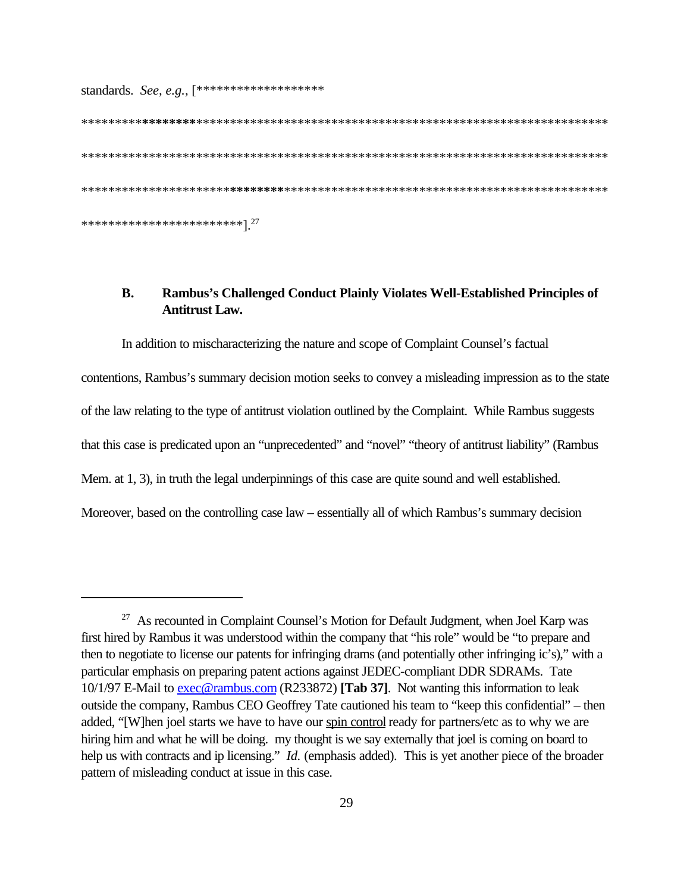standards. *See, e.g.,* [\*\*\*\*\*\*\*\*\*\*\*\*\*\*\*\*\*\*\*

\*\*\*\*\*\*\*\*\***\*\*\*\*\*\*\*\***\*\*\*\*\*\*\*\*\*\*\*\*\*\*\*\*\*\*\*\*\*\*\*\*\*\*\*\*\*\*\*\*\*\*\*\*\*\*\*\*\*\*\*\*\*\*\*\*\*\*\*\*\*\*\*\*\*\*\*\*\* \*\*\*\*\*\*\*\*\*\*\*\*\*\*\*\*\*\*\*\*\*\*\*\*\*\*\*\*\*\*\*\*\*\*\*\*\*\*\*\*\*\*\*\*\*\*\*\*\*\*\*\*\*\*\*\*\*\*\*\*\*\*\*\*\*\*\*\*\*\*\*\*\*\*\*\*\*\* \*\*\*\*\*\*\*\*\*\*\*\*\*\*\*\*\*\*\*\*\*\***\*\*\*\*\*\*\*\***\*\*\*\*\*\*\*\*\*\*\*\*\*\*\*\*\*\*\*\*\*\*\*\*\*\*\*\*\*\*\*\*\*\*\*\*\*\*\*\*\*\*\*\*\*\*\*\* \*\*\*\*\*\*\*\*\*\*\*\*\*\*\*\*\*\*\*\*\*\*\*\*].<sup>27</sup>

### **B. Rambus's Challenged Conduct Plainly Violates Well-Established Principles of Antitrust Law.**

In addition to mischaracterizing the nature and scope of Complaint Counsel's factual contentions, Rambus's summary decision motion seeks to convey a misleading impression as to the state of the law relating to the type of antitrust violation outlined by the Complaint. While Rambus suggests that this case is predicated upon an "unprecedented" and "novel" "theory of antitrust liability" (Rambus Mem. at 1, 3), in truth the legal underpinnings of this case are quite sound and well established. Moreover, based on the controlling case law – essentially all of which Rambus's summary decision

 $27$  As recounted in Complaint Counsel's Motion for Default Judgment, when Joel Karp was first hired by Rambus it was understood within the company that "his role" would be "to prepare and then to negotiate to license our patents for infringing drams (and potentially other infringing ic's)," with a particular emphasis on preparing patent actions against JEDEC-compliant DDR SDRAMs. Tate 10/1/97 E-Mail to exec@rambus.com (R233872) **[Tab 37]**. Not wanting this information to leak outside the company, Rambus CEO Geoffrey Tate cautioned his team to "keep this confidential" – then added, "[W]hen joel starts we have to have our spin control ready for partners/etc as to why we are hiring him and what he will be doing. my thought is we say externally that joel is coming on board to help us with contracts and ip licensing." *Id.* (emphasis added). This is yet another piece of the broader pattern of misleading conduct at issue in this case.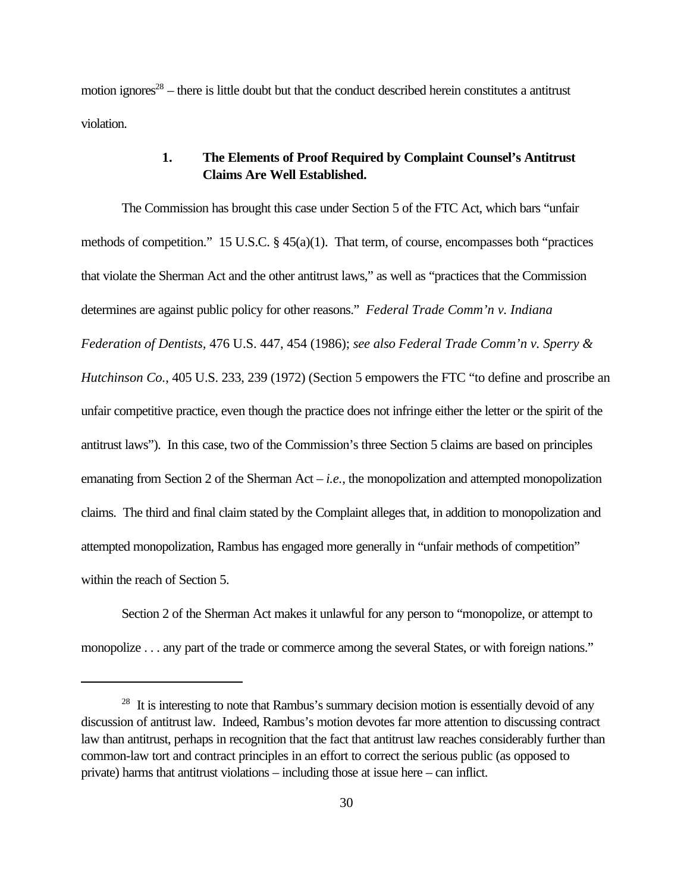motion ignores<sup>28</sup> – there is little doubt but that the conduct described herein constitutes a antitrust violation.

#### **1. The Elements of Proof Required by Complaint Counsel's Antitrust Claims Are Well Established.**

The Commission has brought this case under Section 5 of the FTC Act, which bars "unfair methods of competition." 15 U.S.C. § 45(a)(1). That term, of course, encompasses both "practices that violate the Sherman Act and the other antitrust laws," as well as "practices that the Commission determines are against public policy for other reasons." *Federal Trade Comm'n v. Indiana Federation of Dentists,* 476 U.S. 447, 454 (1986); *see also Federal Trade Comm'n v. Sperry & Hutchinson Co.*, 405 U.S. 233, 239 (1972) (Section 5 empowers the FTC "to define and proscribe an unfair competitive practice, even though the practice does not infringe either the letter or the spirit of the antitrust laws"). In this case, two of the Commission's three Section 5 claims are based on principles emanating from Section 2 of the Sherman Act – *i.e.*, the monopolization and attempted monopolization claims. The third and final claim stated by the Complaint alleges that, in addition to monopolization and attempted monopolization, Rambus has engaged more generally in "unfair methods of competition" within the reach of Section 5.

Section 2 of the Sherman Act makes it unlawful for any person to "monopolize, or attempt to monopolize . . . any part of the trade or commerce among the several States, or with foreign nations."

<sup>&</sup>lt;sup>28</sup> It is interesting to note that Rambus's summary decision motion is essentially devoid of any discussion of antitrust law. Indeed, Rambus's motion devotes far more attention to discussing contract law than antitrust, perhaps in recognition that the fact that antitrust law reaches considerably further than common-law tort and contract principles in an effort to correct the serious public (as opposed to private) harms that antitrust violations – including those at issue here – can inflict.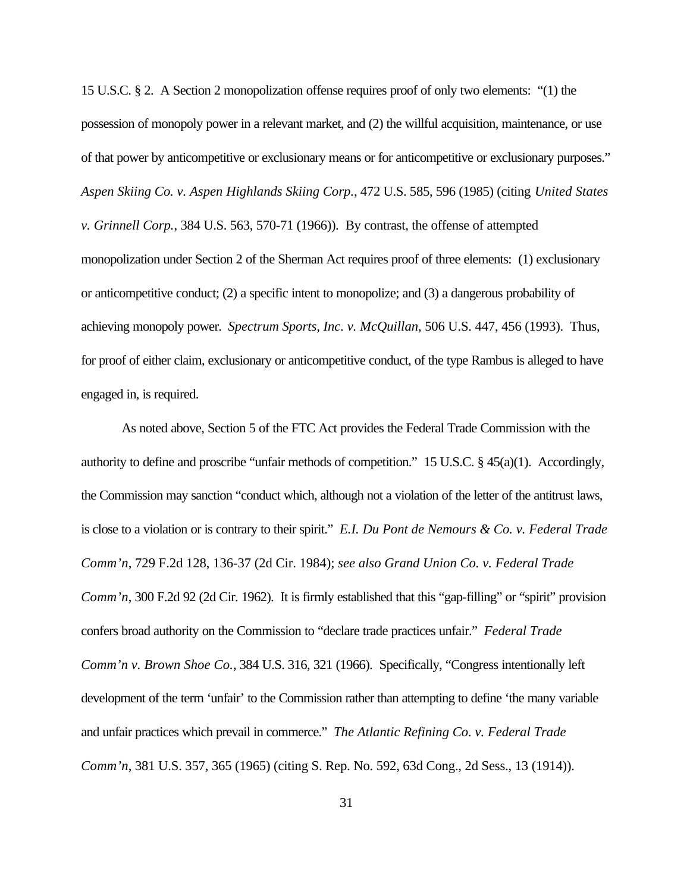15 U.S.C. § 2. A Section 2 monopolization offense requires proof of only two elements: "(1) the possession of monopoly power in a relevant market, and (2) the willful acquisition, maintenance, or use of that power by anticompetitive or exclusionary means or for anticompetitive or exclusionary purposes." *Aspen Skiing Co. v. Aspen Highlands Skiing Corp.*, 472 U.S. 585, 596 (1985) (citing *United States v. Grinnell Corp.*, 384 U.S. 563, 570-71 (1966)). By contrast, the offense of attempted monopolization under Section 2 of the Sherman Act requires proof of three elements: (1) exclusionary or anticompetitive conduct; (2) a specific intent to monopolize; and (3) a dangerous probability of achieving monopoly power. *Spectrum Sports, Inc. v. McQuillan*, 506 U.S. 447, 456 (1993). Thus, for proof of either claim, exclusionary or anticompetitive conduct, of the type Rambus is alleged to have engaged in, is required.

As noted above, Section 5 of the FTC Act provides the Federal Trade Commission with the authority to define and proscribe "unfair methods of competition." 15 U.S.C. § 45(a)(1). Accordingly, the Commission may sanction "conduct which, although not a violation of the letter of the antitrust laws, is close to a violation or is contrary to their spirit." *E.I. Du Pont de Nemours & Co. v. Federal Trade Comm'n*, 729 F.2d 128, 136-37 (2d Cir. 1984); *see also Grand Union Co. v. Federal Trade Comm'n*, 300 F.2d 92 (2d Cir. 1962). It is firmly established that this "gap-filling" or "spirit" provision confers broad authority on the Commission to "declare trade practices unfair." *Federal Trade Comm'n v. Brown Shoe Co.*, 384 U.S. 316, 321 (1966). Specifically, "Congress intentionally left development of the term 'unfair' to the Commission rather than attempting to define 'the many variable and unfair practices which prevail in commerce." *The Atlantic Refining Co. v. Federal Trade Comm'n*, 381 U.S. 357, 365 (1965) (citing S. Rep. No. 592, 63d Cong., 2d Sess., 13 (1914)).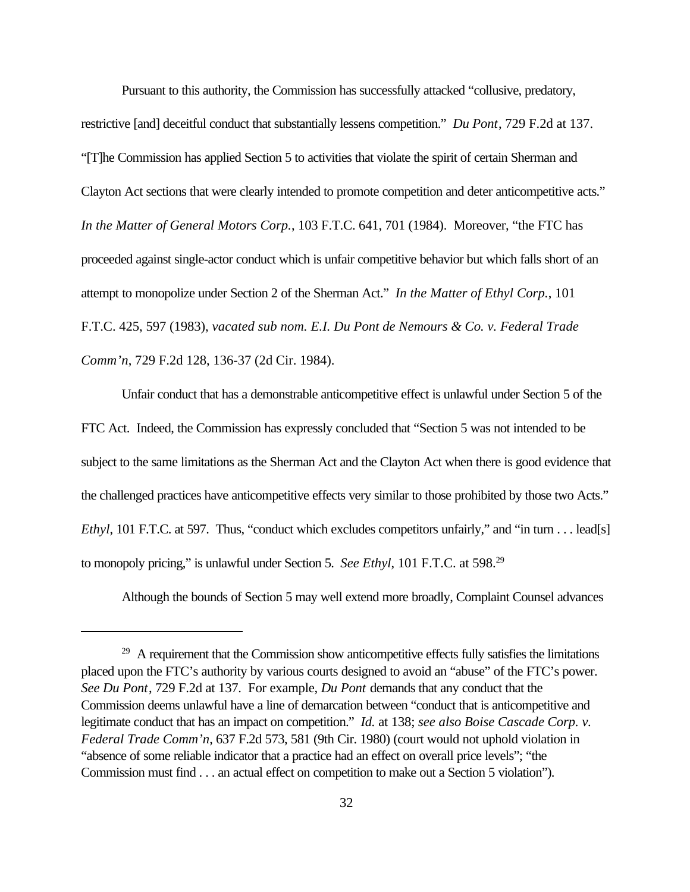Pursuant to this authority, the Commission has successfully attacked "collusive, predatory, restrictive [and] deceitful conduct that substantially lessens competition." *Du Pont*, 729 F.2d at 137. "[T]he Commission has applied Section 5 to activities that violate the spirit of certain Sherman and Clayton Act sections that were clearly intended to promote competition and deter anticompetitive acts." *In the Matter of General Motors Corp.*, 103 F.T.C. 641, 701 (1984). Moreover, "the FTC has proceeded against single-actor conduct which is unfair competitive behavior but which falls short of an attempt to monopolize under Section 2 of the Sherman Act." *In the Matter of Ethyl Corp.*, 101 F.T.C. 425, 597 (1983), *vacated sub nom. E.I. Du Pont de Nemours & Co. v. Federal Trade Comm'n*, 729 F.2d 128, 136-37 (2d Cir. 1984).

Unfair conduct that has a demonstrable anticompetitive effect is unlawful under Section 5 of the FTC Act. Indeed, the Commission has expressly concluded that "Section 5 was not intended to be subject to the same limitations as the Sherman Act and the Clayton Act when there is good evidence that the challenged practices have anticompetitive effects very similar to those prohibited by those two Acts." *Ethyl*, 101 F.T.C. at 597. Thus, "conduct which excludes competitors unfairly," and "in turn . . . lead[s] to monopoly pricing," is unlawful under Section 5. *See Ethyl*, 101 F.T.C. at 598.<sup>29</sup>

Although the bounds of Section 5 may well extend more broadly, Complaint Counsel advances

<sup>&</sup>lt;sup>29</sup> A requirement that the Commission show anticompetitive effects fully satisfies the limitations placed upon the FTC's authority by various courts designed to avoid an "abuse" of the FTC's power. *See Du Pont*, 729 F.2d at 137. For example, *Du Pont* demands that any conduct that the Commission deems unlawful have a line of demarcation between "conduct that is anticompetitive and legitimate conduct that has an impact on competition." *Id.* at 138; *see also Boise Cascade Corp. v. Federal Trade Comm'n*, 637 F.2d 573, 581 (9th Cir. 1980) (court would not uphold violation in "absence of some reliable indicator that a practice had an effect on overall price levels"; "the Commission must find . . . an actual effect on competition to make out a Section 5 violation").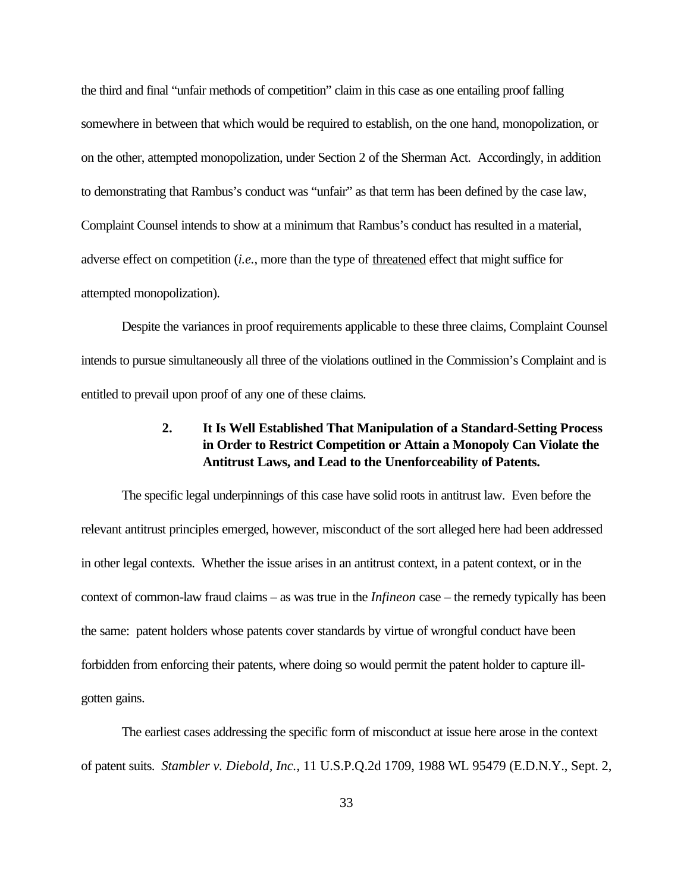the third and final "unfair methods of competition" claim in this case as one entailing proof falling somewhere in between that which would be required to establish, on the one hand, monopolization, or on the other, attempted monopolization, under Section 2 of the Sherman Act. Accordingly, in addition to demonstrating that Rambus's conduct was "unfair" as that term has been defined by the case law, Complaint Counsel intends to show at a minimum that Rambus's conduct has resulted in a material, adverse effect on competition (*i.e.*, more than the type of threatened effect that might suffice for attempted monopolization).

Despite the variances in proof requirements applicable to these three claims, Complaint Counsel intends to pursue simultaneously all three of the violations outlined in the Commission's Complaint and is entitled to prevail upon proof of any one of these claims.

## **2. It Is Well Established That Manipulation of a Standard-Setting Process in Order to Restrict Competition or Attain a Monopoly Can Violate the Antitrust Laws, and Lead to the Unenforceability of Patents.**

The specific legal underpinnings of this case have solid roots in antitrust law. Even before the relevant antitrust principles emerged, however, misconduct of the sort alleged here had been addressed in other legal contexts. Whether the issue arises in an antitrust context, in a patent context, or in the context of common-law fraud claims – as was true in the *Infineon* case – the remedy typically has been the same: patent holders whose patents cover standards by virtue of wrongful conduct have been forbidden from enforcing their patents, where doing so would permit the patent holder to capture illgotten gains.

The earliest cases addressing the specific form of misconduct at issue here arose in the context of patent suits. *Stambler v. Diebold, Inc.*, 11 U.S.P.Q.2d 1709, 1988 WL 95479 (E.D.N.Y., Sept. 2,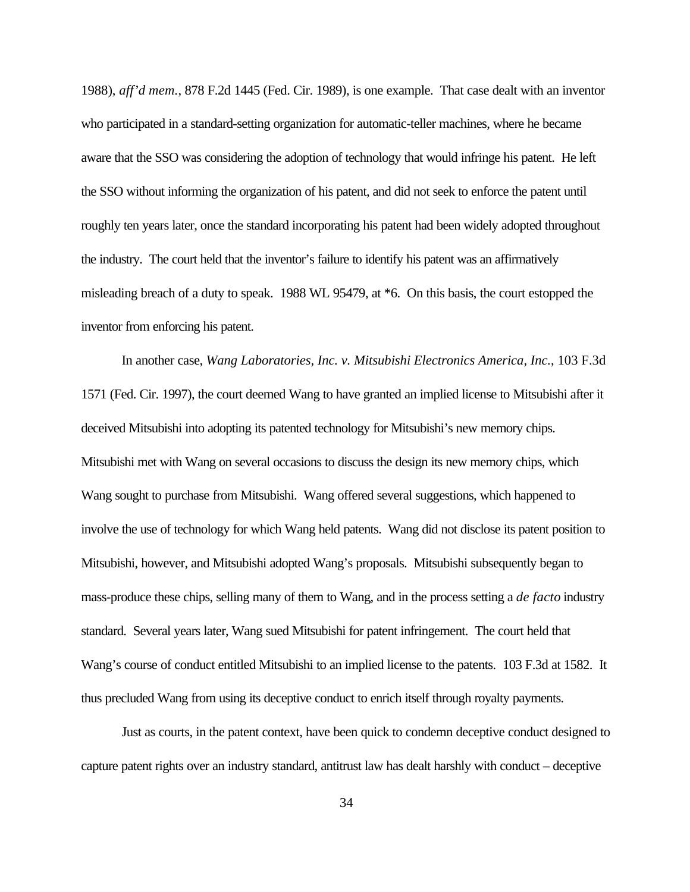1988), *aff'd mem.*, 878 F.2d 1445 (Fed. Cir. 1989), is one example. That case dealt with an inventor who participated in a standard-setting organization for automatic-teller machines, where he became aware that the SSO was considering the adoption of technology that would infringe his patent. He left the SSO without informing the organization of his patent, and did not seek to enforce the patent until roughly ten years later, once the standard incorporating his patent had been widely adopted throughout the industry. The court held that the inventor's failure to identify his patent was an affirmatively misleading breach of a duty to speak. 1988 WL 95479, at \*6. On this basis, the court estopped the inventor from enforcing his patent.

In another case, *Wang Laboratories, Inc. v. Mitsubishi Electronics America, Inc.*, 103 F.3d 1571 (Fed. Cir. 1997), the court deemed Wang to have granted an implied license to Mitsubishi after it deceived Mitsubishi into adopting its patented technology for Mitsubishi's new memory chips. Mitsubishi met with Wang on several occasions to discuss the design its new memory chips, which Wang sought to purchase from Mitsubishi. Wang offered several suggestions, which happened to involve the use of technology for which Wang held patents. Wang did not disclose its patent position to Mitsubishi, however, and Mitsubishi adopted Wang's proposals. Mitsubishi subsequently began to mass-produce these chips, selling many of them to Wang, and in the process setting a *de facto* industry standard. Several years later, Wang sued Mitsubishi for patent infringement. The court held that Wang's course of conduct entitled Mitsubishi to an implied license to the patents. 103 F.3d at 1582. It thus precluded Wang from using its deceptive conduct to enrich itself through royalty payments.

Just as courts, in the patent context, have been quick to condemn deceptive conduct designed to capture patent rights over an industry standard, antitrust law has dealt harshly with conduct – deceptive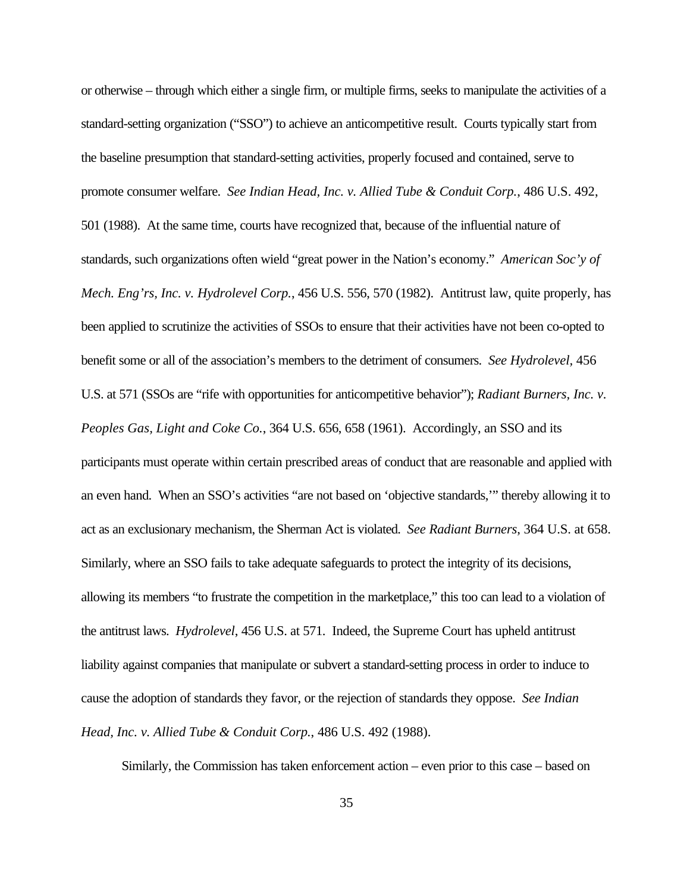or otherwise – through which either a single firm, or multiple firms, seeks to manipulate the activities of a standard-setting organization ("SSO") to achieve an anticompetitive result. Courts typically start from the baseline presumption that standard-setting activities, properly focused and contained, serve to promote consumer welfare. *See Indian Head, Inc. v. Allied Tube & Conduit Corp.*, 486 U.S. 492, 501 (1988). At the same time, courts have recognized that, because of the influential nature of standards, such organizations often wield "great power in the Nation's economy." *American Soc'y of Mech. Eng'rs, Inc. v. Hydrolevel Corp.*, 456 U.S. 556, 570 (1982). Antitrust law, quite properly, has been applied to scrutinize the activities of SSOs to ensure that their activities have not been co-opted to benefit some or all of the association's members to the detriment of consumers. *See Hydrolevel,* 456 U.S. at 571 (SSOs are "rife with opportunities for anticompetitive behavior"); *Radiant Burners, Inc. v. Peoples Gas, Light and Coke Co.*, 364 U.S. 656, 658 (1961). Accordingly, an SSO and its participants must operate within certain prescribed areas of conduct that are reasonable and applied with an even hand. When an SSO's activities "are not based on 'objective standards,'" thereby allowing it to act as an exclusionary mechanism, the Sherman Act is violated. *See Radiant Burners*, 364 U.S. at 658. Similarly, where an SSO fails to take adequate safeguards to protect the integrity of its decisions, allowing its members "to frustrate the competition in the marketplace," this too can lead to a violation of the antitrust laws. *Hydrolevel*, 456 U.S. at 571. Indeed, the Supreme Court has upheld antitrust liability against companies that manipulate or subvert a standard-setting process in order to induce to cause the adoption of standards they favor, or the rejection of standards they oppose. *See Indian Head, Inc. v. Allied Tube & Conduit Corp.*, 486 U.S. 492 (1988).

Similarly, the Commission has taken enforcement action – even prior to this case – based on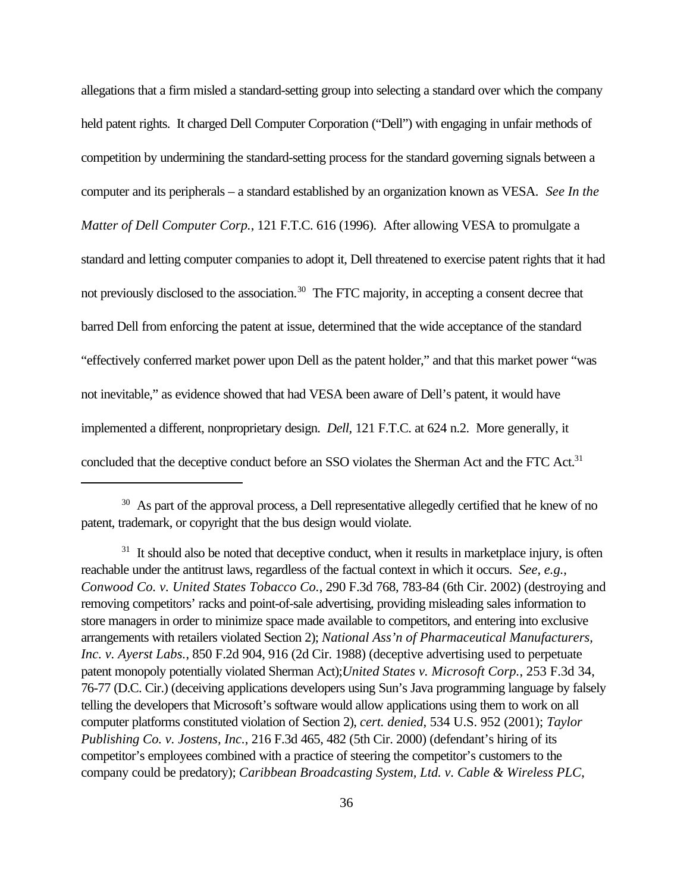allegations that a firm misled a standard-setting group into selecting a standard over which the company held patent rights. It charged Dell Computer Corporation ("Dell") with engaging in unfair methods of competition by undermining the standard-setting process for the standard governing signals between a computer and its peripherals – a standard established by an organization known as VESA. *See In the Matter of Dell Computer Corp.*, 121 F.T.C. 616 (1996). After allowing VESA to promulgate a standard and letting computer companies to adopt it, Dell threatened to exercise patent rights that it had not previously disclosed to the association.<sup>30</sup> The FTC majority, in accepting a consent decree that barred Dell from enforcing the patent at issue, determined that the wide acceptance of the standard "effectively conferred market power upon Dell as the patent holder," and that this market power "was not inevitable," as evidence showed that had VESA been aware of Dell's patent, it would have implemented a different, nonproprietary design. *Dell*, 121 F.T.C. at 624 n.2. More generally, it concluded that the deceptive conduct before an SSO violates the Sherman Act and the FTC Act.<sup>31</sup>

<sup>&</sup>lt;sup>30</sup> As part of the approval process, a Dell representative allegedly certified that he knew of no patent, trademark, or copyright that the bus design would violate.

 $31$  It should also be noted that deceptive conduct, when it results in marketplace injury, is often reachable under the antitrust laws, regardless of the factual context in which it occurs. *See, e.g.*, *Conwood Co. v. United States Tobacco Co.*, 290 F.3d 768, 783-84 (6th Cir. 2002) (destroying and removing competitors' racks and point-of-sale advertising, providing misleading sales information to store managers in order to minimize space made available to competitors, and entering into exclusive arrangements with retailers violated Section 2); *National Ass'n of Pharmaceutical Manufacturers, Inc. v. Ayerst Labs.*, 850 F.2d 904, 916 (2d Cir. 1988) (deceptive advertising used to perpetuate patent monopoly potentially violated Sherman Act);*United States v. Microsoft Corp.*, 253 F.3d 34, 76-77 (D.C. Cir.) (deceiving applications developers using Sun's Java programming language by falsely telling the developers that Microsoft's software would allow applications using them to work on all computer platforms constituted violation of Section 2), *cert. denied*, 534 U.S. 952 (2001); *Taylor Publishing Co. v. Jostens, Inc.*, 216 F.3d 465, 482 (5th Cir. 2000) (defendant's hiring of its competitor's employees combined with a practice of steering the competitor's customers to the company could be predatory); *Caribbean Broadcasting System, Ltd. v. Cable & Wireless PLC*,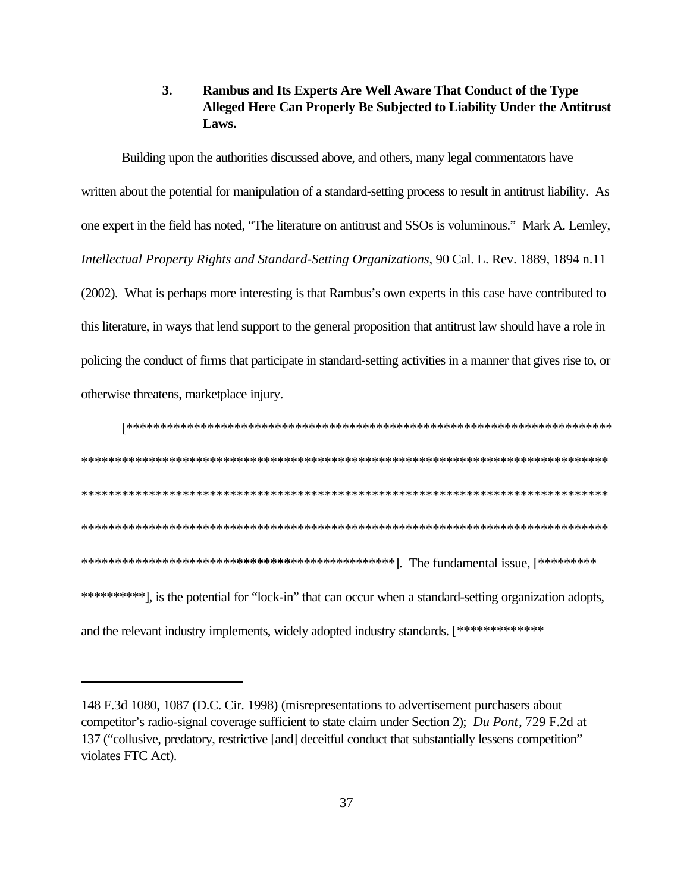### **3. Rambus and Its Experts Are Well Aware That Conduct of the Type Alleged Here Can Properly Be Subjected to Liability Under the Antitrust Laws.**

Building upon the authorities discussed above, and others, many legal commentators have written about the potential for manipulation of a standard-setting process to result in antitrust liability. As one expert in the field has noted, "The literature on antitrust and SSOs is voluminous." Mark A. Lemley, *Intellectual Property Rights and Standard-Setting Organizations*, 90 Cal. L. Rev. 1889, 1894 n.11 (2002). What is perhaps more interesting is that Rambus's own experts in this case have contributed to this literature, in ways that lend support to the general proposition that antitrust law should have a role in policing the conduct of firms that participate in standard-setting activities in a manner that gives rise to, or otherwise threatens, marketplace injury.

[\*\*\*\*\*\*\*\*\*\*\*\*\*\*\*\*\*\*\*\*\*\*\*\*\*\*\*\*\*\*\*\*\*\*\*\*\*\*\*\*\*\*\*\*\*\*\*\*\*\*\*\*\*\*\*\*\*\*\*\*\*\*\*\*\*\*\*\*\*\*\*\* \*\*\*\*\*\*\*\*\*\*\*\*\*\*\*\*\*\*\*\*\*\*\*\*\*\*\*\*\*\*\*\*\*\*\*\*\*\*\*\*\*\*\*\*\*\*\*\*\*\*\*\*\*\*\*\*\*\*\*\*\*\*\*\*\*\*\*\*\*\*\*\*\*\*\*\*\*\* \*\*\*\*\*\*\*\*\*\*\*\*\*\*\*\*\*\*\*\*\*\*\*\*\*\*\*\*\*\*\*\*\*\*\*\*\*\*\*\*\*\*\*\*\*\*\*\*\*\*\*\*\*\*\*\*\*\*\*\*\*\*\*\*\*\*\*\*\*\*\*\*\*\*\*\*\*\* \*\*\*\*\*\*\*\*\*\*\*\*\*\*\*\*\*\*\*\*\*\*\*\*\*\*\*\*\*\*\*\*\*\*\*\*\*\*\*\*\*\*\*\*\*\*\*\*\*\*\*\*\*\*\*\*\*\*\*\*\*\*\*\*\*\*\*\*\*\*\*\*\*\*\*\*\*\* \*\*\*\*\*\*\*\*\*\*\*\*\*\*\*\*\*\*\*\*\*\*\***\*\*\*\*\*\*\*\***\*\*\*\*\*\*\*\*\*\*\*\*\*\*\*\*]. The fundamental issue, [\*\*\*\*\*\*\*\*\* \*\*\*\*\*\*\*\*\*\*\*], is the potential for "lock-in" that can occur when a standard-setting organization adopts, and the relevant industry implements, widely adopted industry standards. [\*\*\*\*\*\*\*\*\*\*\*\*\*

<sup>148</sup> F.3d 1080, 1087 (D.C. Cir. 1998) (misrepresentations to advertisement purchasers about competitor's radio-signal coverage sufficient to state claim under Section 2); *Du Pont*, 729 F.2d at 137 ("collusive, predatory, restrictive [and] deceitful conduct that substantially lessens competition" violates FTC Act).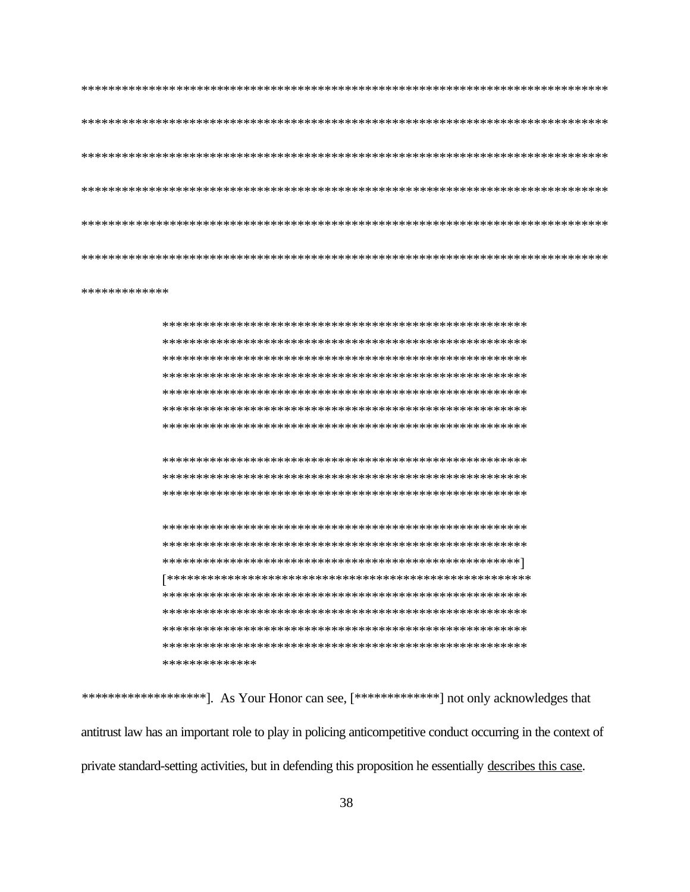```
*************
```
\*\*\*\*\*\*\*\*\*\*\*\*\*\*

\*\*\*\*\*\*\*\*\*\*\*\*\*\*\*\*\*\*\*\*\*\*]. As Your Honor can see, [\*\*\*\*\*\*\*\*\*\*\*\*\*\*\*\*] not only acknowledges that antitrust law has an important role to play in policing anticompetitive conduct occurring in the context of private standard-setting activities, but in defending this proposition he essentially describes this case.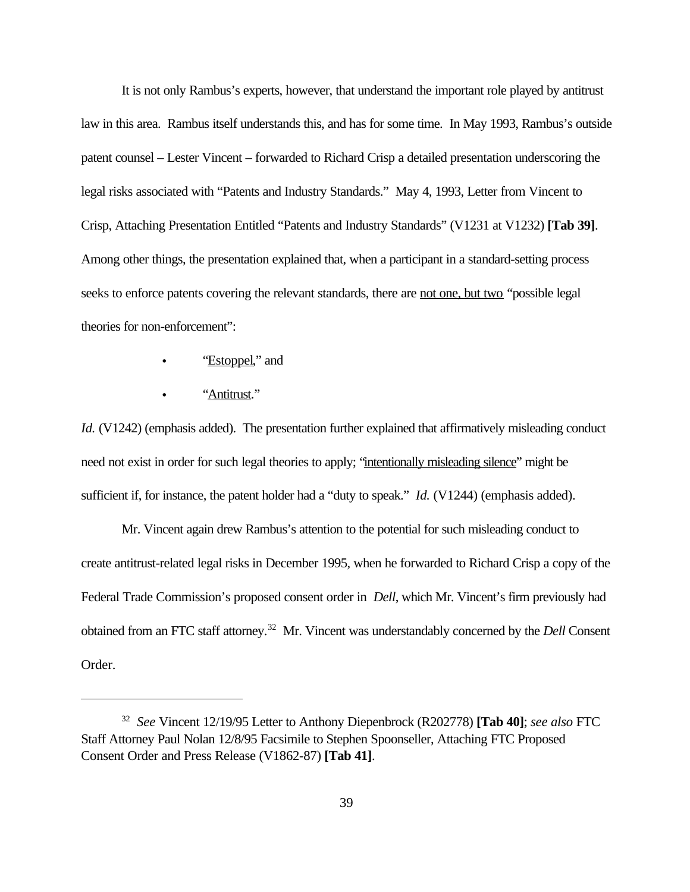It is not only Rambus's experts, however, that understand the important role played by antitrust law in this area. Rambus itself understands this, and has for some time. In May 1993, Rambus's outside patent counsel – Lester Vincent – forwarded to Richard Crisp a detailed presentation underscoring the legal risks associated with "Patents and Industry Standards." May 4, 1993, Letter from Vincent to Crisp, Attaching Presentation Entitled "Patents and Industry Standards" (V1231 at V1232) **[Tab 39]**. Among other things, the presentation explained that, when a participant in a standard-setting process seeks to enforce patents covering the relevant standards, there are not one, but two "possible legal theories for non-enforcement":

- "Estoppel," and
- "Antitrust."

*Id.* (V1242) (emphasis added). The presentation further explained that affirmatively misleading conduct need not exist in order for such legal theories to apply; "intentionally misleading silence" might be sufficient if, for instance, the patent holder had a "duty to speak." *Id.* (V1244) (emphasis added).

Mr. Vincent again drew Rambus's attention to the potential for such misleading conduct to create antitrust-related legal risks in December 1995, when he forwarded to Richard Crisp a copy of the Federal Trade Commission's proposed consent order in *Dell*, which Mr. Vincent's firm previously had obtained from an FTC staff attorney.<sup>32</sup> Mr. Vincent was understandably concerned by the *Dell* Consent Order.

<sup>32</sup> *See* Vincent 12/19/95 Letter to Anthony Diepenbrock (R202778) **[Tab 40]**; *see also* FTC Staff Attorney Paul Nolan 12/8/95 Facsimile to Stephen Spoonseller, Attaching FTC Proposed Consent Order and Press Release (V1862-87) **[Tab 41]**.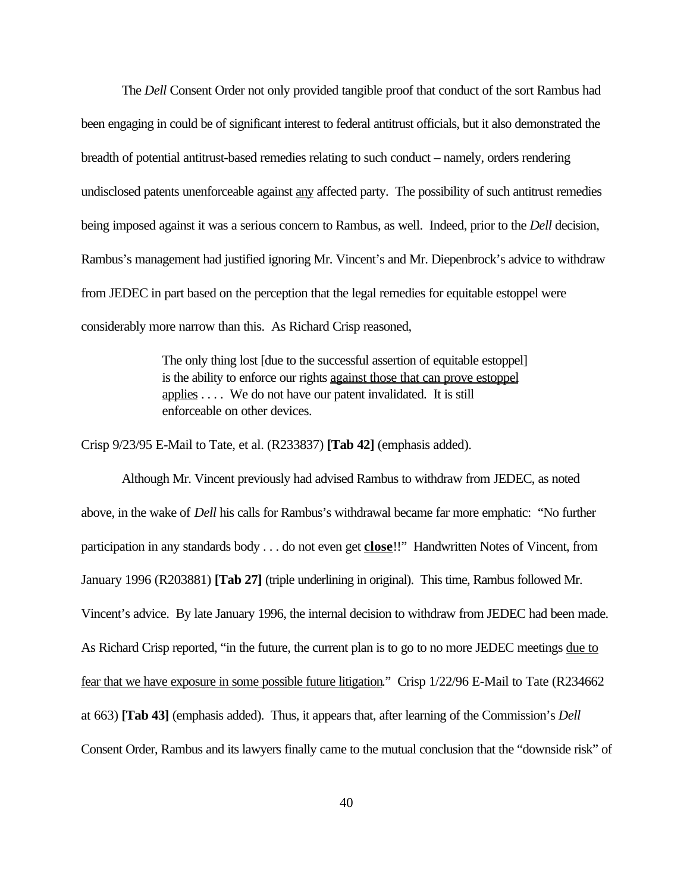The *Dell* Consent Order not only provided tangible proof that conduct of the sort Rambus had been engaging in could be of significant interest to federal antitrust officials, but it also demonstrated the breadth of potential antitrust-based remedies relating to such conduct – namely, orders rendering undisclosed patents unenforceable against any affected party. The possibility of such antitrust remedies being imposed against it was a serious concern to Rambus, as well. Indeed, prior to the *Dell* decision, Rambus's management had justified ignoring Mr. Vincent's and Mr. Diepenbrock's advice to withdraw from JEDEC in part based on the perception that the legal remedies for equitable estoppel were considerably more narrow than this. As Richard Crisp reasoned,

> The only thing lost [due to the successful assertion of equitable estoppel] is the ability to enforce our rights against those that can prove estoppel applies . . . . We do not have our patent invalidated. It is still enforceable on other devices.

Crisp 9/23/95 E-Mail to Tate, et al. (R233837) **[Tab 42]** (emphasis added).

Although Mr. Vincent previously had advised Rambus to withdraw from JEDEC, as noted above, in the wake of *Dell* his calls for Rambus's withdrawal became far more emphatic: "No further participation in any standards body . . . do not even get **close**!!" Handwritten Notes of Vincent, from January 1996 (R203881) **[Tab 27]** (triple underlining in original). This time, Rambus followed Mr. Vincent's advice. By late January 1996, the internal decision to withdraw from JEDEC had been made. As Richard Crisp reported, "in the future, the current plan is to go to no more JEDEC meetings due to fear that we have exposure in some possible future litigation." Crisp 1/22/96 E-Mail to Tate (R234662 at 663) **[Tab 43]** (emphasis added). Thus, it appears that, after learning of the Commission's *Dell* Consent Order, Rambus and its lawyers finally came to the mutual conclusion that the "downside risk" of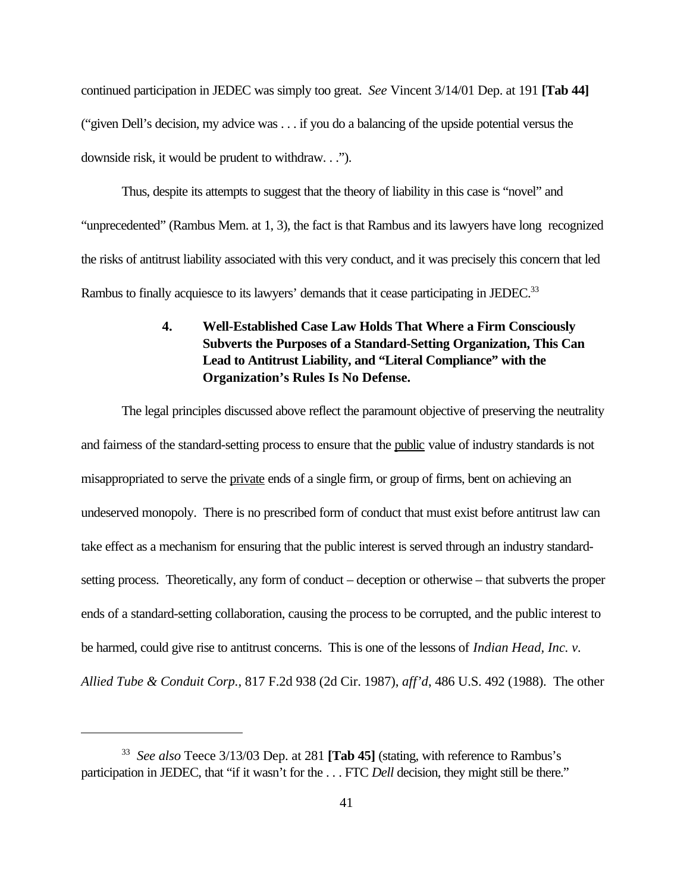continued participation in JEDEC was simply too great. *See* Vincent 3/14/01 Dep. at 191 **[Tab 44]** ("given Dell's decision, my advice was . . . if you do a balancing of the upside potential versus the downside risk, it would be prudent to withdraw. . .").

Thus, despite its attempts to suggest that the theory of liability in this case is "novel" and "unprecedented" (Rambus Mem. at 1, 3), the fact is that Rambus and its lawyers have long recognized the risks of antitrust liability associated with this very conduct, and it was precisely this concern that led Rambus to finally acquiesce to its lawyers' demands that it cease participating in JEDEC.<sup>33</sup>

## **4. Well-Established Case Law Holds That Where a Firm Consciously Subverts the Purposes of a Standard-Setting Organization, This Can Lead to Antitrust Liability, and "Literal Compliance" with the Organization's Rules Is No Defense.**

The legal principles discussed above reflect the paramount objective of preserving the neutrality and fairness of the standard-setting process to ensure that the public value of industry standards is not misappropriated to serve the private ends of a single firm, or group of firms, bent on achieving an undeserved monopoly. There is no prescribed form of conduct that must exist before antitrust law can take effect as a mechanism for ensuring that the public interest is served through an industry standardsetting process. Theoretically, any form of conduct – deception or otherwise – that subverts the proper ends of a standard-setting collaboration, causing the process to be corrupted, and the public interest to be harmed, could give rise to antitrust concerns. This is one of the lessons of *Indian Head, Inc. v. Allied Tube & Conduit Corp.,* 817 F.2d 938 (2d Cir. 1987), *aff'd*, 486 U.S. 492 (1988). The other

<sup>33</sup> *See also* Teece 3/13/03 Dep. at 281 **[Tab 45]** (stating, with reference to Rambus's participation in JEDEC, that "if it wasn't for the . . . FTC *Dell* decision, they might still be there."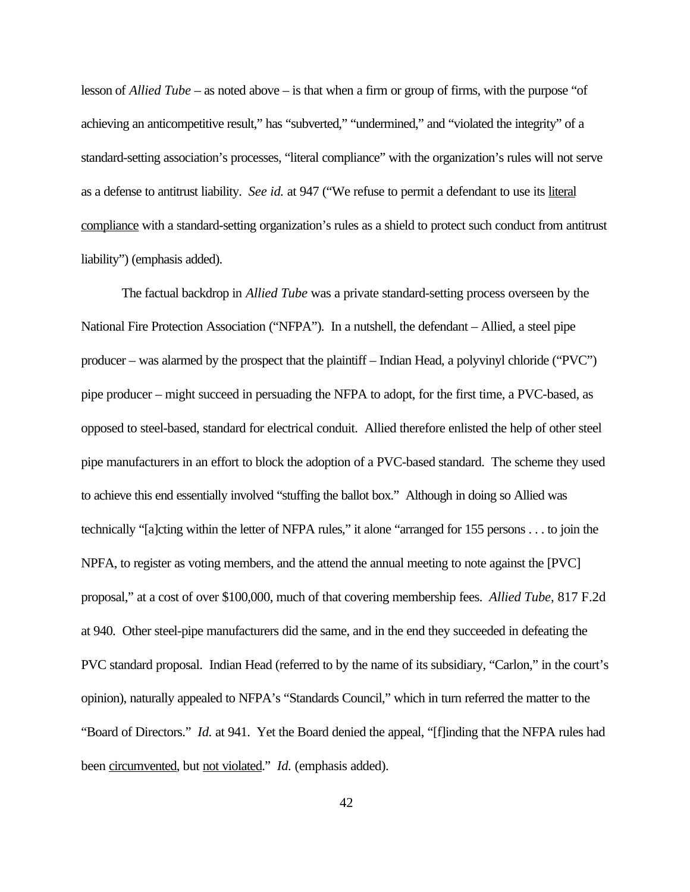lesson of *Allied Tube* – as noted above – is that when a firm or group of firms, with the purpose "of achieving an anticompetitive result," has "subverted," "undermined," and "violated the integrity" of a standard-setting association's processes, "literal compliance" with the organization's rules will not serve as a defense to antitrust liability. *See id.* at 947 ("We refuse to permit a defendant to use its literal compliance with a standard-setting organization's rules as a shield to protect such conduct from antitrust liability") (emphasis added).

The factual backdrop in *Allied Tube* was a private standard-setting process overseen by the National Fire Protection Association ("NFPA"). In a nutshell, the defendant – Allied, a steel pipe producer – was alarmed by the prospect that the plaintiff – Indian Head, a polyvinyl chloride ("PVC") pipe producer – might succeed in persuading the NFPA to adopt, for the first time, a PVC-based, as opposed to steel-based, standard for electrical conduit. Allied therefore enlisted the help of other steel pipe manufacturers in an effort to block the adoption of a PVC-based standard. The scheme they used to achieve this end essentially involved "stuffing the ballot box." Although in doing so Allied was technically "[a]cting within the letter of NFPA rules," it alone "arranged for 155 persons . . . to join the NPFA, to register as voting members, and the attend the annual meeting to note against the [PVC] proposal," at a cost of over \$100,000, much of that covering membership fees. *Allied Tube*, 817 F.2d at 940. Other steel-pipe manufacturers did the same, and in the end they succeeded in defeating the PVC standard proposal. Indian Head (referred to by the name of its subsidiary, "Carlon," in the court's opinion), naturally appealed to NFPA's "Standards Council," which in turn referred the matter to the "Board of Directors." *Id.* at 941. Yet the Board denied the appeal, "[f]inding that the NFPA rules had been circumvented, but not violated." *Id.* (emphasis added).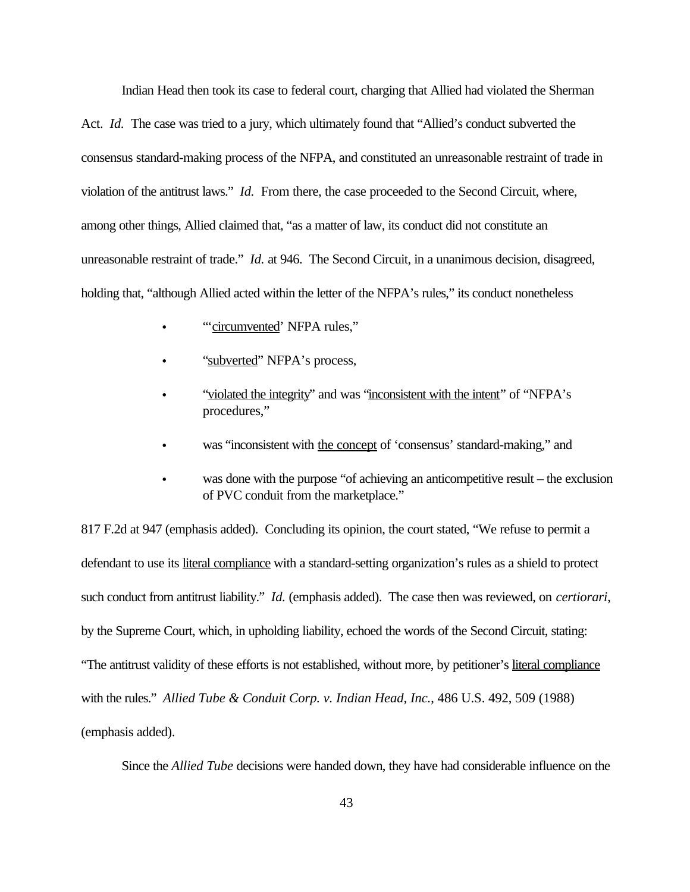Indian Head then took its case to federal court, charging that Allied had violated the Sherman

Act. *Id.* The case was tried to a jury, which ultimately found that "Allied's conduct subverted the consensus standard-making process of the NFPA, and constituted an unreasonable restraint of trade in violation of the antitrust laws." *Id.* From there, the case proceeded to the Second Circuit, where, among other things, Allied claimed that, "as a matter of law, its conduct did not constitute an unreasonable restraint of trade." *Id.* at 946. The Second Circuit, in a unanimous decision, disagreed, holding that, "although Allied acted within the letter of the NFPA's rules," its conduct nonetheless

- "circumvented' NFPA rules,"
- "subverted" NFPA's process,
- "violated the integrity" and was "inconsistent with the intent" of "NFPA's procedures,"
- was "inconsistent with the concept of 'consensus' standard-making," and
- was done with the purpose "of achieving an anticompetitive result the exclusion of PVC conduit from the marketplace."

817 F.2d at 947 (emphasis added). Concluding its opinion, the court stated, "We refuse to permit a defendant to use its literal compliance with a standard-setting organization's rules as a shield to protect such conduct from antitrust liability." *Id.* (emphasis added). The case then was reviewed, on *certiorari*, by the Supreme Court, which, in upholding liability, echoed the words of the Second Circuit, stating: "The antitrust validity of these efforts is not established, without more, by petitioner's literal compliance with the rules." *Allied Tube & Conduit Corp. v. Indian Head, Inc.*, 486 U.S. 492, 509 (1988) (emphasis added).

Since the *Allied Tube* decisions were handed down, they have had considerable influence on the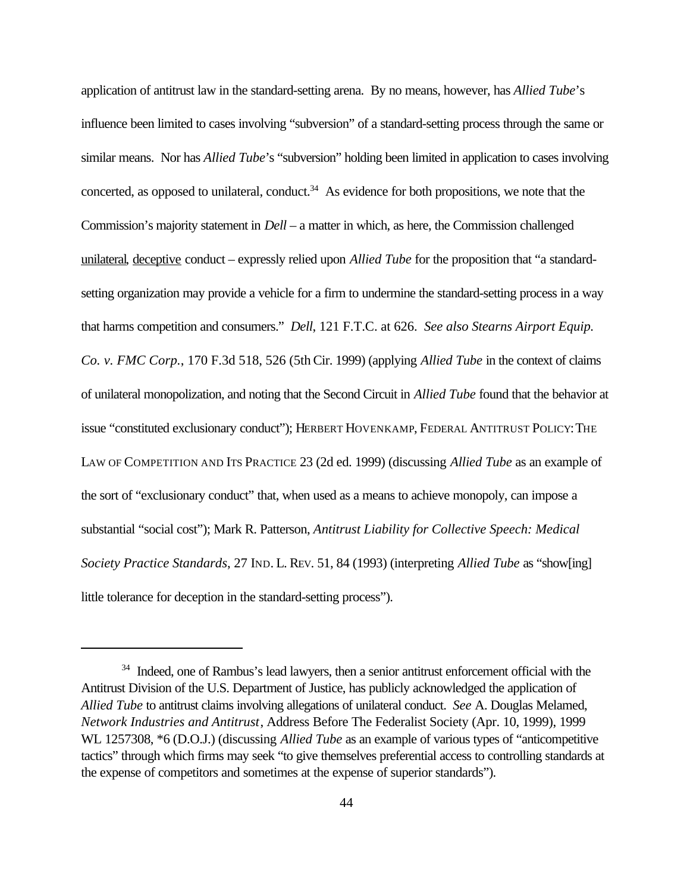application of antitrust law in the standard-setting arena. By no means, however, has *Allied Tube*'s influence been limited to cases involving "subversion" of a standard-setting process through the same or similar means. Nor has *Allied Tube*'s "subversion" holding been limited in application to cases involving concerted, as opposed to unilateral, conduct. $34$  As evidence for both propositions, we note that the Commission's majority statement in *Dell* – a matter in which, as here, the Commission challenged unilateral, deceptive conduct – expressly relied upon *Allied Tube* for the proposition that "a standardsetting organization may provide a vehicle for a firm to undermine the standard-setting process in a way that harms competition and consumers." *Dell*, 121 F.T.C. at 626. *See also Stearns Airport Equip. Co. v. FMC Corp.*, 170 F.3d 518, 526 (5th Cir. 1999) (applying *Allied Tube* in the context of claims of unilateral monopolization, and noting that the Second Circuit in *Allied Tube* found that the behavior at issue "constituted exclusionary conduct"); HERBERT HOVENKAMP, FEDERAL ANTITRUST POLICY:THE LAW OF COMPETITION AND ITS PRACTICE 23 (2d ed. 1999) (discussing *Allied Tube* as an example of the sort of "exclusionary conduct" that, when used as a means to achieve monopoly, can impose a substantial "social cost"); Mark R. Patterson, *Antitrust Liability for Collective Speech: Medical Society Practice Standards*, 27 IND. L. REV. 51, 84 (1993) (interpreting *Allied Tube* as "show[ing] little tolerance for deception in the standard-setting process").

<sup>&</sup>lt;sup>34</sup> Indeed, one of Rambus's lead lawyers, then a senior antitrust enforcement official with the Antitrust Division of the U.S. Department of Justice, has publicly acknowledged the application of *Allied Tube* to antitrust claims involving allegations of unilateral conduct. *See* A. Douglas Melamed, *Network Industries and Antitrust*, Address Before The Federalist Society (Apr. 10, 1999), 1999 WL 1257308, \*6 (D.O.J.) (discussing *Allied Tube* as an example of various types of "anticompetitive tactics" through which firms may seek "to give themselves preferential access to controlling standards at the expense of competitors and sometimes at the expense of superior standards").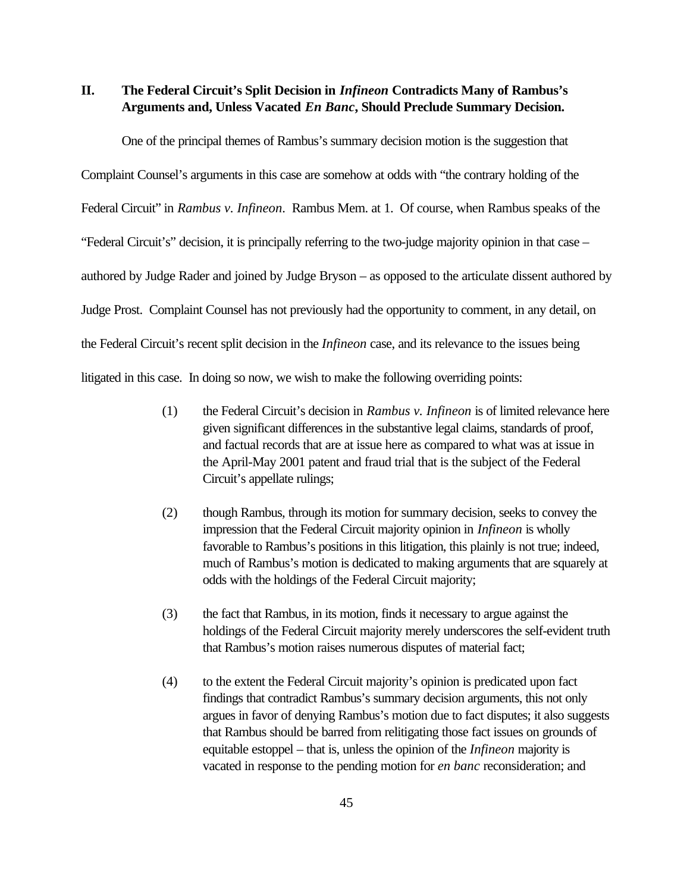**II. The Federal Circuit's Split Decision in** *Infineon* **Contradicts Many of Rambus's Arguments and, Unless Vacated** *En Banc***, Should Preclude Summary Decision.** 

One of the principal themes of Rambus's summary decision motion is the suggestion that

Complaint Counsel's arguments in this case are somehow at odds with "the contrary holding of the

Federal Circuit" in *Rambus v. Infineon*. Rambus Mem. at 1. Of course, when Rambus speaks of the

"Federal Circuit's" decision, it is principally referring to the two-judge majority opinion in that case –

authored by Judge Rader and joined by Judge Bryson – as opposed to the articulate dissent authored by

Judge Prost. Complaint Counsel has not previously had the opportunity to comment, in any detail, on

the Federal Circuit's recent split decision in the *Infineon* case, and its relevance to the issues being

litigated in this case. In doing so now, we wish to make the following overriding points:

- (1) the Federal Circuit's decision in *Rambus v. Infineon* is of limited relevance here given significant differences in the substantive legal claims, standards of proof, and factual records that are at issue here as compared to what was at issue in the April-May 2001 patent and fraud trial that is the subject of the Federal Circuit's appellate rulings;
- (2) though Rambus, through its motion for summary decision, seeks to convey the impression that the Federal Circuit majority opinion in *Infineon* is wholly favorable to Rambus's positions in this litigation, this plainly is not true; indeed, much of Rambus's motion is dedicated to making arguments that are squarely at odds with the holdings of the Federal Circuit majority;
- (3) the fact that Rambus, in its motion, finds it necessary to argue against the holdings of the Federal Circuit majority merely underscores the self-evident truth that Rambus's motion raises numerous disputes of material fact;
- (4) to the extent the Federal Circuit majority's opinion is predicated upon fact findings that contradict Rambus's summary decision arguments, this not only argues in favor of denying Rambus's motion due to fact disputes; it also suggests that Rambus should be barred from relitigating those fact issues on grounds of equitable estoppel – that is, unless the opinion of the *Infineon* majority is vacated in response to the pending motion for *en banc* reconsideration; and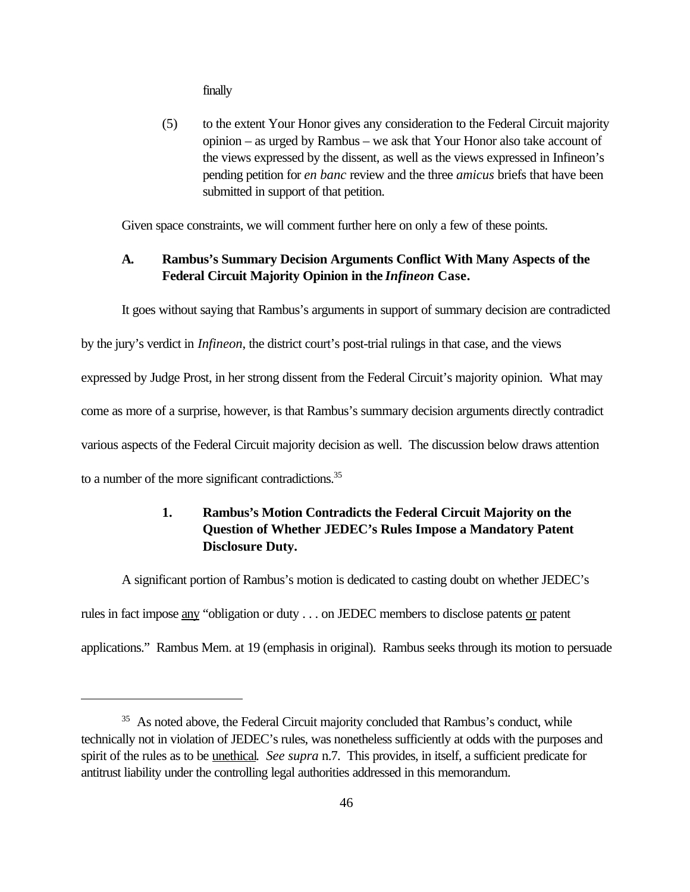finally

(5) to the extent Your Honor gives any consideration to the Federal Circuit majority opinion – as urged by Rambus – we ask that Your Honor also take account of the views expressed by the dissent, as well as the views expressed in Infineon's pending petition for *en banc* review and the three *amicus* briefs that have been submitted in support of that petition.

Given space constraints, we will comment further here on only a few of these points.

# **A. Rambus's Summary Decision Arguments Conflict With Many Aspects of the Federal Circuit Majority Opinion in the** *Infineon* **Case.**

It goes without saying that Rambus's arguments in support of summary decision are contradicted

by the jury's verdict in *Infineon*, the district court's post-trial rulings in that case, and the views

expressed by Judge Prost, in her strong dissent from the Federal Circuit's majority opinion. What may

come as more of a surprise, however, is that Rambus's summary decision arguments directly contradict

various aspects of the Federal Circuit majority decision as well. The discussion below draws attention

to a number of the more significant contradictions.<sup>35</sup>

# **1. Rambus's Motion Contradicts the Federal Circuit Majority on the Question of Whether JEDEC's Rules Impose a Mandatory Patent Disclosure Duty.**

A significant portion of Rambus's motion is dedicated to casting doubt on whether JEDEC's rules in fact impose any "obligation or duty . . . on JEDEC members to disclose patents or patent applications." Rambus Mem. at 19 (emphasis in original). Rambus seeks through its motion to persuade

<sup>&</sup>lt;sup>35</sup> As noted above, the Federal Circuit majority concluded that Rambus's conduct, while technically not in violation of JEDEC's rules, was nonetheless sufficiently at odds with the purposes and spirit of the rules as to be unethical. *See supra* n.7. This provides, in itself, a sufficient predicate for antitrust liability under the controlling legal authorities addressed in this memorandum.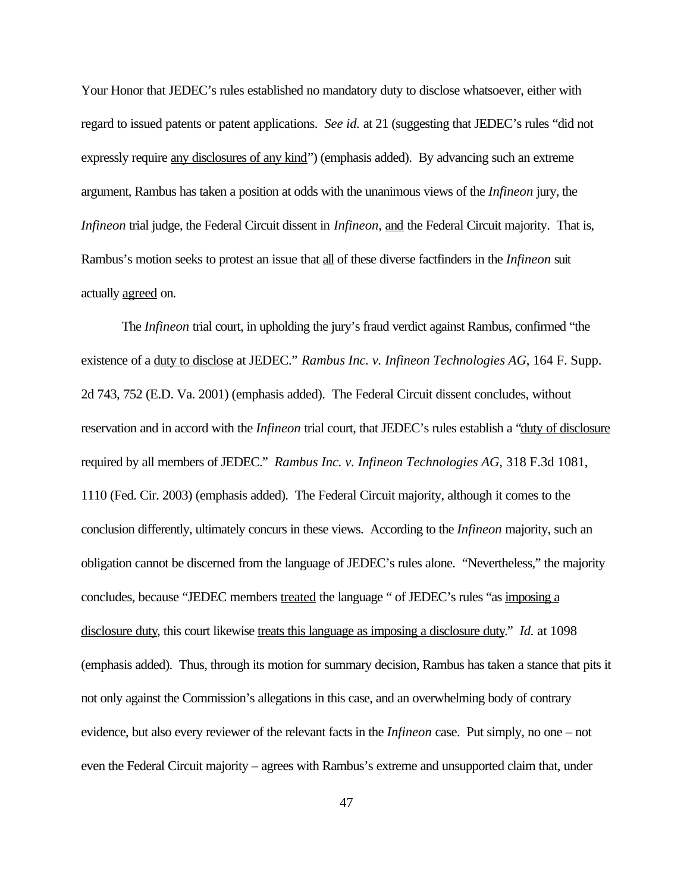Your Honor that JEDEC's rules established no mandatory duty to disclose whatsoever, either with regard to issued patents or patent applications. *See id.* at 21 (suggesting that JEDEC's rules "did not expressly require any disclosures of any kind" (emphasis added). By advancing such an extreme argument, Rambus has taken a position at odds with the unanimous views of the *Infineon* jury, the *Infineon* trial judge, the Federal Circuit dissent in *Infineon*, and the Federal Circuit majority. That is, Rambus's motion seeks to protest an issue that all of these diverse factfinders in the *Infineon* suit actually agreed on.

The *Infineon* trial court, in upholding the jury's fraud verdict against Rambus, confirmed "the existence of a duty to disclose at JEDEC." *Rambus Inc. v. Infineon Technologies AG*, 164 F. Supp. 2d 743, 752 (E.D. Va. 2001) (emphasis added). The Federal Circuit dissent concludes, without reservation and in accord with the *Infineon* trial court, that JEDEC's rules establish a "duty of disclosure required by all members of JEDEC." *Rambus Inc. v. Infineon Technologies AG*, 318 F.3d 1081, 1110 (Fed. Cir. 2003) (emphasis added). The Federal Circuit majority, although it comes to the conclusion differently, ultimately concurs in these views. According to the *Infineon* majority, such an obligation cannot be discerned from the language of JEDEC's rules alone. "Nevertheless," the majority concludes, because "JEDEC members treated the language " of JEDEC's rules "as imposing a disclosure duty, this court likewise treats this language as imposing a disclosure duty." *Id.* at 1098 (emphasis added). Thus, through its motion for summary decision, Rambus has taken a stance that pits it not only against the Commission's allegations in this case, and an overwhelming body of contrary evidence, but also every reviewer of the relevant facts in the *Infineon* case. Put simply, no one – not even the Federal Circuit majority – agrees with Rambus's extreme and unsupported claim that, under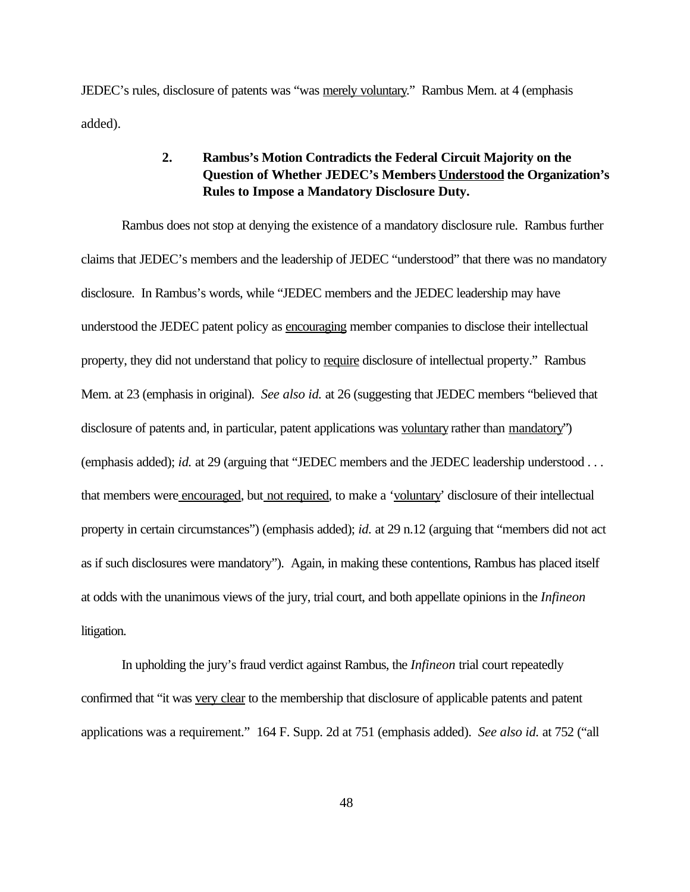JEDEC's rules, disclosure of patents was "was merely voluntary." Rambus Mem. at 4 (emphasis added).

### **2. Rambus's Motion Contradicts the Federal Circuit Majority on the Question of Whether JEDEC's Members Understood the Organization's Rules to Impose a Mandatory Disclosure Duty.**

Rambus does not stop at denying the existence of a mandatory disclosure rule. Rambus further claims that JEDEC's members and the leadership of JEDEC "understood" that there was no mandatory disclosure. In Rambus's words, while "JEDEC members and the JEDEC leadership may have understood the JEDEC patent policy as encouraging member companies to disclose their intellectual property, they did not understand that policy to require disclosure of intellectual property." Rambus Mem. at 23 (emphasis in original). *See also id.* at 26 (suggesting that JEDEC members "believed that disclosure of patents and, in particular, patent applications was voluntary rather than mandatory") (emphasis added); *id.* at 29 (arguing that "JEDEC members and the JEDEC leadership understood . . . that members were encouraged, but not required, to make a 'voluntary' disclosure of their intellectual property in certain circumstances") (emphasis added); *id.* at 29 n.12 (arguing that "members did not act as if such disclosures were mandatory"). Again, in making these contentions, Rambus has placed itself at odds with the unanimous views of the jury, trial court, and both appellate opinions in the *Infineon* litigation.

In upholding the jury's fraud verdict against Rambus, the *Infineon* trial court repeatedly confirmed that "it was very clear to the membership that disclosure of applicable patents and patent applications was a requirement." 164 F. Supp. 2d at 751 (emphasis added). *See also id.* at 752 ("all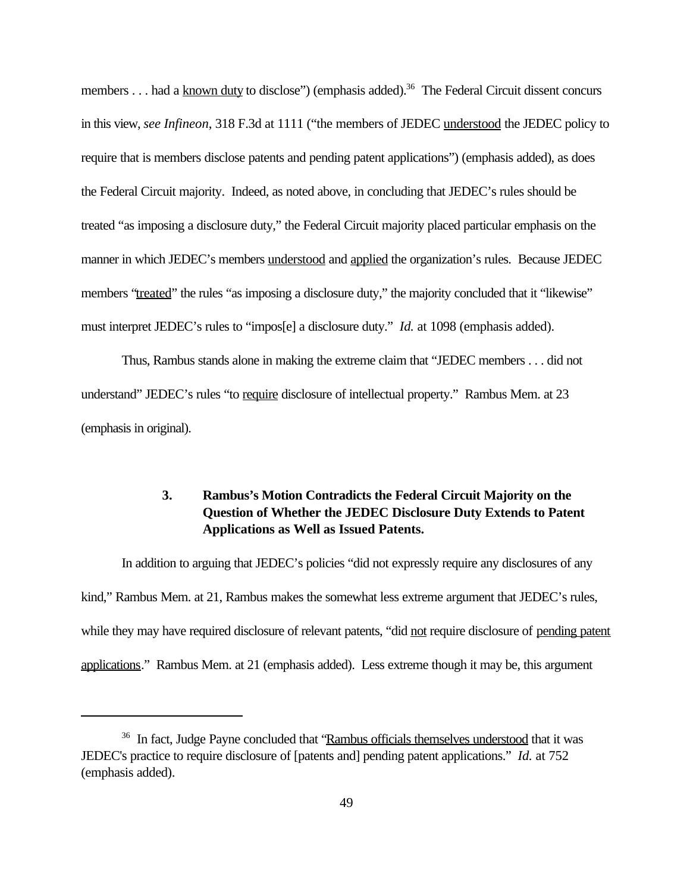members . . . had a known duty to disclose") (emphasis added).<sup>36</sup> The Federal Circuit dissent concurs in this view, *see Infineon*, 318 F.3d at 1111 ("the members of JEDEC understood the JEDEC policy to require that is members disclose patents and pending patent applications") (emphasis added), as does the Federal Circuit majority. Indeed, as noted above, in concluding that JEDEC's rules should be treated "as imposing a disclosure duty," the Federal Circuit majority placed particular emphasis on the manner in which JEDEC's members understood and applied the organization's rules. Because JEDEC members "treated" the rules "as imposing a disclosure duty," the majority concluded that it "likewise" must interpret JEDEC's rules to "impos[e] a disclosure duty." *Id.* at 1098 (emphasis added).

Thus, Rambus stands alone in making the extreme claim that "JEDEC members . . . did not understand" JEDEC's rules "to require disclosure of intellectual property." Rambus Mem. at 23 (emphasis in original).

## **3. Rambus's Motion Contradicts the Federal Circuit Majority on the Question of Whether the JEDEC Disclosure Duty Extends to Patent Applications as Well as Issued Patents.**

In addition to arguing that JEDEC's policies "did not expressly require any disclosures of any kind," Rambus Mem. at 21, Rambus makes the somewhat less extreme argument that JEDEC's rules, while they may have required disclosure of relevant patents, "did not require disclosure of pending patent applications." Rambus Mem. at 21 (emphasis added). Less extreme though it may be, this argument

<sup>36</sup> In fact, Judge Payne concluded that "Rambus officials themselves understood that it was JEDEC's practice to require disclosure of [patents and] pending patent applications." *Id.* at 752 (emphasis added).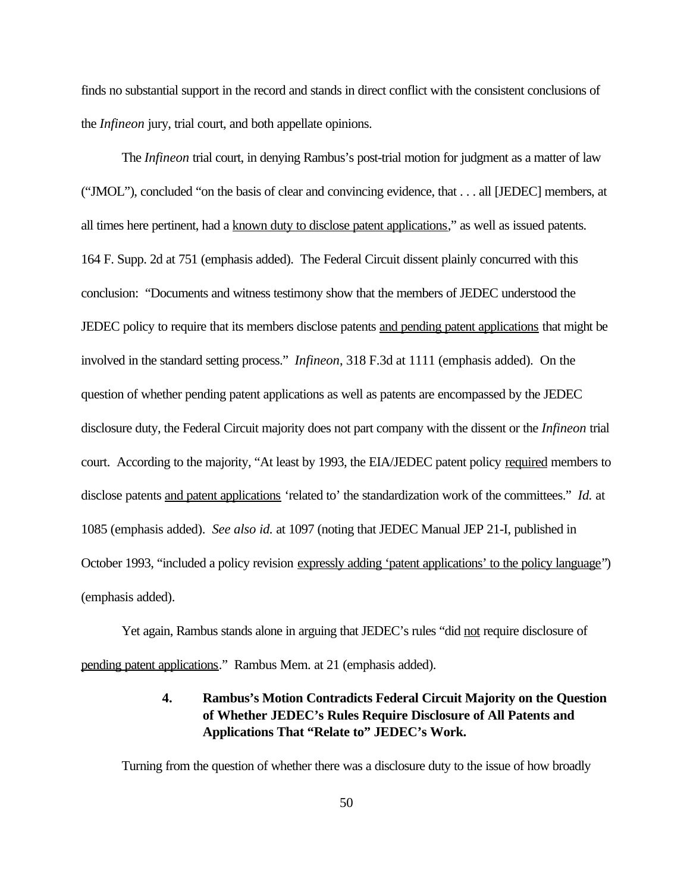finds no substantial support in the record and stands in direct conflict with the consistent conclusions of the *Infineon* jury, trial court, and both appellate opinions.

 The *Infineon* trial court, in denying Rambus's post-trial motion for judgment as a matter of law ("JMOL"), concluded "on the basis of clear and convincing evidence, that . . . all [JEDEC] members, at all times here pertinent, had a known duty to disclose patent applications," as well as issued patents. 164 F. Supp. 2d at 751 (emphasis added). The Federal Circuit dissent plainly concurred with this conclusion: "Documents and witness testimony show that the members of JEDEC understood the JEDEC policy to require that its members disclose patents and pending patent applications that might be involved in the standard setting process." *Infineon*, 318 F.3d at 1111 (emphasis added). On the question of whether pending patent applications as well as patents are encompassed by the JEDEC disclosure duty, the Federal Circuit majority does not part company with the dissent or the *Infineon* trial court. According to the majority, "At least by 1993, the EIA/JEDEC patent policy required members to disclose patents and patent applications 'related to' the standardization work of the committees." *Id.* at 1085 (emphasis added). *See also id.* at 1097 (noting that JEDEC Manual JEP 21-I, published in October 1993, "included a policy revision expressly adding 'patent applications' to the policy language") (emphasis added).

Yet again, Rambus stands alone in arguing that JEDEC's rules "did not require disclosure of pending patent applications." Rambus Mem. at 21 (emphasis added).

### **4. Rambus's Motion Contradicts Federal Circuit Majority on the Question of Whether JEDEC's Rules Require Disclosure of All Patents and Applications That "Relate to" JEDEC's Work.**

Turning from the question of whether there was a disclosure duty to the issue of how broadly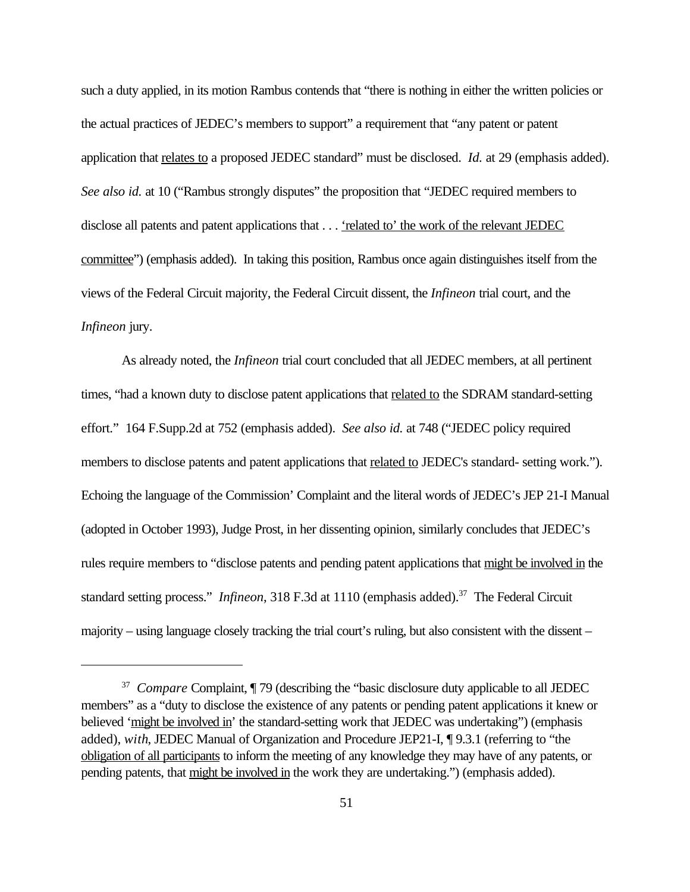such a duty applied, in its motion Rambus contends that "there is nothing in either the written policies or the actual practices of JEDEC's members to support" a requirement that "any patent or patent application that relates to a proposed JEDEC standard" must be disclosed. *Id.* at 29 (emphasis added). *See also id.* at 10 ("Rambus strongly disputes" the proposition that "JEDEC required members to disclose all patents and patent applications that . . . 'related to' the work of the relevant JEDEC committee") (emphasis added). In taking this position, Rambus once again distinguishes itself from the views of the Federal Circuit majority, the Federal Circuit dissent, the *Infineon* trial court, and the *Infineon* jury.

As already noted, the *Infineon* trial court concluded that all JEDEC members, at all pertinent times, "had a known duty to disclose patent applications that related to the SDRAM standard-setting effort." 164 F.Supp.2d at 752 (emphasis added). *See also id.* at 748 ("JEDEC policy required members to disclose patents and patent applications that related to JEDEC's standard- setting work."). Echoing the language of the Commission' Complaint and the literal words of JEDEC's JEP 21-I Manual (adopted in October 1993), Judge Prost, in her dissenting opinion, similarly concludes that JEDEC's rules require members to "disclose patents and pending patent applications that might be involved in the standard setting process." *Infineon*, 318 F.3d at 1110 (emphasis added).<sup>37</sup> The Federal Circuit majority – using language closely tracking the trial court's ruling, but also consistent with the dissent –

<sup>&</sup>lt;sup>37</sup> *Compare* Complaint, ¶ 79 (describing the "basic disclosure duty applicable to all JEDEC members" as a "duty to disclose the existence of any patents or pending patent applications it knew or believed 'might be involved in' the standard-setting work that JEDEC was undertaking") (emphasis added), *with*, JEDEC Manual of Organization and Procedure JEP21-I, ¶ 9.3.1 (referring to "the obligation of all participants to inform the meeting of any knowledge they may have of any patents, or pending patents, that might be involved in the work they are undertaking.") (emphasis added).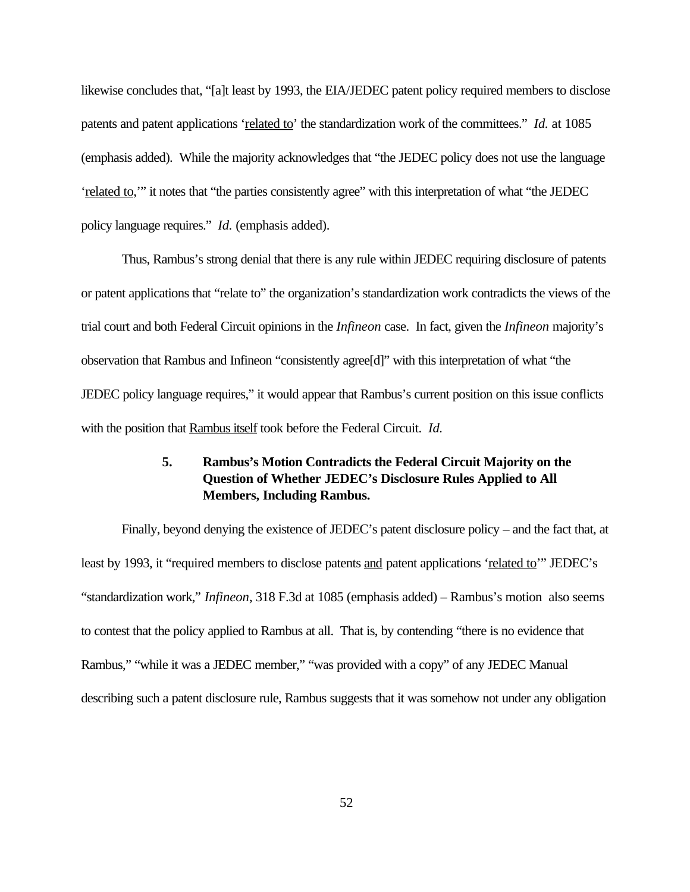likewise concludes that, "[a]t least by 1993, the EIA/JEDEC patent policy required members to disclose patents and patent applications 'related to' the standardization work of the committees." *Id.* at 1085 (emphasis added). While the majority acknowledges that "the JEDEC policy does not use the language 'related to,'" it notes that "the parties consistently agree" with this interpretation of what "the JEDEC policy language requires." *Id.* (emphasis added).

Thus, Rambus's strong denial that there is any rule within JEDEC requiring disclosure of patents or patent applications that "relate to" the organization's standardization work contradicts the views of the trial court and both Federal Circuit opinions in the *Infineon* case. In fact, given the *Infineon* majority's observation that Rambus and Infineon "consistently agree[d]" with this interpretation of what "the JEDEC policy language requires," it would appear that Rambus's current position on this issue conflicts with the position that Rambus itself took before the Federal Circuit. *Id.*

## **5. Rambus's Motion Contradicts the Federal Circuit Majority on the Question of Whether JEDEC's Disclosure Rules Applied to All Members, Including Rambus.**

Finally, beyond denying the existence of JEDEC's patent disclosure policy – and the fact that, at least by 1993, it "required members to disclose patents and patent applications 'related to'" JEDEC's "standardization work," *Infineon*, 318 F.3d at 1085 (emphasis added) – Rambus's motion also seems to contest that the policy applied to Rambus at all. That is, by contending "there is no evidence that Rambus," "while it was a JEDEC member," "was provided with a copy" of any JEDEC Manual describing such a patent disclosure rule, Rambus suggests that it was somehow not under any obligation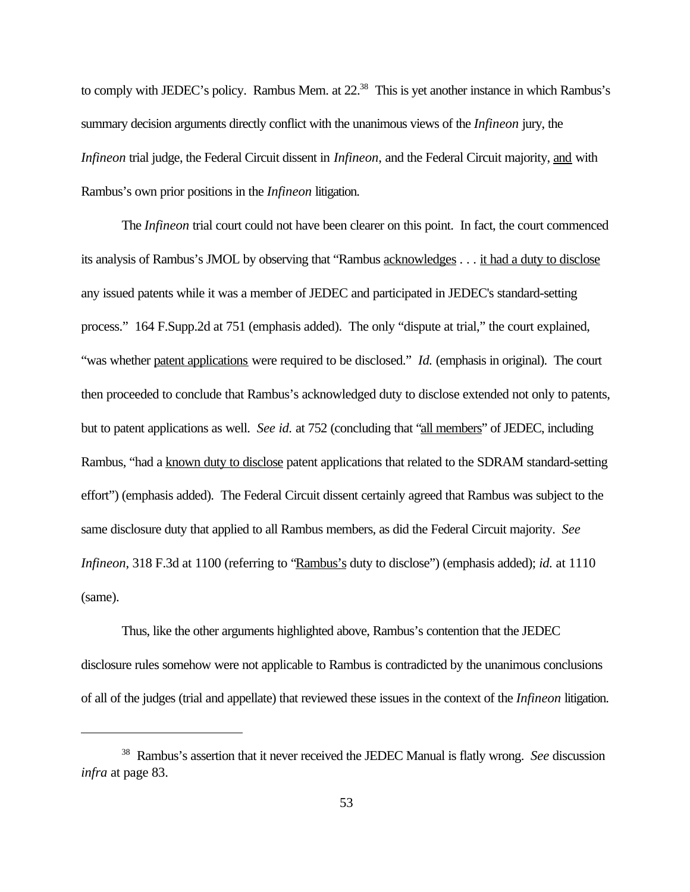to comply with JEDEC's policy. Rambus Mem. at 22.<sup>38</sup> This is yet another instance in which Rambus's summary decision arguments directly conflict with the unanimous views of the *Infineon* jury, the *Infineon* trial judge, the Federal Circuit dissent in *Infineon*, and the Federal Circuit majority, and with Rambus's own prior positions in the *Infineon* litigation.

The *Infineon* trial court could not have been clearer on this point. In fact, the court commenced its analysis of Rambus's JMOL by observing that "Rambus acknowledges . . . it had a duty to disclose any issued patents while it was a member of JEDEC and participated in JEDEC's standard-setting process." 164 F.Supp.2d at 751 (emphasis added). The only "dispute at trial," the court explained, "was whether patent applications were required to be disclosed." *Id.* (emphasis in original). The court then proceeded to conclude that Rambus's acknowledged duty to disclose extended not only to patents, but to patent applications as well. *See id.* at 752 (concluding that "all members" of JEDEC, including Rambus, "had a known duty to disclose patent applications that related to the SDRAM standard-setting effort") (emphasis added). The Federal Circuit dissent certainly agreed that Rambus was subject to the same disclosure duty that applied to all Rambus members, as did the Federal Circuit majority. *See Infineon*, 318 F.3d at 1100 (referring to "Rambus's duty to disclose") (emphasis added); *id.* at 1110 (same).

Thus, like the other arguments highlighted above, Rambus's contention that the JEDEC disclosure rules somehow were not applicable to Rambus is contradicted by the unanimous conclusions of all of the judges (trial and appellate) that reviewed these issues in the context of the *Infineon* litigation.

<sup>38</sup> Rambus's assertion that it never received the JEDEC Manual is flatly wrong. *See* discussion *infra* at page 83.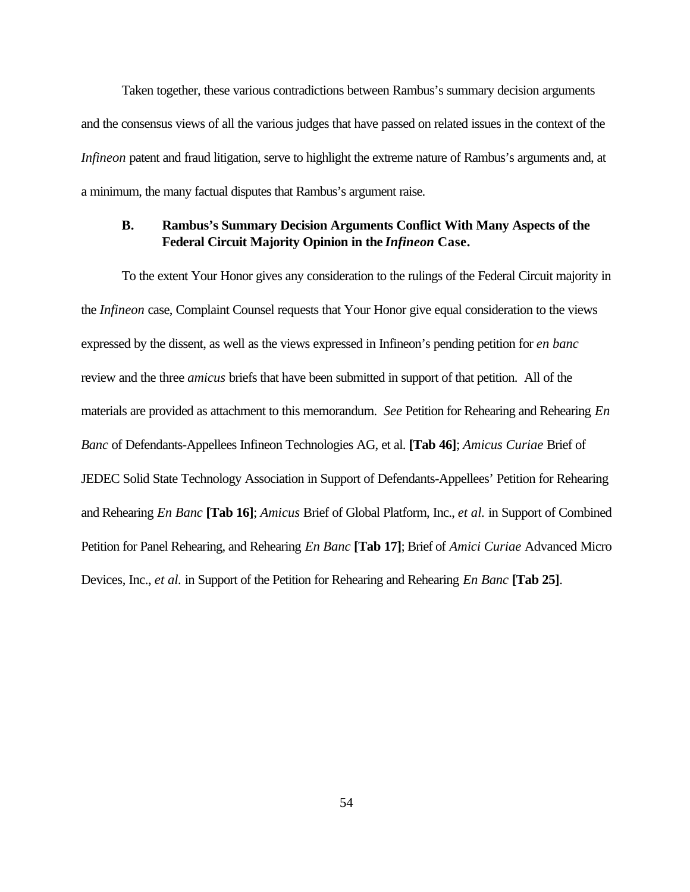Taken together, these various contradictions between Rambus's summary decision arguments and the consensus views of all the various judges that have passed on related issues in the context of the *Infineon* patent and fraud litigation, serve to highlight the extreme nature of Rambus's arguments and, at a minimum, the many factual disputes that Rambus's argument raise.

#### **B. Rambus's Summary Decision Arguments Conflict With Many Aspects of the Federal Circuit Majority Opinion in the** *Infineon* **Case.**

To the extent Your Honor gives any consideration to the rulings of the Federal Circuit majority in the *Infineon* case, Complaint Counsel requests that Your Honor give equal consideration to the views expressed by the dissent, as well as the views expressed in Infineon's pending petition for *en banc* review and the three *amicus* briefs that have been submitted in support of that petition. All of the materials are provided as attachment to this memorandum. *See* Petition for Rehearing and Rehearing *En Banc* of Defendants-Appellees Infineon Technologies AG, et al. **[Tab 46]**; *Amicus Curiae* Brief of JEDEC Solid State Technology Association in Support of Defendants-Appellees' Petition for Rehearing and Rehearing *En Banc* **[Tab 16]**; *Amicus* Brief of Global Platform, Inc., *et al.* in Support of Combined Petition for Panel Rehearing, and Rehearing *En Banc* **[Tab 17]**; Brief of *Amici Curiae* Advanced Micro Devices, Inc., *et al.* in Support of the Petition for Rehearing and Rehearing *En Banc* **[Tab 25]**.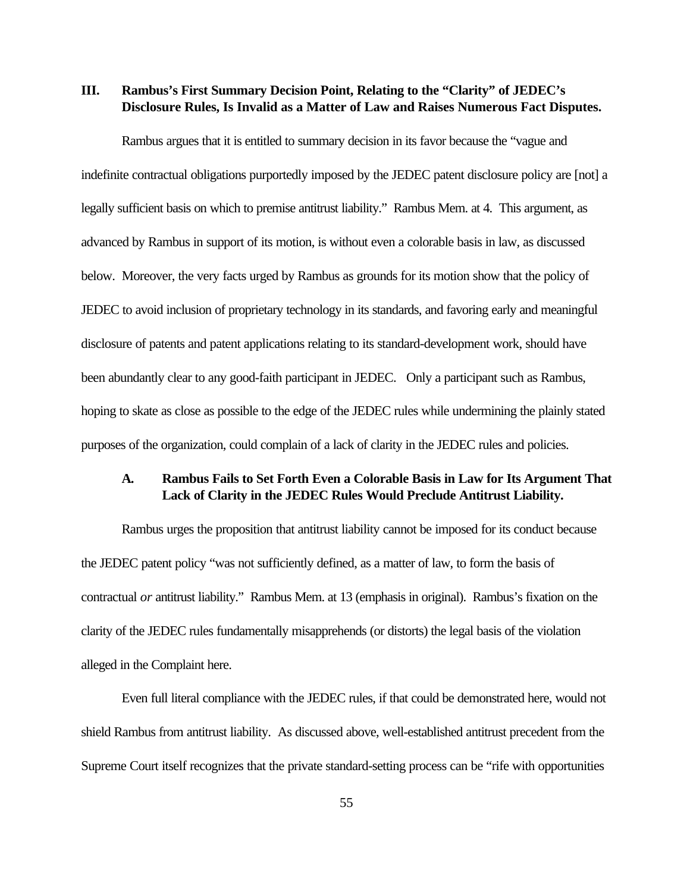**III. Rambus's First Summary Decision Point, Relating to the "Clarity" of JEDEC's Disclosure Rules, Is Invalid as a Matter of Law and Raises Numerous Fact Disputes.** 

Rambus argues that it is entitled to summary decision in its favor because the "vague and indefinite contractual obligations purportedly imposed by the JEDEC patent disclosure policy are [not] a legally sufficient basis on which to premise antitrust liability." Rambus Mem. at 4. This argument, as advanced by Rambus in support of its motion, is without even a colorable basis in law, as discussed below. Moreover, the very facts urged by Rambus as grounds for its motion show that the policy of JEDEC to avoid inclusion of proprietary technology in its standards, and favoring early and meaningful disclosure of patents and patent applications relating to its standard-development work, should have been abundantly clear to any good-faith participant in JEDEC. Only a participant such as Rambus, hoping to skate as close as possible to the edge of the JEDEC rules while undermining the plainly stated purposes of the organization, could complain of a lack of clarity in the JEDEC rules and policies.

#### **A. Rambus Fails to Set Forth Even a Colorable Basis in Law for Its Argument That Lack of Clarity in the JEDEC Rules Would Preclude Antitrust Liability.**

Rambus urges the proposition that antitrust liability cannot be imposed for its conduct because the JEDEC patent policy "was not sufficiently defined, as a matter of law, to form the basis of contractual *or* antitrust liability." Rambus Mem. at 13 (emphasis in original). Rambus's fixation on the clarity of the JEDEC rules fundamentally misapprehends (or distorts) the legal basis of the violation alleged in the Complaint here.

Even full literal compliance with the JEDEC rules, if that could be demonstrated here, would not shield Rambus from antitrust liability. As discussed above, well-established antitrust precedent from the Supreme Court itself recognizes that the private standard-setting process can be "rife with opportunities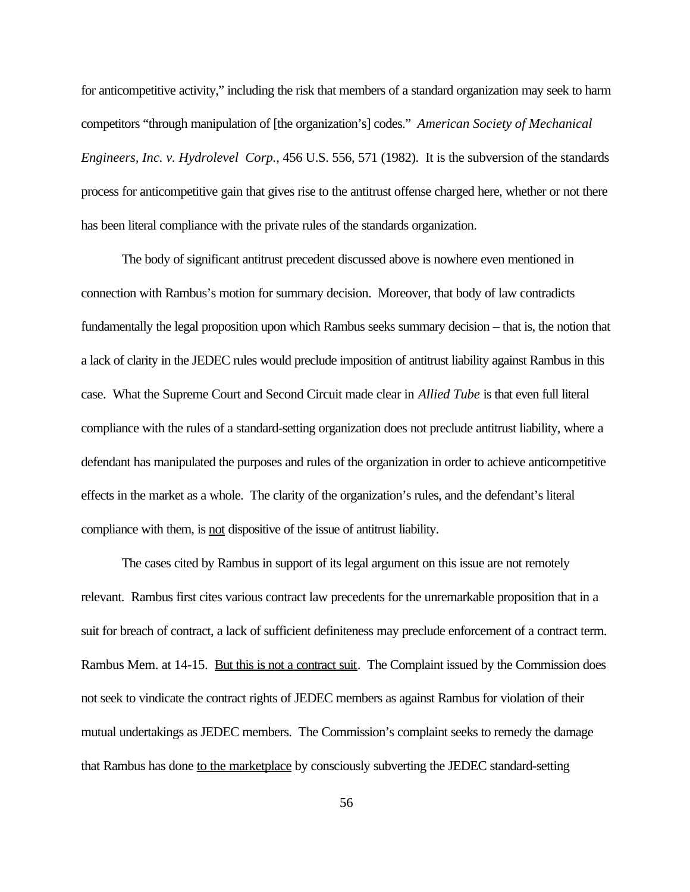for anticompetitive activity," including the risk that members of a standard organization may seek to harm competitors "through manipulation of [the organization's] codes." *American Society of Mechanical Engineers, Inc. v. Hydrolevel Corp.*, 456 U.S. 556, 571 (1982). It is the subversion of the standards process for anticompetitive gain that gives rise to the antitrust offense charged here, whether or not there has been literal compliance with the private rules of the standards organization.

The body of significant antitrust precedent discussed above is nowhere even mentioned in connection with Rambus's motion for summary decision. Moreover, that body of law contradicts fundamentally the legal proposition upon which Rambus seeks summary decision – that is, the notion that a lack of clarity in the JEDEC rules would preclude imposition of antitrust liability against Rambus in this case. What the Supreme Court and Second Circuit made clear in *Allied Tube* is that even full literal compliance with the rules of a standard-setting organization does not preclude antitrust liability, where a defendant has manipulated the purposes and rules of the organization in order to achieve anticompetitive effects in the market as a whole. The clarity of the organization's rules, and the defendant's literal compliance with them, is not dispositive of the issue of antitrust liability.

The cases cited by Rambus in support of its legal argument on this issue are not remotely relevant. Rambus first cites various contract law precedents for the unremarkable proposition that in a suit for breach of contract, a lack of sufficient definiteness may preclude enforcement of a contract term. Rambus Mem. at 14-15. But this is not a contract suit. The Complaint issued by the Commission does not seek to vindicate the contract rights of JEDEC members as against Rambus for violation of their mutual undertakings as JEDEC members. The Commission's complaint seeks to remedy the damage that Rambus has done to the marketplace by consciously subverting the JEDEC standard-setting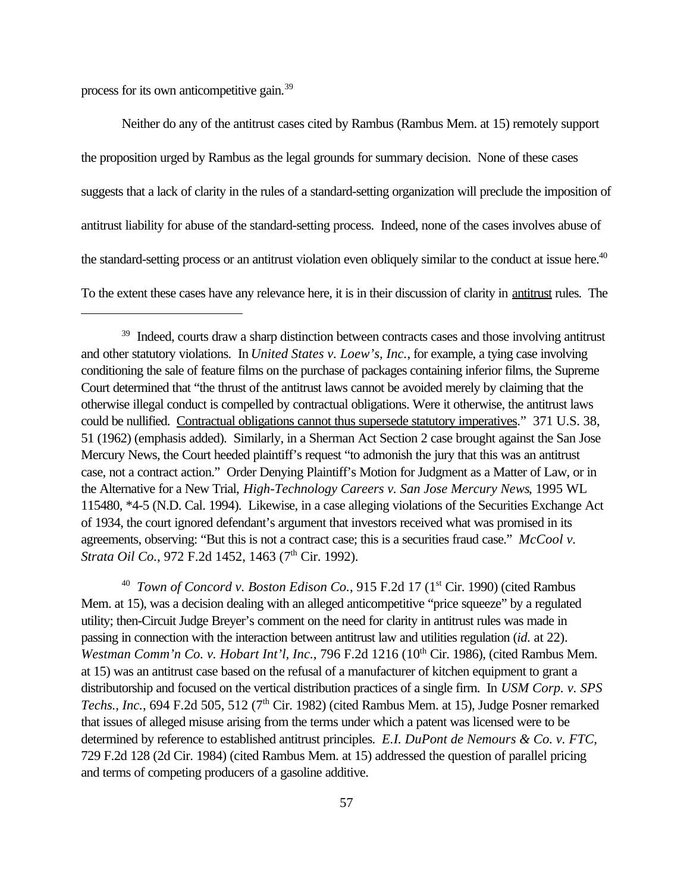process for its own anticompetitive gain.<sup>39</sup>

Neither do any of the antitrust cases cited by Rambus (Rambus Mem. at 15) remotely support the proposition urged by Rambus as the legal grounds for summary decision. None of these cases suggests that a lack of clarity in the rules of a standard-setting organization will preclude the imposition of antitrust liability for abuse of the standard-setting process. Indeed, none of the cases involves abuse of the standard-setting process or an antitrust violation even obliquely similar to the conduct at issue here.<sup>40</sup> To the extent these cases have any relevance here, it is in their discussion of clarity in antitrust rules. The

<sup>40</sup> *Town of Concord v. Boston Edison Co.*, 915 F.2d 17 (1<sup>st</sup> Cir. 1990) (cited Rambus Mem. at 15), was a decision dealing with an alleged anticompetitive "price squeeze" by a regulated utility; then-Circuit Judge Breyer's comment on the need for clarity in antitrust rules was made in passing in connection with the interaction between antitrust law and utilities regulation (*id.* at 22). *Westman Comm'n Co. v. Hobart Int'l, Inc., 796 F.2d 1216 (10<sup>th</sup> Cir. 1986), (cited Rambus Mem.* at 15) was an antitrust case based on the refusal of a manufacturer of kitchen equipment to grant a distributorship and focused on the vertical distribution practices of a single firm. In *USM Corp. v. SPS* Techs., Inc., 694 F.2d 505, 512 (7<sup>th</sup> Cir. 1982) (cited Rambus Mem. at 15), Judge Posner remarked that issues of alleged misuse arising from the terms under which a patent was licensed were to be determined by reference to established antitrust principles. *E.I. DuPont de Nemours & Co. v. FTC,* 729 F.2d 128 (2d Cir. 1984) (cited Rambus Mem. at 15) addressed the question of parallel pricing and terms of competing producers of a gasoline additive.

<sup>&</sup>lt;sup>39</sup> Indeed, courts draw a sharp distinction between contracts cases and those involving antitrust and other statutory violations. In *United States v. Loew's, Inc.*, for example, a tying case involving conditioning the sale of feature films on the purchase of packages containing inferior films, the Supreme Court determined that "the thrust of the antitrust laws cannot be avoided merely by claiming that the otherwise illegal conduct is compelled by contractual obligations. Were it otherwise, the antitrust laws could be nullified. Contractual obligations cannot thus supersede statutory imperatives." 371 U.S. 38, 51 (1962) (emphasis added). Similarly, in a Sherman Act Section 2 case brought against the San Jose Mercury News, the Court heeded plaintiff's request "to admonish the jury that this was an antitrust case, not a contract action." Order Denying Plaintiff's Motion for Judgment as a Matter of Law, or in the Alternative for a New Trial, *High-Technology Careers v. San Jose Mercury News*, 1995 WL 115480, \*4-5 (N.D. Cal. 1994). Likewise, in a case alleging violations of the Securities Exchange Act of 1934, the court ignored defendant's argument that investors received what was promised in its agreements, observing: "But this is not a contract case; this is a securities fraud case." *McCool v. Strata Oil Co.*, 972 F.2d 1452, 1463 (7<sup>th</sup> Cir. 1992).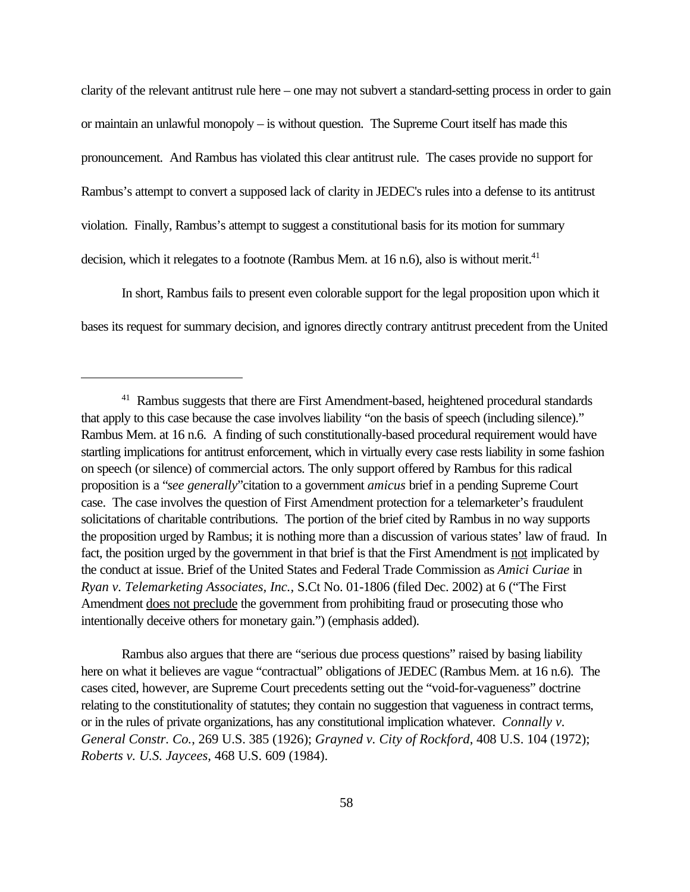clarity of the relevant antitrust rule here – one may not subvert a standard-setting process in order to gain or maintain an unlawful monopoly – is without question. The Supreme Court itself has made this pronouncement. And Rambus has violated this clear antitrust rule. The cases provide no support for Rambus's attempt to convert a supposed lack of clarity in JEDEC's rules into a defense to its antitrust violation. Finally, Rambus's attempt to suggest a constitutional basis for its motion for summary decision, which it relegates to a footnote (Rambus Mem. at  $16$  n.6), also is without merit.<sup>41</sup>

In short, Rambus fails to present even colorable support for the legal proposition upon which it bases its request for summary decision, and ignores directly contrary antitrust precedent from the United

Rambus also argues that there are "serious due process questions" raised by basing liability here on what it believes are vague "contractual" obligations of JEDEC (Rambus Mem. at 16 n.6). The cases cited, however, are Supreme Court precedents setting out the "void-for-vagueness" doctrine relating to the constitutionality of statutes; they contain no suggestion that vagueness in contract terms, or in the rules of private organizations, has any constitutional implication whatever. *Connally v. General Constr. Co.*, 269 U.S. 385 (1926); *Grayned v. City of Rockford*, 408 U.S. 104 (1972); *Roberts v. U.S. Jaycees,* 468 U.S. 609 (1984).

<sup>&</sup>lt;sup>41</sup> Rambus suggests that there are First Amendment-based, heightened procedural standards that apply to this case because the case involves liability "on the basis of speech (including silence)." Rambus Mem. at 16 n.6. A finding of such constitutionally-based procedural requirement would have startling implications for antitrust enforcement, which in virtually every case rests liability in some fashion on speech (or silence) of commercial actors. The only support offered by Rambus for this radical proposition is a "*see generally*"citation to a government *amicus* brief in a pending Supreme Court case. The case involves the question of First Amendment protection for a telemarketer's fraudulent solicitations of charitable contributions. The portion of the brief cited by Rambus in no way supports the proposition urged by Rambus; it is nothing more than a discussion of various states' law of fraud. In fact, the position urged by the government in that brief is that the First Amendment is not implicated by the conduct at issue. Brief of the United States and Federal Trade Commission as *Amici Curiae* in *Ryan v. Telemarketing Associates, Inc.,* S.Ct No. 01-1806 (filed Dec. 2002) at 6 ("The First Amendment does not preclude the government from prohibiting fraud or prosecuting those who intentionally deceive others for monetary gain.") (emphasis added).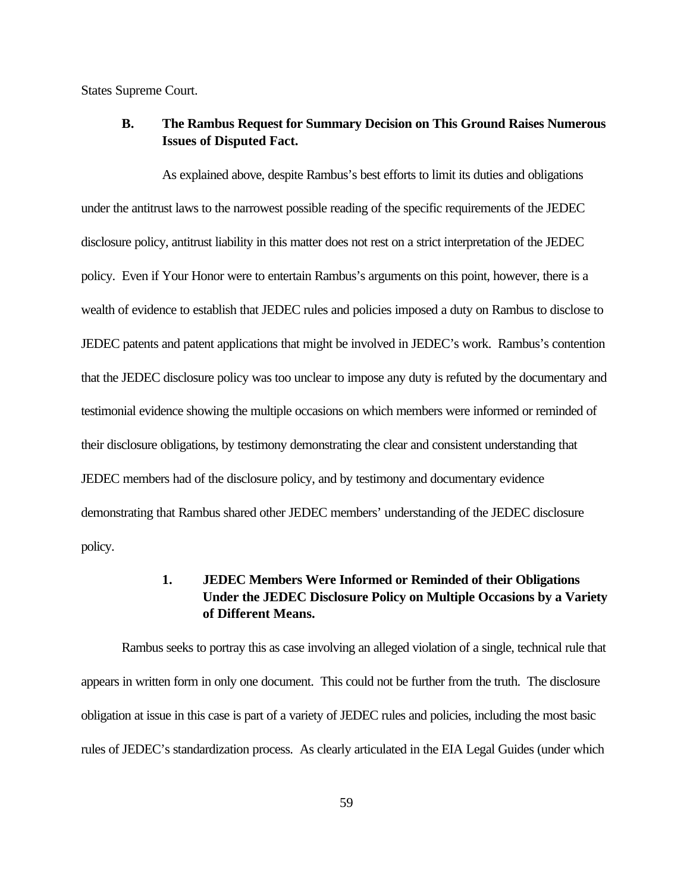States Supreme Court.

#### **B. The Rambus Request for Summary Decision on This Ground Raises Numerous Issues of Disputed Fact.**

As explained above, despite Rambus's best efforts to limit its duties and obligations under the antitrust laws to the narrowest possible reading of the specific requirements of the JEDEC disclosure policy, antitrust liability in this matter does not rest on a strict interpretation of the JEDEC policy. Even if Your Honor were to entertain Rambus's arguments on this point, however, there is a wealth of evidence to establish that JEDEC rules and policies imposed a duty on Rambus to disclose to JEDEC patents and patent applications that might be involved in JEDEC's work. Rambus's contention that the JEDEC disclosure policy was too unclear to impose any duty is refuted by the documentary and testimonial evidence showing the multiple occasions on which members were informed or reminded of their disclosure obligations, by testimony demonstrating the clear and consistent understanding that JEDEC members had of the disclosure policy, and by testimony and documentary evidence demonstrating that Rambus shared other JEDEC members' understanding of the JEDEC disclosure policy.

#### **1. JEDEC Members Were Informed or Reminded of their Obligations Under the JEDEC Disclosure Policy on Multiple Occasions by a Variety of Different Means.**

Rambus seeks to portray this as case involving an alleged violation of a single, technical rule that appears in written form in only one document. This could not be further from the truth. The disclosure obligation at issue in this case is part of a variety of JEDEC rules and policies, including the most basic rules of JEDEC's standardization process. As clearly articulated in the EIA Legal Guides (under which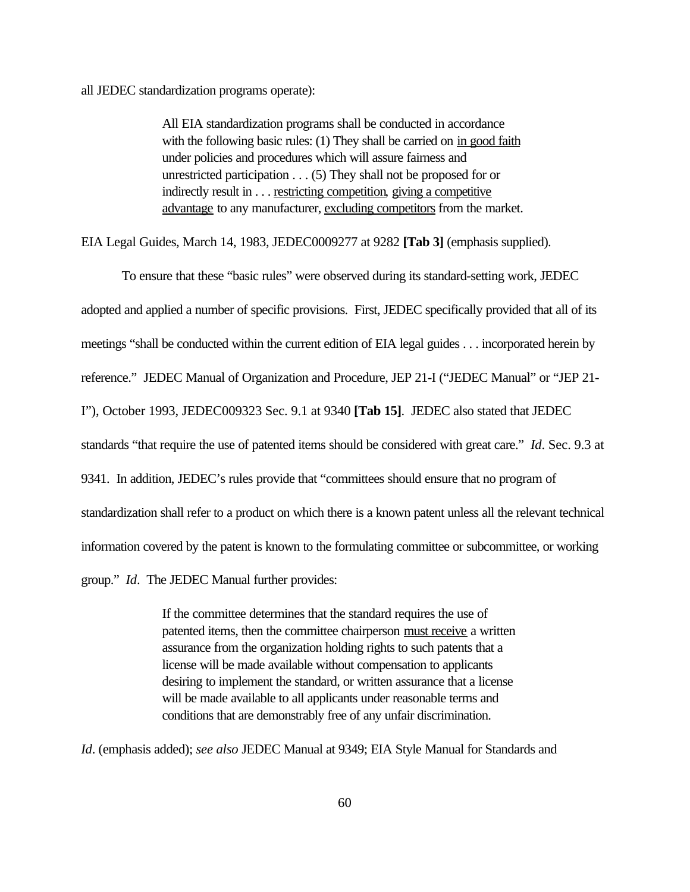all JEDEC standardization programs operate):

All EIA standardization programs shall be conducted in accordance with the following basic rules: (1) They shall be carried on in good faith under policies and procedures which will assure fairness and unrestricted participation . . . (5) They shall not be proposed for or indirectly result in . . . <u>restricting competition</u>, giving a competitive advantage to any manufacturer, excluding competitors from the market.

EIA Legal Guides, March 14, 1983, JEDEC0009277 at 9282 **[Tab 3]** (emphasis supplied).

To ensure that these "basic rules" were observed during its standard-setting work, JEDEC adopted and applied a number of specific provisions. First, JEDEC specifically provided that all of its meetings "shall be conducted within the current edition of EIA legal guides . . . incorporated herein by reference." JEDEC Manual of Organization and Procedure, JEP 21-I ("JEDEC Manual" or "JEP 21- I"), October 1993, JEDEC009323 Sec. 9.1 at 9340 **[Tab 15]**. JEDEC also stated that JEDEC standards "that require the use of patented items should be considered with great care." *Id*. Sec. 9.3 at 9341. In addition, JEDEC's rules provide that "committees should ensure that no program of standardization shall refer to a product on which there is a known patent unless all the relevant technical information covered by the patent is known to the formulating committee or subcommittee, or working group." *Id*. The JEDEC Manual further provides:

> If the committee determines that the standard requires the use of patented items, then the committee chairperson must receive a written assurance from the organization holding rights to such patents that a license will be made available without compensation to applicants desiring to implement the standard, or written assurance that a license will be made available to all applicants under reasonable terms and conditions that are demonstrably free of any unfair discrimination.

*Id*. (emphasis added); *see also* JEDEC Manual at 9349; EIA Style Manual for Standards and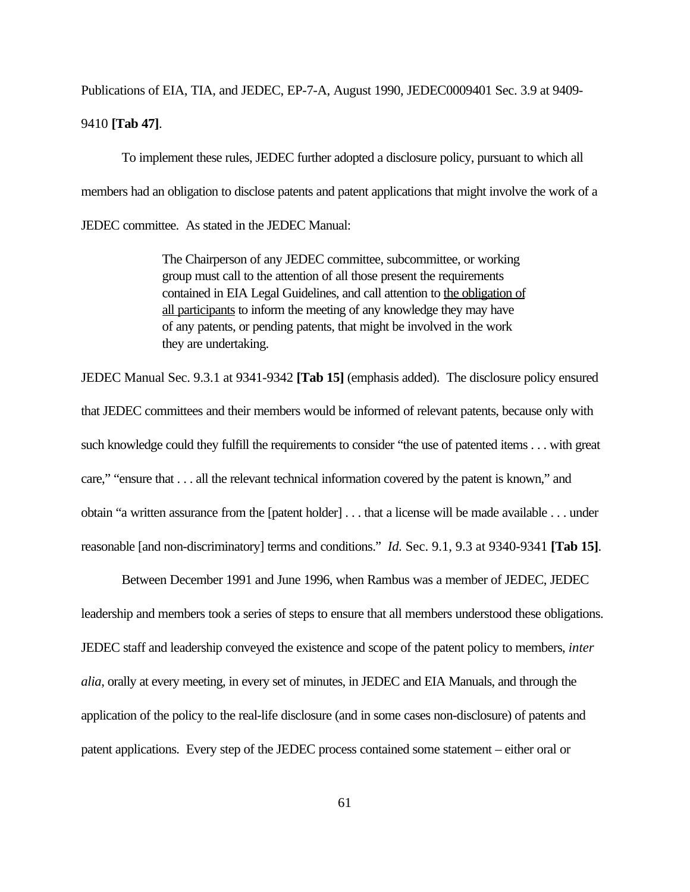Publications of EIA, TIA, and JEDEC, EP-7-A, August 1990, JEDEC0009401 Sec. 3.9 at 9409- 9410 **[Tab 47]**.

To implement these rules, JEDEC further adopted a disclosure policy, pursuant to which all members had an obligation to disclose patents and patent applications that might involve the work of a JEDEC committee. As stated in the JEDEC Manual:

> The Chairperson of any JEDEC committee, subcommittee, or working group must call to the attention of all those present the requirements contained in EIA Legal Guidelines, and call attention to the obligation of all participants to inform the meeting of any knowledge they may have of any patents, or pending patents, that might be involved in the work they are undertaking.

JEDEC Manual Sec. 9.3.1 at 9341-9342 **[Tab 15]** (emphasis added). The disclosure policy ensured that JEDEC committees and their members would be informed of relevant patents, because only with such knowledge could they fulfill the requirements to consider "the use of patented items . . . with great care," "ensure that . . . all the relevant technical information covered by the patent is known," and obtain "a written assurance from the [patent holder] . . . that a license will be made available . . . under reasonable [and non-discriminatory] terms and conditions." *Id.* Sec. 9.1, 9.3 at 9340-9341 **[Tab 15]**.

Between December 1991 and June 1996, when Rambus was a member of JEDEC, JEDEC leadership and members took a series of steps to ensure that all members understood these obligations. JEDEC staff and leadership conveyed the existence and scope of the patent policy to members, *inter alia*, orally at every meeting, in every set of minutes, in JEDEC and EIA Manuals, and through the application of the policy to the real-life disclosure (and in some cases non-disclosure) of patents and patent applications. Every step of the JEDEC process contained some statement – either oral or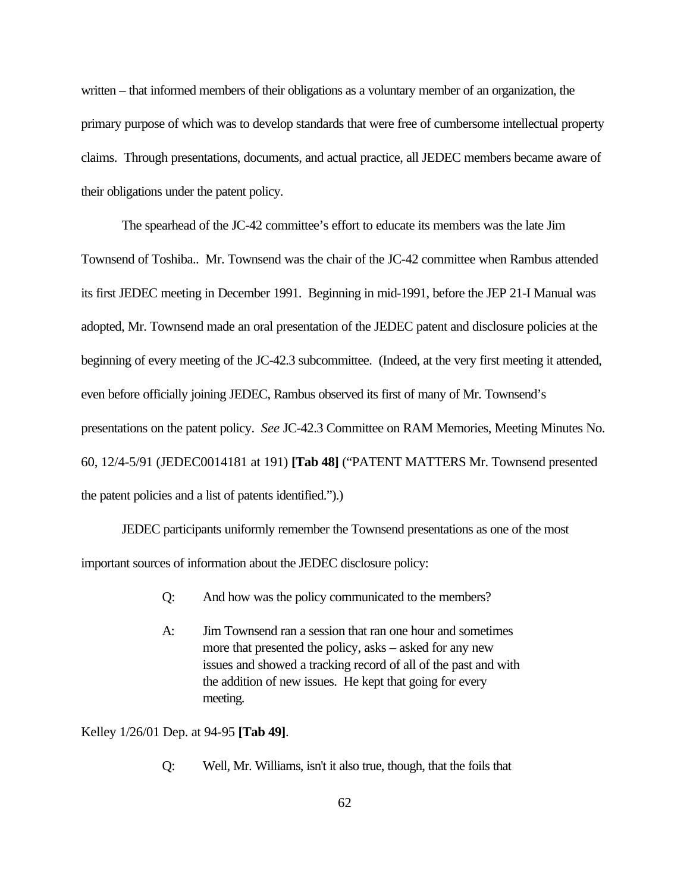written – that informed members of their obligations as a voluntary member of an organization, the primary purpose of which was to develop standards that were free of cumbersome intellectual property claims. Through presentations, documents, and actual practice, all JEDEC members became aware of their obligations under the patent policy.

The spearhead of the JC-42 committee's effort to educate its members was the late Jim Townsend of Toshiba.. Mr. Townsend was the chair of the JC-42 committee when Rambus attended its first JEDEC meeting in December 1991. Beginning in mid-1991, before the JEP 21-I Manual was adopted, Mr. Townsend made an oral presentation of the JEDEC patent and disclosure policies at the beginning of every meeting of the JC-42.3 subcommittee. (Indeed, at the very first meeting it attended, even before officially joining JEDEC, Rambus observed its first of many of Mr. Townsend's presentations on the patent policy. *See* JC-42.3 Committee on RAM Memories, Meeting Minutes No. 60, 12/4-5/91 (JEDEC0014181 at 191) **[Tab 48]** ("PATENT MATTERS Mr. Townsend presented the patent policies and a list of patents identified.").)

JEDEC participants uniformly remember the Townsend presentations as one of the most important sources of information about the JEDEC disclosure policy:

- Q: And how was the policy communicated to the members?
- A: Jim Townsend ran a session that ran one hour and sometimes more that presented the policy, asks – asked for any new issues and showed a tracking record of all of the past and with the addition of new issues. He kept that going for every meeting.

Kelley 1/26/01 Dep. at 94-95 **[Tab 49]**.

Q: Well, Mr. Williams, isn't it also true, though, that the foils that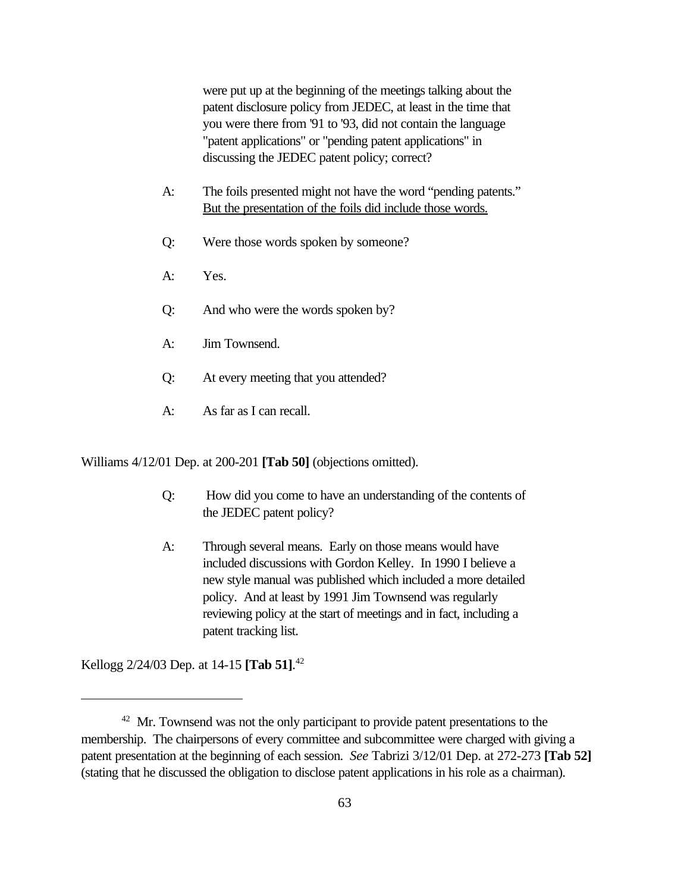were put up at the beginning of the meetings talking about the patent disclosure policy from JEDEC, at least in the time that you were there from '91 to '93, did not contain the language "patent applications" or "pending patent applications" in discussing the JEDEC patent policy; correct?

- A: The foils presented might not have the word "pending patents." But the presentation of the foils did include those words.
- Q: Were those words spoken by someone?
- A: Yes.
- Q: And who were the words spoken by?
- A: Jim Townsend.
- Q: At every meeting that you attended?
- A: As far as I can recall.

Williams 4/12/01 Dep. at 200-201 **[Tab 50]** (objections omitted).

- Q: How did you come to have an understanding of the contents of the JEDEC patent policy?
- A: Through several means. Early on those means would have included discussions with Gordon Kelley. In 1990 I believe a new style manual was published which included a more detailed policy. And at least by 1991 Jim Townsend was regularly reviewing policy at the start of meetings and in fact, including a patent tracking list.

Kellogg 2/24/03 Dep. at 14-15 **[Tab 51]**. 42

<sup>&</sup>lt;sup>42</sup> Mr. Townsend was not the only participant to provide patent presentations to the membership. The chairpersons of every committee and subcommittee were charged with giving a patent presentation at the beginning of each session. *See* Tabrizi 3/12/01 Dep. at 272-273 **[Tab 52]** (stating that he discussed the obligation to disclose patent applications in his role as a chairman).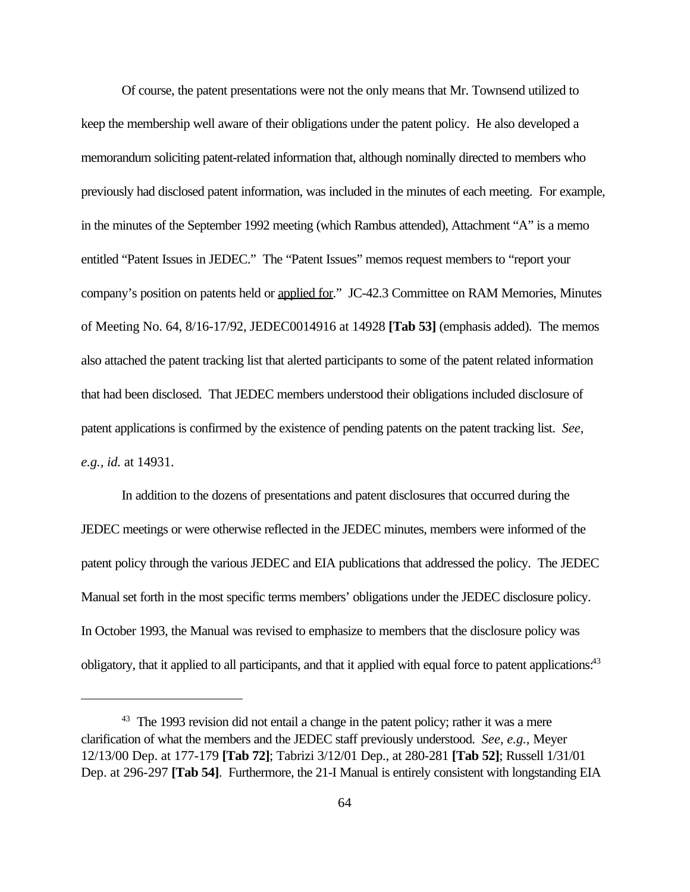Of course, the patent presentations were not the only means that Mr. Townsend utilized to keep the membership well aware of their obligations under the patent policy. He also developed a memorandum soliciting patent-related information that, although nominally directed to members who previously had disclosed patent information, was included in the minutes of each meeting. For example, in the minutes of the September 1992 meeting (which Rambus attended), Attachment "A" is a memo entitled "Patent Issues in JEDEC." The "Patent Issues" memos request members to "report your company's position on patents held or applied for." JC-42.3 Committee on RAM Memories, Minutes of Meeting No. 64, 8/16-17/92, JEDEC0014916 at 14928 **[Tab 53]** (emphasis added). The memos also attached the patent tracking list that alerted participants to some of the patent related information that had been disclosed. That JEDEC members understood their obligations included disclosure of patent applications is confirmed by the existence of pending patents on the patent tracking list. *See, e.g., id.* at 14931.

In addition to the dozens of presentations and patent disclosures that occurred during the JEDEC meetings or were otherwise reflected in the JEDEC minutes, members were informed of the patent policy through the various JEDEC and EIA publications that addressed the policy. The JEDEC Manual set forth in the most specific terms members' obligations under the JEDEC disclosure policy. In October 1993, the Manual was revised to emphasize to members that the disclosure policy was obligatory, that it applied to all participants, and that it applied with equal force to patent applications.<sup>43</sup>

<sup>&</sup>lt;sup>43</sup> The 1993 revision did not entail a change in the patent policy; rather it was a mere clarification of what the members and the JEDEC staff previously understood. *See, e.g.,* Meyer 12/13/00 Dep. at 177-179 **[Tab 72]**; Tabrizi 3/12/01 Dep., at 280-281 **[Tab 52]**; Russell 1/31/01 Dep. at 296-297 **[Tab 54]**. Furthermore, the 21-I Manual is entirely consistent with longstanding EIA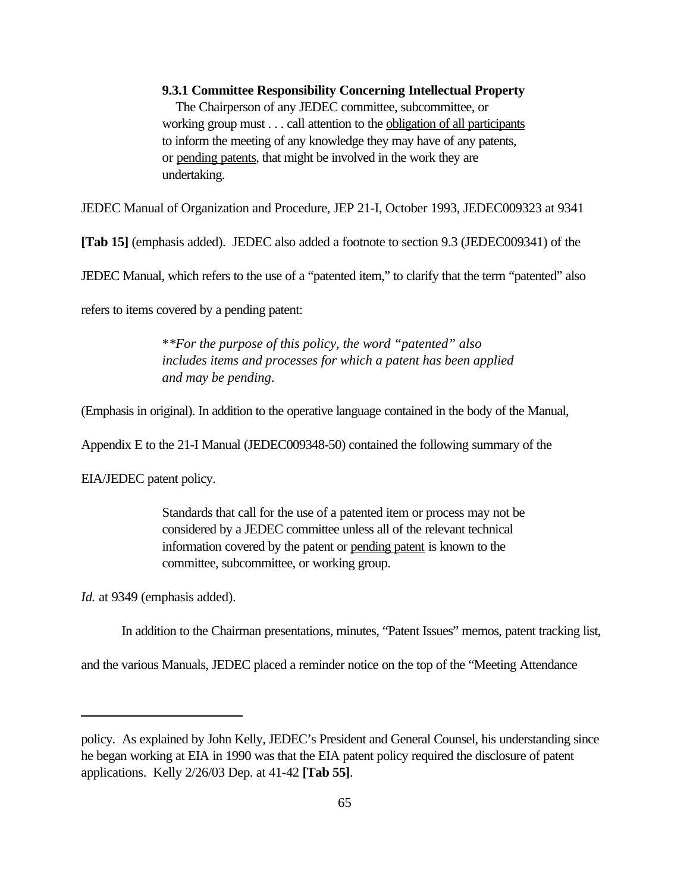## **9.3.1 Committee Responsibility Concerning Intellectual Property**

 The Chairperson of any JEDEC committee, subcommittee, or working group must . . . call attention to the obligation of all participants to inform the meeting of any knowledge they may have of any patents, or pending patents, that might be involved in the work they are undertaking.

JEDEC Manual of Organization and Procedure, JEP 21-I, October 1993, JEDEC009323 at 9341

**[Tab 15]** (emphasis added). JEDEC also added a footnote to section 9.3 (JEDEC009341) of the

JEDEC Manual, which refers to the use of a "patented item," to clarify that the term "patented" also

refers to items covered by a pending patent:

\**\*For the purpose of this policy, the word "patented" also includes items and processes for which a patent has been applied and may be pending*.

(Emphasis in original). In addition to the operative language contained in the body of the Manual,

Appendix E to the 21-I Manual (JEDEC009348-50) contained the following summary of the

EIA/JEDEC patent policy.

Standards that call for the use of a patented item or process may not be considered by a JEDEC committee unless all of the relevant technical information covered by the patent or pending patent is known to the committee, subcommittee, or working group.

*Id.* at 9349 (emphasis added).

In addition to the Chairman presentations, minutes, "Patent Issues" memos, patent tracking list,

and the various Manuals, JEDEC placed a reminder notice on the top of the "Meeting Attendance

policy. As explained by John Kelly, JEDEC's President and General Counsel, his understanding since he began working at EIA in 1990 was that the EIA patent policy required the disclosure of patent applications. Kelly 2/26/03 Dep. at 41-42 **[Tab 55]**.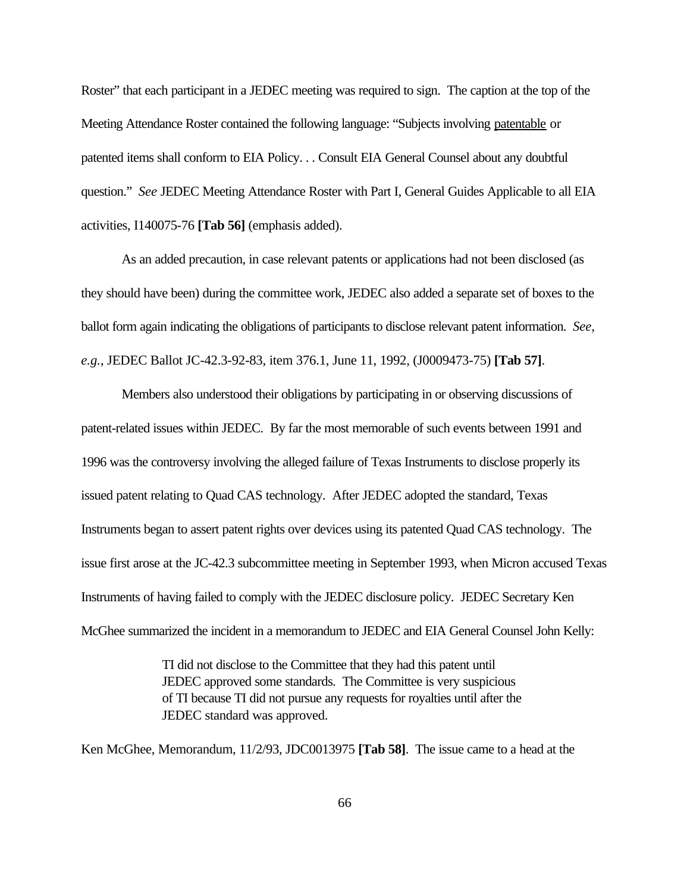Roster" that each participant in a JEDEC meeting was required to sign. The caption at the top of the Meeting Attendance Roster contained the following language: "Subjects involving patentable or patented items shall conform to EIA Policy. . . Consult EIA General Counsel about any doubtful question." *See* JEDEC Meeting Attendance Roster with Part I, General Guides Applicable to all EIA activities, I140075-76 **[Tab 56]** (emphasis added).

As an added precaution, in case relevant patents or applications had not been disclosed (as they should have been) during the committee work, JEDEC also added a separate set of boxes to the ballot form again indicating the obligations of participants to disclose relevant patent information. *See, e.g.*, JEDEC Ballot JC-42.3-92-83, item 376.1, June 11, 1992, (J0009473-75) **[Tab 57]**.

Members also understood their obligations by participating in or observing discussions of patent-related issues within JEDEC. By far the most memorable of such events between 1991 and 1996 was the controversy involving the alleged failure of Texas Instruments to disclose properly its issued patent relating to Quad CAS technology. After JEDEC adopted the standard, Texas Instruments began to assert patent rights over devices using its patented Quad CAS technology. The issue first arose at the JC-42.3 subcommittee meeting in September 1993, when Micron accused Texas Instruments of having failed to comply with the JEDEC disclosure policy. JEDEC Secretary Ken McGhee summarized the incident in a memorandum to JEDEC and EIA General Counsel John Kelly:

> TI did not disclose to the Committee that they had this patent until JEDEC approved some standards. The Committee is very suspicious of TI because TI did not pursue any requests for royalties until after the JEDEC standard was approved.

Ken McGhee, Memorandum, 11/2/93, JDC0013975 **[Tab 58]**. The issue came to a head at the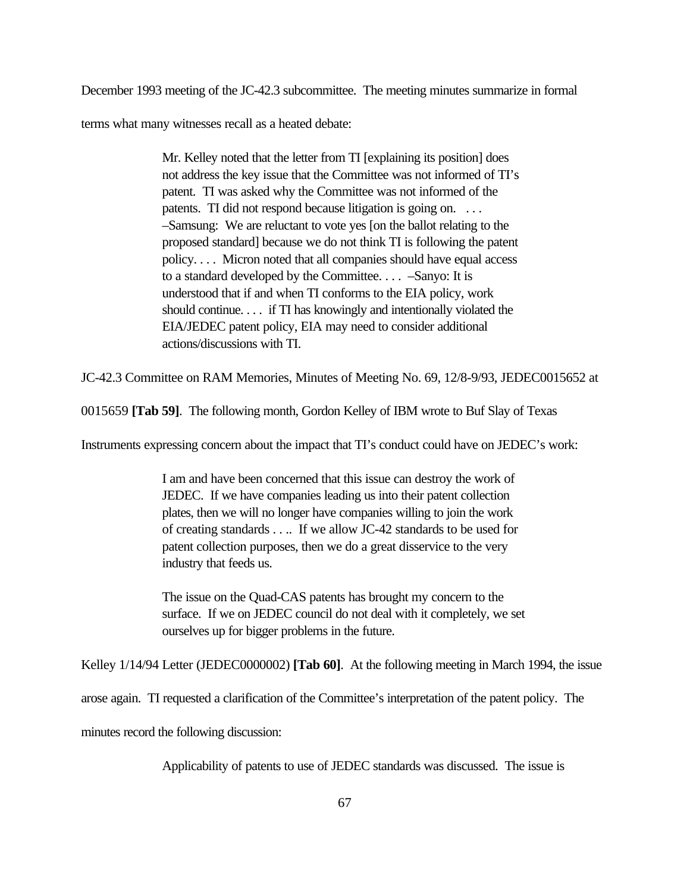December 1993 meeting of the JC-42.3 subcommittee. The meeting minutes summarize in formal

terms what many witnesses recall as a heated debate:

Mr. Kelley noted that the letter from TI [explaining its position] does not address the key issue that the Committee was not informed of TI's patent. TI was asked why the Committee was not informed of the patents. TI did not respond because litigation is going on. ... –Samsung: We are reluctant to vote yes [on the ballot relating to the proposed standard] because we do not think TI is following the patent policy. . . . Micron noted that all companies should have equal access to a standard developed by the Committee. . . . –Sanyo: It is understood that if and when TI conforms to the EIA policy, work should continue. . . . if TI has knowingly and intentionally violated the EIA/JEDEC patent policy, EIA may need to consider additional actions/discussions with TI.

JC-42.3 Committee on RAM Memories, Minutes of Meeting No. 69, 12/8-9/93, JEDEC0015652 at

0015659 **[Tab 59]**. The following month, Gordon Kelley of IBM wrote to Buf Slay of Texas

Instruments expressing concern about the impact that TI's conduct could have on JEDEC's work:

I am and have been concerned that this issue can destroy the work of JEDEC. If we have companies leading us into their patent collection plates, then we will no longer have companies willing to join the work of creating standards . . .. If we allow JC-42 standards to be used for patent collection purposes, then we do a great disservice to the very industry that feeds us.

The issue on the Quad-CAS patents has brought my concern to the surface. If we on JEDEC council do not deal with it completely, we set ourselves up for bigger problems in the future.

Kelley 1/14/94 Letter (JEDEC0000002) **[Tab 60]**. At the following meeting in March 1994, the issue

arose again. TI requested a clarification of the Committee's interpretation of the patent policy. The

minutes record the following discussion:

Applicability of patents to use of JEDEC standards was discussed. The issue is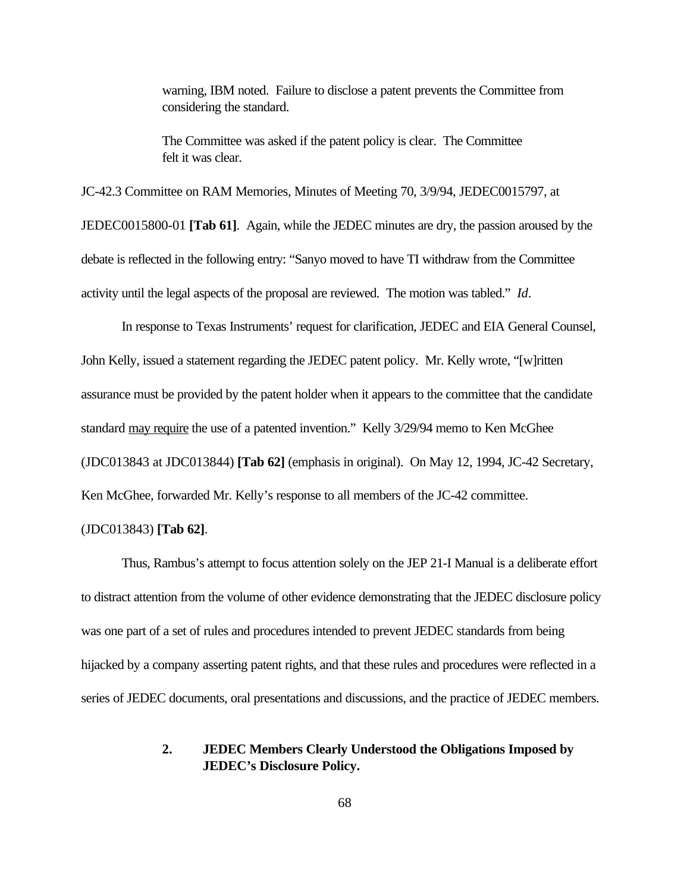warning, IBM noted. Failure to disclose a patent prevents the Committee from considering the standard.

The Committee was asked if the patent policy is clear. The Committee felt it was clear.

JC-42.3 Committee on RAM Memories, Minutes of Meeting 70, 3/9/94, JEDEC0015797, at JEDEC0015800-01 **[Tab 61]**. Again, while the JEDEC minutes are dry, the passion aroused by the debate is reflected in the following entry: "Sanyo moved to have TI withdraw from the Committee activity until the legal aspects of the proposal are reviewed. The motion was tabled." *Id*.

In response to Texas Instruments' request for clarification, JEDEC and EIA General Counsel, John Kelly, issued a statement regarding the JEDEC patent policy. Mr. Kelly wrote, "[w]ritten assurance must be provided by the patent holder when it appears to the committee that the candidate standard may require the use of a patented invention." Kelly 3/29/94 memo to Ken McGhee (JDC013843 at JDC013844) **[Tab 62]** (emphasis in original). On May 12, 1994, JC-42 Secretary, Ken McGhee, forwarded Mr. Kelly's response to all members of the JC-42 committee.

# (JDC013843) **[Tab 62]**.

Thus, Rambus's attempt to focus attention solely on the JEP 21-I Manual is a deliberate effort to distract attention from the volume of other evidence demonstrating that the JEDEC disclosure policy was one part of a set of rules and procedures intended to prevent JEDEC standards from being hijacked by a company asserting patent rights, and that these rules and procedures were reflected in a series of JEDEC documents, oral presentations and discussions, and the practice of JEDEC members.

# **2. JEDEC Members Clearly Understood the Obligations Imposed by JEDEC's Disclosure Policy.**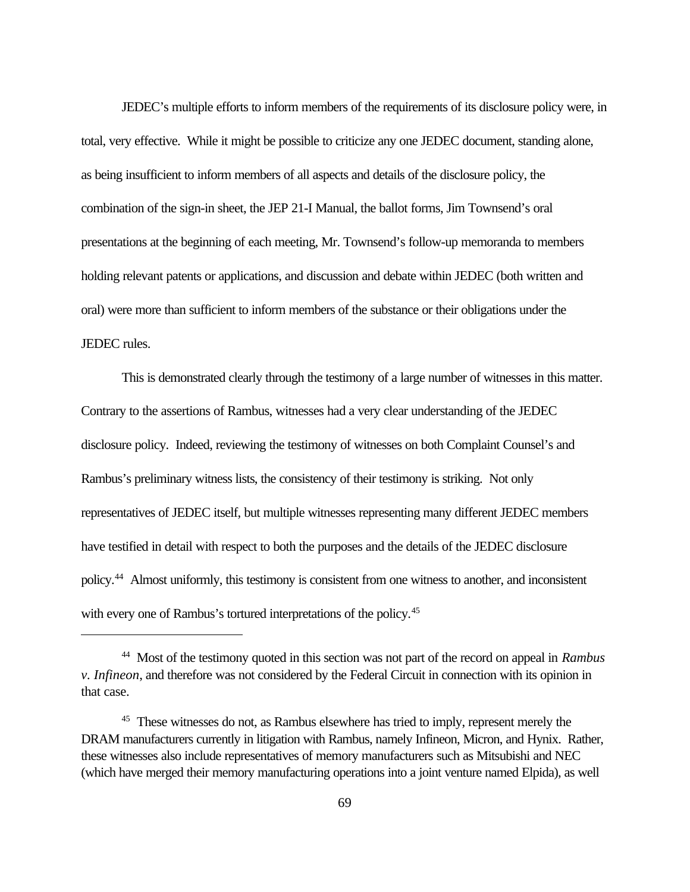JEDEC's multiple efforts to inform members of the requirements of its disclosure policy were, in total, very effective. While it might be possible to criticize any one JEDEC document, standing alone, as being insufficient to inform members of all aspects and details of the disclosure policy, the combination of the sign-in sheet, the JEP 21-I Manual, the ballot forms, Jim Townsend's oral presentations at the beginning of each meeting, Mr. Townsend's follow-up memoranda to members holding relevant patents or applications, and discussion and debate within JEDEC (both written and oral) were more than sufficient to inform members of the substance or their obligations under the JEDEC rules.

This is demonstrated clearly through the testimony of a large number of witnesses in this matter. Contrary to the assertions of Rambus, witnesses had a very clear understanding of the JEDEC disclosure policy. Indeed, reviewing the testimony of witnesses on both Complaint Counsel's and Rambus's preliminary witness lists, the consistency of their testimony is striking. Not only representatives of JEDEC itself, but multiple witnesses representing many different JEDEC members have testified in detail with respect to both the purposes and the details of the JEDEC disclosure policy.<sup>44</sup> Almost uniformly, this testimony is consistent from one witness to another, and inconsistent with every one of Rambus's tortured interpretations of the policy.<sup>45</sup>

<sup>44</sup> Most of the testimony quoted in this section was not part of the record on appeal in *Rambus v. Infineon*, and therefore was not considered by the Federal Circuit in connection with its opinion in that case.

<sup>&</sup>lt;sup>45</sup> These witnesses do not, as Rambus elsewhere has tried to imply, represent merely the DRAM manufacturers currently in litigation with Rambus, namely Infineon, Micron, and Hynix. Rather, these witnesses also include representatives of memory manufacturers such as Mitsubishi and NEC (which have merged their memory manufacturing operations into a joint venture named Elpida), as well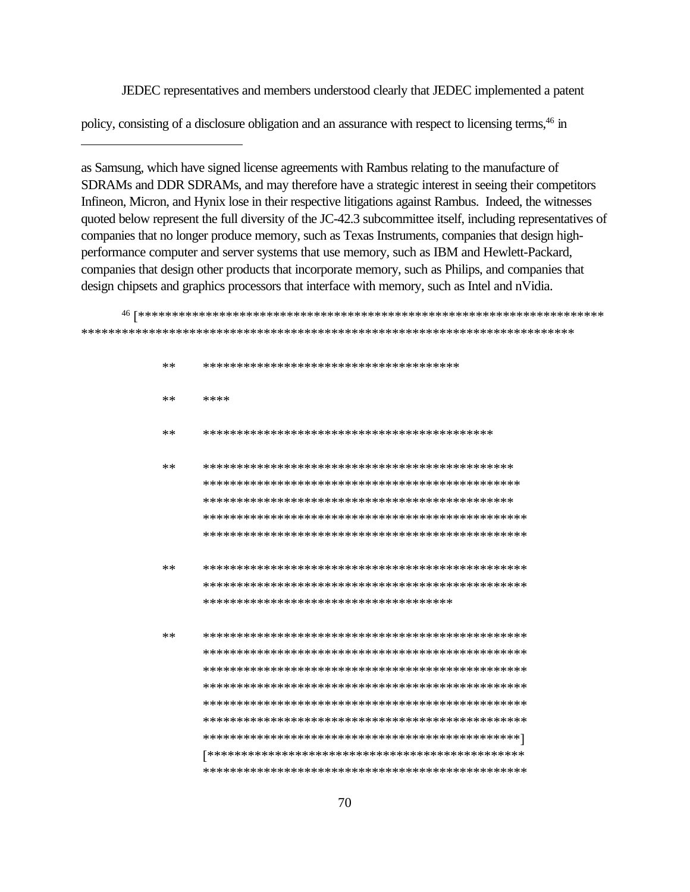JEDEC representatives and members understood clearly that JEDEC implemented a patent

policy, consisting of a disclosure obligation and an assurance with respect to licensing terms,<sup>46</sup> in

as Samsung, which have signed license agreements with Rambus relating to the manufacture of SDRAMs and DDR SDRAMs, and may therefore have a strategic interest in seeing their competitors Infineon, Micron, and Hynix lose in their respective litigations against Rambus. Indeed, the witnesses quoted below represent the full diversity of the JC-42.3 subcommittee itself, including representatives of companies that no longer produce memory, such as Texas Instruments, companies that design highperformance computer and server systems that use memory, such as IBM and Hewlett-Packard, companies that design other products that incorporate memory, such as Philips, and companies that design chipsets and graphics processors that interface with memory, such as Intel and nVidia.

<sup>46</sup> [\*\*\*\*\*\*\*\*\*\*\*\*\*\*\*\*\*\*\*\*\*\*\*\*\*\*\*\*\*\*\*\*\*\*\*\*\*\*\*\*\*\*\*\*\*\*\*\*\*\*\*\*\*\*\*\*\*\*\*\*\*\*\*\*\*\*\*\*\* \*\*\*\*\*\*\*\*\*\*\*\*\*\*\*\*\*\*\*\*\*\*\*\*\*\*\*\*\*\*\*\*\*\*\*\*\*\*\*\*\*\*\*\*\*\*\*\*\*\*\*\*\*\*\*\*\*\*\*\*\*\*\*\*\*\*\*\*\*\*\*\*\* \*\* \*\*\*\*\*\*\*\*\*\*\*\*\*\*\*\*\*\*\*\*\*\*\*\*\*\*\*\*\*\*\*\*\*\*\*\*\*\* \*\* \*\*\*\* \*\* \*\*\*\*\*\*\*\*\*\*\*\*\*\*\*\*\*\*\*\*\*\*\*\*\*\*\*\*\*\*\*\*\*\*\*\*\*\*\*\*\*\*\* \*\* \*\*\*\*\*\*\*\*\*\*\*\*\*\*\*\*\*\*\*\*\*\*\*\*\*\*\*\*\*\*\*\*\*\*\*\*\*\*\*\*\*\*\*\*\*\* \*\*\*\*\*\*\*\*\*\*\*\*\*\*\*\*\*\*\*\*\*\*\*\*\*\*\*\*\*\*\*\*\*\*\*\*\*\*\*\*\*\*\*\*\*\*\* \*\*\*\*\*\*\*\*\*\*\*\*\*\*\*\*\*\*\*\*\*\*\*\*\*\*\*\*\*\*\*\*\*\*\*\*\*\*\*\*\*\*\*\*\*\* \*\*\*\*\*\*\*\*\*\*\*\*\*\*\*\*\*\*\*\*\*\*\*\*\*\*\*\*\*\*\*\*\*\*\*\*\*\*\*\*\*\*\*\*\*\*\*\* \*\*\*\*\*\*\*\*\*\*\*\*\*\*\*\*\*\*\*\*\*\*\*\*\*\*\*\*\*\*\*\*\*\*\*\*\*\*\*\*\*\*\*\*\*\*\*\* \*\* \*\*\*\*\*\*\*\*\*\*\*\*\*\*\*\*\*\*\*\*\*\*\*\*\*\*\*\*\*\*\*\*\*\*\*\*\*\*\*\*\*\*\*\*\*\*\*\* \*\*\*\*\*\*\*\*\*\*\*\*\*\*\*\*\*\*\*\*\*\*\*\*\*\*\*\*\*\*\*\*\*\*\*\*\*\*\*\*\*\*\*\*\*\*\*\* \*\*\*\*\*\*\*\*\*\*\*\*\*\*\*\*\*\*\*\*\*\*\*\*\*\*\*\*\*\*\*\*\*\*\*\*\* \*\* \*\*\*\*\*\*\*\*\*\*\*\*\*\*\*\*\*\*\*\*\*\*\*\*\*\*\*\*\*\*\*\*\*\*\*\*\*\*\*\*\*\*\*\*\*\*\*\* \*\*\*\*\*\*\*\*\*\*\*\*\*\*\*\*\*\*\*\*\*\*\*\*\*\*\*\*\*\*\*\*\*\*\*\*\*\*\*\*\*\*\*\*\*\*\*\* \*\*\*\*\*\*\*\*\*\*\*\*\*\*\*\*\*\*\*\*\*\*\*\*\*\*\*\*\*\*\*\*\*\*\*\*\*\*\*\*\*\*\*\*\*\*\*\* \*\*\*\*\*\*\*\*\*\*\*\*\*\*\*\*\*\*\*\*\*\*\*\*\*\*\*\*\*\*\*\*\*\*\*\*\*\*\*\*\*\*\*\*\*\*\*\* \*\*\*\*\*\*\*\*\*\*\*\*\*\*\*\*\*\*\*\*\*\*\*\*\*\*\*\*\*\*\*\*\*\*\*\*\*\*\*\*\*\*\*\*\*\*\*\* \*\*\*\*\*\*\*\*\*\*\*\*\*\*\*\*\*\*\*\*\*\*\*\*\*\*\*\*\*\*\*\*\*\*\*\*\*\*\*\*\*\*\*\*\*\*\*\* \*\*\*\*\*\*\*\*\*\*\*\*\*\*\*\*\*\*\*\*\*\*\*\*\*\*\*\*\*\*\*\*\*\*\*\*\*\*\*\*\*\*\*\*\*\*\*] [\*\*\*\*\*\*\*\*\*\*\*\*\*\*\*\*\*\*\*\*\*\*\*\*\*\*\*\*\*\*\*\*\*\*\*\*\*\*\*\*\*\*\*\*\*\*\* \*\*\*\*\*\*\*\*\*\*\*\*\*\*\*\*\*\*\*\*\*\*\*\*\*\*\*\*\*\*\*\*\*\*\*\*\*\*\*\*\*\*\*\*\*\*\*\*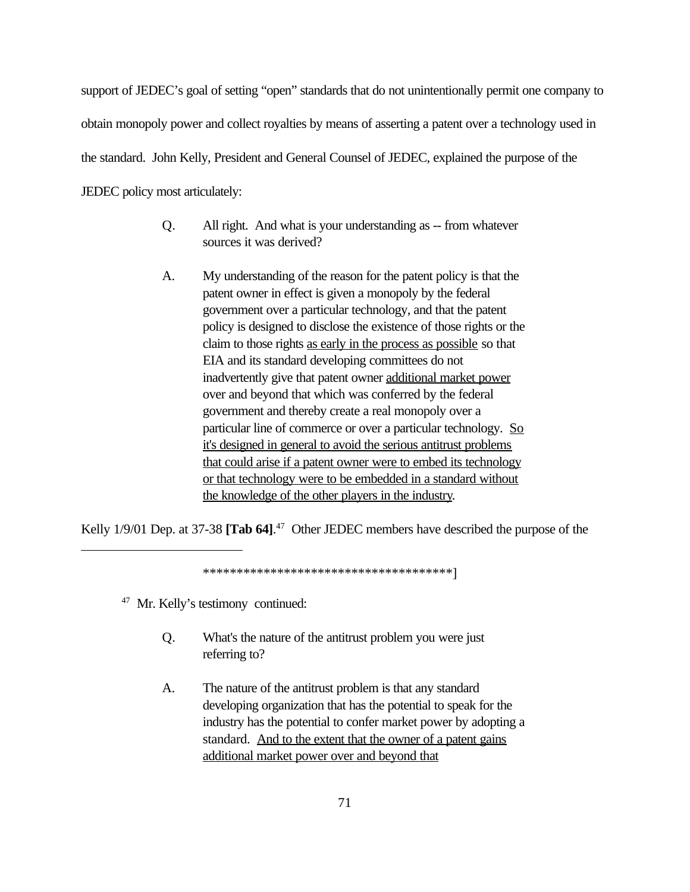support of JEDEC's goal of setting "open" standards that do not unintentionally permit one company to obtain monopoly power and collect royalties by means of asserting a patent over a technology used in the standard. John Kelly, President and General Counsel of JEDEC, explained the purpose of the JEDEC policy most articulately:

- Q. All right. And what is your understanding as -- from whatever sources it was derived?
- A. My understanding of the reason for the patent policy is that the patent owner in effect is given a monopoly by the federal government over a particular technology, and that the patent policy is designed to disclose the existence of those rights or the claim to those rights as early in the process as possible so that EIA and its standard developing committees do not inadvertently give that patent owner additional market power over and beyond that which was conferred by the federal government and thereby create a real monopoly over a particular line of commerce or over a particular technology. So it's designed in general to avoid the serious antitrust problems that could arise if a patent owner were to embed its technology or that technology were to be embedded in a standard without the knowledge of the other players in the industry.

Kelly 1/9/01 Dep. at 37-38 **[Tab 64]**. 47 Other JEDEC members have described the purpose of the

\*\*\*\*\*\*\*\*\*\*\*\*\*\*\*\*\*\*\*\*\*\*\*\*\*\*\*\*\*\*\*\*\*\*\*\*\*]

<sup>47</sup> Mr. Kelly's testimony continued:

- Q. What's the nature of the antitrust problem you were just referring to?
- A. The nature of the antitrust problem is that any standard developing organization that has the potential to speak for the industry has the potential to confer market power by adopting a standard. And to the extent that the owner of a patent gains additional market power over and beyond that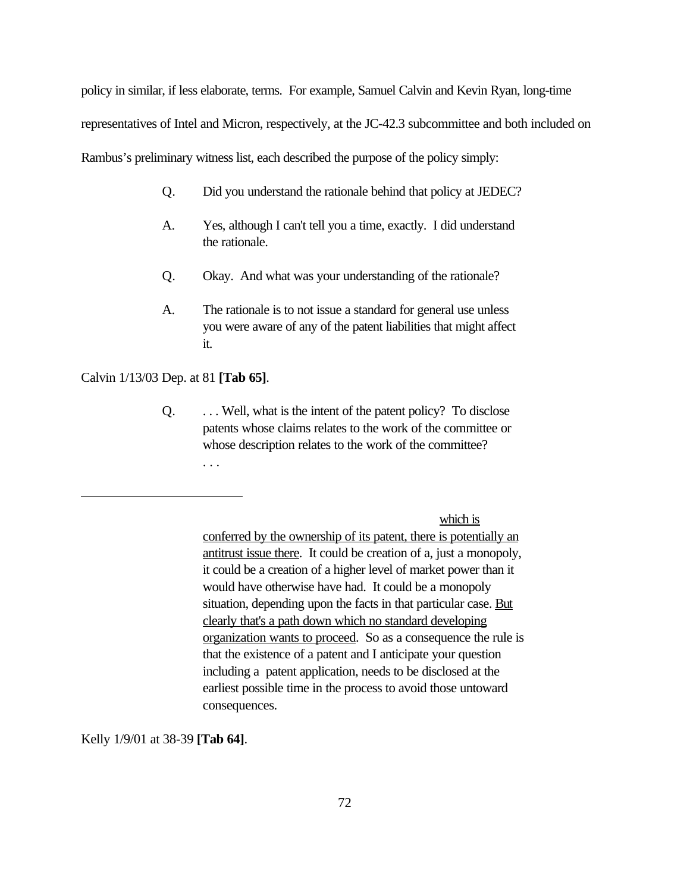policy in similar, if less elaborate, terms. For example, Samuel Calvin and Kevin Ryan, long-time representatives of Intel and Micron, respectively, at the JC-42.3 subcommittee and both included on Rambus's preliminary witness list, each described the purpose of the policy simply:

- Q. Did you understand the rationale behind that policy at JEDEC?
- A. Yes, although I can't tell you a time, exactly. I did understand the rationale.
- Q. Okay. And what was your understanding of the rationale?
- A. The rationale is to not issue a standard for general use unless you were aware of any of the patent liabilities that might affect it.

Calvin 1/13/03 Dep. at 81 **[Tab 65]**.

Q. . . . Well, what is the intent of the patent policy? To disclose patents whose claims relates to the work of the committee or whose description relates to the work of the committee? . . .

which is

conferred by the ownership of its patent, there is potentially an antitrust issue there. It could be creation of a, just a monopoly, it could be a creation of a higher level of market power than it would have otherwise have had. It could be a monopoly situation, depending upon the facts in that particular case. But clearly that's a path down which no standard developing organization wants to proceed. So as a consequence the rule is that the existence of a patent and I anticipate your question including a patent application, needs to be disclosed at the earliest possible time in the process to avoid those untoward consequences.

Kelly 1/9/01 at 38-39 **[Tab 64]**.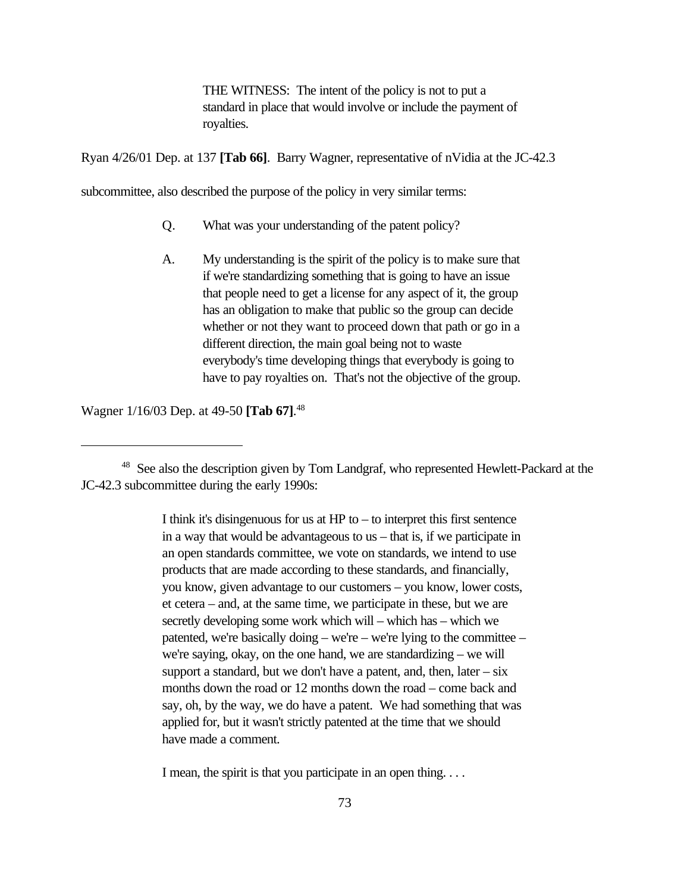THE WITNESS: The intent of the policy is not to put a standard in place that would involve or include the payment of royalties.

Ryan 4/26/01 Dep. at 137 **[Tab 66]**. Barry Wagner, representative of nVidia at the JC-42.3

subcommittee, also described the purpose of the policy in very similar terms:

- Q. What was your understanding of the patent policy?
- A. My understanding is the spirit of the policy is to make sure that if we're standardizing something that is going to have an issue that people need to get a license for any aspect of it, the group has an obligation to make that public so the group can decide whether or not they want to proceed down that path or go in a different direction, the main goal being not to waste everybody's time developing things that everybody is going to have to pay royalties on. That's not the objective of the group.

Wagner 1/16/03 Dep. at 49-50 **[Tab 67]**. 48

I think it's disingenuous for us at  $HP$  to  $-$  to interpret this first sentence in a way that would be advantageous to us – that is, if we participate in an open standards committee, we vote on standards, we intend to use products that are made according to these standards, and financially, you know, given advantage to our customers – you know, lower costs, et cetera – and, at the same time, we participate in these, but we are secretly developing some work which will – which has – which we patented, we're basically doing – we're – we're lying to the committee – we're saying, okay, on the one hand, we are standardizing – we will support a standard, but we don't have a patent, and, then, later  $-\text{s}$ ix months down the road or 12 months down the road – come back and say, oh, by the way, we do have a patent. We had something that was applied for, but it wasn't strictly patented at the time that we should have made a comment.

I mean, the spirit is that you participate in an open thing. . . .

<sup>&</sup>lt;sup>48</sup> See also the description given by Tom Landgraf, who represented Hewlett-Packard at the JC-42.3 subcommittee during the early 1990s: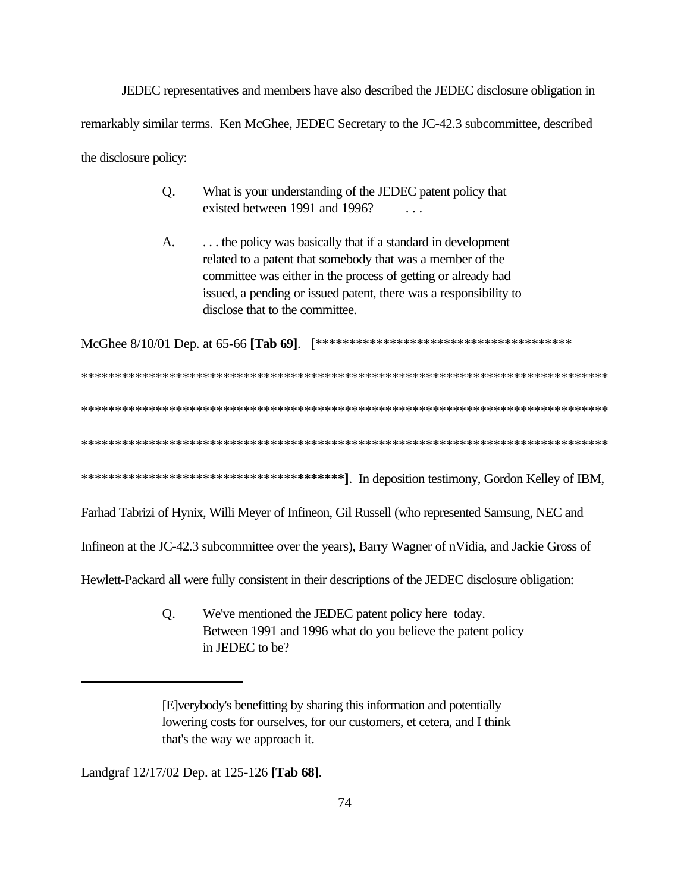JEDEC representatives and members have also described the JEDEC disclosure obligation in remarkably similar terms. Ken McGhee, JEDEC Secretary to the JC-42.3 subcommittee, described the disclosure policy:

- Q. What is your understanding of the JEDEC patent policy that existed between 1991 and 1996? . . .
- A. . . . . . the policy was basically that if a standard in development related to a patent that somebody that was a member of the committee was either in the process of getting or already had issued, a pending or issued patent, there was a responsibility to disclose that to the committee.

McGhee 8/10/01 Dep. at 65-66 **[Tab 69]**. [\*\*\*\*\*\*\*\*\*\*\*\*\*\*\*\*\*\*\*\*\*\*\*\*\*\*\*\*\*\*\*\*\*\*\*\*\*\*

\*\*\*\*\*\*\*\*\*\*\*\*\*\*\*\*\*\*\*\*\*\*\*\*\*\*\*\*\*\*\*\*\*\*\*\*\*\*\*\*\*\*\*\*\*\*\*\*\*\*\*\*\*\*\*\*\*\*\*\*\*\*\*\*\*\*\*\*\*\*\*\*\*\*\*\*\*\* \*\*\*\*\*\*\*\*\*\*\*\*\*\*\*\*\*\*\*\*\*\*\*\*\*\*\*\*\*\*\*\*\*\*\*\*\*\*\*\*\*\*\*\*\*\*\*\*\*\*\*\*\*\*\*\*\*\*\*\*\*\*\*\*\*\*\*\*\*\*\*\*\*\*\*\*\*\* \*\*\*\*\*\*\*\*\*\*\*\*\*\*\*\*\*\*\*\*\*\*\*\*\*\*\*\*\*\*\*\*\*\*\*\*\*\*\*\*\*\*\*\*\*\*\*\*\*\*\*\*\*\*\*\*\*\*\*\*\*\*\*\*\*\*\*\*\*\*\*\*\*\*\*\*\*\* \*\*\*\*\*\*\*\*\*\*\*\*\*\*\*\*\*\*\*\*\*\*\*\*\*\*\*\*\*\*\*\***\*\*\*\*\*\*\*]**. In deposition testimony, Gordon Kelley of IBM,

Farhad Tabrizi of Hynix, Willi Meyer of Infineon, Gil Russell (who represented Samsung, NEC and

Infineon at the JC-42.3 subcommittee over the years), Barry Wagner of nVidia, and Jackie Gross of

Hewlett-Packard all were fully consistent in their descriptions of the JEDEC disclosure obligation:

Q. We've mentioned the JEDEC patent policy here today. Between 1991 and 1996 what do you believe the patent policy in JEDEC to be?

Landgraf 12/17/02 Dep. at 125-126 **[Tab 68]**.

<sup>[</sup>E]verybody's benefitting by sharing this information and potentially lowering costs for ourselves, for our customers, et cetera, and I think that's the way we approach it.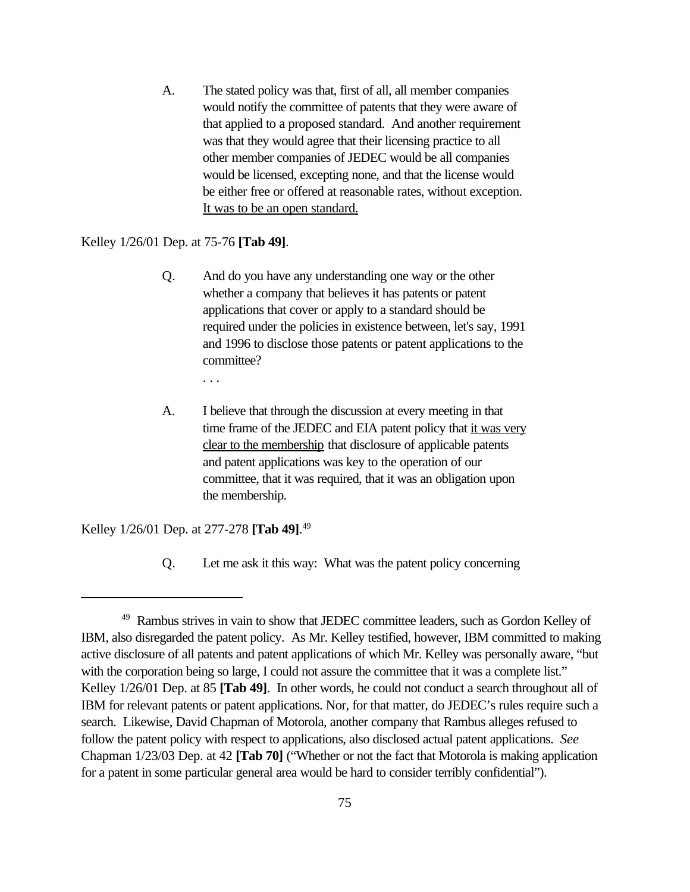A. The stated policy was that, first of all, all member companies would notify the committee of patents that they were aware of that applied to a proposed standard. And another requirement was that they would agree that their licensing practice to all other member companies of JEDEC would be all companies would be licensed, excepting none, and that the license would be either free or offered at reasonable rates, without exception. It was to be an open standard.

# Kelley 1/26/01 Dep. at 75-76 **[Tab 49]**.

- Q. And do you have any understanding one way or the other whether a company that believes it has patents or patent applications that cover or apply to a standard should be required under the policies in existence between, let's say, 1991 and 1996 to disclose those patents or patent applications to the committee?
	- . . .
- A. I believe that through the discussion at every meeting in that time frame of the JEDEC and EIA patent policy that it was very clear to the membership that disclosure of applicable patents and patent applications was key to the operation of our committee, that it was required, that it was an obligation upon the membership.

Kelley 1/26/01 Dep. at 277-278 **[Tab 49]**. 49

Q. Let me ask it this way: What was the patent policy concerning

<sup>&</sup>lt;sup>49</sup> Rambus strives in vain to show that JEDEC committee leaders, such as Gordon Kelley of IBM, also disregarded the patent policy. As Mr. Kelley testified, however, IBM committed to making active disclosure of all patents and patent applications of which Mr. Kelley was personally aware, "but with the corporation being so large, I could not assure the committee that it was a complete list." Kelley 1/26/01 Dep. at 85 **[Tab 49]**. In other words, he could not conduct a search throughout all of IBM for relevant patents or patent applications. Nor, for that matter, do JEDEC's rules require such a search. Likewise, David Chapman of Motorola, another company that Rambus alleges refused to follow the patent policy with respect to applications, also disclosed actual patent applications. *See* Chapman 1/23/03 Dep. at 42 **[Tab 70]** ("Whether or not the fact that Motorola is making application for a patent in some particular general area would be hard to consider terribly confidential").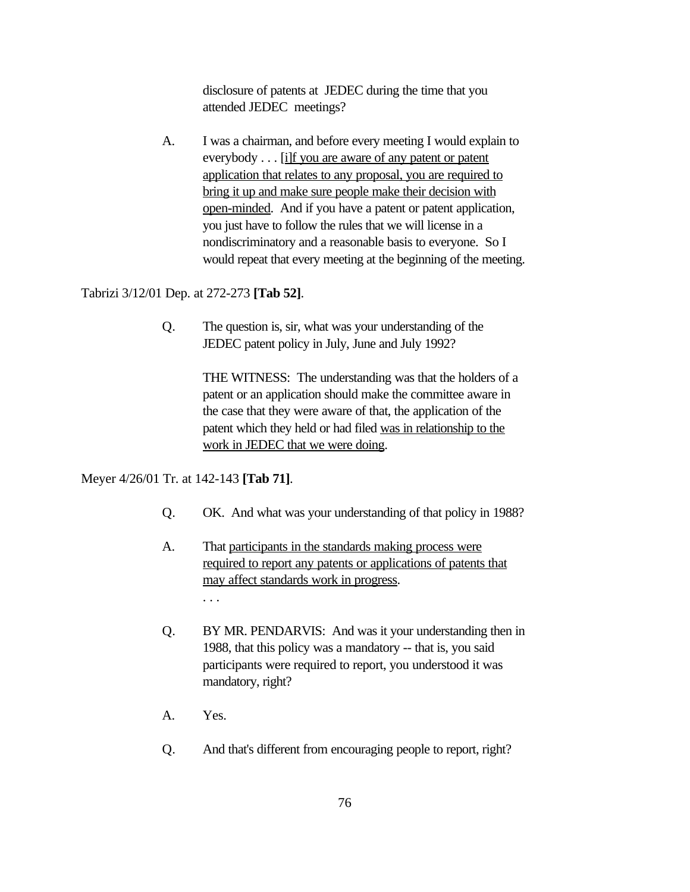disclosure of patents at JEDEC during the time that you attended JEDEC meetings?

A. I was a chairman, and before every meeting I would explain to everybody . . . [i]f you are aware of any patent or patent application that relates to any proposal, you are required to bring it up and make sure people make their decision with open-minded. And if you have a patent or patent application, you just have to follow the rules that we will license in a nondiscriminatory and a reasonable basis to everyone. So I would repeat that every meeting at the beginning of the meeting.

## Tabrizi 3/12/01 Dep. at 272-273 **[Tab 52]**.

Q. The question is, sir, what was your understanding of the JEDEC patent policy in July, June and July 1992?

> THE WITNESS: The understanding was that the holders of a patent or an application should make the committee aware in the case that they were aware of that, the application of the patent which they held or had filed was in relationship to the work in JEDEC that we were doing.

## Meyer 4/26/01 Tr. at 142-143 **[Tab 71]**.

- Q. OK. And what was your understanding of that policy in 1988?
- A. That participants in the standards making process were required to report any patents or applications of patents that may affect standards work in progress. . . .
- Q. BY MR. PENDARVIS: And was it your understanding then in 1988, that this policy was a mandatory -- that is, you said participants were required to report, you understood it was mandatory, right?
- A. Yes.
- Q. And that's different from encouraging people to report, right?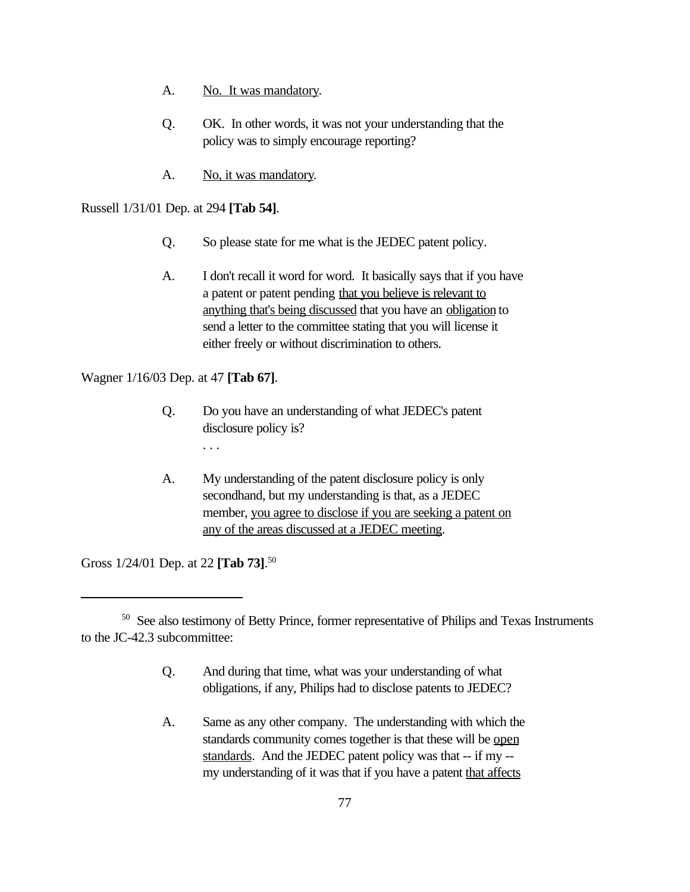- A. No. It was mandatory.
- Q. OK. In other words, it was not your understanding that the policy was to simply encourage reporting?
- A. No, it was mandatory.

Russell 1/31/01 Dep. at 294 **[Tab 54]**.

- Q. So please state for me what is the JEDEC patent policy.
- A. I don't recall it word for word. It basically says that if you have a patent or patent pending that you believe is relevant to anything that's being discussed that you have an obligation to send a letter to the committee stating that you will license it either freely or without discrimination to others.

Wagner 1/16/03 Dep. at 47 **[Tab 67]**.

- Q. Do you have an understanding of what JEDEC's patent disclosure policy is?
	- . . .
- A. My understanding of the patent disclosure policy is only secondhand, but my understanding is that, as a JEDEC member, you agree to disclose if you are seeking a patent on any of the areas discussed at a JEDEC meeting.

Gross 1/24/01 Dep. at 22 **[Tab 73]**. 50

- Q. And during that time, what was your understanding of what obligations, if any, Philips had to disclose patents to JEDEC?
- A. Same as any other company. The understanding with which the standards community comes together is that these will be open standards. And the JEDEC patent policy was that -- if my - my understanding of it was that if you have a patent that affects

<sup>&</sup>lt;sup>50</sup> See also testimony of Betty Prince, former representative of Philips and Texas Instruments to the JC-42.3 subcommittee: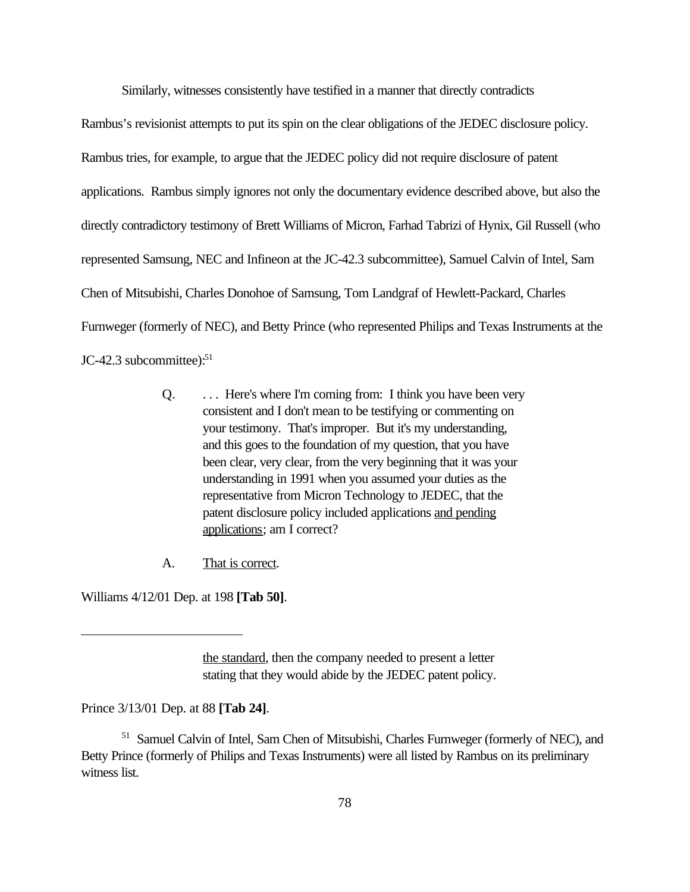Similarly, witnesses consistently have testified in a manner that directly contradicts

Rambus's revisionist attempts to put its spin on the clear obligations of the JEDEC disclosure policy. Rambus tries, for example, to argue that the JEDEC policy did not require disclosure of patent applications. Rambus simply ignores not only the documentary evidence described above, but also the directly contradictory testimony of Brett Williams of Micron, Farhad Tabrizi of Hynix, Gil Russell (who represented Samsung, NEC and Infineon at the JC-42.3 subcommittee), Samuel Calvin of Intel, Sam Chen of Mitsubishi, Charles Donohoe of Samsung, Tom Landgraf of Hewlett-Packard, Charles Furnweger (formerly of NEC), and Betty Prince (who represented Philips and Texas Instruments at the JC-42.3 subcommittee): $51$ 

- Q. ... Here's where I'm coming from: I think you have been very consistent and I don't mean to be testifying or commenting on your testimony. That's improper. But it's my understanding, and this goes to the foundation of my question, that you have been clear, very clear, from the very beginning that it was your understanding in 1991 when you assumed your duties as the representative from Micron Technology to JEDEC, that the patent disclosure policy included applications and pending applications; am I correct?
- A. That is correct.

Williams 4/12/01 Dep. at 198 **[Tab 50]**.

the standard, then the company needed to present a letter stating that they would abide by the JEDEC patent policy.

Prince 3/13/01 Dep. at 88 **[Tab 24]**.

<sup>51</sup> Samuel Calvin of Intel, Sam Chen of Mitsubishi, Charles Furnweger (formerly of NEC), and Betty Prince (formerly of Philips and Texas Instruments) were all listed by Rambus on its preliminary witness list.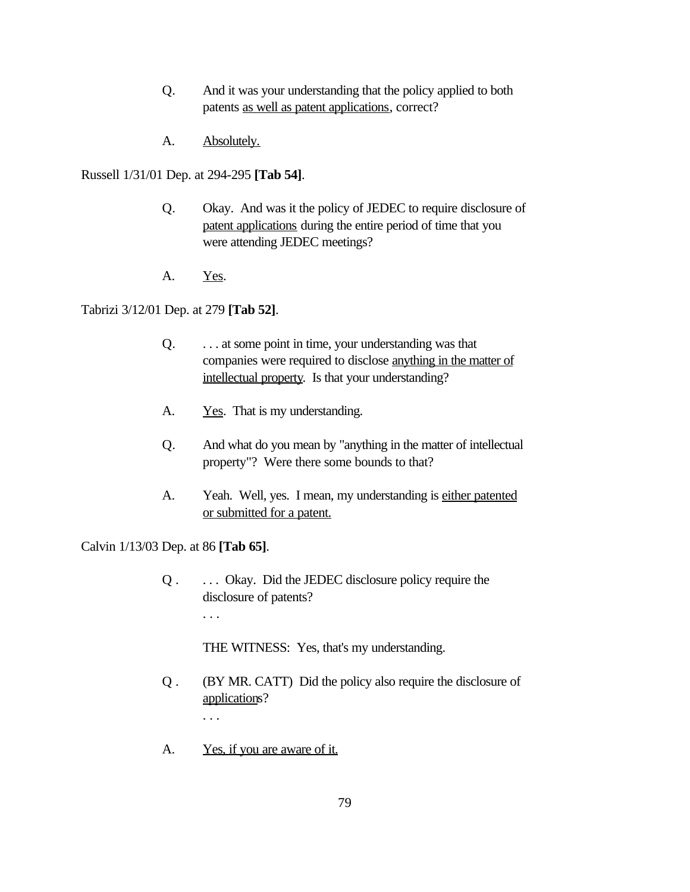- Q. And it was your understanding that the policy applied to both patents as well as patent applications, correct?
- A. Absolutely.

Russell 1/31/01 Dep. at 294-295 **[Tab 54]**.

- Q. Okay. And was it the policy of JEDEC to require disclosure of patent applications during the entire period of time that you were attending JEDEC meetings?
- A. Yes.

Tabrizi 3/12/01 Dep. at 279 **[Tab 52]**.

- Q. . . . at some point in time, your understanding was that companies were required to disclose anything in the matter of intellectual property. Is that your understanding?
- A. <u>Yes</u>. That is my understanding.
- Q. And what do you mean by "anything in the matter of intellectual property"? Were there some bounds to that?
- A. Yeah. Well, yes. I mean, my understanding is either patented or submitted for a patent.

Calvin 1/13/03 Dep. at 86 **[Tab 65]**.

Q . . . . Okay. Did the JEDEC disclosure policy require the disclosure of patents? . . .

THE WITNESS: Yes, that's my understanding.

- Q . (BY MR. CATT) Did the policy also require the disclosure of applications? . . .
- A. Yes, if you are aware of it.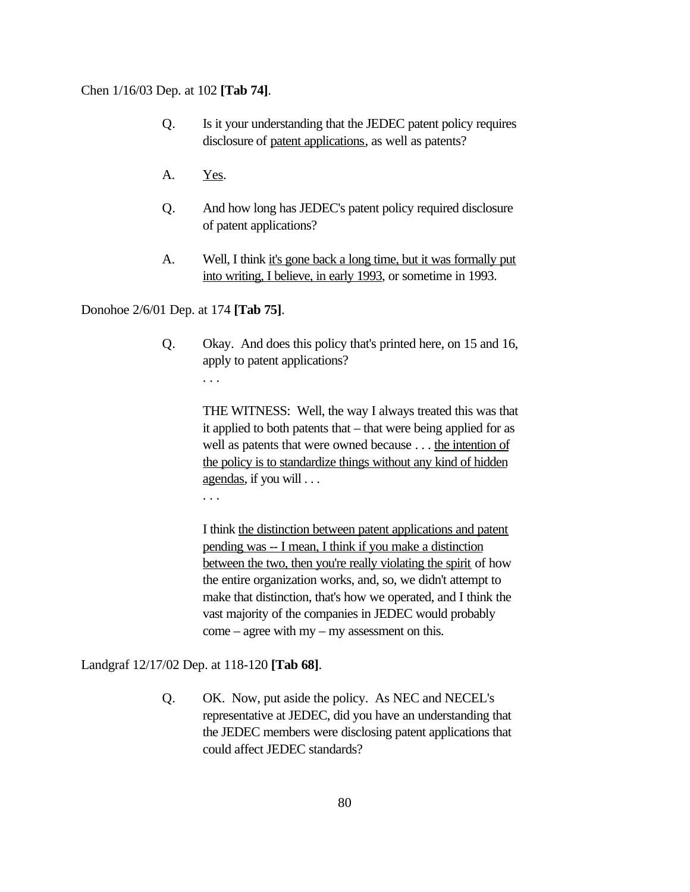#### Chen 1/16/03 Dep. at 102 **[Tab 74]**.

- Q. Is it your understanding that the JEDEC patent policy requires disclosure of patent applications, as well as patents?
- A. Yes.
- Q. And how long has JEDEC's patent policy required disclosure of patent applications?
- A. Well, I think it's gone back a long time, but it was formally put into writing, I believe, in early 1993, or sometime in 1993.

Donohoe 2/6/01 Dep. at 174 **[Tab 75]**.

Q. Okay. And does this policy that's printed here, on 15 and 16, apply to patent applications?

. . .

THE WITNESS: Well, the way I always treated this was that it applied to both patents that – that were being applied for as well as patents that were owned because . . . the intention of the policy is to standardize things without any kind of hidden agendas, if you will . . .

. . .

I think the distinction between patent applications and patent pending was -- I mean, I think if you make a distinction between the two, then you're really violating the spirit of how the entire organization works, and, so, we didn't attempt to make that distinction, that's how we operated, and I think the vast majority of the companies in JEDEC would probably come – agree with my – my assessment on this.

Landgraf 12/17/02 Dep. at 118-120 **[Tab 68]**.

Q. OK. Now, put aside the policy. As NEC and NECEL's representative at JEDEC, did you have an understanding that the JEDEC members were disclosing patent applications that could affect JEDEC standards?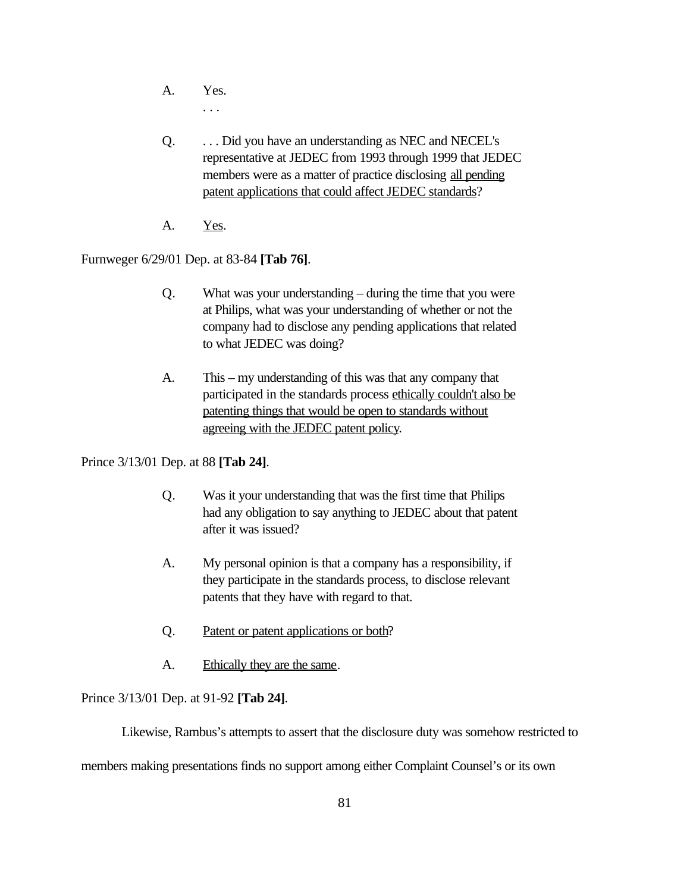- A. Yes. . . .
- Q. . . . Did you have an understanding as NEC and NECEL's representative at JEDEC from 1993 through 1999 that JEDEC members were as a matter of practice disclosing all pending patent applications that could affect JEDEC standards?
- A. Yes.

Furnweger 6/29/01 Dep. at 83-84 **[Tab 76]**.

- Q. What was your understanding during the time that you were at Philips, what was your understanding of whether or not the company had to disclose any pending applications that related to what JEDEC was doing?
- A. This my understanding of this was that any company that participated in the standards process ethically couldn't also be patenting things that would be open to standards without agreeing with the JEDEC patent policy.

Prince 3/13/01 Dep. at 88 **[Tab 24]**.

- Q. Was it your understanding that was the first time that Philips had any obligation to say anything to JEDEC about that patent after it was issued?
- A. My personal opinion is that a company has a responsibility, if they participate in the standards process, to disclose relevant patents that they have with regard to that.
- Q. Patent or patent applications or both?
- A. Ethically they are the same.

Prince 3/13/01 Dep. at 91-92 **[Tab 24]**.

Likewise, Rambus's attempts to assert that the disclosure duty was somehow restricted to

members making presentations finds no support among either Complaint Counsel's or its own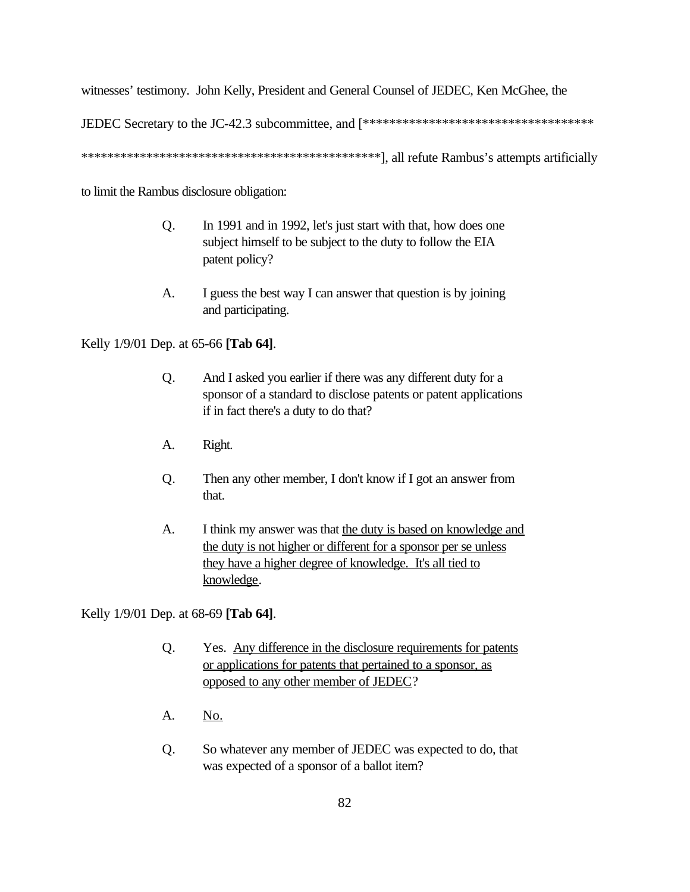witnesses' testimony. John Kelly, President and General Counsel of JEDEC, Ken McGhee, the

JEDEC Secretary to the JC-42.3 subcommittee, and [\*\*\*\*\*\*\*\*\*\*\*\*\*\*\*\*\*\*\*\*\*\*\*\*\*\*\*\*\*\*\*\*\*\*\*

\*\*\*\*\*\*\*\*\*\*\*\*\*\*\*\*\*\*\*\*\*\*\*\*\*\*\*\*\*\*\*\*\*\*\*\*\*\*\*\*\*\*\*\*\*\*], all refute Rambus's attempts artificially

to limit the Rambus disclosure obligation:

- Q. In 1991 and in 1992, let's just start with that, how does one subject himself to be subject to the duty to follow the EIA patent policy?
- A. I guess the best way I can answer that question is by joining and participating.

Kelly 1/9/01 Dep. at 65-66 **[Tab 64]**.

- Q. And I asked you earlier if there was any different duty for a sponsor of a standard to disclose patents or patent applications if in fact there's a duty to do that?
- A. Right.
- Q. Then any other member, I don't know if I got an answer from that.
- A. I think my answer was that the duty is based on knowledge and the duty is not higher or different for a sponsor per se unless they have a higher degree of knowledge. It's all tied to knowledge.

Kelly 1/9/01 Dep. at 68-69 **[Tab 64]**.

- Q. Yes. Any difference in the disclosure requirements for patents or applications for patents that pertained to a sponsor, as opposed to any other member of JEDEC?
- A. No.
- Q. So whatever any member of JEDEC was expected to do, that was expected of a sponsor of a ballot item?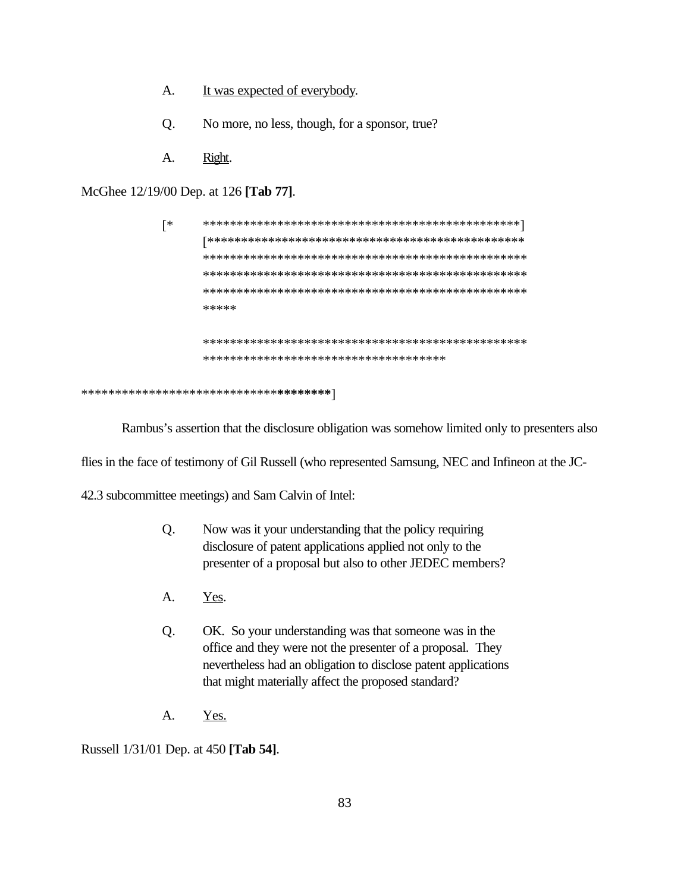- A. It was expected of everybody.
- Q. No more, no less, though, for a sponsor, true?
- A. Right.

McGhee 12/19/00 Dep. at 126 **[Tab 77]**.

| ิ∗ |                                                 |
|----|-------------------------------------------------|
|    |                                                 |
|    |                                                 |
|    |                                                 |
|    |                                                 |
|    | *****                                           |
|    |                                                 |
|    | *************************************           |
|    |                                                 |
|    | ****************************** <b>*******</b> * |

Rambus's assertion that the disclosure obligation was somehow limited only to presenters also

flies in the face of testimony of Gil Russell (who represented Samsung, NEC and Infineon at the JC-

42.3 subcommittee meetings) and Sam Calvin of Intel:

- Q. Now was it your understanding that the policy requiring disclosure of patent applications applied not only to the presenter of a proposal but also to other JEDEC members?
- A. Yes.
- Q. OK. So your understanding was that someone was in the office and they were not the presenter of a proposal. They nevertheless had an obligation to disclose patent applications that might materially affect the proposed standard?
- A. Yes.

Russell 1/31/01 Dep. at 450 **[Tab 54]**.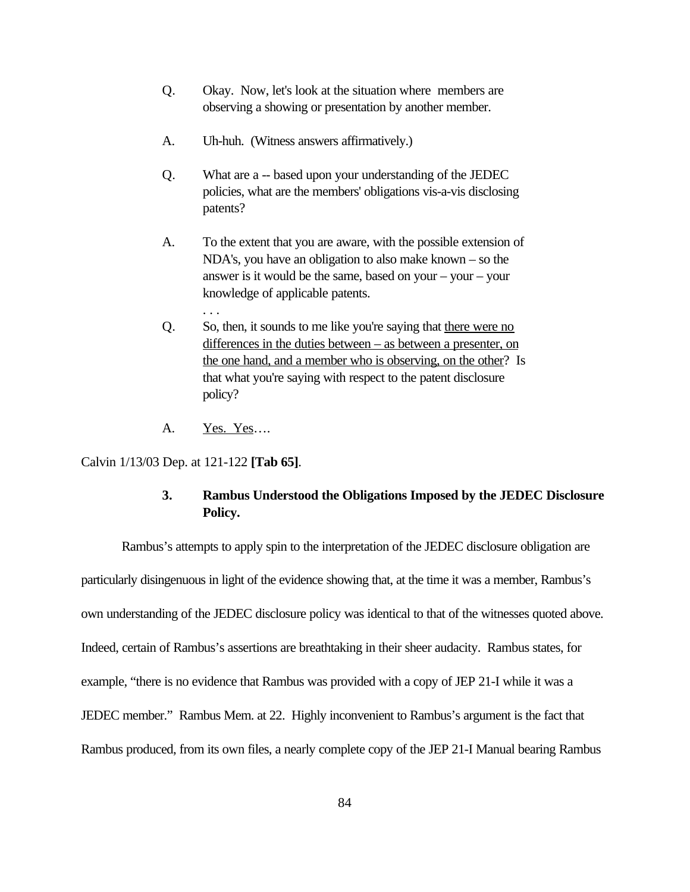- Q. Okay. Now, let's look at the situation where members are observing a showing or presentation by another member.
- A. Uh-huh. (Witness answers affirmatively.)
- Q. What are a -- based upon your understanding of the JEDEC policies, what are the members' obligations vis-a-vis disclosing patents?
- A. To the extent that you are aware, with the possible extension of NDA's, you have an obligation to also make known – so the answer is it would be the same, based on your – your – your knowledge of applicable patents.
- Q. So, then, it sounds to me like you're saying that there were no differences in the duties between – as between a presenter, on the one hand, and a member who is observing, on the other? Is that what you're saying with respect to the patent disclosure policy?
- A. Yes. Yes….

. . .

Calvin 1/13/03 Dep. at 121-122 **[Tab 65]**.

# **3. Rambus Understood the Obligations Imposed by the JEDEC Disclosure Policy.**

Rambus's attempts to apply spin to the interpretation of the JEDEC disclosure obligation are particularly disingenuous in light of the evidence showing that, at the time it was a member, Rambus's own understanding of the JEDEC disclosure policy was identical to that of the witnesses quoted above. Indeed, certain of Rambus's assertions are breathtaking in their sheer audacity. Rambus states, for example, "there is no evidence that Rambus was provided with a copy of JEP 21-I while it was a JEDEC member." Rambus Mem. at 22. Highly inconvenient to Rambus's argument is the fact that Rambus produced, from its own files, a nearly complete copy of the JEP 21-I Manual bearing Rambus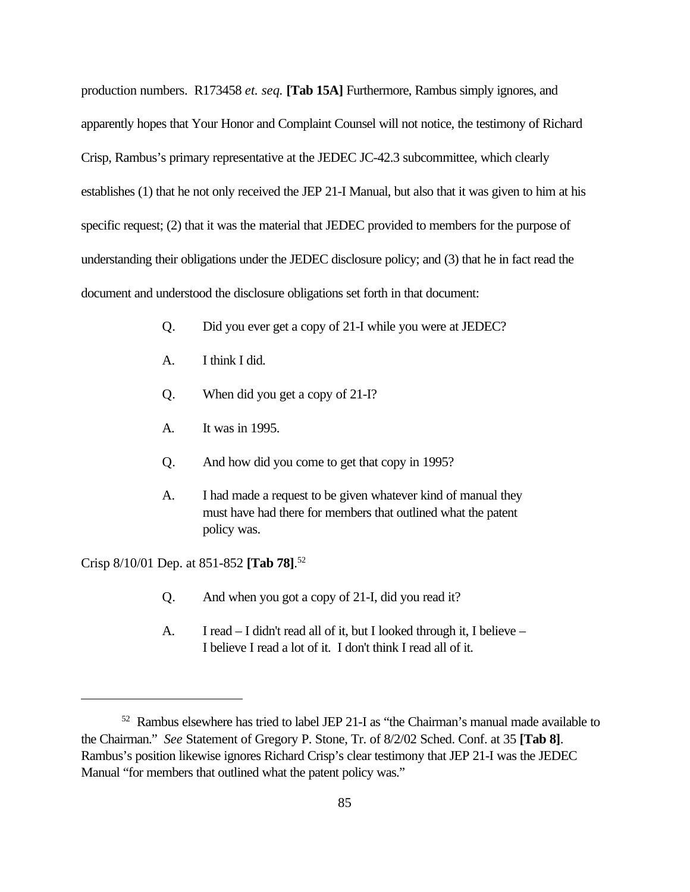production numbers. R173458 *et. seq.* **[Tab 15A]** Furthermore, Rambus simply ignores, and apparently hopes that Your Honor and Complaint Counsel will not notice, the testimony of Richard Crisp, Rambus's primary representative at the JEDEC JC-42.3 subcommittee, which clearly establishes (1) that he not only received the JEP 21-I Manual, but also that it was given to him at his specific request; (2) that it was the material that JEDEC provided to members for the purpose of understanding their obligations under the JEDEC disclosure policy; and (3) that he in fact read the document and understood the disclosure obligations set forth in that document:

- Q. Did you ever get a copy of 21-I while you were at JEDEC?
- A. I think I did.
- Q. When did you get a copy of 21-I?
- A. It was in 1995.
- Q. And how did you come to get that copy in 1995?
- A. I had made a request to be given whatever kind of manual they must have had there for members that outlined what the patent policy was.

Crisp 8/10/01 Dep. at 851-852 **[Tab 78]**. 52

- Q. And when you got a copy of 21-I, did you read it?
- A. I read I didn't read all of it, but I looked through it, I believe I believe I read a lot of it. I don't think I read all of it.

<sup>52</sup> Rambus elsewhere has tried to label JEP 21-I as "the Chairman's manual made available to the Chairman." *See* Statement of Gregory P. Stone, Tr. of 8/2/02 Sched. Conf. at 35 **[Tab 8]**. Rambus's position likewise ignores Richard Crisp's clear testimony that JEP 21-I was the JEDEC Manual "for members that outlined what the patent policy was."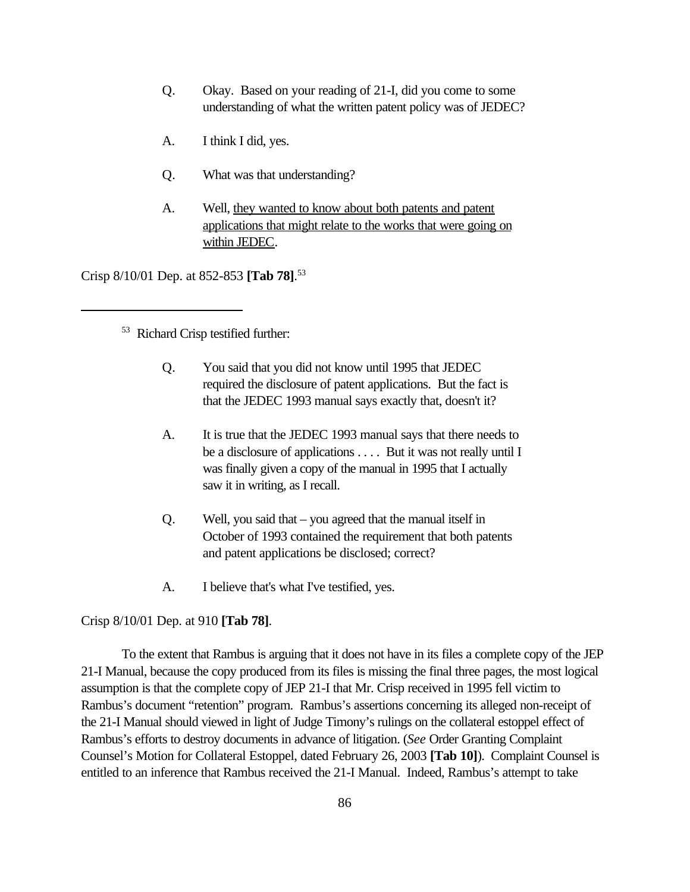- Q. Okay. Based on your reading of 21-I, did you come to some understanding of what the written patent policy was of JEDEC?
- A. I think I did, yes.
- Q. What was that understanding?
- A. Well, they wanted to know about both patents and patent applications that might relate to the works that were going on within JEDEC.

Crisp 8/10/01 Dep. at 852-853 **[Tab 78]**. 53

<sup>53</sup> Richard Crisp testified further:

- Q. You said that you did not know until 1995 that JEDEC required the disclosure of patent applications. But the fact is that the JEDEC 1993 manual says exactly that, doesn't it?
- A. It is true that the JEDEC 1993 manual says that there needs to be a disclosure of applications . . . . But it was not really until I was finally given a copy of the manual in 1995 that I actually saw it in writing, as I recall.
- Q. Well, you said that you agreed that the manual itself in October of 1993 contained the requirement that both patents and patent applications be disclosed; correct?
- A. I believe that's what I've testified, yes.

Crisp 8/10/01 Dep. at 910 **[Tab 78]**.

To the extent that Rambus is arguing that it does not have in its files a complete copy of the JEP 21-I Manual, because the copy produced from its files is missing the final three pages, the most logical assumption is that the complete copy of JEP 21-I that Mr. Crisp received in 1995 fell victim to Rambus's document "retention" program. Rambus's assertions concerning its alleged non-receipt of the 21-I Manual should viewed in light of Judge Timony's rulings on the collateral estoppel effect of Rambus's efforts to destroy documents in advance of litigation. (*See* Order Granting Complaint Counsel's Motion for Collateral Estoppel, dated February 26, 2003 **[Tab 10]**). Complaint Counsel is entitled to an inference that Rambus received the 21-I Manual. Indeed, Rambus's attempt to take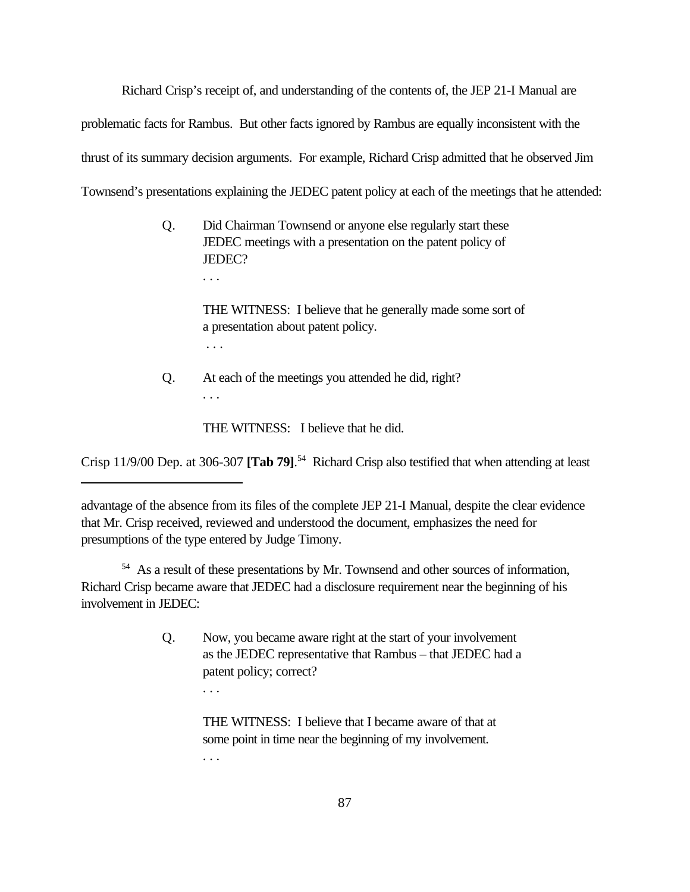Richard Crisp's receipt of, and understanding of the contents of, the JEP 21-I Manual are

problematic facts for Rambus. But other facts ignored by Rambus are equally inconsistent with the

thrust of its summary decision arguments. For example, Richard Crisp admitted that he observed Jim

Townsend's presentations explaining the JEDEC patent policy at each of the meetings that he attended:

Q. Did Chairman Townsend or anyone else regularly start these JEDEC meetings with a presentation on the patent policy of JEDEC?

. . .

THE WITNESS: I believe that he generally made some sort of a presentation about patent policy. . . .

Q. At each of the meetings you attended he did, right? . . .

THE WITNESS: I believe that he did.

Crisp 11/9/00 Dep. at 306-307 **[Tab 79]**. 54 Richard Crisp also testified that when attending at least

<sup>54</sup> As a result of these presentations by Mr. Townsend and other sources of information, Richard Crisp became aware that JEDEC had a disclosure requirement near the beginning of his involvement in JEDEC:

> Q. Now, you became aware right at the start of your involvement as the JEDEC representative that Rambus – that JEDEC had a patent policy; correct?

> > THE WITNESS: I believe that I became aware of that at

some point in time near the beginning of my involvement.

. . .

. . .

advantage of the absence from its files of the complete JEP 21-I Manual, despite the clear evidence that Mr. Crisp received, reviewed and understood the document, emphasizes the need for presumptions of the type entered by Judge Timony.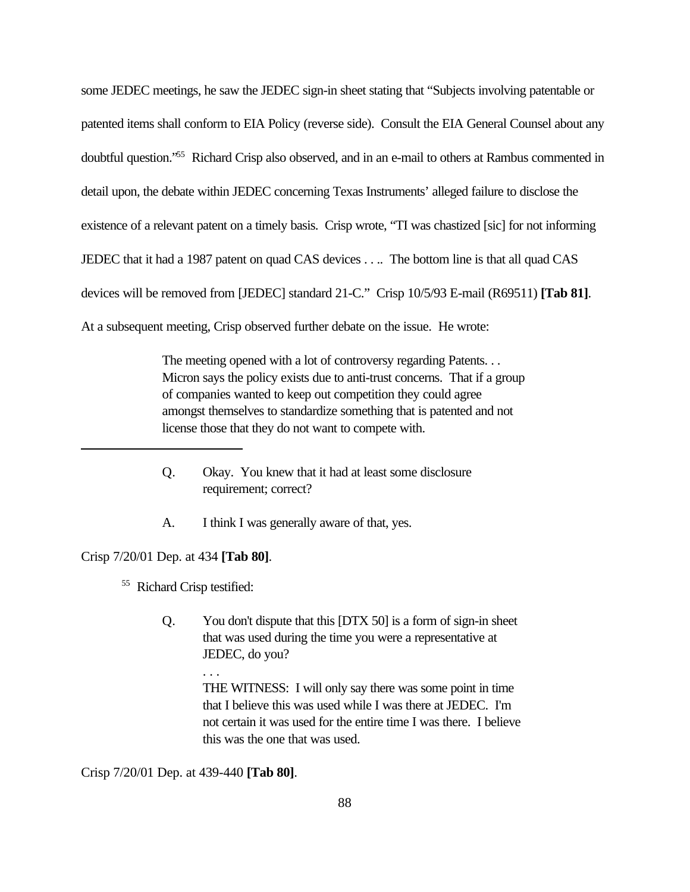some JEDEC meetings, he saw the JEDEC sign-in sheet stating that "Subjects involving patentable or patented items shall conform to EIA Policy (reverse side). Consult the EIA General Counsel about any doubtful question."<sup>55</sup> Richard Crisp also observed, and in an e-mail to others at Rambus commented in detail upon, the debate within JEDEC concerning Texas Instruments' alleged failure to disclose the existence of a relevant patent on a timely basis. Crisp wrote, "TI was chastized [sic] for not informing JEDEC that it had a 1987 patent on quad CAS devices . . .. The bottom line is that all quad CAS devices will be removed from [JEDEC] standard 21-C." Crisp 10/5/93 E-mail (R69511) **[Tab 81]**. At a subsequent meeting, Crisp observed further debate on the issue. He wrote:

> The meeting opened with a lot of controversy regarding Patents. . . Micron says the policy exists due to anti-trust concerns. That if a group of companies wanted to keep out competition they could agree amongst themselves to standardize something that is patented and not license those that they do not want to compete with.

- Q. Okay. You knew that it had at least some disclosure requirement; correct?
- A. I think I was generally aware of that, yes.

Crisp 7/20/01 Dep. at 434 **[Tab 80]**.

<sup>55</sup> Richard Crisp testified:

. . .

Q. You don't dispute that this [DTX 50] is a form of sign-in sheet that was used during the time you were a representative at JEDEC, do you?

> THE WITNESS: I will only say there was some point in time that I believe this was used while I was there at JEDEC. I'm not certain it was used for the entire time I was there. I believe this was the one that was used.

Crisp 7/20/01 Dep. at 439-440 **[Tab 80]**.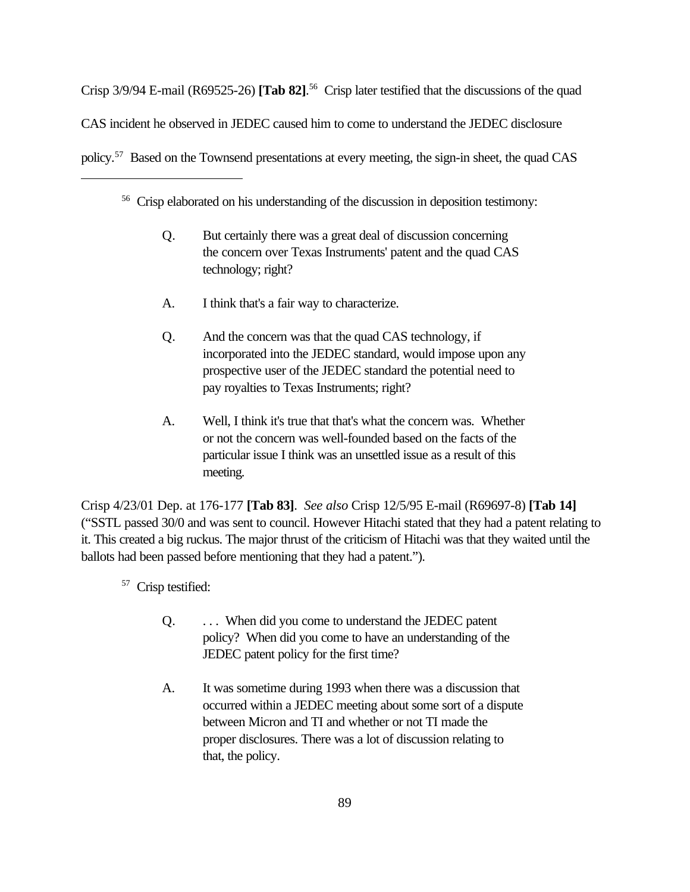Crisp 3/9/94 E-mail (R69525-26) **[Tab 82]**. <sup>56</sup> Crisp later testified that the discussions of the quad CAS incident he observed in JEDEC caused him to come to understand the JEDEC disclosure policy.57 Based on the Townsend presentations at every meeting, the sign-in sheet, the quad CAS

<sup>56</sup> Crisp elaborated on his understanding of the discussion in deposition testimony:

- Q. But certainly there was a great deal of discussion concerning the concern over Texas Instruments' patent and the quad CAS technology; right?
- A. I think that's a fair way to characterize.
- Q. And the concern was that the quad CAS technology, if incorporated into the JEDEC standard, would impose upon any prospective user of the JEDEC standard the potential need to pay royalties to Texas Instruments; right?
- A. Well, I think it's true that that's what the concern was. Whether or not the concern was well-founded based on the facts of the particular issue I think was an unsettled issue as a result of this meeting.

Crisp 4/23/01 Dep. at 176-177 **[Tab 83]**. *See also* Crisp 12/5/95 E-mail (R69697-8) **[Tab 14]** ("SSTL passed 30/0 and was sent to council. However Hitachi stated that they had a patent relating to it. This created a big ruckus. The major thrust of the criticism of Hitachi was that they waited until the ballots had been passed before mentioning that they had a patent.").

<sup>57</sup> Crisp testified:

- Q. . . . When did you come to understand the JEDEC patent policy? When did you come to have an understanding of the JEDEC patent policy for the first time?
- A. It was sometime during 1993 when there was a discussion that occurred within a JEDEC meeting about some sort of a dispute between Micron and TI and whether or not TI made the proper disclosures. There was a lot of discussion relating to that, the policy.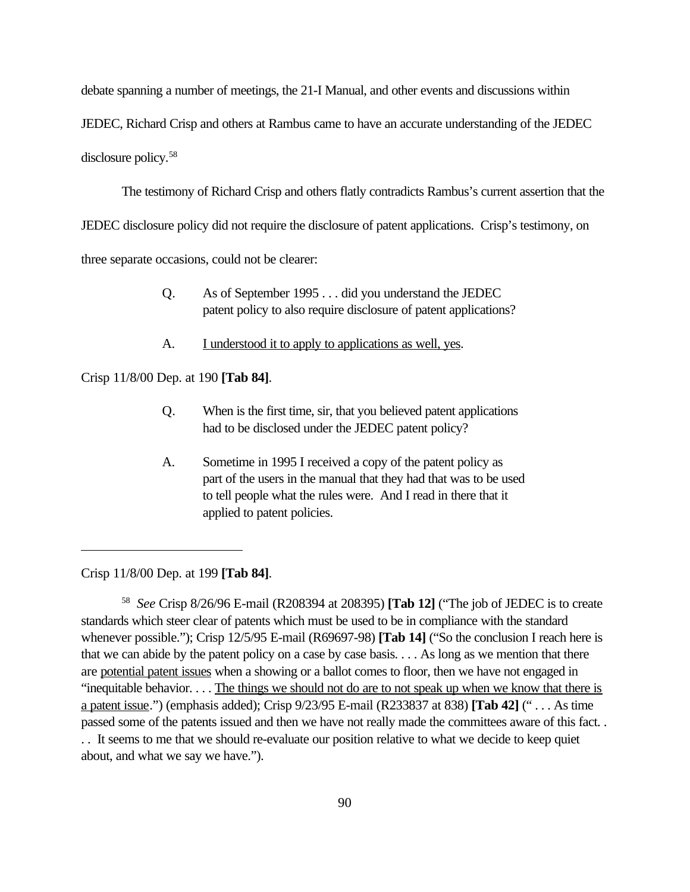debate spanning a number of meetings, the 21-I Manual, and other events and discussions within

JEDEC, Richard Crisp and others at Rambus came to have an accurate understanding of the JEDEC

disclosure policy.<sup>58</sup>

The testimony of Richard Crisp and others flatly contradicts Rambus's current assertion that the

JEDEC disclosure policy did not require the disclosure of patent applications. Crisp's testimony, on

three separate occasions, could not be clearer:

- Q. As of September 1995 . . . did you understand the JEDEC patent policy to also require disclosure of patent applications?
- A. I understood it to apply to applications as well, yes.

Crisp 11/8/00 Dep. at 190 **[Tab 84]**.

- Q. When is the first time, sir, that you believed patent applications had to be disclosed under the JEDEC patent policy?
- A. Sometime in 1995 I received a copy of the patent policy as part of the users in the manual that they had that was to be used to tell people what the rules were. And I read in there that it applied to patent policies.

Crisp 11/8/00 Dep. at 199 **[Tab 84]**.

58 *See* Crisp 8/26/96 E-mail (R208394 at 208395) **[Tab 12]** ("The job of JEDEC is to create standards which steer clear of patents which must be used to be in compliance with the standard whenever possible."); Crisp 12/5/95 E-mail (R69697-98) **[Tab 14]** ("So the conclusion I reach here is that we can abide by the patent policy on a case by case basis. . . . As long as we mention that there are potential patent issues when a showing or a ballot comes to floor, then we have not engaged in "inequitable behavior. . . . The things we should not do are to not speak up when we know that there is a patent issue.") (emphasis added); Crisp 9/23/95 E-mail (R233837 at 838) **[Tab 42]** (" . . . As time passed some of the patents issued and then we have not really made the committees aware of this fact. . . . It seems to me that we should re-evaluate our position relative to what we decide to keep quiet about, and what we say we have.").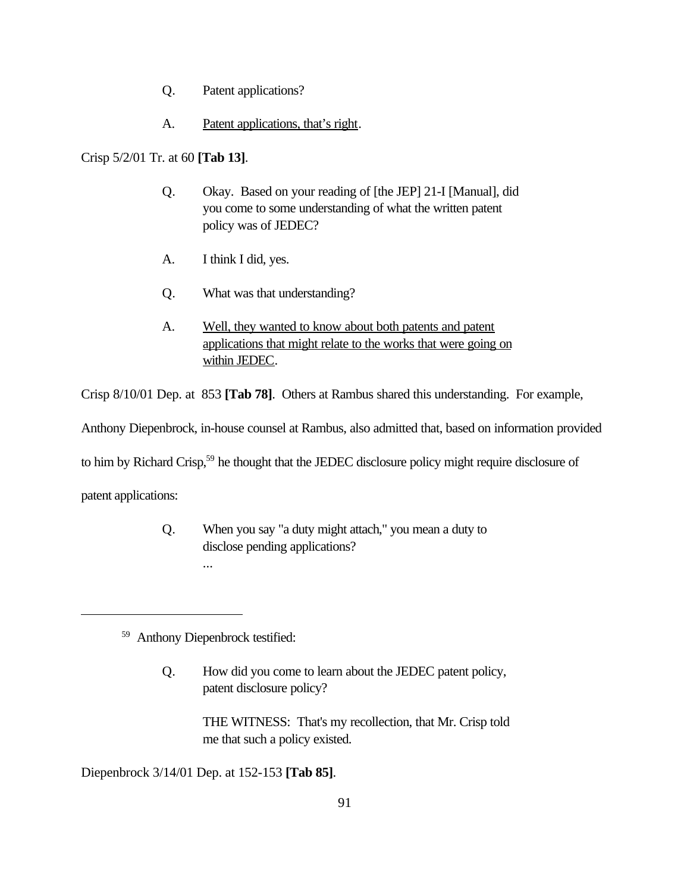- Q. Patent applications?
- A. Patent applications, that's right.

Crisp 5/2/01 Tr. at 60 **[Tab 13]**.

- Q. Okay. Based on your reading of [the JEP] 21-I [Manual], did you come to some understanding of what the written patent policy was of JEDEC?
- A. I think I did, yes.
- Q. What was that understanding?
- A. Well, they wanted to know about both patents and patent applications that might relate to the works that were going on within JEDEC.

Crisp 8/10/01 Dep. at 853 **[Tab 78]**. Others at Rambus shared this understanding. For example,

Anthony Diepenbrock, in-house counsel at Rambus, also admitted that, based on information provided

to him by Richard Crisp,<sup>59</sup> he thought that the JEDEC disclosure policy might require disclosure of

patent applications:

Q. When you say "a duty might attach," you mean a duty to disclose pending applications? ...

<sup>59</sup> Anthony Diepenbrock testified:

Q. How did you come to learn about the JEDEC patent policy, patent disclosure policy?

> THE WITNESS: That's my recollection, that Mr. Crisp told me that such a policy existed.

Diepenbrock 3/14/01 Dep. at 152-153 **[Tab 85]**.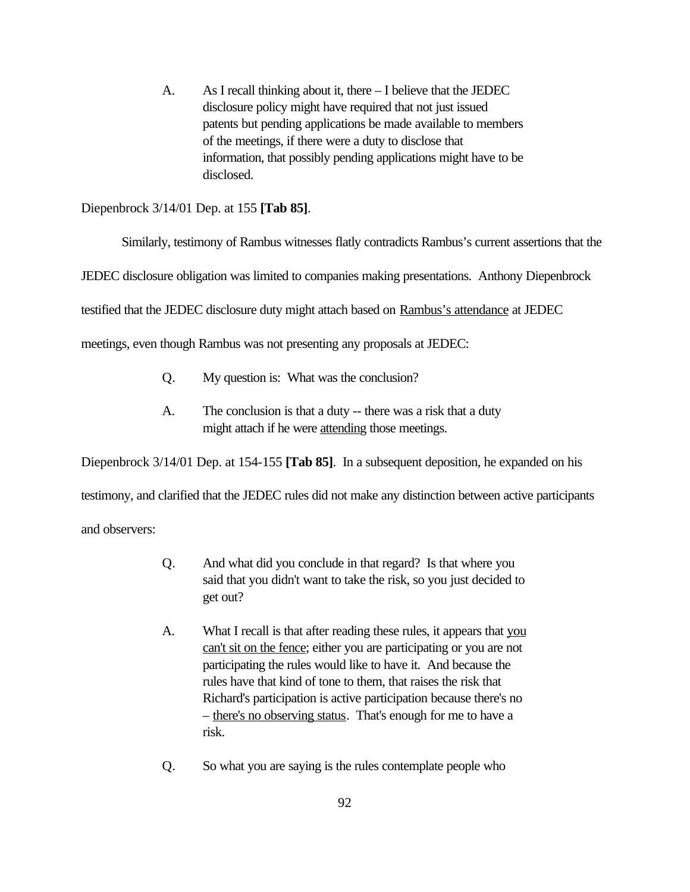A. As I recall thinking about it, there – I believe that the JEDEC disclosure policy might have required that not just issued patents but pending applications be made available to members of the meetings, if there were a duty to disclose that information, that possibly pending applications might have to be disclosed.

Diepenbrock 3/14/01 Dep. at 155 **[Tab 85]**.

Similarly, testimony of Rambus witnesses flatly contradicts Rambus's current assertions that the

JEDEC disclosure obligation was limited to companies making presentations. Anthony Diepenbrock

testified that the JEDEC disclosure duty might attach based on Rambus's attendance at JEDEC

meetings, even though Rambus was not presenting any proposals at JEDEC:

- Q. My question is: What was the conclusion?
- A. The conclusion is that a duty -- there was a risk that a duty might attach if he were attending those meetings.

Diepenbrock 3/14/01 Dep. at 154-155 **[Tab 85]**. In a subsequent deposition, he expanded on his

testimony, and clarified that the JEDEC rules did not make any distinction between active participants

and observers:

- Q. And what did you conclude in that regard? Is that where you said that you didn't want to take the risk, so you just decided to get out?
- A. What I recall is that after reading these rules, it appears that you can't sit on the fence; either you are participating or you are not participating the rules would like to have it. And because the rules have that kind of tone to them, that raises the risk that Richard's participation is active participation because there's no – there's no observing status. That's enough for me to have a risk.
- Q. So what you are saying is the rules contemplate people who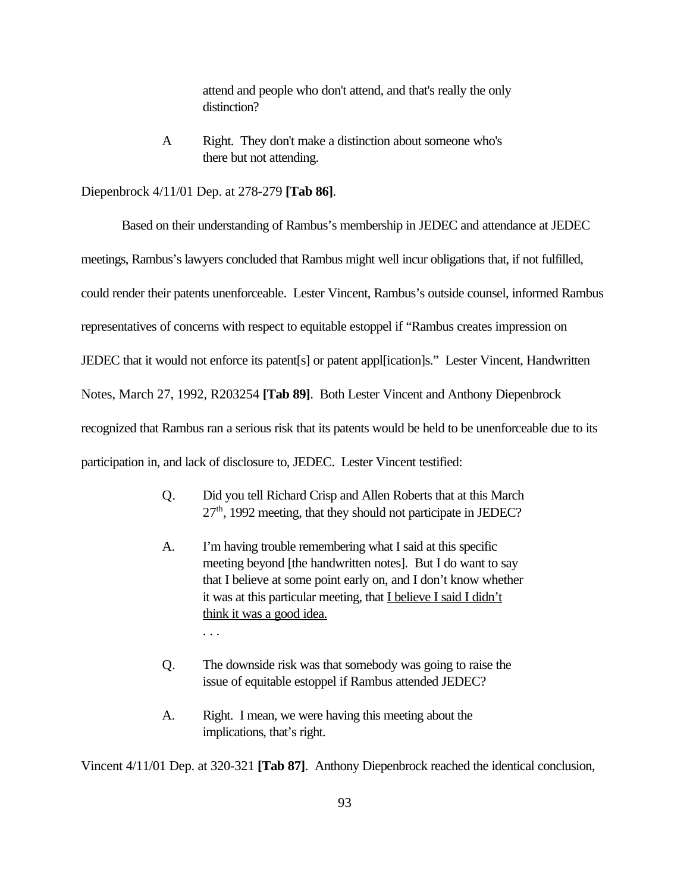attend and people who don't attend, and that's really the only distinction?

A Right. They don't make a distinction about someone who's there but not attending.

Diepenbrock 4/11/01 Dep. at 278-279 **[Tab 86]**.

Based on their understanding of Rambus's membership in JEDEC and attendance at JEDEC meetings, Rambus's lawyers concluded that Rambus might well incur obligations that, if not fulfilled, could render their patents unenforceable. Lester Vincent, Rambus's outside counsel, informed Rambus representatives of concerns with respect to equitable estoppel if "Rambus creates impression on JEDEC that it would not enforce its patent[s] or patent appl[ication]s." Lester Vincent, Handwritten Notes, March 27, 1992, R203254 **[Tab 89]**. Both Lester Vincent and Anthony Diepenbrock recognized that Rambus ran a serious risk that its patents would be held to be unenforceable due to its participation in, and lack of disclosure to, JEDEC. Lester Vincent testified:

- Q. Did you tell Richard Crisp and Allen Roberts that at this March 27<sup>th</sup>, 1992 meeting, that they should not participate in JEDEC?
- A. I'm having trouble remembering what I said at this specific meeting beyond [the handwritten notes]. But I do want to say that I believe at some point early on, and I don't know whether it was at this particular meeting, that I believe I said I didn't think it was a good idea. . . .
- Q. The downside risk was that somebody was going to raise the issue of equitable estoppel if Rambus attended JEDEC?
- A. Right. I mean, we were having this meeting about the implications, that's right.

Vincent 4/11/01 Dep. at 320-321 **[Tab 87]**. Anthony Diepenbrock reached the identical conclusion,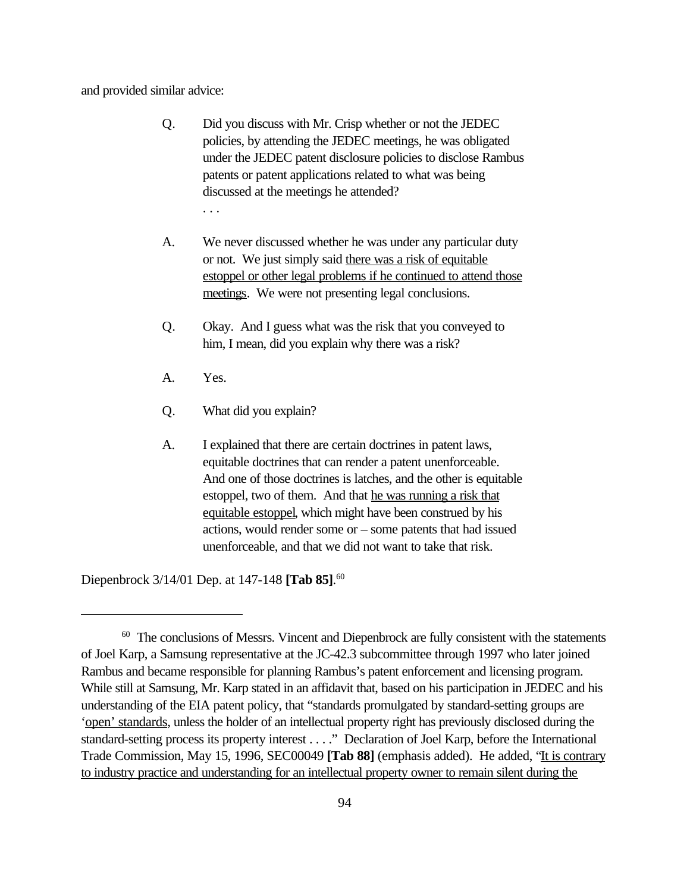and provided similar advice:

- Q. Did you discuss with Mr. Crisp whether or not the JEDEC policies, by attending the JEDEC meetings, he was obligated under the JEDEC patent disclosure policies to disclose Rambus patents or patent applications related to what was being discussed at the meetings he attended? . . .
- A. We never discussed whether he was under any particular duty or not. We just simply said there was a risk of equitable estoppel or other legal problems if he continued to attend those meetings. We were not presenting legal conclusions.
- Q. Okay. And I guess what was the risk that you conveyed to him, I mean, did you explain why there was a risk?
- A. Yes.
- Q. What did you explain?
- A. I explained that there are certain doctrines in patent laws, equitable doctrines that can render a patent unenforceable. And one of those doctrines is latches, and the other is equitable estoppel, two of them. And that he was running a risk that equitable estoppel, which might have been construed by his actions, would render some or – some patents that had issued unenforceable, and that we did not want to take that risk.

Diepenbrock 3/14/01 Dep. at 147-148 **[Tab 85]**. 60

<sup>&</sup>lt;sup>60</sup> The conclusions of Messrs. Vincent and Diepenbrock are fully consistent with the statements of Joel Karp, a Samsung representative at the JC-42.3 subcommittee through 1997 who later joined Rambus and became responsible for planning Rambus's patent enforcement and licensing program. While still at Samsung, Mr. Karp stated in an affidavit that, based on his participation in JEDEC and his understanding of the EIA patent policy, that "standards promulgated by standard-setting groups are 'open' standards, unless the holder of an intellectual property right has previously disclosed during the standard-setting process its property interest . . . ." Declaration of Joel Karp, before the International Trade Commission, May 15, 1996, SEC00049 **[Tab 88]** (emphasis added). He added, "It is contrary to industry practice and understanding for an intellectual property owner to remain silent during the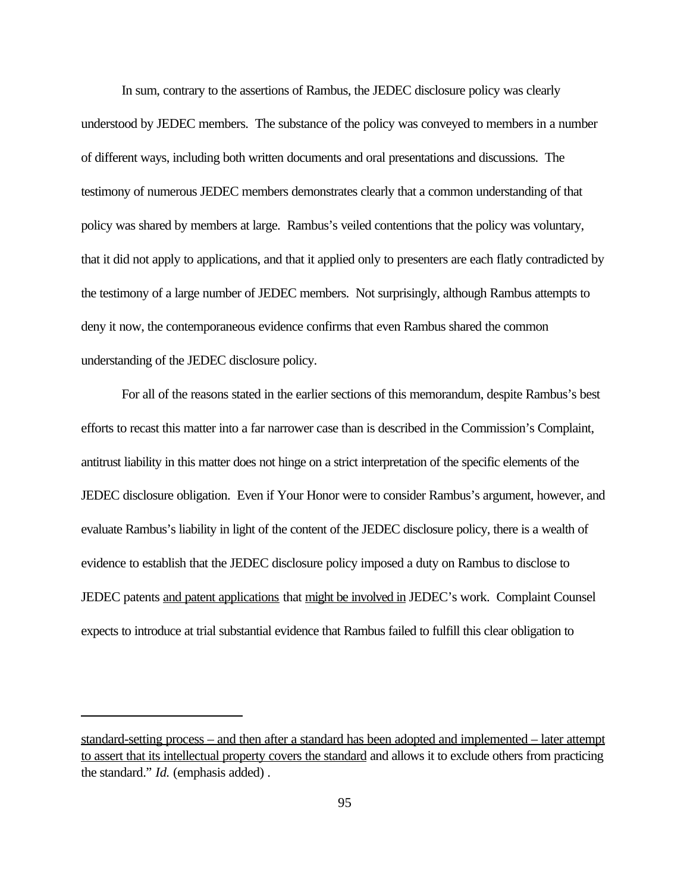In sum, contrary to the assertions of Rambus, the JEDEC disclosure policy was clearly understood by JEDEC members. The substance of the policy was conveyed to members in a number of different ways, including both written documents and oral presentations and discussions. The testimony of numerous JEDEC members demonstrates clearly that a common understanding of that policy was shared by members at large. Rambus's veiled contentions that the policy was voluntary, that it did not apply to applications, and that it applied only to presenters are each flatly contradicted by the testimony of a large number of JEDEC members. Not surprisingly, although Rambus attempts to deny it now, the contemporaneous evidence confirms that even Rambus shared the common understanding of the JEDEC disclosure policy.

For all of the reasons stated in the earlier sections of this memorandum, despite Rambus's best efforts to recast this matter into a far narrower case than is described in the Commission's Complaint, antitrust liability in this matter does not hinge on a strict interpretation of the specific elements of the JEDEC disclosure obligation. Even if Your Honor were to consider Rambus's argument, however, and evaluate Rambus's liability in light of the content of the JEDEC disclosure policy, there is a wealth of evidence to establish that the JEDEC disclosure policy imposed a duty on Rambus to disclose to JEDEC patents and patent applications that might be involved in JEDEC's work. Complaint Counsel expects to introduce at trial substantial evidence that Rambus failed to fulfill this clear obligation to

standard-setting process – and then after a standard has been adopted and implemented – later attempt to assert that its intellectual property covers the standard and allows it to exclude others from practicing the standard." *Id.* (emphasis added) .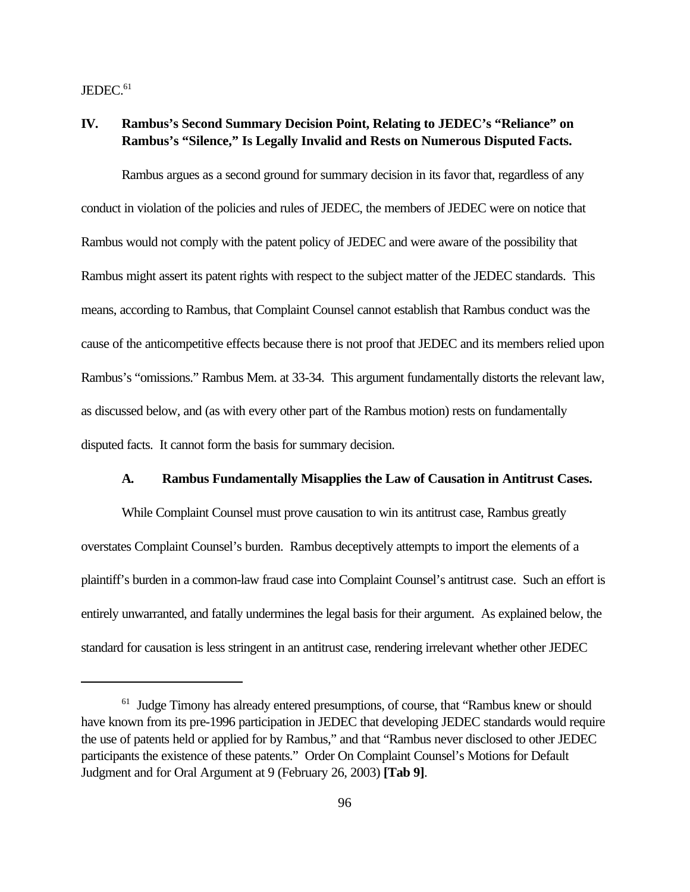JEDEC.<sup>61</sup>

# **IV. Rambus's Second Summary Decision Point, Relating to JEDEC's "Reliance" on Rambus's "Silence," Is Legally Invalid and Rests on Numerous Disputed Facts.**

Rambus argues as a second ground for summary decision in its favor that, regardless of any conduct in violation of the policies and rules of JEDEC, the members of JEDEC were on notice that Rambus would not comply with the patent policy of JEDEC and were aware of the possibility that Rambus might assert its patent rights with respect to the subject matter of the JEDEC standards. This means, according to Rambus, that Complaint Counsel cannot establish that Rambus conduct was the cause of the anticompetitive effects because there is not proof that JEDEC and its members relied upon Rambus's "omissions." Rambus Mem. at 33-34. This argument fundamentally distorts the relevant law, as discussed below, and (as with every other part of the Rambus motion) rests on fundamentally disputed facts. It cannot form the basis for summary decision.

## **A. Rambus Fundamentally Misapplies the Law of Causation in Antitrust Cases.**

While Complaint Counsel must prove causation to win its antitrust case, Rambus greatly overstates Complaint Counsel's burden. Rambus deceptively attempts to import the elements of a plaintiff's burden in a common-law fraud case into Complaint Counsel's antitrust case. Such an effort is entirely unwarranted, and fatally undermines the legal basis for their argument. As explained below, the standard for causation is less stringent in an antitrust case, rendering irrelevant whether other JEDEC

<sup>&</sup>lt;sup>61</sup> Judge Timony has already entered presumptions, of course, that "Rambus knew or should have known from its pre-1996 participation in JEDEC that developing JEDEC standards would require the use of patents held or applied for by Rambus," and that "Rambus never disclosed to other JEDEC participants the existence of these patents." Order On Complaint Counsel's Motions for Default Judgment and for Oral Argument at 9 (February 26, 2003) **[Tab 9]**.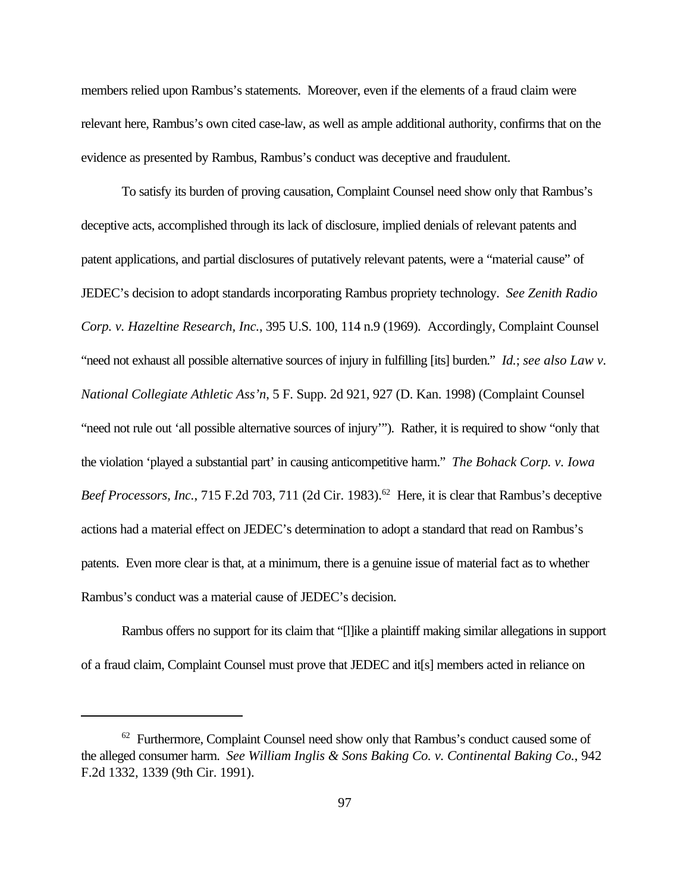members relied upon Rambus's statements. Moreover, even if the elements of a fraud claim were relevant here, Rambus's own cited case-law, as well as ample additional authority, confirms that on the evidence as presented by Rambus, Rambus's conduct was deceptive and fraudulent.

To satisfy its burden of proving causation, Complaint Counsel need show only that Rambus's deceptive acts, accomplished through its lack of disclosure, implied denials of relevant patents and patent applications, and partial disclosures of putatively relevant patents, were a "material cause" of JEDEC's decision to adopt standards incorporating Rambus propriety technology. *See Zenith Radio Corp. v. Hazeltine Research, Inc.*, 395 U.S. 100, 114 n.9 (1969). Accordingly, Complaint Counsel "need not exhaust all possible alternative sources of injury in fulfilling [its] burden." *Id.*; *see also Law v. National Collegiate Athletic Ass'n*, 5 F. Supp. 2d 921, 927 (D. Kan. 1998) (Complaint Counsel "need not rule out 'all possible alternative sources of injury'"). Rather, it is required to show "only that the violation 'played a substantial part' in causing anticompetitive harm." *The Bohack Corp. v. Iowa Beef Processors, Inc., 715 F.2d 703, 711 (2d Cir. 1983).*<sup>62</sup> Here, it is clear that Rambus's deceptive actions had a material effect on JEDEC's determination to adopt a standard that read on Rambus's patents. Even more clear is that, at a minimum, there is a genuine issue of material fact as to whether Rambus's conduct was a material cause of JEDEC's decision.

Rambus offers no support for its claim that "[l]ike a plaintiff making similar allegations in support of a fraud claim, Complaint Counsel must prove that JEDEC and it[s] members acted in reliance on

<sup>&</sup>lt;sup>62</sup> Furthermore, Complaint Counsel need show only that Rambus's conduct caused some of the alleged consumer harm. *See William Inglis & Sons Baking Co. v. Continental Baking Co.*, 942 F.2d 1332, 1339 (9th Cir. 1991).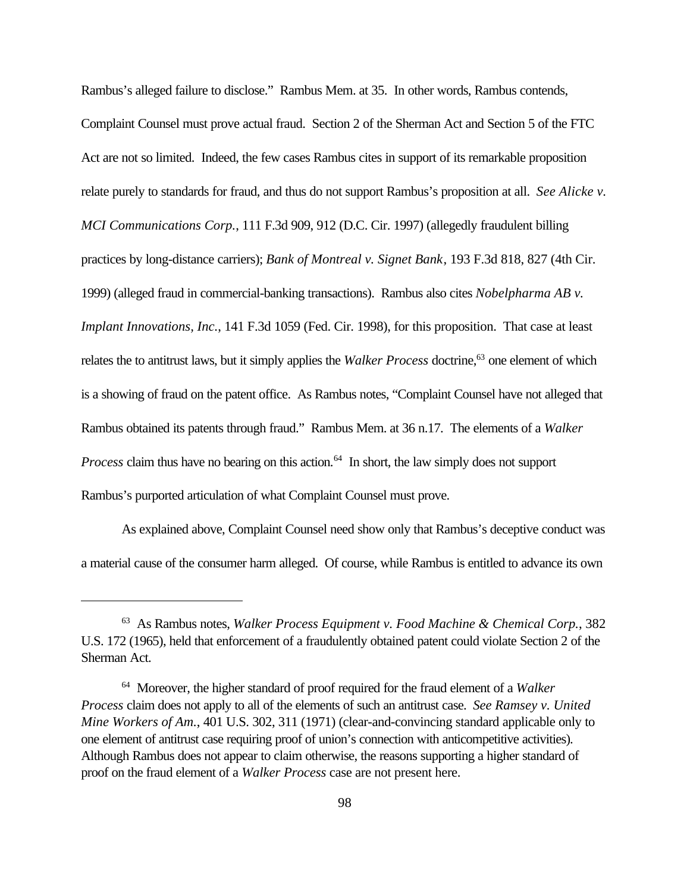Rambus's alleged failure to disclose." Rambus Mem. at 35. In other words, Rambus contends, Complaint Counsel must prove actual fraud. Section 2 of the Sherman Act and Section 5 of the FTC Act are not so limited. Indeed, the few cases Rambus cites in support of its remarkable proposition relate purely to standards for fraud, and thus do not support Rambus's proposition at all. *See Alicke v. MCI Communications Corp.*, 111 F.3d 909, 912 (D.C. Cir. 1997) (allegedly fraudulent billing practices by long-distance carriers); *Bank of Montreal v. Signet Bank*, 193 F.3d 818, 827 (4th Cir. 1999) (alleged fraud in commercial-banking transactions). Rambus also cites *Nobelpharma AB v. Implant Innovations, Inc.*, 141 F.3d 1059 (Fed. Cir. 1998), for this proposition. That case at least relates the to antitrust laws, but it simply applies the *Walker Process* doctrine,<sup>63</sup> one element of which is a showing of fraud on the patent office. As Rambus notes, "Complaint Counsel have not alleged that Rambus obtained its patents through fraud." Rambus Mem. at 36 n.17. The elements of a *Walker Process* claim thus have no bearing on this action.<sup>64</sup> In short, the law simply does not support Rambus's purported articulation of what Complaint Counsel must prove.

As explained above, Complaint Counsel need show only that Rambus's deceptive conduct was a material cause of the consumer harm alleged. Of course, while Rambus is entitled to advance its own

<sup>63</sup> As Rambus notes, *Walker Process Equipment v. Food Machine & Chemical Corp.*, 382 U.S. 172 (1965), held that enforcement of a fraudulently obtained patent could violate Section 2 of the Sherman Act.

<sup>64</sup> Moreover, the higher standard of proof required for the fraud element of a *Walker Process* claim does not apply to all of the elements of such an antitrust case. *See Ramsey v. United Mine Workers of Am.*, 401 U.S. 302, 311 (1971) (clear-and-convincing standard applicable only to one element of antitrust case requiring proof of union's connection with anticompetitive activities). Although Rambus does not appear to claim otherwise, the reasons supporting a higher standard of proof on the fraud element of a *Walker Process* case are not present here.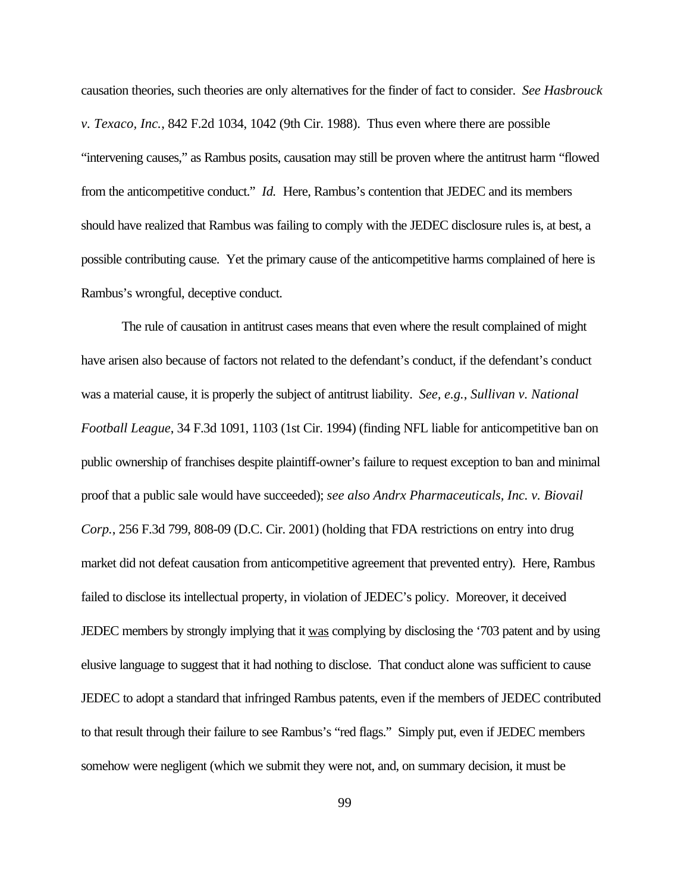causation theories, such theories are only alternatives for the finder of fact to consider. *See Hasbrouck v. Texaco, Inc.*, 842 F.2d 1034, 1042 (9th Cir. 1988). Thus even where there are possible "intervening causes," as Rambus posits, causation may still be proven where the antitrust harm "flowed from the anticompetitive conduct." *Id.* Here, Rambus's contention that JEDEC and its members should have realized that Rambus was failing to comply with the JEDEC disclosure rules is, at best, a possible contributing cause. Yet the primary cause of the anticompetitive harms complained of here is Rambus's wrongful, deceptive conduct.

The rule of causation in antitrust cases means that even where the result complained of might have arisen also because of factors not related to the defendant's conduct, if the defendant's conduct was a material cause, it is properly the subject of antitrust liability. *See, e.g.*, *Sullivan v. National Football League*, 34 F.3d 1091, 1103 (1st Cir. 1994) (finding NFL liable for anticompetitive ban on public ownership of franchises despite plaintiff-owner's failure to request exception to ban and minimal proof that a public sale would have succeeded); *see also Andrx Pharmaceuticals, Inc. v. Biovail Corp.*, 256 F.3d 799, 808-09 (D.C. Cir. 2001) (holding that FDA restrictions on entry into drug market did not defeat causation from anticompetitive agreement that prevented entry). Here, Rambus failed to disclose its intellectual property, in violation of JEDEC's policy. Moreover, it deceived JEDEC members by strongly implying that it was complying by disclosing the '703 patent and by using elusive language to suggest that it had nothing to disclose. That conduct alone was sufficient to cause JEDEC to adopt a standard that infringed Rambus patents, even if the members of JEDEC contributed to that result through their failure to see Rambus's "red flags." Simply put, even if JEDEC members somehow were negligent (which we submit they were not, and, on summary decision, it must be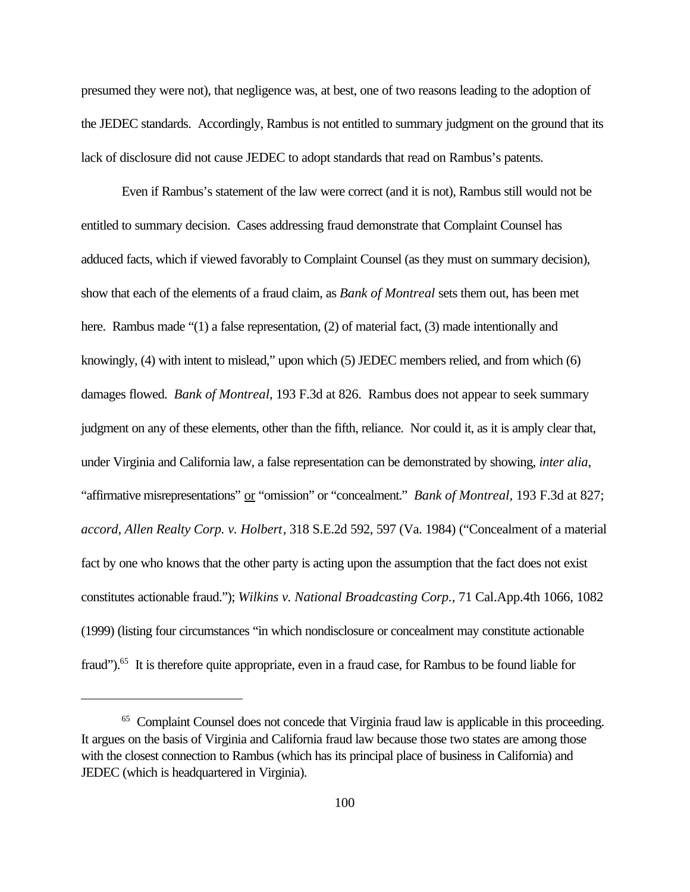presumed they were not), that negligence was, at best, one of two reasons leading to the adoption of the JEDEC standards. Accordingly, Rambus is not entitled to summary judgment on the ground that its lack of disclosure did not cause JEDEC to adopt standards that read on Rambus's patents.

Even if Rambus's statement of the law were correct (and it is not), Rambus still would not be entitled to summary decision. Cases addressing fraud demonstrate that Complaint Counsel has adduced facts, which if viewed favorably to Complaint Counsel (as they must on summary decision), show that each of the elements of a fraud claim, as *Bank of Montreal* sets them out, has been met here. Rambus made "(1) a false representation, (2) of material fact, (3) made intentionally and knowingly, (4) with intent to mislead," upon which (5) JEDEC members relied, and from which (6) damages flowed. *Bank of Montreal*, 193 F.3d at 826. Rambus does not appear to seek summary judgment on any of these elements, other than the fifth, reliance. Nor could it, as it is amply clear that, under Virginia and California law, a false representation can be demonstrated by showing, *inter alia*, "affirmative misrepresentations" or "omission" or "concealment." *Bank of Montreal*, 193 F.3d at 827; *accord, Allen Realty Corp. v. Holbert*, 318 S.E.2d 592, 597 (Va. 1984) ("Concealment of a material fact by one who knows that the other party is acting upon the assumption that the fact does not exist constitutes actionable fraud."); *Wilkins v. National Broadcasting Corp.*, 71 Cal.App.4th 1066, 1082 (1999) (listing four circumstances "in which nondisclosure or concealment may constitute actionable fraud").<sup>65</sup> It is therefore quite appropriate, even in a fraud case, for Rambus to be found liable for

<sup>&</sup>lt;sup>65</sup> Complaint Counsel does not concede that Virginia fraud law is applicable in this proceeding. It argues on the basis of Virginia and California fraud law because those two states are among those with the closest connection to Rambus (which has its principal place of business in California) and JEDEC (which is headquartered in Virginia).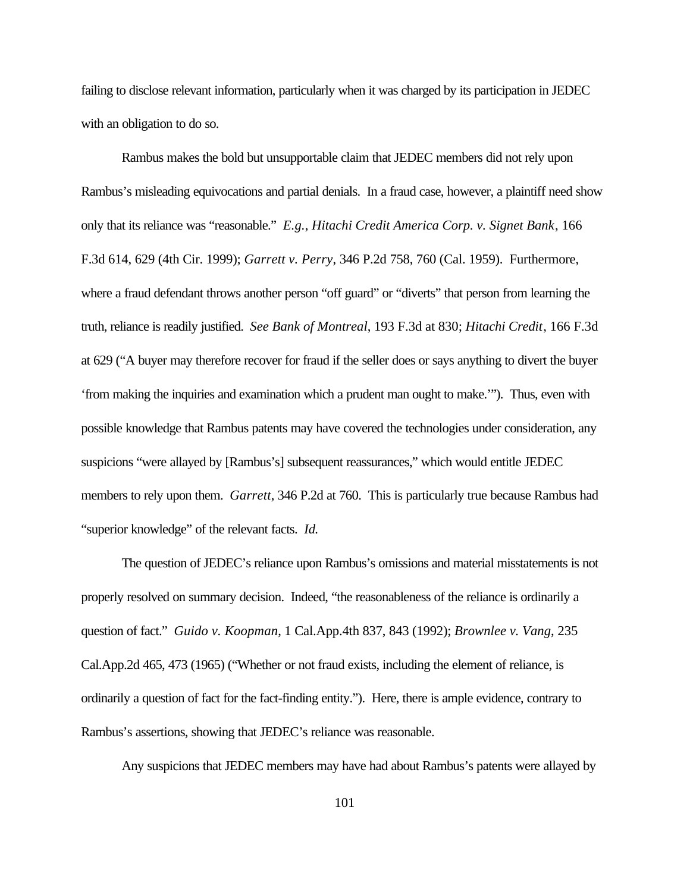failing to disclose relevant information, particularly when it was charged by its participation in JEDEC with an obligation to do so.

Rambus makes the bold but unsupportable claim that JEDEC members did not rely upon Rambus's misleading equivocations and partial denials. In a fraud case, however, a plaintiff need show only that its reliance was "reasonable." *E.g.*, *Hitachi Credit America Corp. v. Signet Bank*, 166 F.3d 614, 629 (4th Cir. 1999); *Garrett v. Perry*, 346 P.2d 758, 760 (Cal. 1959). Furthermore, where a fraud defendant throws another person "off guard" or "diverts" that person from learning the truth, reliance is readily justified. *See Bank of Montreal*, 193 F.3d at 830; *Hitachi Credit*, 166 F.3d at 629 ("A buyer may therefore recover for fraud if the seller does or says anything to divert the buyer 'from making the inquiries and examination which a prudent man ought to make.'"). Thus, even with possible knowledge that Rambus patents may have covered the technologies under consideration, any suspicions "were allayed by [Rambus's] subsequent reassurances," which would entitle JEDEC members to rely upon them. *Garrett*, 346 P.2d at 760. This is particularly true because Rambus had "superior knowledge" of the relevant facts. *Id.*

The question of JEDEC's reliance upon Rambus's omissions and material misstatements is not properly resolved on summary decision. Indeed, "the reasonableness of the reliance is ordinarily a question of fact." *Guido v. Koopman*, 1 Cal.App.4th 837, 843 (1992); *Brownlee v. Vang*, 235 Cal.App.2d 465, 473 (1965) ("Whether or not fraud exists, including the element of reliance, is ordinarily a question of fact for the fact-finding entity."). Here, there is ample evidence, contrary to Rambus's assertions, showing that JEDEC's reliance was reasonable.

Any suspicions that JEDEC members may have had about Rambus's patents were allayed by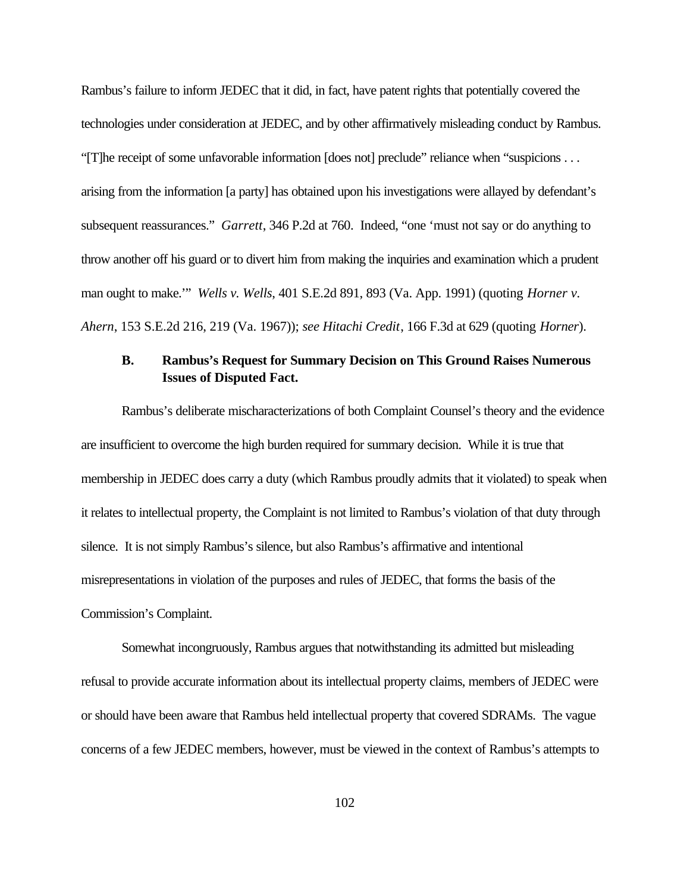Rambus's failure to inform JEDEC that it did, in fact, have patent rights that potentially covered the technologies under consideration at JEDEC, and by other affirmatively misleading conduct by Rambus. "[T]he receipt of some unfavorable information [does not] preclude" reliance when "suspicions . . . arising from the information [a party] has obtained upon his investigations were allayed by defendant's subsequent reassurances." *Garrett*, 346 P.2d at 760. Indeed, "one 'must not say or do anything to throw another off his guard or to divert him from making the inquiries and examination which a prudent man ought to make.'" *Wells v. Wells*, 401 S.E.2d 891, 893 (Va. App. 1991) (quoting *Horner v. Ahern*, 153 S.E.2d 216, 219 (Va. 1967)); *see Hitachi Credit*, 166 F.3d at 629 (quoting *Horner*).

### **B. Rambus's Request for Summary Decision on This Ground Raises Numerous Issues of Disputed Fact.**

Rambus's deliberate mischaracterizations of both Complaint Counsel's theory and the evidence are insufficient to overcome the high burden required for summary decision. While it is true that membership in JEDEC does carry a duty (which Rambus proudly admits that it violated) to speak when it relates to intellectual property, the Complaint is not limited to Rambus's violation of that duty through silence. It is not simply Rambus's silence, but also Rambus's affirmative and intentional misrepresentations in violation of the purposes and rules of JEDEC, that forms the basis of the Commission's Complaint.

Somewhat incongruously, Rambus argues that notwithstanding its admitted but misleading refusal to provide accurate information about its intellectual property claims, members of JEDEC were or should have been aware that Rambus held intellectual property that covered SDRAMs. The vague concerns of a few JEDEC members, however, must be viewed in the context of Rambus's attempts to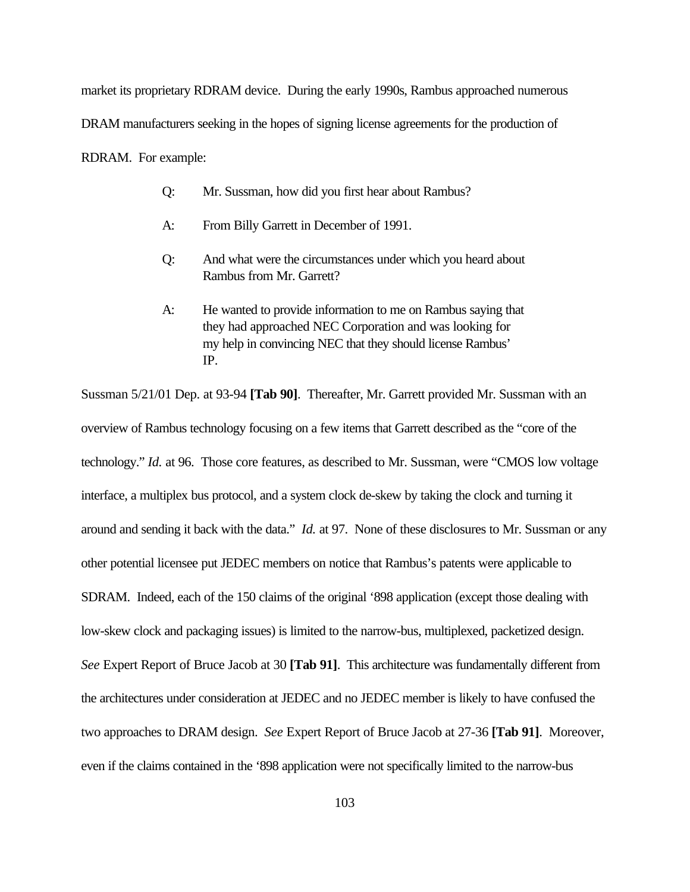market its proprietary RDRAM device. During the early 1990s, Rambus approached numerous

DRAM manufacturers seeking in the hopes of signing license agreements for the production of

RDRAM. For example:

- Q: Mr. Sussman, how did you first hear about Rambus?
- A: From Billy Garrett in December of 1991.
- Q: And what were the circumstances under which you heard about Rambus from Mr. Garrett?
- A: He wanted to provide information to me on Rambus saying that they had approached NEC Corporation and was looking for my help in convincing NEC that they should license Rambus' IP.

Sussman 5/21/01 Dep. at 93-94 **[Tab 90]**. Thereafter, Mr. Garrett provided Mr. Sussman with an overview of Rambus technology focusing on a few items that Garrett described as the "core of the technology." *Id.* at 96. Those core features, as described to Mr. Sussman, were "CMOS low voltage interface, a multiplex bus protocol, and a system clock de-skew by taking the clock and turning it around and sending it back with the data." *Id.* at 97. None of these disclosures to Mr. Sussman or any other potential licensee put JEDEC members on notice that Rambus's patents were applicable to SDRAM. Indeed, each of the 150 claims of the original '898 application (except those dealing with low-skew clock and packaging issues) is limited to the narrow-bus, multiplexed, packetized design. *See* Expert Report of Bruce Jacob at 30 **[Tab 91]**. This architecture was fundamentally different from the architectures under consideration at JEDEC and no JEDEC member is likely to have confused the two approaches to DRAM design. *See* Expert Report of Bruce Jacob at 27-36 **[Tab 91]**. Moreover, even if the claims contained in the '898 application were not specifically limited to the narrow-bus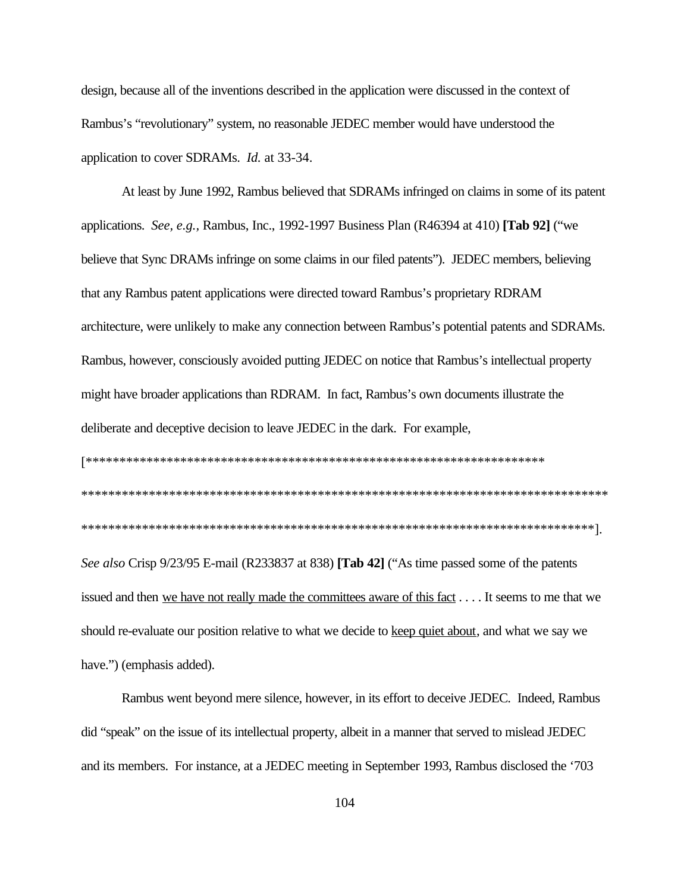design, because all of the inventions described in the application were discussed in the context of Rambus's "revolutionary" system, no reasonable JEDEC member would have understood the application to cover SDRAMs. *Id.* at 33-34.

At least by June 1992, Rambus believed that SDRAMs infringed on claims in some of its patent applications. See, e.g., Rambus, Inc., 1992-1997 Business Plan (R46394 at 410) [Tab 92] ("we believe that Sync DRAMs infringe on some claims in our filed patents"). JEDEC members, believing that any Rambus patent applications were directed toward Rambus's proprietary RDRAM architecture, were unlikely to make any connection between Rambus's potential patents and SDRAMs. Rambus, however, consciously avoided putting JEDEC on notice that Rambus's intellectual property might have broader applications than RDRAM. In fact, Rambus's own documents illustrate the deliberate and deceptive decision to leave JEDEC in the dark. For example,

See also Crisp 9/23/95 E-mail (R233837 at 838) [Tab 42] ("As time passed some of the patents issued and then we have not really made the committees aware of this fact . . . . It seems to me that we should re-evaluate our position relative to what we decide to keep quiet about, and what we say we have.") (emphasis added).

Rambus went beyond mere silence, however, in its effort to deceive JEDEC. Indeed, Rambus did "speak" on the issue of its intellectual property, albeit in a manner that served to mislead JEDEC and its members. For instance, at a JEDEC meeting in September 1993, Rambus disclosed the '703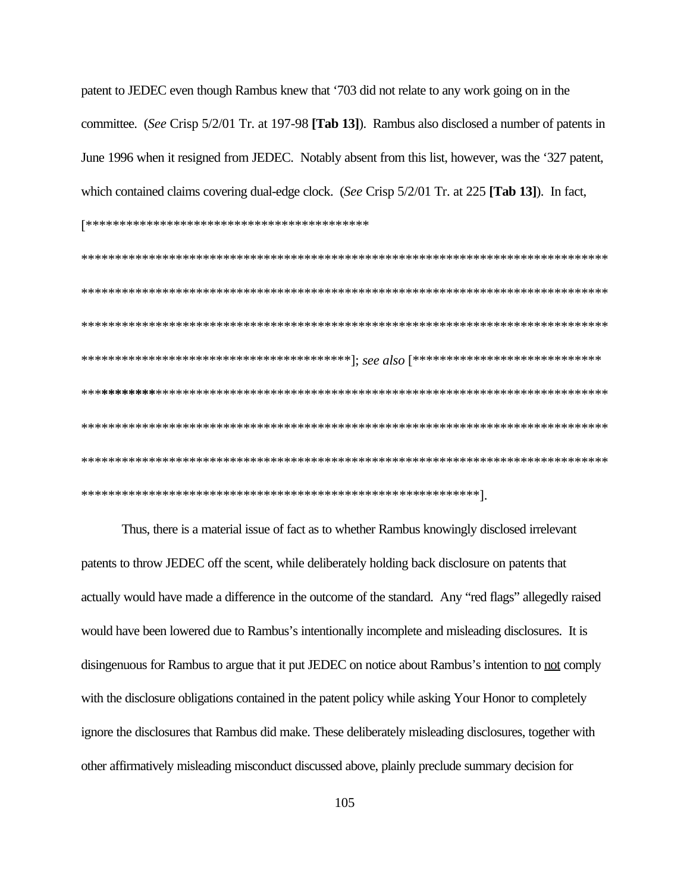patent to JEDEC even though Rambus knew that '703 did not relate to any work going on in the committee. (See Crisp 5/2/01 Tr. at 197-98 [Tab 13]). Rambus also disclosed a number of patents in June 1996 when it resigned from JEDEC. Notably absent from this list, however, was the '327 patent, which contained claims covering dual-edge clock. (See Crisp 5/2/01 Tr. at 225 [Tab 13]). In fact, 

Thus, there is a material issue of fact as to whether Rambus knowingly disclosed irrelevant patents to throw JEDEC off the scent, while deliberately holding back disclosure on patents that actually would have made a difference in the outcome of the standard. Any "red flags" allegedly raised would have been lowered due to Rambus's intentionally incomplete and misleading disclosures. It is disingenuous for Rambus to argue that it put JEDEC on notice about Rambus's intention to not comply with the disclosure obligations contained in the patent policy while asking Your Honor to completely ignore the disclosures that Rambus did make. These deliberately misleading disclosures, together with other affirmatively misleading misconduct discussed above, plainly preclude summary decision for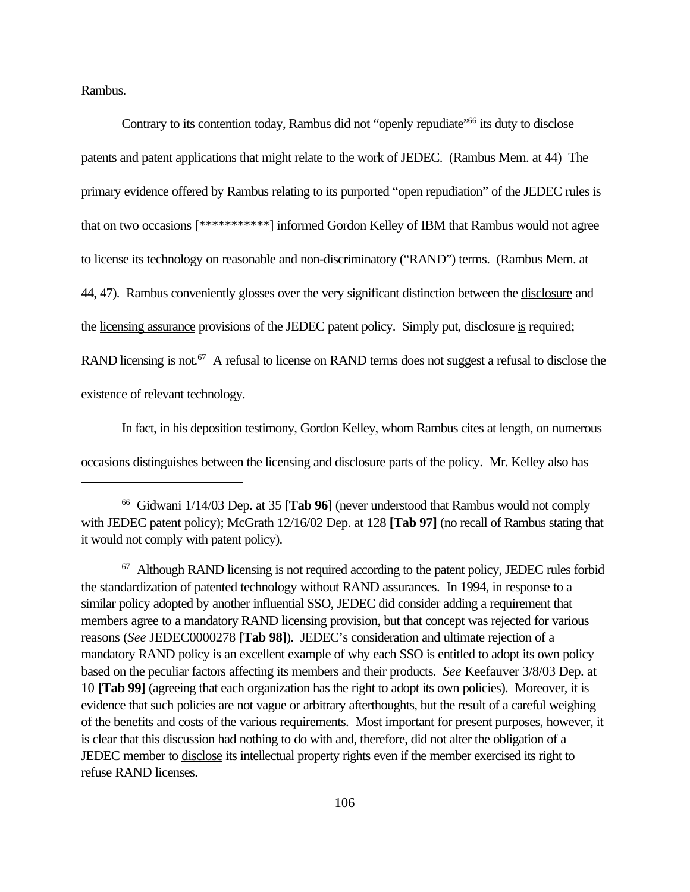Rambus.

Contrary to its contention today, Rambus did not "openly repudiate"<sup>66</sup> its duty to disclose patents and patent applications that might relate to the work of JEDEC. (Rambus Mem. at 44) The primary evidence offered by Rambus relating to its purported "open repudiation" of the JEDEC rules is that on two occasions [\*\*\*\*\*\*\*\*\*\*\*] informed Gordon Kelley of IBM that Rambus would not agree to license its technology on reasonable and non-discriminatory ("RAND") terms. (Rambus Mem. at 44, 47). Rambus conveniently glosses over the very significant distinction between the disclosure and the licensing assurance provisions of the JEDEC patent policy. Simply put, disclosure is required; RAND licensing is not.<sup>67</sup> A refusal to license on RAND terms does not suggest a refusal to disclose the existence of relevant technology.

In fact, in his deposition testimony, Gordon Kelley, whom Rambus cites at length, on numerous occasions distinguishes between the licensing and disclosure parts of the policy. Mr. Kelley also has

<sup>66</sup> Gidwani 1/14/03 Dep. at 35 **[Tab 96]** (never understood that Rambus would not comply with JEDEC patent policy); McGrath 12/16/02 Dep. at 128 **[Tab 97]** (no recall of Rambus stating that it would not comply with patent policy).

 $67$  Although RAND licensing is not required according to the patent policy, JEDEC rules forbid the standardization of patented technology without RAND assurances. In 1994, in response to a similar policy adopted by another influential SSO, JEDEC did consider adding a requirement that members agree to a mandatory RAND licensing provision, but that concept was rejected for various reasons (*See* JEDEC0000278 **[Tab 98]**). JEDEC's consideration and ultimate rejection of a mandatory RAND policy is an excellent example of why each SSO is entitled to adopt its own policy based on the peculiar factors affecting its members and their products. *See* Keefauver 3/8/03 Dep. at 10 **[Tab 99]** (agreeing that each organization has the right to adopt its own policies). Moreover, it is evidence that such policies are not vague or arbitrary afterthoughts, but the result of a careful weighing of the benefits and costs of the various requirements. Most important for present purposes, however, it is clear that this discussion had nothing to do with and, therefore, did not alter the obligation of a JEDEC member to disclose its intellectual property rights even if the member exercised its right to refuse RAND licenses.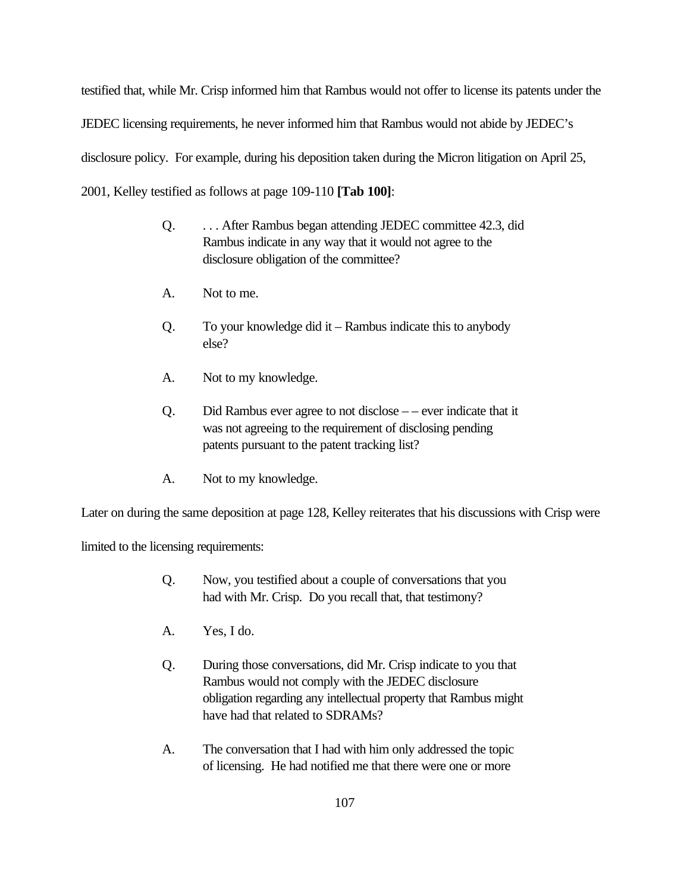testified that, while Mr. Crisp informed him that Rambus would not offer to license its patents under the JEDEC licensing requirements, he never informed him that Rambus would not abide by JEDEC's disclosure policy. For example, during his deposition taken during the Micron litigation on April 25, 2001, Kelley testified as follows at page 109-110 **[Tab 100]**:

- Q. . . . After Rambus began attending JEDEC committee 42.3, did Rambus indicate in any way that it would not agree to the disclosure obligation of the committee?
- A. Not to me.
- Q. To your knowledge did it Rambus indicate this to anybody else?
- A. Not to my knowledge.
- Q. Did Rambus ever agree to not disclose – ever indicate that it was not agreeing to the requirement of disclosing pending patents pursuant to the patent tracking list?
- A. Not to my knowledge.

Later on during the same deposition at page 128, Kelley reiterates that his discussions with Crisp were

limited to the licensing requirements:

- Q. Now, you testified about a couple of conversations that you had with Mr. Crisp. Do you recall that, that testimony?
- A. Yes, I do.
- Q. During those conversations, did Mr. Crisp indicate to you that Rambus would not comply with the JEDEC disclosure obligation regarding any intellectual property that Rambus might have had that related to SDRAMs?
- A. The conversation that I had with him only addressed the topic of licensing. He had notified me that there were one or more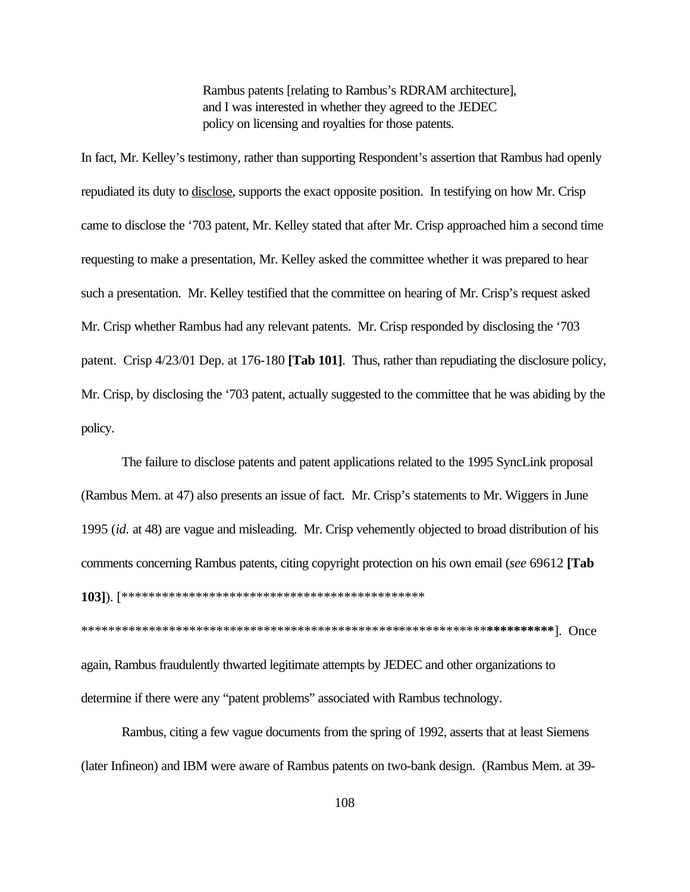Rambus patents [relating to Rambus's RDRAM architecture], and I was interested in whether they agreed to the JEDEC policy on licensing and royalties for those patents.

In fact, Mr. Kelley's testimony, rather than supporting Respondent's assertion that Rambus had openly repudiated its duty to disclose, supports the exact opposite position. In testifying on how Mr. Crisp came to disclose the '703 patent, Mr. Kelley stated that after Mr. Crisp approached him a second time requesting to make a presentation, Mr. Kelley asked the committee whether it was prepared to hear such a presentation. Mr. Kelley testified that the committee on hearing of Mr. Crisp's request asked Mr. Crisp whether Rambus had any relevant patents. Mr. Crisp responded by disclosing the '703 patent. Crisp 4/23/01 Dep. at 176-180 **[Tab 101]**. Thus, rather than repudiating the disclosure policy, Mr. Crisp, by disclosing the '703 patent, actually suggested to the committee that he was abiding by the policy.

The failure to disclose patents and patent applications related to the 1995 SyncLink proposal (Rambus Mem. at 47) also presents an issue of fact. Mr. Crisp's statements to Mr. Wiggers in June 1995 (*id.* at 48) are vague and misleading. Mr. Crisp vehemently objected to broad distribution of his comments concerning Rambus patents, citing copyright protection on his own email (*see* 69612 **[Tab 103]**). [\*\*\*\*\*\*\*\*\*\*\*\*\*\*\*\*\*\*\*\*\*\*\*\*\*\*\*\*\*\*\*\*\*\*\*\*\*\*\*\*\*\*\*\*\*

\*\*\*\*\*\*\*\*\*\*\*\*\*\*\*\*\*\*\*\*\*\*\*\*\*\*\*\*\*\*\*\*\*\*\*\*\*\*\*\*\*\*\*\**\*\*\**\*\*\*\*\*\*\*\*\*\*\*\*\***\*\*\*\*\*\*\*\*\*\***]. Once again, Rambus fraudulently thwarted legitimate attempts by JEDEC and other organizations to determine if there were any "patent problems" associated with Rambus technology.

Rambus, citing a few vague documents from the spring of 1992, asserts that at least Siemens (later Infineon) and IBM were aware of Rambus patents on two-bank design. (Rambus Mem. at 39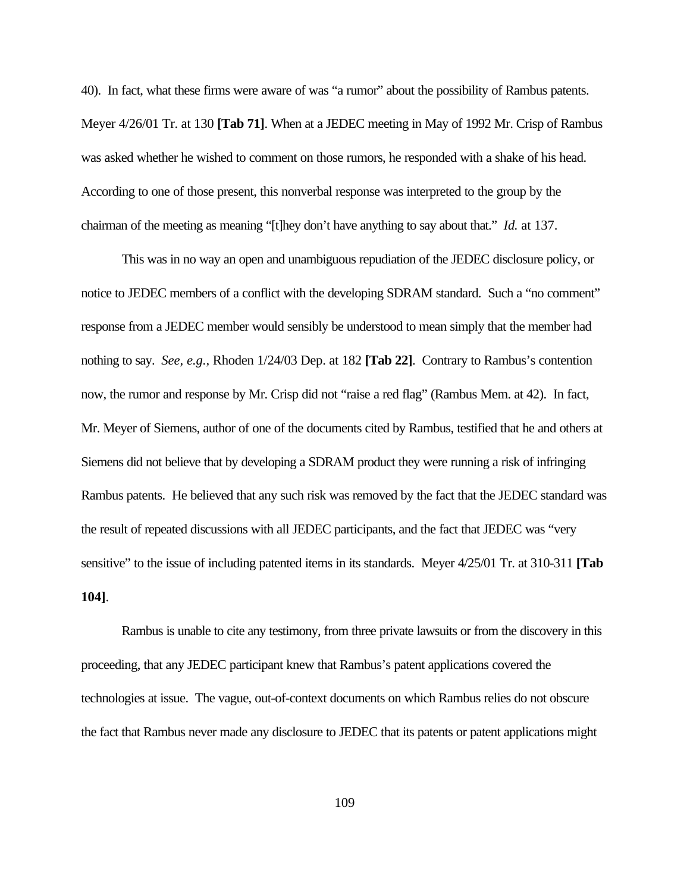40). In fact, what these firms were aware of was "a rumor" about the possibility of Rambus patents. Meyer 4/26/01 Tr. at 130 **[Tab 71]**. When at a JEDEC meeting in May of 1992 Mr. Crisp of Rambus was asked whether he wished to comment on those rumors, he responded with a shake of his head. According to one of those present, this nonverbal response was interpreted to the group by the chairman of the meeting as meaning "[t]hey don't have anything to say about that." *Id.* at 137.

This was in no way an open and unambiguous repudiation of the JEDEC disclosure policy, or notice to JEDEC members of a conflict with the developing SDRAM standard. Such a "no comment" response from a JEDEC member would sensibly be understood to mean simply that the member had nothing to say. *See, e.g.,* Rhoden 1/24/03 Dep. at 182 **[Tab 22]**. Contrary to Rambus's contention now, the rumor and response by Mr. Crisp did not "raise a red flag" (Rambus Mem. at 42). In fact, Mr. Meyer of Siemens, author of one of the documents cited by Rambus, testified that he and others at Siemens did not believe that by developing a SDRAM product they were running a risk of infringing Rambus patents. He believed that any such risk was removed by the fact that the JEDEC standard was the result of repeated discussions with all JEDEC participants, and the fact that JEDEC was "very sensitive" to the issue of including patented items in its standards. Meyer 4/25/01 Tr. at 310-311 **[Tab 104]**.

Rambus is unable to cite any testimony, from three private lawsuits or from the discovery in this proceeding, that any JEDEC participant knew that Rambus's patent applications covered the technologies at issue. The vague, out-of-context documents on which Rambus relies do not obscure the fact that Rambus never made any disclosure to JEDEC that its patents or patent applications might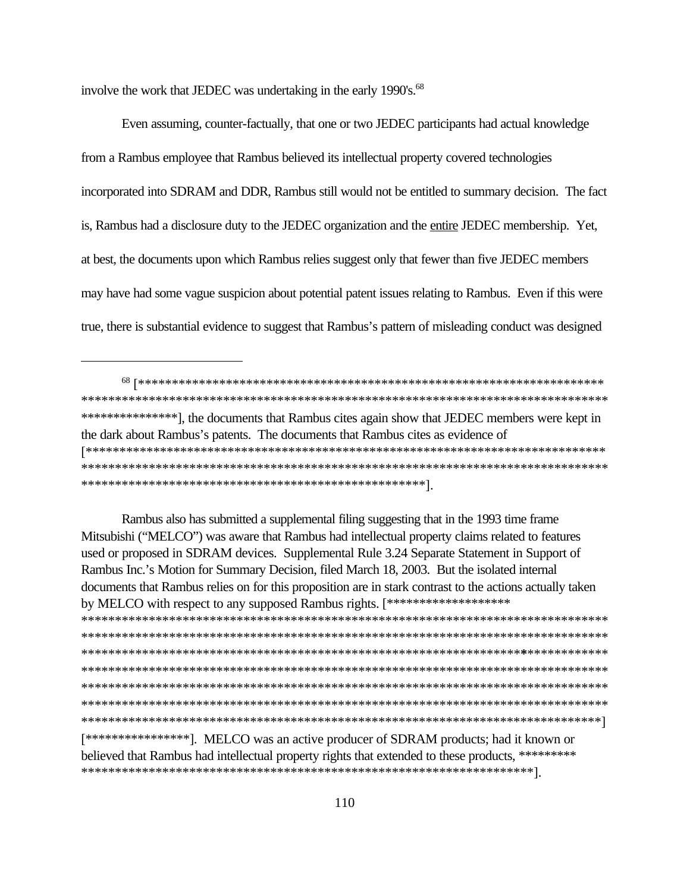involve the work that JEDEC was undertaking in the early 1990's.<sup>68</sup>

Even assuming, counter-factually, that one or two JEDEC participants had actual knowledge from a Rambus employee that Rambus believed its intellectual property covered technologies incorporated into SDRAM and DDR, Rambus still would not be entitled to summary decision. The fact is, Rambus had a disclosure duty to the JEDEC organization and the entire JEDEC membership. Yet, at best, the documents upon which Rambus relies suggest only that fewer than five JEDEC members may have had some vague suspicion about potential patent issues relating to Rambus. Even if this were true, there is substantial evidence to suggest that Rambus's pattern of misleading conduct was designed

\*\*\*\*\*\*\*\*\*\*\*\*\*\*\*\* ], the documents that Rambus cites again show that JEDEC members were kept in the dark about Rambus's patents. The documents that Rambus cites as evidence of 

Rambus also has submitted a supplemental filing suggesting that in the 1993 time frame Mitsubishi ("MELCO") was aware that Rambus had intellectual property claims related to features used or proposed in SDRAM devices. Supplemental Rule 3.24 Separate Statement in Support of Rambus Inc.'s Motion for Summary Decision, filed March 18, 2003. But the isolated internal documents that Rambus relies on for this proposition are in stark contrast to the actions actually taken by MELCO with respect to any supposed Rambus rights. [\*\*\*\*\*\*\*\*\*\*\*\*\*\*\*\*\*\*\*\* [\*\*\*\*\*\*\*\*\*\*\*\*\*\*\*\*\*]. MELCO was an active producer of SDRAM products; had it known or believed that Rambus had intellectual property rights that extended to these products, \*\*\*\*\*\*\*\*\*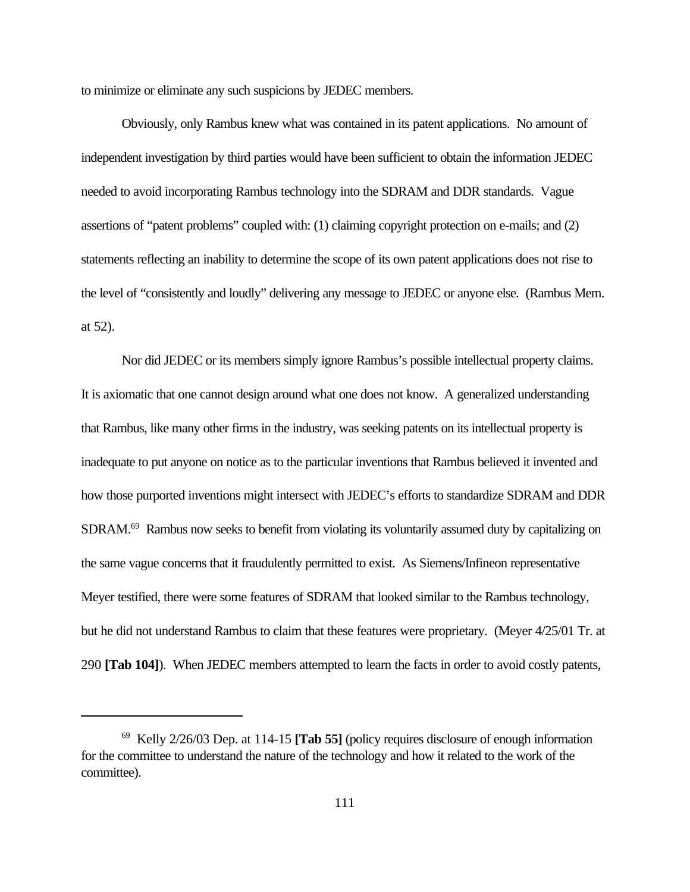to minimize or eliminate any such suspicions by JEDEC members.

Obviously, only Rambus knew what was contained in its patent applications. No amount of independent investigation by third parties would have been sufficient to obtain the information JEDEC needed to avoid incorporating Rambus technology into the SDRAM and DDR standards. Vague assertions of "patent problems" coupled with: (1) claiming copyright protection on e-mails; and (2) statements reflecting an inability to determine the scope of its own patent applications does not rise to the level of "consistently and loudly" delivering any message to JEDEC or anyone else. (Rambus Mem. at 52).

Nor did JEDEC or its members simply ignore Rambus's possible intellectual property claims. It is axiomatic that one cannot design around what one does not know. A generalized understanding that Rambus, like many other firms in the industry, was seeking patents on its intellectual property is inadequate to put anyone on notice as to the particular inventions that Rambus believed it invented and how those purported inventions might intersect with JEDEC's efforts to standardize SDRAM and DDR SDRAM.<sup>69</sup> Rambus now seeks to benefit from violating its voluntarily assumed duty by capitalizing on the same vague concerns that it fraudulently permitted to exist. As Siemens/Infineon representative Meyer testified, there were some features of SDRAM that looked similar to the Rambus technology, but he did not understand Rambus to claim that these features were proprietary. (Meyer 4/25/01 Tr. at 290 **[Tab 104]**). When JEDEC members attempted to learn the facts in order to avoid costly patents,

<sup>69</sup> Kelly 2/26/03 Dep. at 114-15 **[Tab 55]** (policy requires disclosure of enough information for the committee to understand the nature of the technology and how it related to the work of the committee).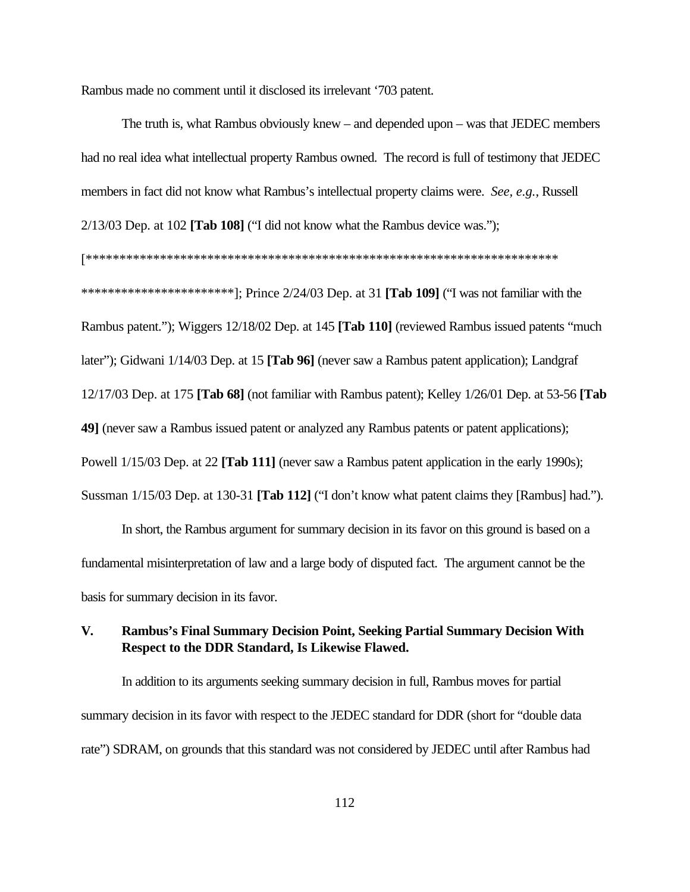Rambus made no comment until it disclosed its irrelevant '703 patent.

The truth is, what Rambus obviously knew – and depended upon – was that JEDEC members had no real idea what intellectual property Rambus owned. The record is full of testimony that JEDEC members in fact did not know what Rambus's intellectual property claims were. *See, e.g.*, Russell 2/13/03 Dep. at 102 **[Tab 108]** ("I did not know what the Rambus device was.");

[\*\*\*\*\*\*\*\*\*\*\*\*\*\*\*\*\*\*\*\*\*\*\*\*\*\*\*\*\*\*\*\*\*\*\*\*\*\*\*\*\*\*\*\*\*\*\*\*\*\*\*\*\*\*\*\*\*\*\*\*\*\*\*\*\*\*\*\*\*\* \*\*\*\*\*\*\*\*\*\*\*\*\*\*\*\*\*\*\*\*\*\*\*]; Prince 2/24/03 Dep. at 31 **[Tab 109]** ("I was not familiar with the Rambus patent."); Wiggers 12/18/02 Dep. at 145 **[Tab 110]** (reviewed Rambus issued patents "much later"); Gidwani 1/14/03 Dep. at 15 **[Tab 96]** (never saw a Rambus patent application); Landgraf 12/17/03 Dep. at 175 **[Tab 68]** (not familiar with Rambus patent); Kelley 1/26/01 Dep. at 53-56 **[Tab 49]** (never saw a Rambus issued patent or analyzed any Rambus patents or patent applications); Powell 1/15/03 Dep. at 22 **[Tab 111]** (never saw a Rambus patent application in the early 1990s); Sussman 1/15/03 Dep. at 130-31 **[Tab 112]** ("I don't know what patent claims they [Rambus] had.").

In short, the Rambus argument for summary decision in its favor on this ground is based on a fundamental misinterpretation of law and a large body of disputed fact. The argument cannot be the basis for summary decision in its favor.

## **V. Rambus's Final Summary Decision Point, Seeking Partial Summary Decision With Respect to the DDR Standard, Is Likewise Flawed.**

In addition to its arguments seeking summary decision in full, Rambus moves for partial summary decision in its favor with respect to the JEDEC standard for DDR (short for "double data rate") SDRAM, on grounds that this standard was not considered by JEDEC until after Rambus had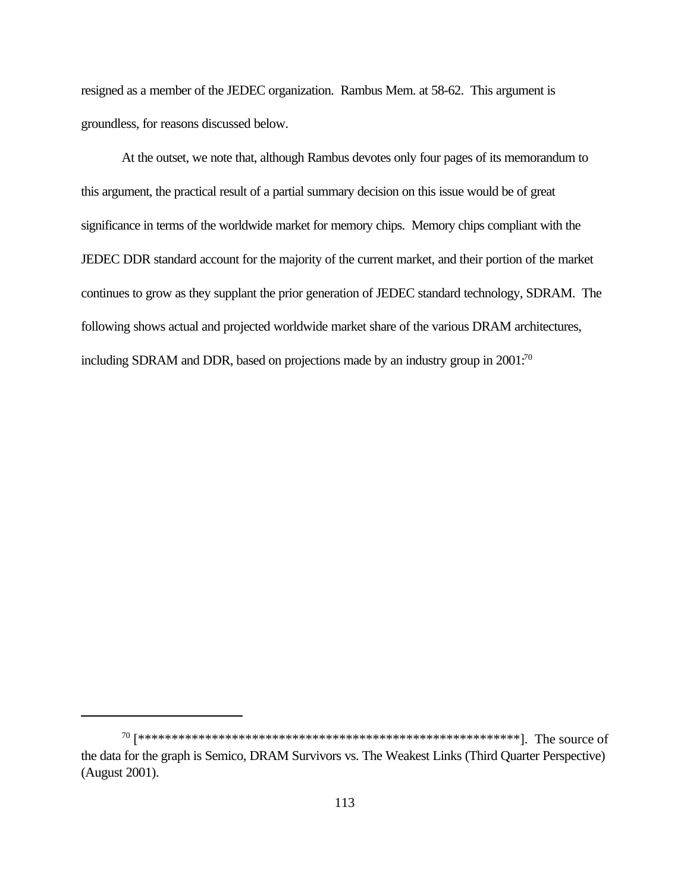resigned as a member of the JEDEC organization. Rambus Mem. at 58-62. This argument is groundless, for reasons discussed below.

At the outset, we note that, although Rambus devotes only four pages of its memorandum to this argument, the practical result of a partial summary decision on this issue would be of great significance in terms of the worldwide market for memory chips. Memory chips compliant with the JEDEC DDR standard account for the majority of the current market, and their portion of the market continues to grow as they supplant the prior generation of JEDEC standard technology, SDRAM. The following shows actual and projected worldwide market share of the various DRAM architectures, including SDRAM and DDR, based on projections made by an industry group in 2001:<sup>70</sup>

the data for the graph is Semico, DRAM Survivors vs. The Weakest Links (Third Quarter Perspective) (August 2001).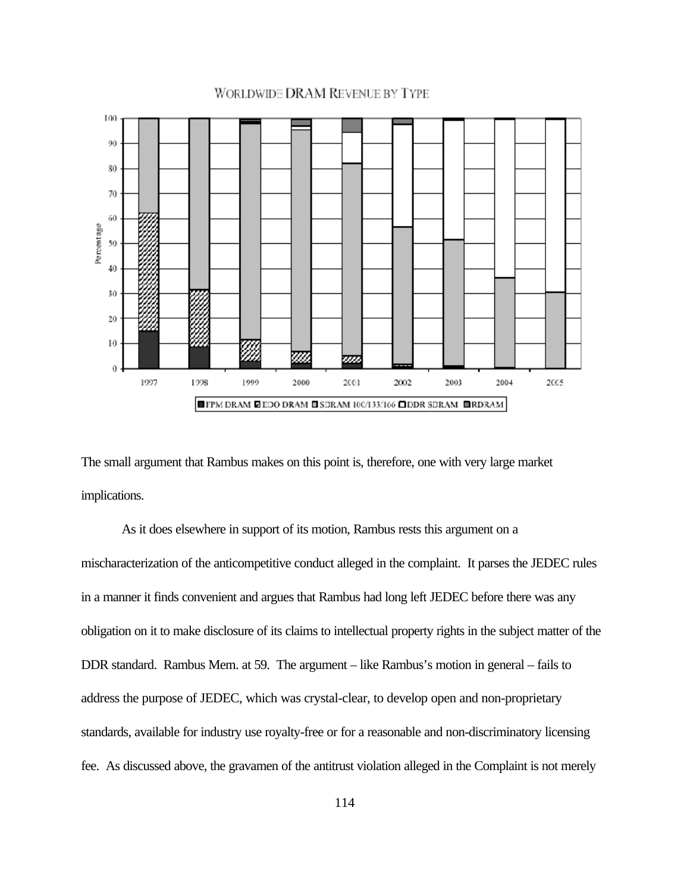#### **WORLDWIDE DRAM REVENUE BY TYPE**



The small argument that Rambus makes on this point is, therefore, one with very large market implications.

As it does elsewhere in support of its motion, Rambus rests this argument on a mischaracterization of the anticompetitive conduct alleged in the complaint. It parses the JEDEC rules in a manner it finds convenient and argues that Rambus had long left JEDEC before there was any obligation on it to make disclosure of its claims to intellectual property rights in the subject matter of the DDR standard. Rambus Mem. at 59. The argument – like Rambus's motion in general – fails to address the purpose of JEDEC, which was crystal-clear, to develop open and non-proprietary standards, available for industry use royalty-free or for a reasonable and non-discriminatory licensing fee. As discussed above, the gravamen of the antitrust violation alleged in the Complaint is not merely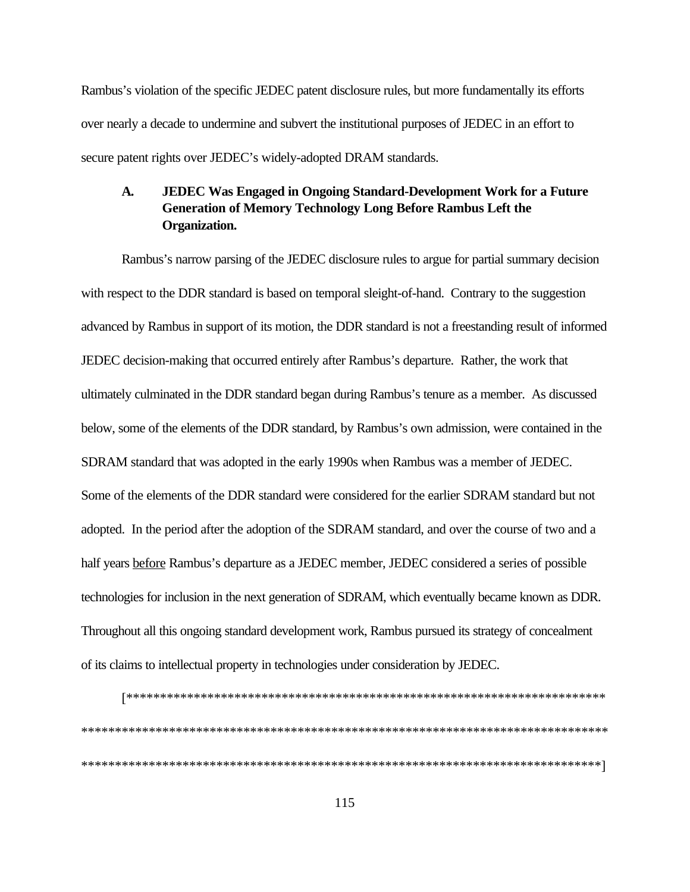Rambus's violation of the specific JEDEC patent disclosure rules, but more fundamentally its efforts over nearly a decade to undermine and subvert the institutional purposes of JEDEC in an effort to secure patent rights over JEDEC's widely-adopted DRAM standards.

#### $\mathbf{A}$ . **JEDEC Was Engaged in Ongoing Standard-Development Work for a Future Generation of Memory Technology Long Before Rambus Left the Organization.**

Rambus's narrow parsing of the JEDEC disclosure rules to argue for partial summary decision with respect to the DDR standard is based on temporal sleight-of-hand. Contrary to the suggestion advanced by Rambus in support of its motion, the DDR standard is not a freestanding result of informed JEDEC decision-making that occurred entirely after Rambus's departure. Rather, the work that ultimately culminated in the DDR standard began during Rambus's tenure as a member. As discussed below, some of the elements of the DDR standard, by Rambus's own admission, were contained in the SDRAM standard that was adopted in the early 1990s when Rambus was a member of JEDEC. Some of the elements of the DDR standard were considered for the earlier SDRAM standard but not adopted. In the period after the adoption of the SDRAM standard, and over the course of two and a half years before Rambus's departure as a JEDEC member, JEDEC considered a series of possible technologies for inclusion in the next generation of SDRAM, which eventually became known as DDR. Throughout all this ongoing standard development work, Rambus pursued its strategy of concealment of its claims to intellectual property in technologies under consideration by JEDEC.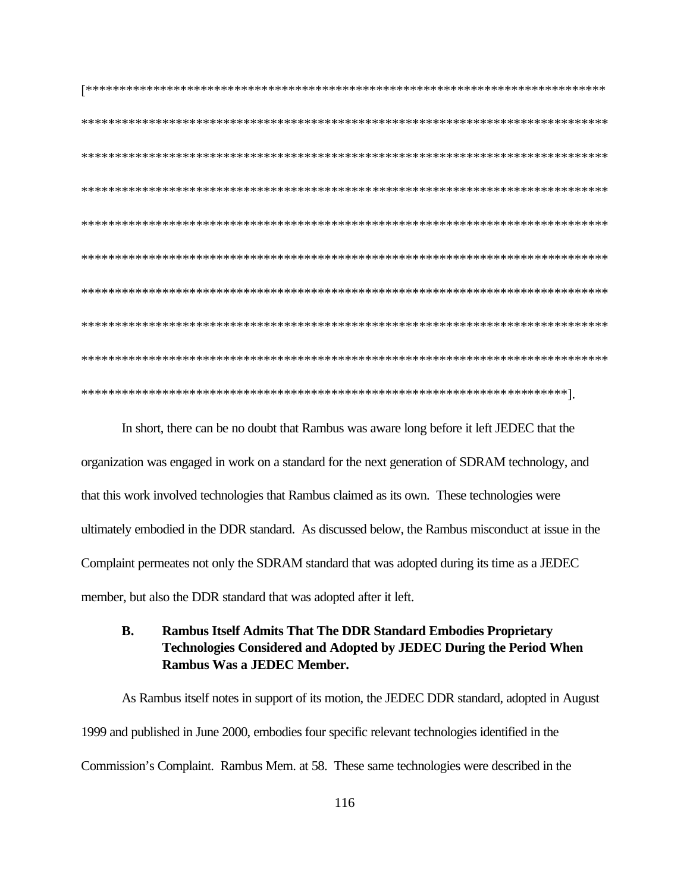In short, there can be no doubt that Rambus was aware long before it left JEDEC that the organization was engaged in work on a standard for the next generation of SDRAM technology, and that this work involved technologies that Rambus claimed as its own. These technologies were ultimately embodied in the DDR standard. As discussed below, the Rambus misconduct at issue in the Complaint permeates not only the SDRAM standard that was adopted during its time as a JEDEC member, but also the DDR standard that was adopted after it left.

#### **B. Rambus Itself Admits That The DDR Standard Embodies Proprietary Technologies Considered and Adopted by JEDEC During the Period When** Rambus Was a JEDEC Member.

As Rambus itself notes in support of its motion, the JEDEC DDR standard, adopted in August 1999 and published in June 2000, embodies four specific relevant technologies identified in the Commission's Complaint. Rambus Mem. at 58. These same technologies were described in the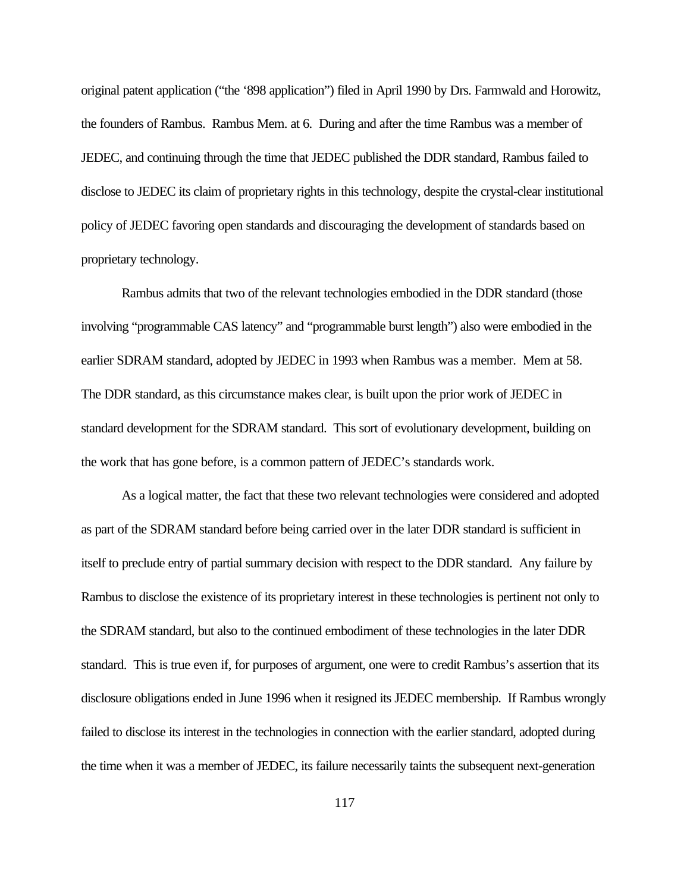original patent application ("the '898 application") filed in April 1990 by Drs. Farmwald and Horowitz, the founders of Rambus. Rambus Mem. at 6. During and after the time Rambus was a member of JEDEC, and continuing through the time that JEDEC published the DDR standard, Rambus failed to disclose to JEDEC its claim of proprietary rights in this technology, despite the crystal-clear institutional policy of JEDEC favoring open standards and discouraging the development of standards based on proprietary technology.

Rambus admits that two of the relevant technologies embodied in the DDR standard (those involving "programmable CAS latency" and "programmable burst length") also were embodied in the earlier SDRAM standard, adopted by JEDEC in 1993 when Rambus was a member. Mem at 58. The DDR standard, as this circumstance makes clear, is built upon the prior work of JEDEC in standard development for the SDRAM standard. This sort of evolutionary development, building on the work that has gone before, is a common pattern of JEDEC's standards work.

As a logical matter, the fact that these two relevant technologies were considered and adopted as part of the SDRAM standard before being carried over in the later DDR standard is sufficient in itself to preclude entry of partial summary decision with respect to the DDR standard. Any failure by Rambus to disclose the existence of its proprietary interest in these technologies is pertinent not only to the SDRAM standard, but also to the continued embodiment of these technologies in the later DDR standard. This is true even if, for purposes of argument, one were to credit Rambus's assertion that its disclosure obligations ended in June 1996 when it resigned its JEDEC membership. If Rambus wrongly failed to disclose its interest in the technologies in connection with the earlier standard, adopted during the time when it was a member of JEDEC, its failure necessarily taints the subsequent next-generation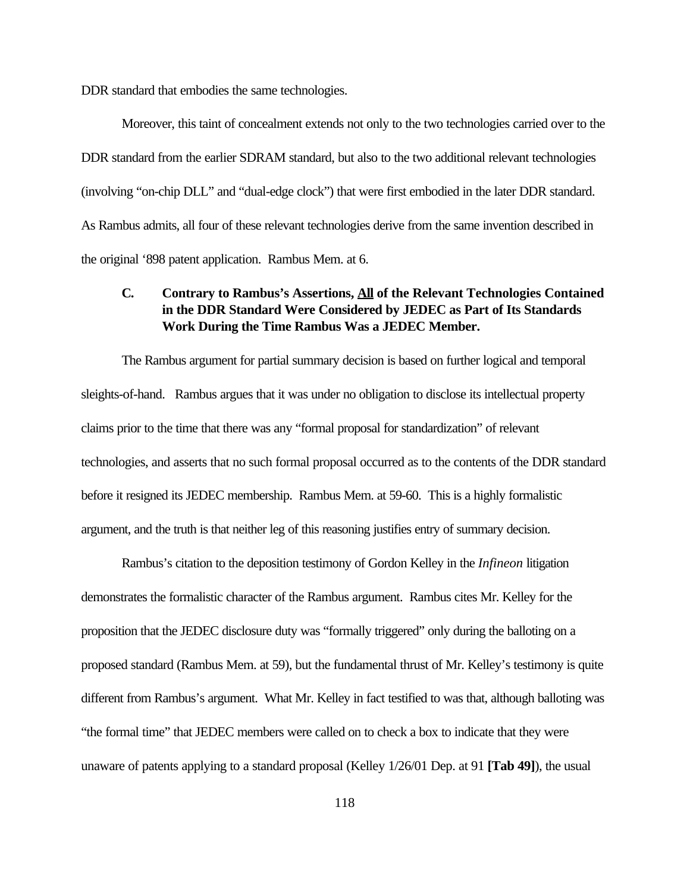DDR standard that embodies the same technologies.

Moreover, this taint of concealment extends not only to the two technologies carried over to the DDR standard from the earlier SDRAM standard, but also to the two additional relevant technologies (involving "on-chip DLL" and "dual-edge clock") that were first embodied in the later DDR standard. As Rambus admits, all four of these relevant technologies derive from the same invention described in the original '898 patent application. Rambus Mem. at 6.

# **C. Contrary to Rambus's Assertions, All of the Relevant Technologies Contained in the DDR Standard Were Considered by JEDEC as Part of Its Standards Work During the Time Rambus Was a JEDEC Member.**

The Rambus argument for partial summary decision is based on further logical and temporal sleights-of-hand. Rambus argues that it was under no obligation to disclose its intellectual property claims prior to the time that there was any "formal proposal for standardization" of relevant technologies, and asserts that no such formal proposal occurred as to the contents of the DDR standard before it resigned its JEDEC membership. Rambus Mem. at 59-60. This is a highly formalistic argument, and the truth is that neither leg of this reasoning justifies entry of summary decision.

Rambus's citation to the deposition testimony of Gordon Kelley in the *Infineon* litigation demonstrates the formalistic character of the Rambus argument. Rambus cites Mr. Kelley for the proposition that the JEDEC disclosure duty was "formally triggered" only during the balloting on a proposed standard (Rambus Mem. at 59), but the fundamental thrust of Mr. Kelley's testimony is quite different from Rambus's argument. What Mr. Kelley in fact testified to was that, although balloting was "the formal time" that JEDEC members were called on to check a box to indicate that they were unaware of patents applying to a standard proposal (Kelley 1/26/01 Dep. at 91 **[Tab 49]**), the usual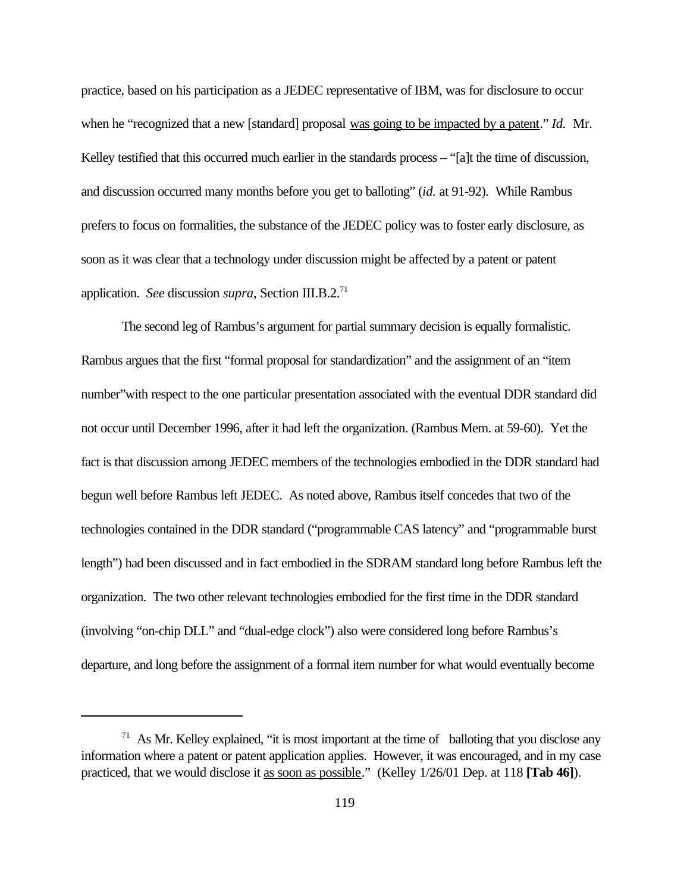practice, based on his participation as a JEDEC representative of IBM, was for disclosure to occur when he "recognized that a new [standard] proposal was going to be impacted by a patent." *Id.* Mr. Kelley testified that this occurred much earlier in the standards process – "[a]t the time of discussion, and discussion occurred many months before you get to balloting" (*id.* at 91-92). While Rambus prefers to focus on formalities, the substance of the JEDEC policy was to foster early disclosure, as soon as it was clear that a technology under discussion might be affected by a patent or patent application. *See* discussion *supra*, Section III.B.2.<sup>71</sup>

The second leg of Rambus's argument for partial summary decision is equally formalistic. Rambus argues that the first "formal proposal for standardization" and the assignment of an "item number"with respect to the one particular presentation associated with the eventual DDR standard did not occur until December 1996, after it had left the organization. (Rambus Mem. at 59-60). Yet the fact is that discussion among JEDEC members of the technologies embodied in the DDR standard had begun well before Rambus left JEDEC. As noted above, Rambus itself concedes that two of the technologies contained in the DDR standard ("programmable CAS latency" and "programmable burst length") had been discussed and in fact embodied in the SDRAM standard long before Rambus left the organization. The two other relevant technologies embodied for the first time in the DDR standard (involving "on-chip DLL" and "dual-edge clock") also were considered long before Rambus's departure, and long before the assignment of a formal item number for what would eventually become

<sup>&</sup>lt;sup>71</sup> As Mr. Kelley explained, "it is most important at the time of balloting that you disclose any information where a patent or patent application applies. However, it was encouraged, and in my case practiced, that we would disclose it as soon as possible." (Kelley 1/26/01 Dep. at 118 **[Tab 46]**).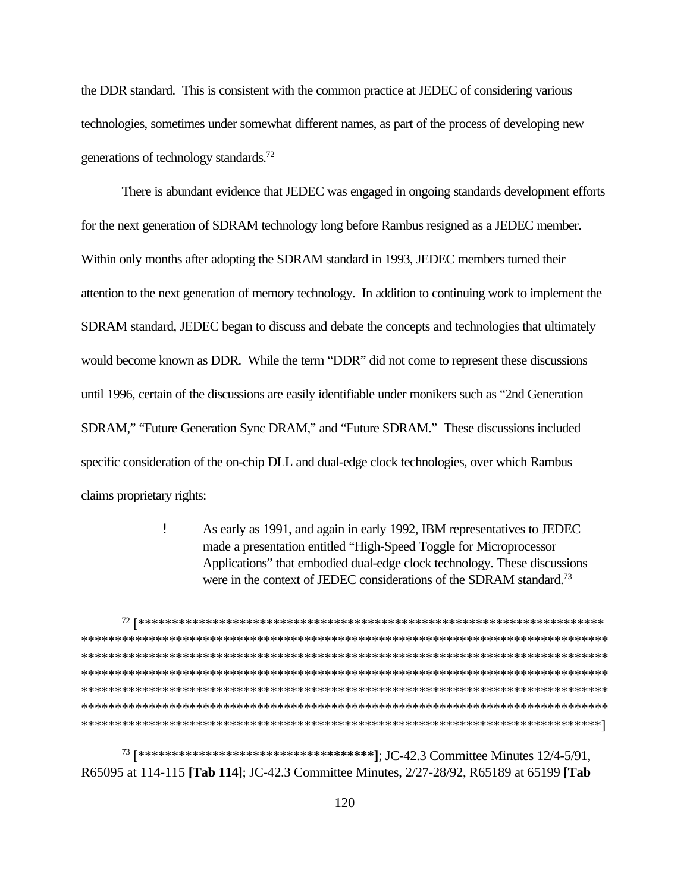the DDR standard. This is consistent with the common practice at JEDEC of considering various technologies, sometimes under somewhat different names, as part of the process of developing new generations of technology standards.<sup>72</sup>

There is abundant evidence that JEDEC was engaged in ongoing standards development efforts for the next generation of SDRAM technology long before Rambus resigned as a JEDEC member. Within only months after adopting the SDRAM standard in 1993, JEDEC members turned their attention to the next generation of memory technology. In addition to continuing work to implement the SDRAM standard, JEDEC began to discuss and debate the concepts and technologies that ultimately would become known as DDR. While the term "DDR" did not come to represent these discussions until 1996, certain of the discussions are easily identifiable under monikers such as "2nd Generation SDRAM," "Future Generation Sync DRAM," and "Future SDRAM." These discussions included specific consideration of the on-chip DLL and dual-edge clock technologies, over which Rambus claims proprietary rights:

> Ţ As early as 1991, and again in early 1992, IBM representatives to JEDEC made a presentation entitled "High-Speed Toggle for Microprocessor Applications" that embodied dual-edge clock technology. These discussions were in the context of JEDEC considerations of the SDRAM standard.<sup>73</sup>

73 [\*\*\*\*\*\*\*\*\*\*\*\*\*\*\*\*\*\*\*\*\*\*\*\*\*\*\*\*\*\*\*\*\*\*\*]; JC-42.3 Committee Minutes 12/4-5/91, R65095 at 114-115 [Tab 114]; JC-42.3 Committee Minutes, 2/27-28/92, R65189 at 65199 [Tab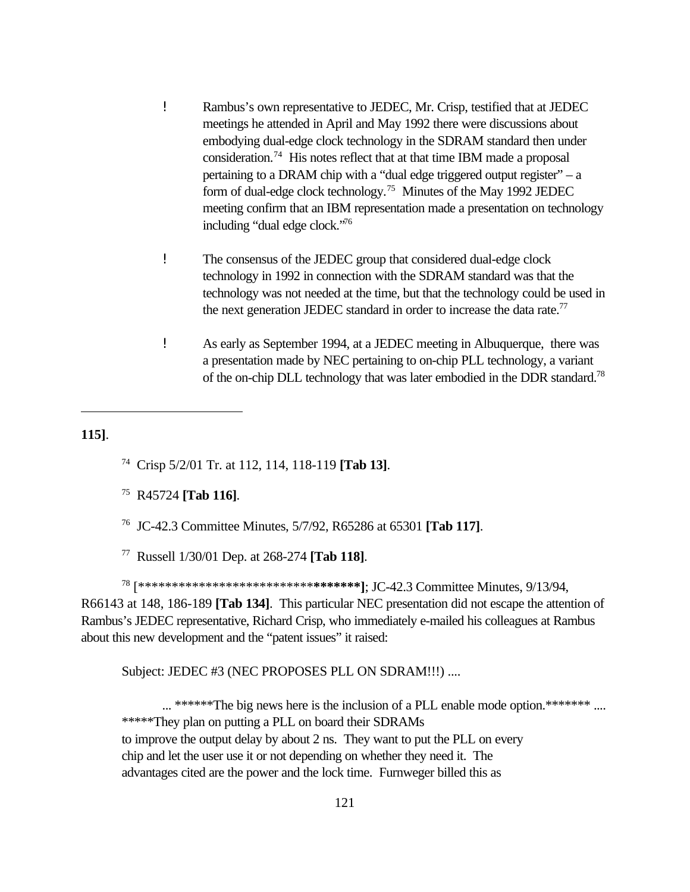- ! Rambus's own representative to JEDEC, Mr. Crisp, testified that at JEDEC meetings he attended in April and May 1992 there were discussions about embodying dual-edge clock technology in the SDRAM standard then under consideration.<sup>74</sup> His notes reflect that at that time IBM made a proposal pertaining to a DRAM chip with a "dual edge triggered output register" – a form of dual-edge clock technology.<sup>75</sup> Minutes of the May 1992 JEDEC meeting confirm that an IBM representation made a presentation on technology including "dual edge clock."<sup>76</sup>
- ! The consensus of the JEDEC group that considered dual-edge clock technology in 1992 in connection with the SDRAM standard was that the technology was not needed at the time, but that the technology could be used in the next generation JEDEC standard in order to increase the data rate.<sup>77</sup>
- ! As early as September 1994, at a JEDEC meeting in Albuquerque, there was a presentation made by NEC pertaining to on-chip PLL technology, a variant of the on-chip DLL technology that was later embodied in the DDR standard.<sup>78</sup>

#### **115]**.

<sup>74</sup> Crisp 5/2/01 Tr. at 112, 114, 118-119 **[Tab 13]**.

- <sup>75</sup> R45724 **[Tab 116]**.
- <sup>76</sup> JC-42.3 Committee Minutes, 5/7/92, R65286 at 65301 **[Tab 117]**.
- <sup>77</sup> Russell 1/30/01 Dep. at 268-274 **[Tab 118]**.

<sup>78</sup> [\*\*\*\*\*\*\*\*\*\*\*\*\*\*\*\*\*\*\*\*\*\*\*\*\*\***\*\*\*\*\*\*\*]**; JC-42.3 Committee Minutes, 9/13/94, R66143 at 148, 186-189 **[Tab 134]**. This particular NEC presentation did not escape the attention of Rambus's JEDEC representative, Richard Crisp, who immediately e-mailed his colleagues at Rambus about this new development and the "patent issues" it raised:

Subject: JEDEC #3 (NEC PROPOSES PLL ON SDRAM!!!) ....

... \*\*\*\*\*\*The big news here is the inclusion of a PLL enable mode option.\*\*\*\*\*\*\* .... \*\*\*\*\*They plan on putting a PLL on board their SDRAMs to improve the output delay by about 2 ns. They want to put the PLL on every chip and let the user use it or not depending on whether they need it. The advantages cited are the power and the lock time. Furnweger billed this as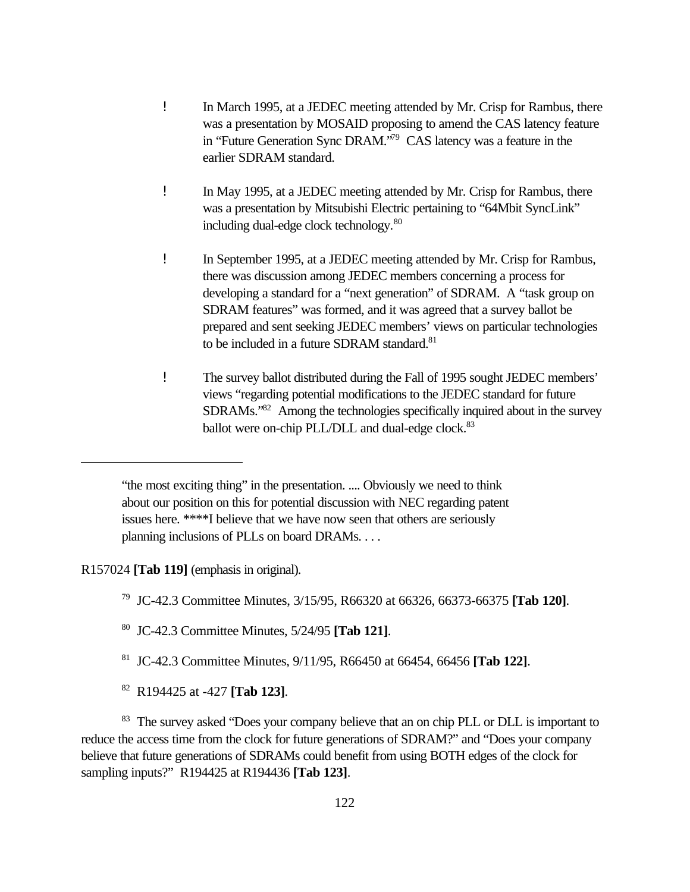- ! In March 1995, at a JEDEC meeting attended by Mr. Crisp for Rambus, there was a presentation by MOSAID proposing to amend the CAS latency feature in "Future Generation Sync DRAM."<sup>79</sup> CAS latency was a feature in the earlier SDRAM standard.
- ! In May 1995, at a JEDEC meeting attended by Mr. Crisp for Rambus, there was a presentation by Mitsubishi Electric pertaining to "64Mbit SyncLink" including dual-edge clock technology.<sup>80</sup>
- ! In September 1995, at a JEDEC meeting attended by Mr. Crisp for Rambus, there was discussion among JEDEC members concerning a process for developing a standard for a "next generation" of SDRAM. A "task group on SDRAM features" was formed, and it was agreed that a survey ballot be prepared and sent seeking JEDEC members' views on particular technologies to be included in a future SDRAM standard.<sup>81</sup>
- ! The survey ballot distributed during the Fall of 1995 sought JEDEC members' views "regarding potential modifications to the JEDEC standard for future SDRAMs."<sup>82</sup> Among the technologies specifically inquired about in the survey ballot were on-chip PLL/DLL and dual-edge clock.<sup>83</sup>

## R157024 **[Tab 119]** (emphasis in original).

- <sup>80</sup> JC-42.3 Committee Minutes, 5/24/95 **[Tab 121]**.
- <sup>81</sup> JC-42.3 Committee Minutes, 9/11/95, R66450 at 66454, 66456 **[Tab 122]**.
- <sup>82</sup> R194425 at -427 **[Tab 123]**.

<sup>83</sup> The survey asked "Does your company believe that an on chip PLL or DLL is important to reduce the access time from the clock for future generations of SDRAM?" and "Does your company believe that future generations of SDRAMs could benefit from using BOTH edges of the clock for sampling inputs?" R194425 at R194436 **[Tab 123]**.

<sup>&</sup>quot;the most exciting thing" in the presentation. .... Obviously we need to think about our position on this for potential discussion with NEC regarding patent issues here. \*\*\*\*I believe that we have now seen that others are seriously planning inclusions of PLLs on board DRAMs. . . .

<sup>79</sup> JC-42.3 Committee Minutes, 3/15/95, R66320 at 66326, 66373-66375 **[Tab 120]**.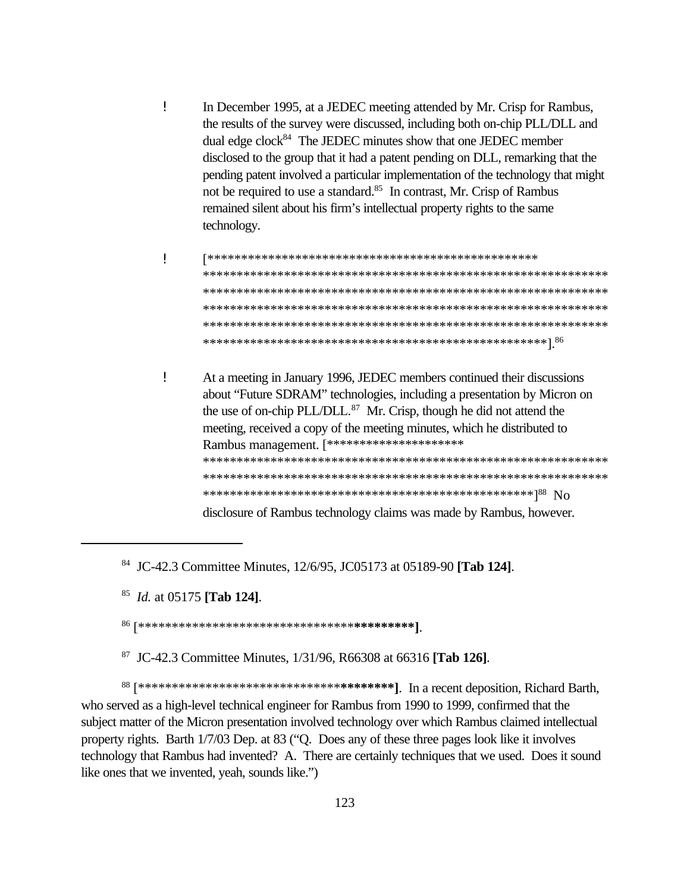- Ţ In December 1995, at a JEDEC meeting attended by Mr. Crisp for Rambus, the results of the survey were discussed, including both on-chip PLL/DLL and dual edge clock<sup>84</sup> The JEDEC minutes show that one JEDEC member disclosed to the group that it had a patent pending on DLL, remarking that the pending patent involved a particular implementation of the technology that might not be required to use a standard.<sup>85</sup> In contrast, Mr. Crisp of Rambus remained silent about his firm's intellectual property rights to the same technology.
- Ţ
- Ţ At a meeting in January 1996, JEDEC members continued their discussions about "Future SDRAM" technologies, including a presentation by Micron on the use of on-chip PLL/DLL.<sup>87</sup> Mr. Crisp, though he did not attend the meeting, received a copy of the meeting minutes, which he distributed to Rambus management. [\*\*\*\*\*\*\*\*\*\*\*\*\*\*\*\*\*\*\*\*\*\*\* disclosure of Rambus technology claims was made by Rambus, however.

<sup>84</sup> JC-42.3 Committee Minutes, 12/6/95, JC05173 at 05189-90 [Tab 124].

<sup>85</sup> *Id.* at 05175 [Tab 124].

<sup>87</sup> JC-42.3 Committee Minutes, 1/31/96, R66308 at 66316 [Tab 126].

who served as a high-level technical engineer for Rambus from 1990 to 1999, confirmed that the subject matter of the Micron presentation involved technology over which Rambus claimed intellectual property rights. Barth 1/7/03 Dep. at 83 ("O. Does any of these three pages look like it involves technology that Rambus had invented? A. There are certainly techniques that we used. Does it sound like ones that we invented, yeah, sounds like.")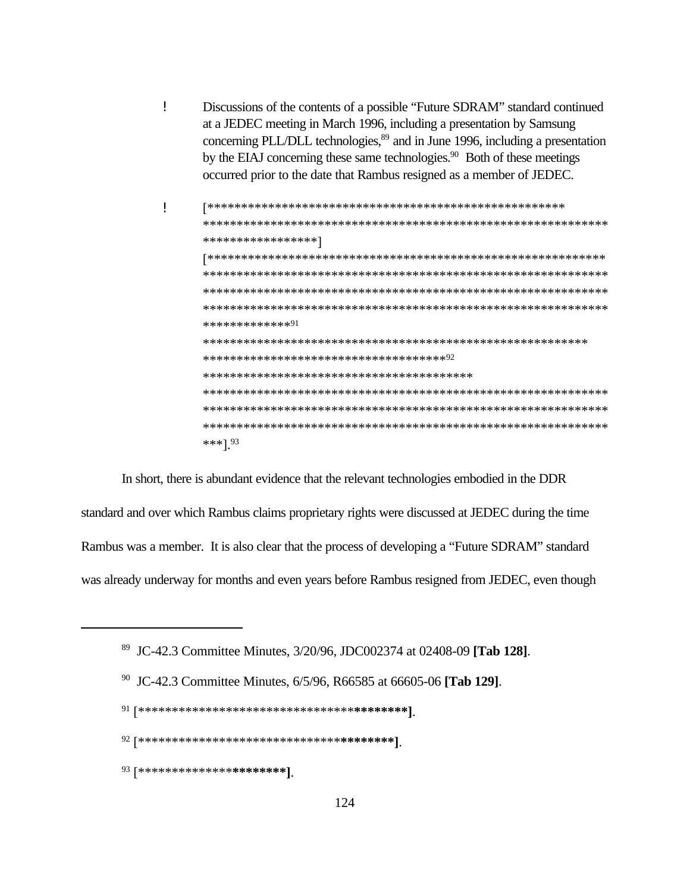- Ţ Discussions of the contents of a possible "Future SDRAM" standard continued at a JEDEC meeting in March 1996, including a presentation by Samsung concerning PLL/DLL technologies,<sup>89</sup> and in June 1996, including a presentation by the EIAJ concerning these same technologies.<sup>90</sup> Both of these meetings occurred prior to the date that Rambus resigned as a member of JEDEC.
- Ţ \*\*\*\*\*\*\*\*\*\*\*\*\*\*\*\*\* \*\*\*\*\*\*\*\*\*\*\*\*\*\*91 \*\*\*\*\*\*\*\*\*\*\*\*\*\*\*\*\*\*\*\*\*\*\*\*\*\*\*\*\*\*\*\*\*\*\*\*\*\* \*\*\*]  $93$

In short, there is abundant evidence that the relevant technologies embodied in the DDR standard and over which Rambus claims proprietary rights were discussed at JEDEC during the time Rambus was a member. It is also clear that the process of developing a "Future SDRAM" standard was already underway for months and even years before Rambus resigned from JEDEC, even though

<sup>90</sup> JC-42.3 Committee Minutes, 6/5/96, R66585 at 66605-06 [Tab 129].

 $91 [***************************************************]\qquad \qquad \qquad \left. \qquad \qquad 91$ 

 $93$  [\*\*\*\*\*\*\*\*\*\*\*\*\*\*\***\*\*\*\*\*\*\*\***]

<sup>&</sup>lt;sup>89</sup> JC-42.3 Committee Minutes, 3/20/96, JDC002374 at 02408-09 [Tab 128].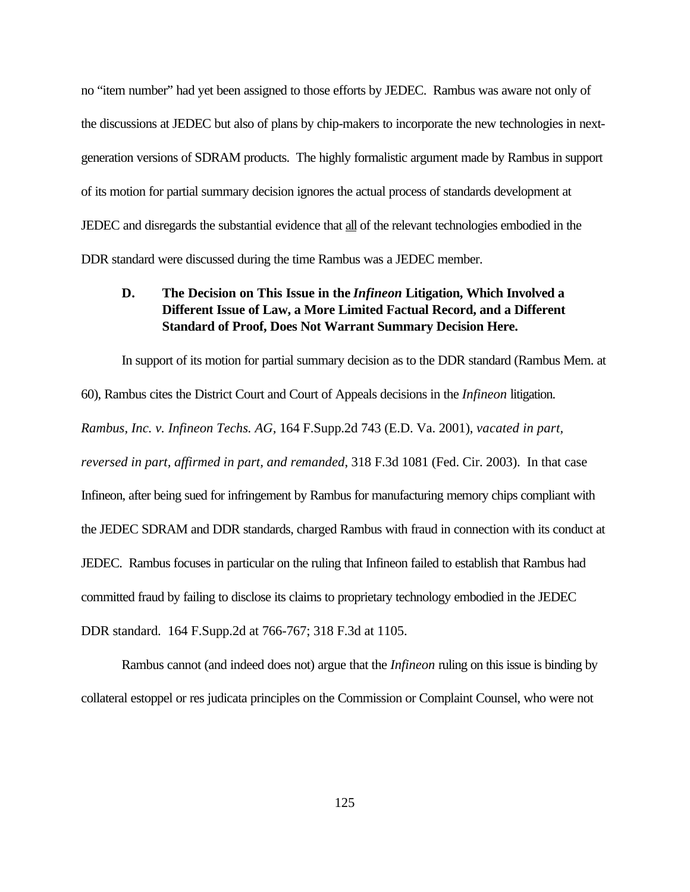no "item number" had yet been assigned to those efforts by JEDEC. Rambus was aware not only of the discussions at JEDEC but also of plans by chip-makers to incorporate the new technologies in nextgeneration versions of SDRAM products. The highly formalistic argument made by Rambus in support of its motion for partial summary decision ignores the actual process of standards development at JEDEC and disregards the substantial evidence that all of the relevant technologies embodied in the DDR standard were discussed during the time Rambus was a JEDEC member.

# **D. The Decision on This Issue in the** *Infineon* **Litigation, Which Involved a Different Issue of Law, a More Limited Factual Record, and a Different Standard of Proof, Does Not Warrant Summary Decision Here.**

In support of its motion for partial summary decision as to the DDR standard (Rambus Mem. at 60), Rambus cites the District Court and Court of Appeals decisions in the *Infineon* litigation. *Rambus, Inc. v. Infineon Techs. AG,* 164 F.Supp.2d 743 (E.D. Va. 2001), *vacated in part, reversed in part, affirmed in part, and remanded*, 318 F.3d 1081 (Fed. Cir. 2003). In that case Infineon, after being sued for infringement by Rambus for manufacturing memory chips compliant with the JEDEC SDRAM and DDR standards, charged Rambus with fraud in connection with its conduct at JEDEC. Rambus focuses in particular on the ruling that Infineon failed to establish that Rambus had committed fraud by failing to disclose its claims to proprietary technology embodied in the JEDEC DDR standard. 164 F.Supp.2d at 766-767; 318 F.3d at 1105.

Rambus cannot (and indeed does not) argue that the *Infineon* ruling on this issue is binding by collateral estoppel or res judicata principles on the Commission or Complaint Counsel, who were not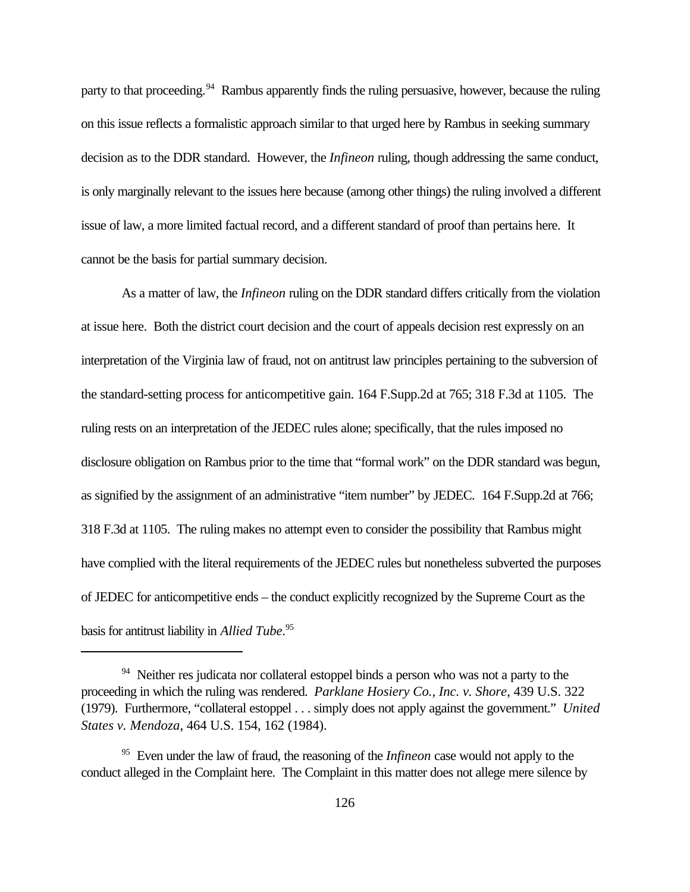party to that proceeding.<sup>94</sup> Rambus apparently finds the ruling persuasive, however, because the ruling on this issue reflects a formalistic approach similar to that urged here by Rambus in seeking summary decision as to the DDR standard. However, the *Infineon* ruling, though addressing the same conduct, is only marginally relevant to the issues here because (among other things) the ruling involved a different issue of law, a more limited factual record, and a different standard of proof than pertains here. It cannot be the basis for partial summary decision.

As a matter of law, the *Infineon* ruling on the DDR standard differs critically from the violation at issue here. Both the district court decision and the court of appeals decision rest expressly on an interpretation of the Virginia law of fraud, not on antitrust law principles pertaining to the subversion of the standard-setting process for anticompetitive gain. 164 F.Supp.2d at 765; 318 F.3d at 1105. The ruling rests on an interpretation of the JEDEC rules alone; specifically, that the rules imposed no disclosure obligation on Rambus prior to the time that "formal work" on the DDR standard was begun, as signified by the assignment of an administrative "item number" by JEDEC. 164 F.Supp.2d at 766; 318 F.3d at 1105. The ruling makes no attempt even to consider the possibility that Rambus might have complied with the literal requirements of the JEDEC rules but nonetheless subverted the purposes of JEDEC for anticompetitive ends – the conduct explicitly recognized by the Supreme Court as the basis for antitrust liability in *Allied Tube*. 95

<sup>&</sup>lt;sup>94</sup> Neither res judicata nor collateral estoppel binds a person who was not a party to the proceeding in which the ruling was rendered. *Parklane Hosiery Co., Inc. v. Shore*, 439 U.S. 322 (1979). Furthermore, "collateral estoppel . . . simply does not apply against the government." *United States v. Mendoza*, 464 U.S. 154, 162 (1984).

<sup>95</sup> Even under the law of fraud, the reasoning of the *Infineon* case would not apply to the conduct alleged in the Complaint here. The Complaint in this matter does not allege mere silence by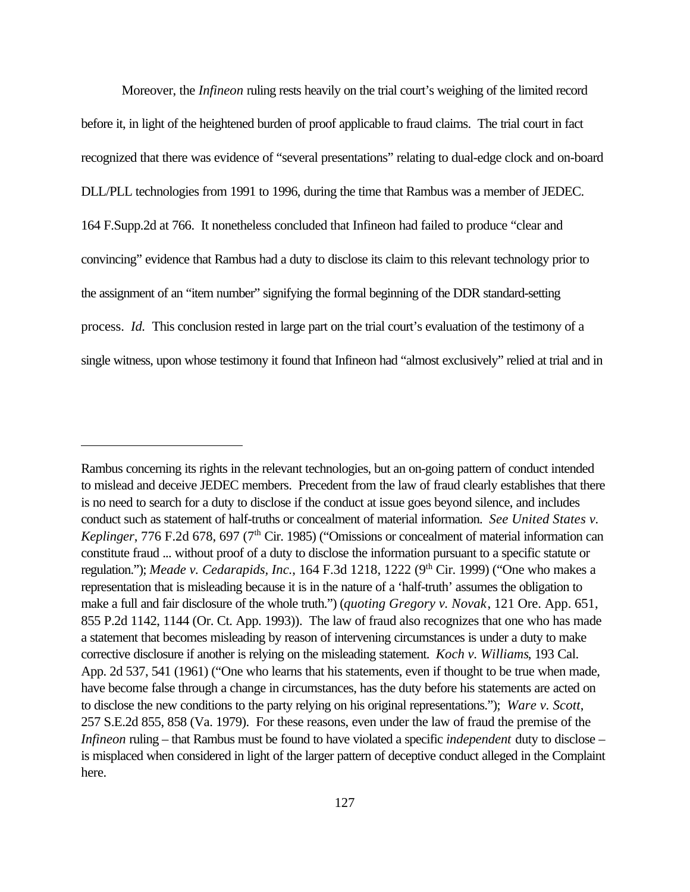Moreover, the *Infineon* ruling rests heavily on the trial court's weighing of the limited record before it, in light of the heightened burden of proof applicable to fraud claims. The trial court in fact recognized that there was evidence of "several presentations" relating to dual-edge clock and on-board DLL/PLL technologies from 1991 to 1996, during the time that Rambus was a member of JEDEC. 164 F.Supp.2d at 766. It nonetheless concluded that Infineon had failed to produce "clear and convincing" evidence that Rambus had a duty to disclose its claim to this relevant technology prior to the assignment of an "item number" signifying the formal beginning of the DDR standard-setting process. *Id.* This conclusion rested in large part on the trial court's evaluation of the testimony of a single witness, upon whose testimony it found that Infineon had "almost exclusively" relied at trial and in

Rambus concerning its rights in the relevant technologies, but an on-going pattern of conduct intended to mislead and deceive JEDEC members. Precedent from the law of fraud clearly establishes that there is no need to search for a duty to disclose if the conduct at issue goes beyond silence, and includes conduct such as statement of half-truths or concealment of material information. *See United States v. Keplinger*, 776 F.2d 678, 697 (7<sup>th</sup> Cir. 1985) ("Omissions or concealment of material information can constitute fraud ... without proof of a duty to disclose the information pursuant to a specific statute or regulation."); *Meade v. Cedarapids, Inc.*, 164 F.3d 1218, 1222 (9<sup>th</sup> Cir. 1999) ("One who makes a representation that is misleading because it is in the nature of a 'half-truth' assumes the obligation to make a full and fair disclosure of the whole truth.") (*quoting Gregory v. Novak*, 121 Ore. App. 651, 855 P.2d 1142, 1144 (Or. Ct. App. 1993)). The law of fraud also recognizes that one who has made a statement that becomes misleading by reason of intervening circumstances is under a duty to make corrective disclosure if another is relying on the misleading statement. *Koch v. Williams*, 193 Cal. App. 2d 537, 541 (1961) ("One who learns that his statements, even if thought to be true when made, have become false through a change in circumstances, has the duty before his statements are acted on to disclose the new conditions to the party relying on his original representations."); *Ware v. Scott*, 257 S.E.2d 855, 858 (Va. 1979). For these reasons, even under the law of fraud the premise of the *Infineon* ruling – that Rambus must be found to have violated a specific *independent* duty to disclose – is misplaced when considered in light of the larger pattern of deceptive conduct alleged in the Complaint here.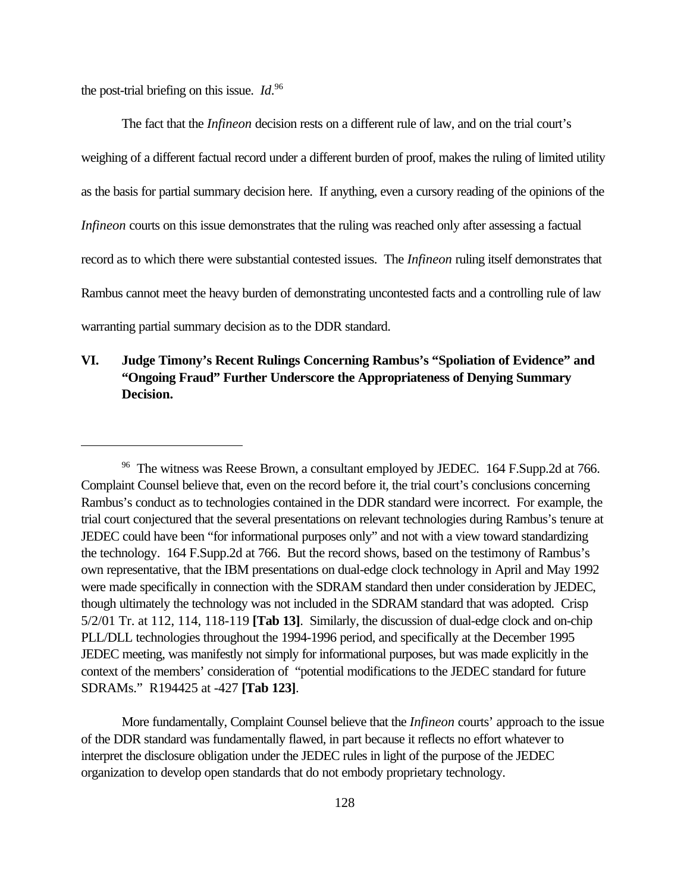the post-trial briefing on this issue. *Id*. 96

The fact that the *Infineon* decision rests on a different rule of law, and on the trial court's weighing of a different factual record under a different burden of proof, makes the ruling of limited utility as the basis for partial summary decision here. If anything, even a cursory reading of the opinions of the *Infineon* courts on this issue demonstrates that the ruling was reached only after assessing a factual record as to which there were substantial contested issues. The *Infineon* ruling itself demonstrates that Rambus cannot meet the heavy burden of demonstrating uncontested facts and a controlling rule of law warranting partial summary decision as to the DDR standard.

# **VI. Judge Timony's Recent Rulings Concerning Rambus's "Spoliation of Evidence" and "Ongoing Fraud" Further Underscore the Appropriateness of Denying Summary Decision.**

More fundamentally, Complaint Counsel believe that the *Infineon* courts' approach to the issue of the DDR standard was fundamentally flawed, in part because it reflects no effort whatever to interpret the disclosure obligation under the JEDEC rules in light of the purpose of the JEDEC organization to develop open standards that do not embody proprietary technology.

<sup>&</sup>lt;sup>96</sup> The witness was Reese Brown, a consultant employed by JEDEC. 164 F.Supp.2d at 766. Complaint Counsel believe that, even on the record before it, the trial court's conclusions concerning Rambus's conduct as to technologies contained in the DDR standard were incorrect. For example, the trial court conjectured that the several presentations on relevant technologies during Rambus's tenure at JEDEC could have been "for informational purposes only" and not with a view toward standardizing the technology. 164 F.Supp.2d at 766. But the record shows, based on the testimony of Rambus's own representative, that the IBM presentations on dual-edge clock technology in April and May 1992 were made specifically in connection with the SDRAM standard then under consideration by JEDEC, though ultimately the technology was not included in the SDRAM standard that was adopted. Crisp 5/2/01 Tr. at 112, 114, 118-119 **[Tab 13]**. Similarly, the discussion of dual-edge clock and on-chip PLL/DLL technologies throughout the 1994-1996 period, and specifically at the December 1995 JEDEC meeting, was manifestly not simply for informational purposes, but was made explicitly in the context of the members' consideration of "potential modifications to the JEDEC standard for future SDRAMs." R194425 at -427 **[Tab 123]**.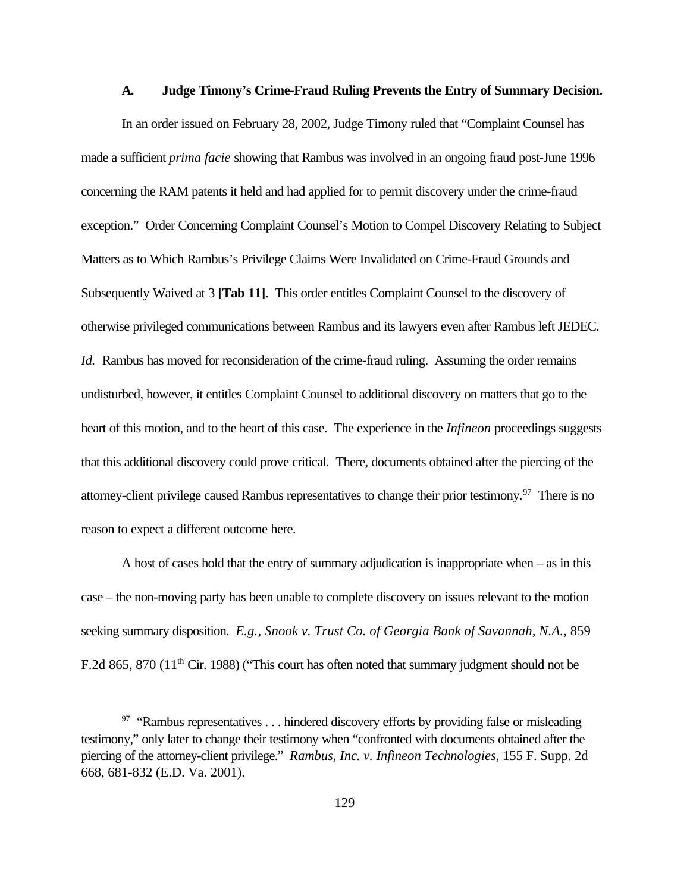#### **A. Judge Timony's Crime-Fraud Ruling Prevents the Entry of Summary Decision.**

In an order issued on February 28, 2002, Judge Timony ruled that "Complaint Counsel has made a sufficient *prima facie* showing that Rambus was involved in an ongoing fraud post-June 1996 concerning the RAM patents it held and had applied for to permit discovery under the crime-fraud exception." Order Concerning Complaint Counsel's Motion to Compel Discovery Relating to Subject Matters as to Which Rambus's Privilege Claims Were Invalidated on Crime-Fraud Grounds and Subsequently Waived at 3 **[Tab 11]**. This order entitles Complaint Counsel to the discovery of otherwise privileged communications between Rambus and its lawyers even after Rambus left JEDEC. *Id.* Rambus has moved for reconsideration of the crime-fraud ruling. Assuming the order remains undisturbed, however, it entitles Complaint Counsel to additional discovery on matters that go to the heart of this motion, and to the heart of this case. The experience in the *Infineon* proceedings suggests that this additional discovery could prove critical. There, documents obtained after the piercing of the attorney-client privilege caused Rambus representatives to change their prior testimony.<sup>97</sup> There is no reason to expect a different outcome here.

A host of cases hold that the entry of summary adjudication is inappropriate when – as in this case – the non-moving party has been unable to complete discovery on issues relevant to the motion seeking summary disposition. *E.g., Snook v. Trust Co. of Georgia Bank of Savannah, N.A.*, 859 F.2d 865, 870 (11<sup>th</sup> Cir. 1988) ("This court has often noted that summary judgment should not be

 $97$  "Rambus representatives ... hindered discovery efforts by providing false or misleading testimony," only later to change their testimony when "confronted with documents obtained after the piercing of the attorney-client privilege." *Rambus, Inc. v. Infineon Technologies*, 155 F. Supp. 2d 668, 681-832 (E.D. Va. 2001).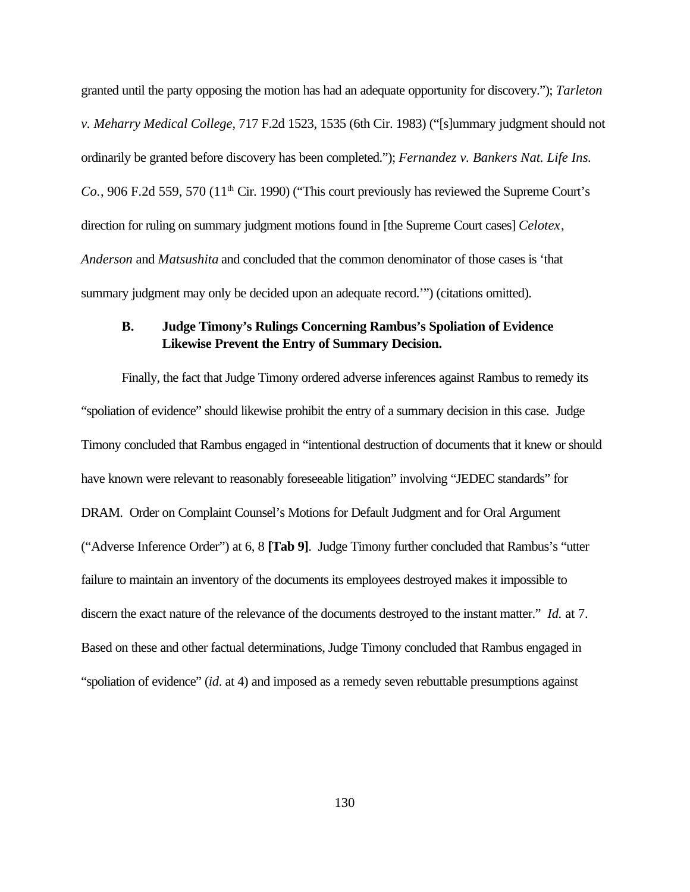granted until the party opposing the motion has had an adequate opportunity for discovery."); *Tarleton v. Meharry Medical College*, 717 F.2d 1523, 1535 (6th Cir. 1983) ("[s]ummary judgment should not ordinarily be granted before discovery has been completed."); *Fernandez v. Bankers Nat. Life Ins. Co.*, 906 F.2d 559, 570 (11<sup>th</sup> Cir. 1990) ("This court previously has reviewed the Supreme Court's direction for ruling on summary judgment motions found in [the Supreme Court cases] *Celotex*, *Anderson* and *Matsushita* and concluded that the common denominator of those cases is 'that summary judgment may only be decided upon an adequate record.'") (citations omitted).

### **B. Judge Timony's Rulings Concerning Rambus's Spoliation of Evidence Likewise Prevent the Entry of Summary Decision.**

Finally, the fact that Judge Timony ordered adverse inferences against Rambus to remedy its "spoliation of evidence" should likewise prohibit the entry of a summary decision in this case. Judge Timony concluded that Rambus engaged in "intentional destruction of documents that it knew or should have known were relevant to reasonably foreseeable litigation" involving "JEDEC standards" for DRAM. Order on Complaint Counsel's Motions for Default Judgment and for Oral Argument ("Adverse Inference Order") at 6, 8 **[Tab 9]**. Judge Timony further concluded that Rambus's "utter failure to maintain an inventory of the documents its employees destroyed makes it impossible to discern the exact nature of the relevance of the documents destroyed to the instant matter." *Id.* at 7. Based on these and other factual determinations, Judge Timony concluded that Rambus engaged in "spoliation of evidence" (*id*. at 4) and imposed as a remedy seven rebuttable presumptions against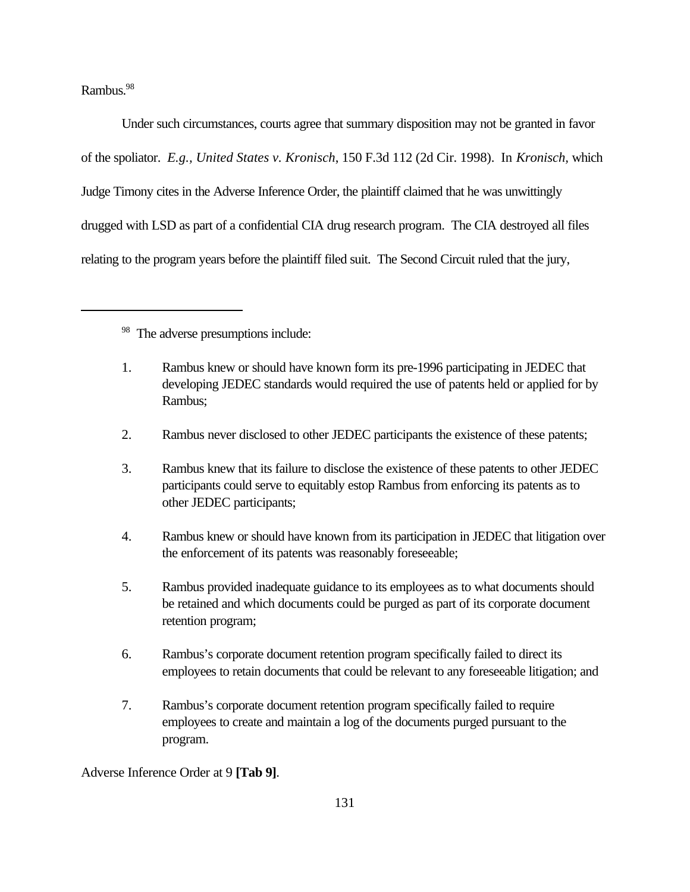Rambus.<sup>98</sup>

Under such circumstances, courts agree that summary disposition may not be granted in favor of the spoliator. *E.g., United States v. Kronisch*, 150 F.3d 112 (2d Cir. 1998). In *Kronisch,* which Judge Timony cites in the Adverse Inference Order, the plaintiff claimed that he was unwittingly drugged with LSD as part of a confidential CIA drug research program. The CIA destroyed all files relating to the program years before the plaintiff filed suit. The Second Circuit ruled that the jury,

<sup>98</sup> The adverse presumptions include:

- 1. Rambus knew or should have known form its pre-1996 participating in JEDEC that developing JEDEC standards would required the use of patents held or applied for by Rambus;
- 2. Rambus never disclosed to other JEDEC participants the existence of these patents;
- 3. Rambus knew that its failure to disclose the existence of these patents to other JEDEC participants could serve to equitably estop Rambus from enforcing its patents as to other JEDEC participants;
- 4. Rambus knew or should have known from its participation in JEDEC that litigation over the enforcement of its patents was reasonably foreseeable;
- 5. Rambus provided inadequate guidance to its employees as to what documents should be retained and which documents could be purged as part of its corporate document retention program;
- 6. Rambus's corporate document retention program specifically failed to direct its employees to retain documents that could be relevant to any foreseeable litigation; and
- 7. Rambus's corporate document retention program specifically failed to require employees to create and maintain a log of the documents purged pursuant to the program.

Adverse Inference Order at 9 **[Tab 9]**.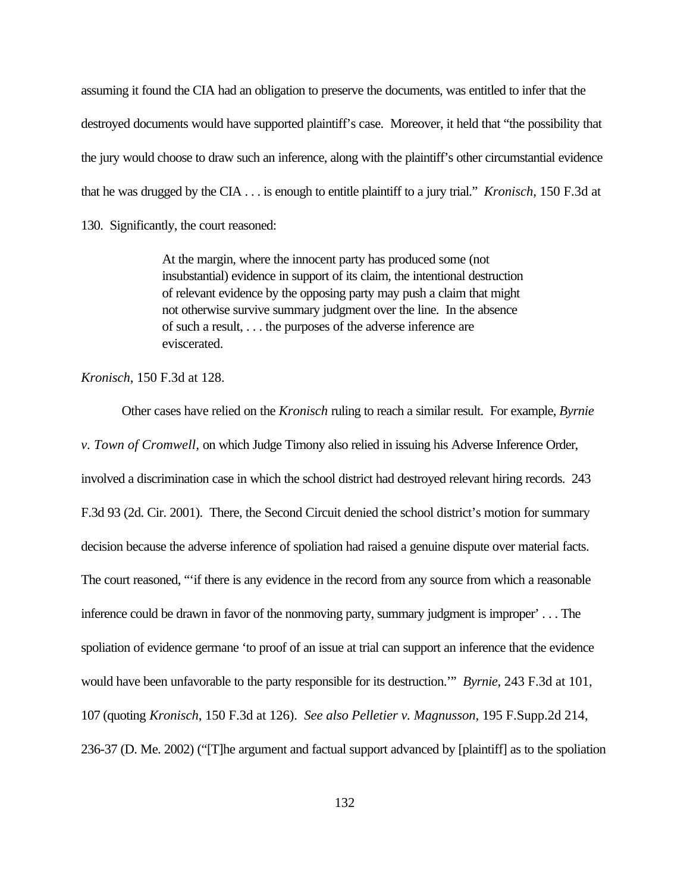assuming it found the CIA had an obligation to preserve the documents, was entitled to infer that the destroyed documents would have supported plaintiff's case. Moreover, it held that "the possibility that the jury would choose to draw such an inference, along with the plaintiff's other circumstantial evidence that he was drugged by the CIA . . . is enough to entitle plaintiff to a jury trial." *Kronisch*, 150 F.3d at 130. Significantly, the court reasoned:

> At the margin, where the innocent party has produced some (not insubstantial) evidence in support of its claim, the intentional destruction of relevant evidence by the opposing party may push a claim that might not otherwise survive summary judgment over the line. In the absence of such a result, . . . the purposes of the adverse inference are eviscerated.

*Kronisch*, 150 F.3d at 128.

Other cases have relied on the *Kronisch* ruling to reach a similar result. For example, *Byrnie v. Town of Cromwell,* on which Judge Timony also relied in issuing his Adverse Inference Order, involved a discrimination case in which the school district had destroyed relevant hiring records. 243 F.3d 93 (2d. Cir. 2001). There, the Second Circuit denied the school district's motion for summary decision because the adverse inference of spoliation had raised a genuine dispute over material facts. The court reasoned, "'if there is any evidence in the record from any source from which a reasonable inference could be drawn in favor of the nonmoving party, summary judgment is improper' . . . The spoliation of evidence germane 'to proof of an issue at trial can support an inference that the evidence would have been unfavorable to the party responsible for its destruction.'" *Byrnie*, 243 F.3d at 101, 107 (quoting *Kronisch*, 150 F.3d at 126). *See also Pelletier v. Magnusson*, 195 F.Supp.2d 214, 236-37 (D. Me. 2002) ("[T]he argument and factual support advanced by [plaintiff] as to the spoliation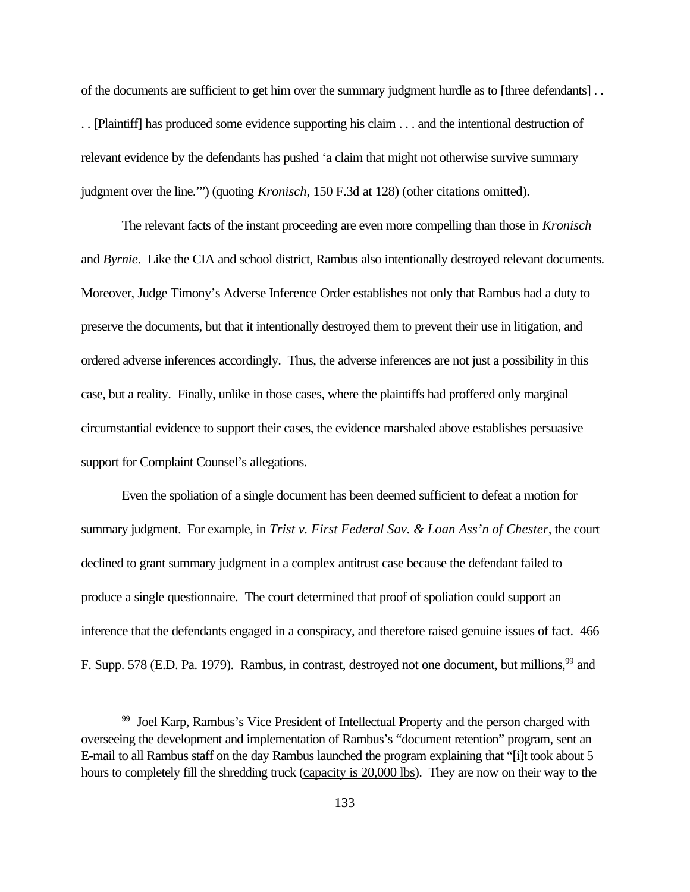of the documents are sufficient to get him over the summary judgment hurdle as to [three defendants] . . . . [Plaintiff] has produced some evidence supporting his claim . . . and the intentional destruction of relevant evidence by the defendants has pushed 'a claim that might not otherwise survive summary judgment over the line.'") (quoting *Kronisch*, 150 F.3d at 128) (other citations omitted).

The relevant facts of the instant proceeding are even more compelling than those in *Kronisch* and *Byrnie*. Like the CIA and school district, Rambus also intentionally destroyed relevant documents. Moreover, Judge Timony's Adverse Inference Order establishes not only that Rambus had a duty to preserve the documents, but that it intentionally destroyed them to prevent their use in litigation, and ordered adverse inferences accordingly. Thus, the adverse inferences are not just a possibility in this case, but a reality. Finally, unlike in those cases, where the plaintiffs had proffered only marginal circumstantial evidence to support their cases, the evidence marshaled above establishes persuasive support for Complaint Counsel's allegations.

Even the spoliation of a single document has been deemed sufficient to defeat a motion for summary judgment. For example, in *Trist v. First Federal Sav. & Loan Ass'n of Chester*, the court declined to grant summary judgment in a complex antitrust case because the defendant failed to produce a single questionnaire. The court determined that proof of spoliation could support an inference that the defendants engaged in a conspiracy, and therefore raised genuine issues of fact. 466 F. Supp. 578 (E.D. Pa. 1979). Rambus, in contrast, destroyed not one document, but millions, <sup>99</sup> and

<sup>&</sup>lt;sup>99</sup> Joel Karp, Rambus's Vice President of Intellectual Property and the person charged with overseeing the development and implementation of Rambus's "document retention" program, sent an E-mail to all Rambus staff on the day Rambus launched the program explaining that "[i]t took about 5 hours to completely fill the shredding truck (capacity is 20,000 lbs). They are now on their way to the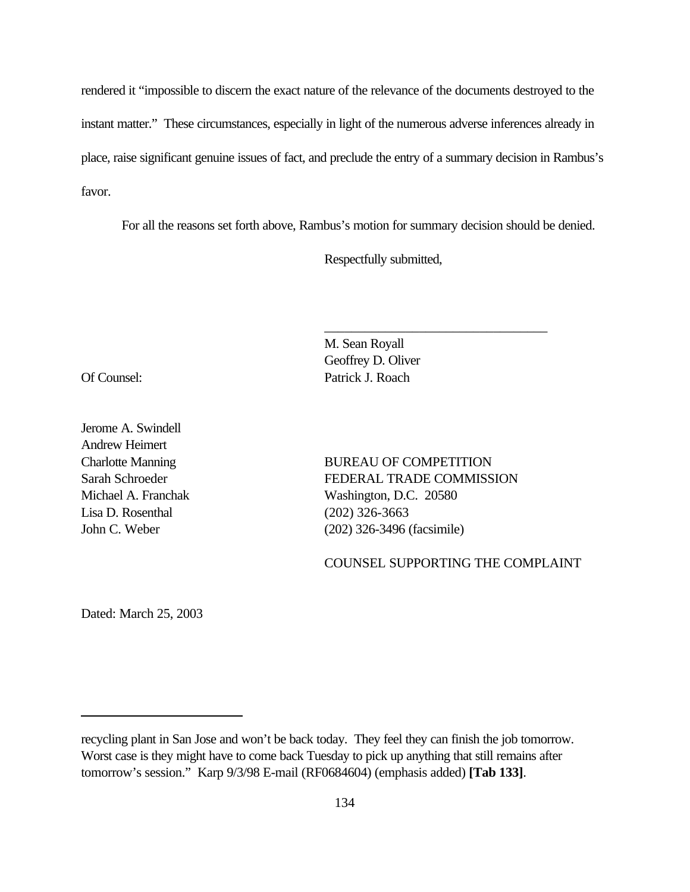rendered it "impossible to discern the exact nature of the relevance of the documents destroyed to the instant matter." These circumstances, especially in light of the numerous adverse inferences already in place, raise significant genuine issues of fact, and preclude the entry of a summary decision in Rambus's favor.

For all the reasons set forth above, Rambus's motion for summary decision should be denied.

Respectfully submitted,

Jerome A. Swindell Andrew Heimert Lisa D. Rosenthal (202) 326-3663

M. Sean Royall Geoffrey D. Oliver Of Counsel: Patrick J. Roach

Charlotte Manning BUREAU OF COMPETITION Sarah Schroeder FEDERAL TRADE COMMISSION Michael A. Franchak Washington, D.C. 20580 John C. Weber (202) 326-3496 (facsimile)

\_\_\_\_\_\_\_\_\_\_\_\_\_\_\_\_\_\_\_\_\_\_\_\_\_\_\_\_\_\_\_\_\_

COUNSEL SUPPORTING THE COMPLAINT

Dated: March 25, 2003

recycling plant in San Jose and won't be back today. They feel they can finish the job tomorrow. Worst case is they might have to come back Tuesday to pick up anything that still remains after tomorrow's session." Karp 9/3/98 E-mail (RF0684604) (emphasis added) **[Tab 133]**.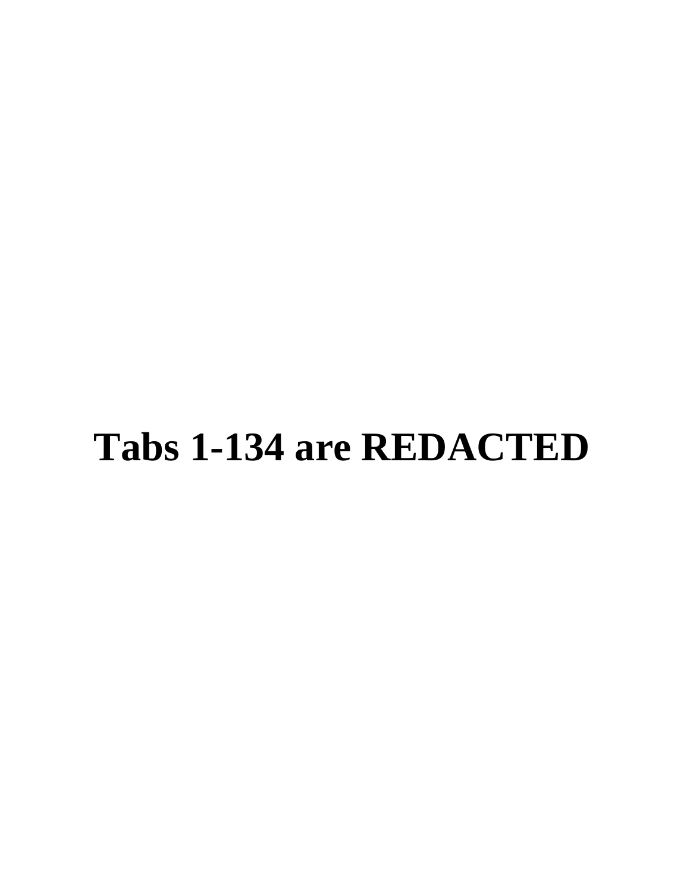# **Tabs 1-134 are REDACTED**